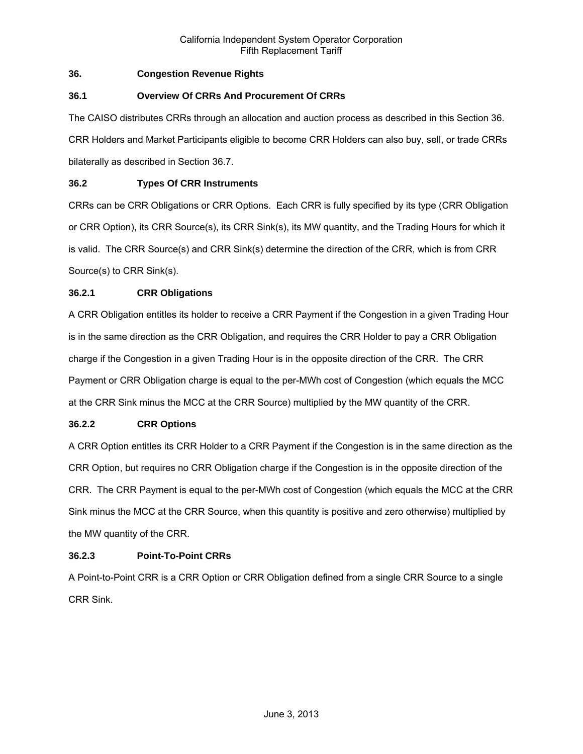# **36. Congestion Revenue Rights**

# **36.1 Overview Of CRRs And Procurement Of CRRs**

The CAISO distributes CRRs through an allocation and auction process as described in this Section 36. CRR Holders and Market Participants eligible to become CRR Holders can also buy, sell, or trade CRRs bilaterally as described in Section 36.7.

# **36.2 Types Of CRR Instruments**

CRRs can be CRR Obligations or CRR Options. Each CRR is fully specified by its type (CRR Obligation or CRR Option), its CRR Source(s), its CRR Sink(s), its MW quantity, and the Trading Hours for which it is valid. The CRR Source(s) and CRR Sink(s) determine the direction of the CRR, which is from CRR Source(s) to CRR Sink(s).

# **36.2.1 CRR Obligations**

A CRR Obligation entitles its holder to receive a CRR Payment if the Congestion in a given Trading Hour is in the same direction as the CRR Obligation, and requires the CRR Holder to pay a CRR Obligation charge if the Congestion in a given Trading Hour is in the opposite direction of the CRR. The CRR Payment or CRR Obligation charge is equal to the per-MWh cost of Congestion (which equals the MCC at the CRR Sink minus the MCC at the CRR Source) multiplied by the MW quantity of the CRR.

# **36.2.2 CRR Options**

A CRR Option entitles its CRR Holder to a CRR Payment if the Congestion is in the same direction as the CRR Option, but requires no CRR Obligation charge if the Congestion is in the opposite direction of the CRR. The CRR Payment is equal to the per-MWh cost of Congestion (which equals the MCC at the CRR Sink minus the MCC at the CRR Source, when this quantity is positive and zero otherwise) multiplied by the MW quantity of the CRR.

# **36.2.3 Point-To-Point CRRs**

A Point-to-Point CRR is a CRR Option or CRR Obligation defined from a single CRR Source to a single CRR Sink.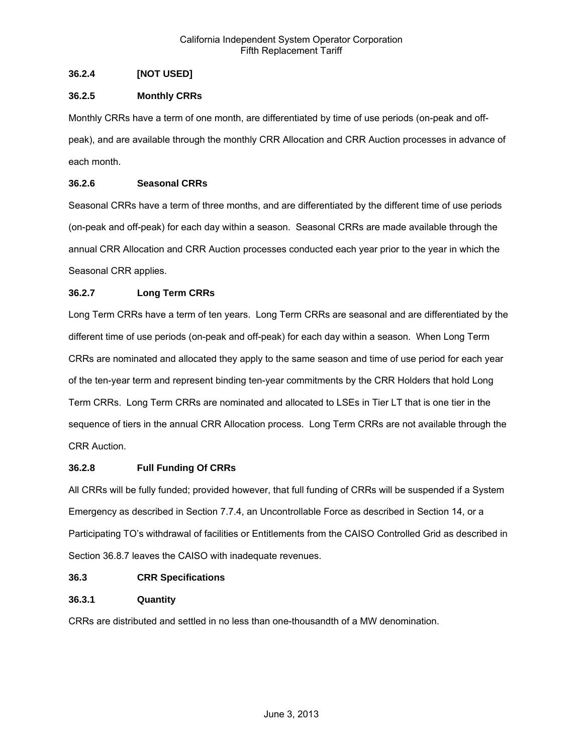# **36.2.4 [NOT USED]**

# **36.2.5 Monthly CRRs**

Monthly CRRs have a term of one month, are differentiated by time of use periods (on-peak and offpeak), and are available through the monthly CRR Allocation and CRR Auction processes in advance of each month.

# **36.2.6 Seasonal CRRs**

Seasonal CRRs have a term of three months, and are differentiated by the different time of use periods (on-peak and off-peak) for each day within a season. Seasonal CRRs are made available through the annual CRR Allocation and CRR Auction processes conducted each year prior to the year in which the Seasonal CRR applies.

# **36.2.7 Long Term CRRs**

Long Term CRRs have a term of ten years. Long Term CRRs are seasonal and are differentiated by the different time of use periods (on-peak and off-peak) for each day within a season. When Long Term CRRs are nominated and allocated they apply to the same season and time of use period for each year of the ten-year term and represent binding ten-year commitments by the CRR Holders that hold Long Term CRRs. Long Term CRRs are nominated and allocated to LSEs in Tier LT that is one tier in the sequence of tiers in the annual CRR Allocation process. Long Term CRRs are not available through the CRR Auction.

# **36.2.8 Full Funding Of CRRs**

All CRRs will be fully funded; provided however, that full funding of CRRs will be suspended if a System Emergency as described in Section 7.7.4, an Uncontrollable Force as described in Section 14, or a Participating TO's withdrawal of facilities or Entitlements from the CAISO Controlled Grid as described in Section 36.8.7 leaves the CAISO with inadequate revenues.

# **36.3 CRR Specifications**

# **36.3.1 Quantity**

CRRs are distributed and settled in no less than one-thousandth of a MW denomination.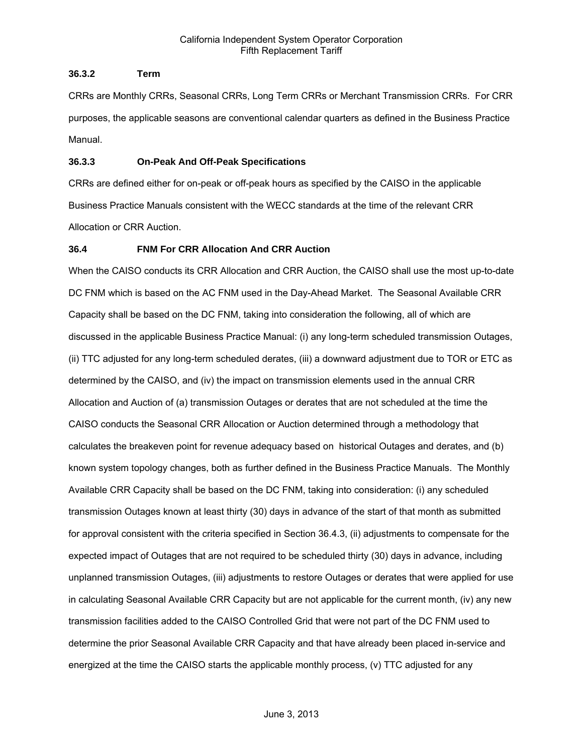# **36.3.2 Term**

CRRs are Monthly CRRs, Seasonal CRRs, Long Term CRRs or Merchant Transmission CRRs. For CRR purposes, the applicable seasons are conventional calendar quarters as defined in the Business Practice Manual.

# **36.3.3 On-Peak And Off-Peak Specifications**

CRRs are defined either for on-peak or off-peak hours as specified by the CAISO in the applicable Business Practice Manuals consistent with the WECC standards at the time of the relevant CRR Allocation or CRR Auction.

# **36.4 FNM For CRR Allocation And CRR Auction**

When the CAISO conducts its CRR Allocation and CRR Auction, the CAISO shall use the most up-to-date DC FNM which is based on the AC FNM used in the Day-Ahead Market. The Seasonal Available CRR Capacity shall be based on the DC FNM, taking into consideration the following, all of which are discussed in the applicable Business Practice Manual: (i) any long-term scheduled transmission Outages, (ii) TTC adjusted for any long-term scheduled derates, (iii) a downward adjustment due to TOR or ETC as determined by the CAISO, and (iv) the impact on transmission elements used in the annual CRR Allocation and Auction of (a) transmission Outages or derates that are not scheduled at the time the CAISO conducts the Seasonal CRR Allocation or Auction determined through a methodology that calculates the breakeven point for revenue adequacy based on historical Outages and derates, and (b) known system topology changes, both as further defined in the Business Practice Manuals. The Monthly Available CRR Capacity shall be based on the DC FNM, taking into consideration: (i) any scheduled transmission Outages known at least thirty (30) days in advance of the start of that month as submitted for approval consistent with the criteria specified in Section 36.4.3, (ii) adjustments to compensate for the expected impact of Outages that are not required to be scheduled thirty (30) days in advance, including unplanned transmission Outages, (iii) adjustments to restore Outages or derates that were applied for use in calculating Seasonal Available CRR Capacity but are not applicable for the current month, (iv) any new transmission facilities added to the CAISO Controlled Grid that were not part of the DC FNM used to determine the prior Seasonal Available CRR Capacity and that have already been placed in-service and energized at the time the CAISO starts the applicable monthly process, (v) TTC adjusted for any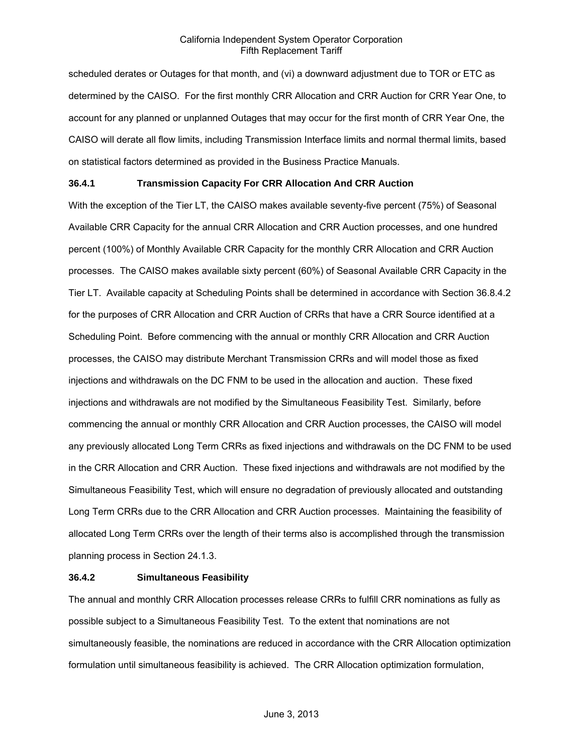scheduled derates or Outages for that month, and (vi) a downward adjustment due to TOR or ETC as determined by the CAISO. For the first monthly CRR Allocation and CRR Auction for CRR Year One, to account for any planned or unplanned Outages that may occur for the first month of CRR Year One, the CAISO will derate all flow limits, including Transmission Interface limits and normal thermal limits, based on statistical factors determined as provided in the Business Practice Manuals.

## **36.4.1 Transmission Capacity For CRR Allocation And CRR Auction**

With the exception of the Tier LT, the CAISO makes available seventy-five percent (75%) of Seasonal Available CRR Capacity for the annual CRR Allocation and CRR Auction processes, and one hundred percent (100%) of Monthly Available CRR Capacity for the monthly CRR Allocation and CRR Auction processes. The CAISO makes available sixty percent (60%) of Seasonal Available CRR Capacity in the Tier LT. Available capacity at Scheduling Points shall be determined in accordance with Section 36.8.4.2 for the purposes of CRR Allocation and CRR Auction of CRRs that have a CRR Source identified at a Scheduling Point. Before commencing with the annual or monthly CRR Allocation and CRR Auction processes, the CAISO may distribute Merchant Transmission CRRs and will model those as fixed injections and withdrawals on the DC FNM to be used in the allocation and auction. These fixed injections and withdrawals are not modified by the Simultaneous Feasibility Test. Similarly, before commencing the annual or monthly CRR Allocation and CRR Auction processes, the CAISO will model any previously allocated Long Term CRRs as fixed injections and withdrawals on the DC FNM to be used in the CRR Allocation and CRR Auction. These fixed injections and withdrawals are not modified by the Simultaneous Feasibility Test, which will ensure no degradation of previously allocated and outstanding Long Term CRRs due to the CRR Allocation and CRR Auction processes. Maintaining the feasibility of allocated Long Term CRRs over the length of their terms also is accomplished through the transmission planning process in Section 24.1.3.

## **36.4.2 Simultaneous Feasibility**

The annual and monthly CRR Allocation processes release CRRs to fulfill CRR nominations as fully as possible subject to a Simultaneous Feasibility Test. To the extent that nominations are not simultaneously feasible, the nominations are reduced in accordance with the CRR Allocation optimization formulation until simultaneous feasibility is achieved. The CRR Allocation optimization formulation,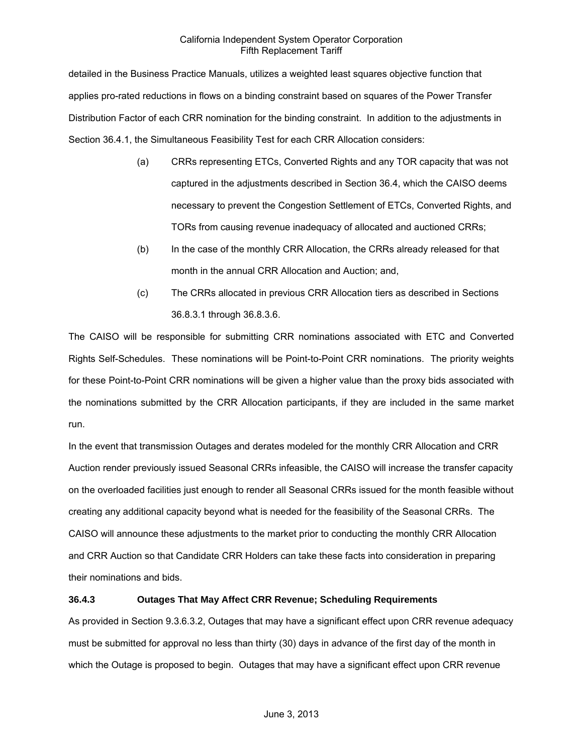detailed in the Business Practice Manuals, utilizes a weighted least squares objective function that applies pro-rated reductions in flows on a binding constraint based on squares of the Power Transfer Distribution Factor of each CRR nomination for the binding constraint. In addition to the adjustments in Section 36.4.1, the Simultaneous Feasibility Test for each CRR Allocation considers:

- (a) CRRs representing ETCs, Converted Rights and any TOR capacity that was not captured in the adjustments described in Section 36.4, which the CAISO deems necessary to prevent the Congestion Settlement of ETCs, Converted Rights, and TORs from causing revenue inadequacy of allocated and auctioned CRRs;
- (b) In the case of the monthly CRR Allocation, the CRRs already released for that month in the annual CRR Allocation and Auction; and,
- (c) The CRRs allocated in previous CRR Allocation tiers as described in Sections 36.8.3.1 through 36.8.3.6.

The CAISO will be responsible for submitting CRR nominations associated with ETC and Converted Rights Self-Schedules. These nominations will be Point-to-Point CRR nominations. The priority weights for these Point-to-Point CRR nominations will be given a higher value than the proxy bids associated with the nominations submitted by the CRR Allocation participants, if they are included in the same market run.

In the event that transmission Outages and derates modeled for the monthly CRR Allocation and CRR Auction render previously issued Seasonal CRRs infeasible, the CAISO will increase the transfer capacity on the overloaded facilities just enough to render all Seasonal CRRs issued for the month feasible without creating any additional capacity beyond what is needed for the feasibility of the Seasonal CRRs. The CAISO will announce these adjustments to the market prior to conducting the monthly CRR Allocation and CRR Auction so that Candidate CRR Holders can take these facts into consideration in preparing their nominations and bids.

# **36.4.3 Outages That May Affect CRR Revenue; Scheduling Requirements**

As provided in Section 9.3.6.3.2, Outages that may have a significant effect upon CRR revenue adequacy must be submitted for approval no less than thirty (30) days in advance of the first day of the month in which the Outage is proposed to begin. Outages that may have a significant effect upon CRR revenue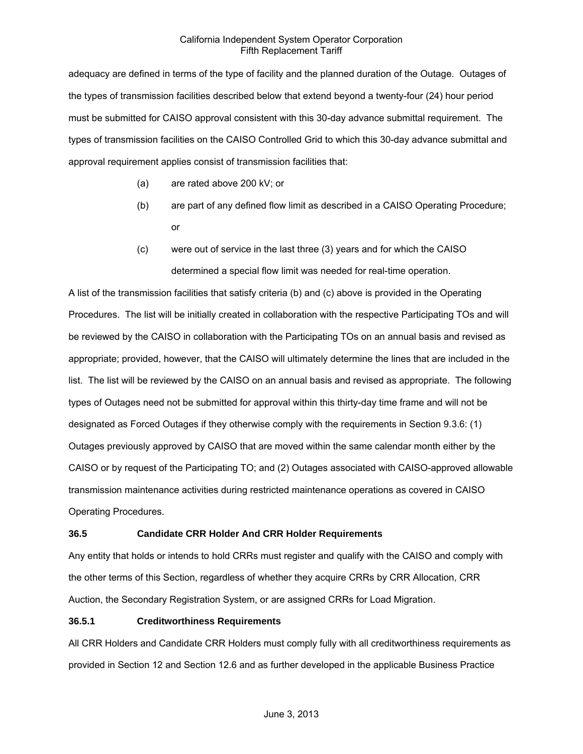adequacy are defined in terms of the type of facility and the planned duration of the Outage. Outages of the types of transmission facilities described below that extend beyond a twenty-four (24) hour period must be submitted for CAISO approval consistent with this 30-day advance submittal requirement. The types of transmission facilities on the CAISO Controlled Grid to which this 30-day advance submittal and approval requirement applies consist of transmission facilities that:

- (a) are rated above 200 kV; or
- (b) are part of any defined flow limit as described in a CAISO Operating Procedure; or
- (c) were out of service in the last three (3) years and for which the CAISO determined a special flow limit was needed for real-time operation.

A list of the transmission facilities that satisfy criteria (b) and (c) above is provided in the Operating Procedures. The list will be initially created in collaboration with the respective Participating TOs and will be reviewed by the CAISO in collaboration with the Participating TOs on an annual basis and revised as appropriate; provided, however, that the CAISO will ultimately determine the lines that are included in the list. The list will be reviewed by the CAISO on an annual basis and revised as appropriate. The following types of Outages need not be submitted for approval within this thirty-day time frame and will not be designated as Forced Outages if they otherwise comply with the requirements in Section 9.3.6: (1) Outages previously approved by CAISO that are moved within the same calendar month either by the CAISO or by request of the Participating TO; and (2) Outages associated with CAISO-approved allowable transmission maintenance activities during restricted maintenance operations as covered in CAISO Operating Procedures.

# **36.5 Candidate CRR Holder And CRR Holder Requirements**

Any entity that holds or intends to hold CRRs must register and qualify with the CAISO and comply with the other terms of this Section, regardless of whether they acquire CRRs by CRR Allocation, CRR Auction, the Secondary Registration System, or are assigned CRRs for Load Migration.

## **36.5.1 Creditworthiness Requirements**

All CRR Holders and Candidate CRR Holders must comply fully with all creditworthiness requirements as provided in Section 12 and Section 12.6 and as further developed in the applicable Business Practice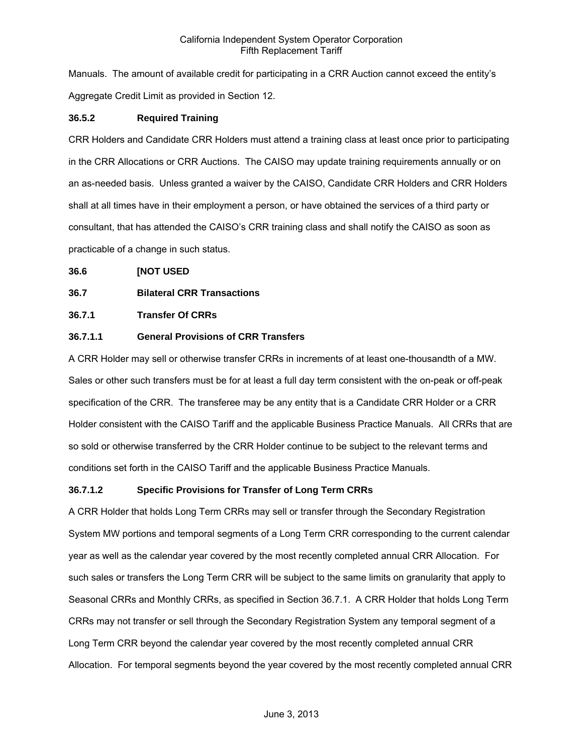Manuals. The amount of available credit for participating in a CRR Auction cannot exceed the entity's Aggregate Credit Limit as provided in Section 12.

# **36.5.2 Required Training**

CRR Holders and Candidate CRR Holders must attend a training class at least once prior to participating in the CRR Allocations or CRR Auctions. The CAISO may update training requirements annually or on an as-needed basis. Unless granted a waiver by the CAISO, Candidate CRR Holders and CRR Holders shall at all times have in their employment a person, or have obtained the services of a third party or consultant, that has attended the CAISO's CRR training class and shall notify the CAISO as soon as practicable of a change in such status.

**36.6 [NOT USED** 

# **36.7 Bilateral CRR Transactions**

# **36.7.1 Transfer Of CRRs**

# **36.7.1.1 General Provisions of CRR Transfers**

A CRR Holder may sell or otherwise transfer CRRs in increments of at least one-thousandth of a MW. Sales or other such transfers must be for at least a full day term consistent with the on-peak or off-peak specification of the CRR. The transferee may be any entity that is a Candidate CRR Holder or a CRR Holder consistent with the CAISO Tariff and the applicable Business Practice Manuals. All CRRs that are so sold or otherwise transferred by the CRR Holder continue to be subject to the relevant terms and conditions set forth in the CAISO Tariff and the applicable Business Practice Manuals.

# **36.7.1.2 Specific Provisions for Transfer of Long Term CRRs**

A CRR Holder that holds Long Term CRRs may sell or transfer through the Secondary Registration System MW portions and temporal segments of a Long Term CRR corresponding to the current calendar year as well as the calendar year covered by the most recently completed annual CRR Allocation. For such sales or transfers the Long Term CRR will be subject to the same limits on granularity that apply to Seasonal CRRs and Monthly CRRs, as specified in Section 36.7.1. A CRR Holder that holds Long Term CRRs may not transfer or sell through the Secondary Registration System any temporal segment of a Long Term CRR beyond the calendar year covered by the most recently completed annual CRR Allocation. For temporal segments beyond the year covered by the most recently completed annual CRR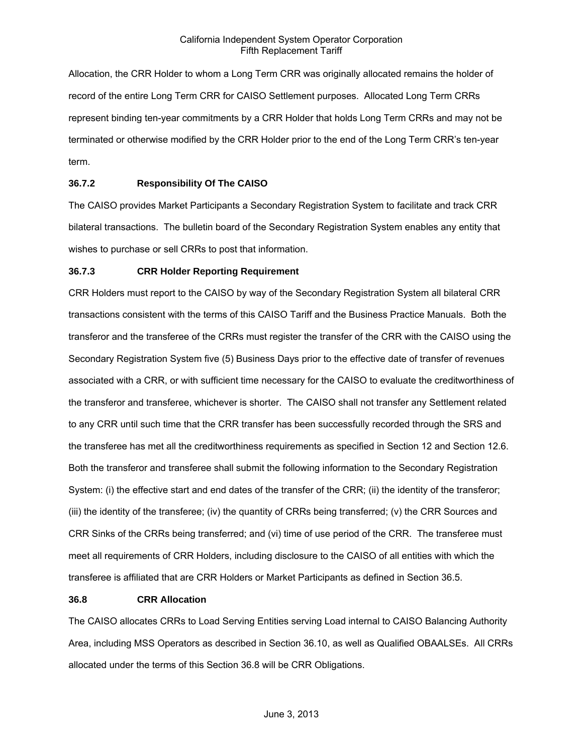Allocation, the CRR Holder to whom a Long Term CRR was originally allocated remains the holder of record of the entire Long Term CRR for CAISO Settlement purposes. Allocated Long Term CRRs represent binding ten-year commitments by a CRR Holder that holds Long Term CRRs and may not be terminated or otherwise modified by the CRR Holder prior to the end of the Long Term CRR's ten-year term.

# **36.7.2 Responsibility Of The CAISO**

The CAISO provides Market Participants a Secondary Registration System to facilitate and track CRR bilateral transactions. The bulletin board of the Secondary Registration System enables any entity that wishes to purchase or sell CRRs to post that information.

## **36.7.3 CRR Holder Reporting Requirement**

CRR Holders must report to the CAISO by way of the Secondary Registration System all bilateral CRR transactions consistent with the terms of this CAISO Tariff and the Business Practice Manuals. Both the transferor and the transferee of the CRRs must register the transfer of the CRR with the CAISO using the Secondary Registration System five (5) Business Days prior to the effective date of transfer of revenues associated with a CRR, or with sufficient time necessary for the CAISO to evaluate the creditworthiness of the transferor and transferee, whichever is shorter. The CAISO shall not transfer any Settlement related to any CRR until such time that the CRR transfer has been successfully recorded through the SRS and the transferee has met all the creditworthiness requirements as specified in Section 12 and Section 12.6. Both the transferor and transferee shall submit the following information to the Secondary Registration System: (i) the effective start and end dates of the transfer of the CRR; (ii) the identity of the transferor; (iii) the identity of the transferee; (iv) the quantity of CRRs being transferred; (v) the CRR Sources and CRR Sinks of the CRRs being transferred; and (vi) time of use period of the CRR. The transferee must meet all requirements of CRR Holders, including disclosure to the CAISO of all entities with which the transferee is affiliated that are CRR Holders or Market Participants as defined in Section 36.5.

## **36.8 CRR Allocation**

The CAISO allocates CRRs to Load Serving Entities serving Load internal to CAISO Balancing Authority Area, including MSS Operators as described in Section 36.10, as well as Qualified OBAALSEs. All CRRs allocated under the terms of this Section 36.8 will be CRR Obligations.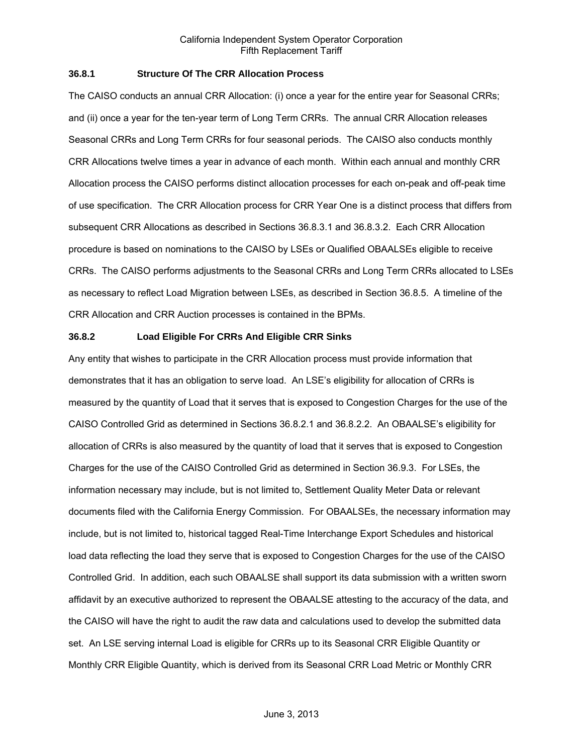## **36.8.1 Structure Of The CRR Allocation Process**

The CAISO conducts an annual CRR Allocation: (i) once a year for the entire year for Seasonal CRRs; and (ii) once a year for the ten-year term of Long Term CRRs. The annual CRR Allocation releases Seasonal CRRs and Long Term CRRs for four seasonal periods. The CAISO also conducts monthly CRR Allocations twelve times a year in advance of each month. Within each annual and monthly CRR Allocation process the CAISO performs distinct allocation processes for each on-peak and off-peak time of use specification. The CRR Allocation process for CRR Year One is a distinct process that differs from subsequent CRR Allocations as described in Sections 36.8.3.1 and 36.8.3.2. Each CRR Allocation procedure is based on nominations to the CAISO by LSEs or Qualified OBAALSEs eligible to receive CRRs. The CAISO performs adjustments to the Seasonal CRRs and Long Term CRRs allocated to LSEs as necessary to reflect Load Migration between LSEs, as described in Section 36.8.5. A timeline of the CRR Allocation and CRR Auction processes is contained in the BPMs.

#### **36.8.2 Load Eligible For CRRs And Eligible CRR Sinks**

Any entity that wishes to participate in the CRR Allocation process must provide information that demonstrates that it has an obligation to serve load. An LSE's eligibility for allocation of CRRs is measured by the quantity of Load that it serves that is exposed to Congestion Charges for the use of the CAISO Controlled Grid as determined in Sections 36.8.2.1 and 36.8.2.2. An OBAALSE's eligibility for allocation of CRRs is also measured by the quantity of load that it serves that is exposed to Congestion Charges for the use of the CAISO Controlled Grid as determined in Section 36.9.3. For LSEs, the information necessary may include, but is not limited to, Settlement Quality Meter Data or relevant documents filed with the California Energy Commission. For OBAALSEs, the necessary information may include, but is not limited to, historical tagged Real-Time Interchange Export Schedules and historical load data reflecting the load they serve that is exposed to Congestion Charges for the use of the CAISO Controlled Grid. In addition, each such OBAALSE shall support its data submission with a written sworn affidavit by an executive authorized to represent the OBAALSE attesting to the accuracy of the data, and the CAISO will have the right to audit the raw data and calculations used to develop the submitted data set. An LSE serving internal Load is eligible for CRRs up to its Seasonal CRR Eligible Quantity or Monthly CRR Eligible Quantity, which is derived from its Seasonal CRR Load Metric or Monthly CRR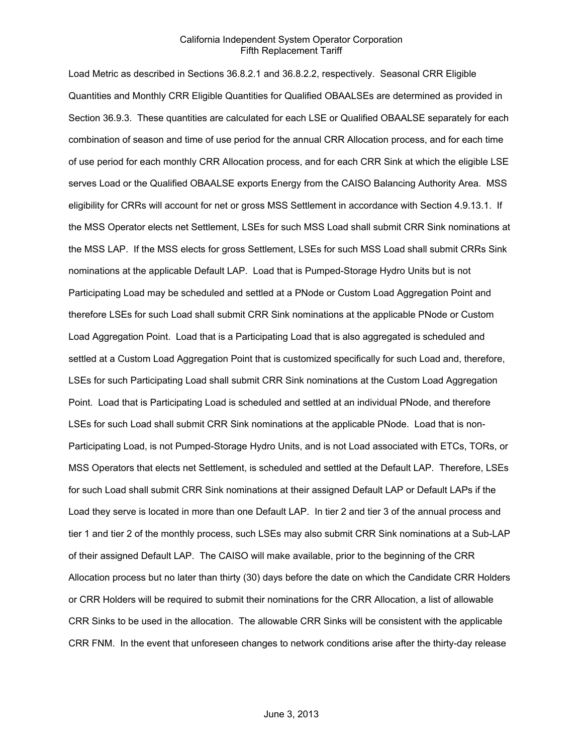Load Metric as described in Sections 36.8.2.1 and 36.8.2.2, respectively. Seasonal CRR Eligible Quantities and Monthly CRR Eligible Quantities for Qualified OBAALSEs are determined as provided in Section 36.9.3. These quantities are calculated for each LSE or Qualified OBAALSE separately for each combination of season and time of use period for the annual CRR Allocation process, and for each time of use period for each monthly CRR Allocation process, and for each CRR Sink at which the eligible LSE serves Load or the Qualified OBAALSE exports Energy from the CAISO Balancing Authority Area. MSS eligibility for CRRs will account for net or gross MSS Settlement in accordance with Section 4.9.13.1. If the MSS Operator elects net Settlement, LSEs for such MSS Load shall submit CRR Sink nominations at the MSS LAP. If the MSS elects for gross Settlement, LSEs for such MSS Load shall submit CRRs Sink nominations at the applicable Default LAP. Load that is Pumped-Storage Hydro Units but is not Participating Load may be scheduled and settled at a PNode or Custom Load Aggregation Point and therefore LSEs for such Load shall submit CRR Sink nominations at the applicable PNode or Custom Load Aggregation Point. Load that is a Participating Load that is also aggregated is scheduled and settled at a Custom Load Aggregation Point that is customized specifically for such Load and, therefore, LSEs for such Participating Load shall submit CRR Sink nominations at the Custom Load Aggregation Point. Load that is Participating Load is scheduled and settled at an individual PNode, and therefore LSEs for such Load shall submit CRR Sink nominations at the applicable PNode. Load that is non-Participating Load, is not Pumped-Storage Hydro Units, and is not Load associated with ETCs, TORs, or MSS Operators that elects net Settlement, is scheduled and settled at the Default LAP. Therefore, LSEs for such Load shall submit CRR Sink nominations at their assigned Default LAP or Default LAPs if the Load they serve is located in more than one Default LAP. In tier 2 and tier 3 of the annual process and tier 1 and tier 2 of the monthly process, such LSEs may also submit CRR Sink nominations at a Sub-LAP of their assigned Default LAP. The CAISO will make available, prior to the beginning of the CRR Allocation process but no later than thirty (30) days before the date on which the Candidate CRR Holders or CRR Holders will be required to submit their nominations for the CRR Allocation, a list of allowable CRR Sinks to be used in the allocation. The allowable CRR Sinks will be consistent with the applicable CRR FNM. In the event that unforeseen changes to network conditions arise after the thirty-day release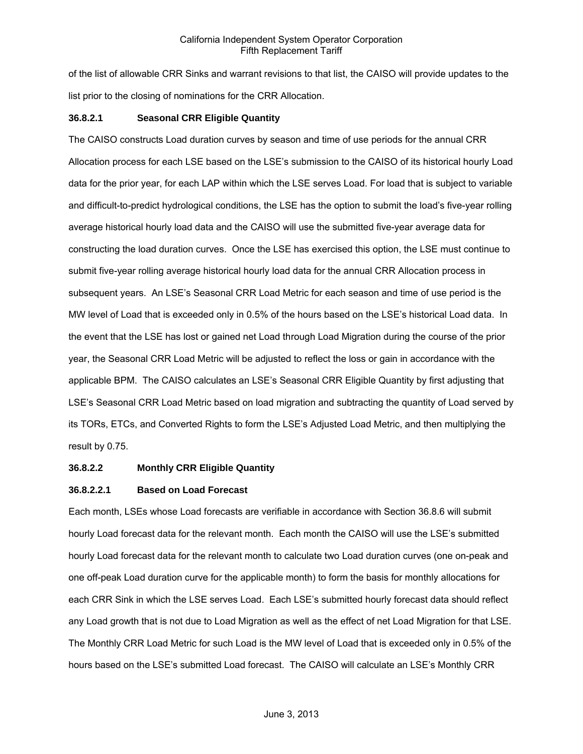of the list of allowable CRR Sinks and warrant revisions to that list, the CAISO will provide updates to the list prior to the closing of nominations for the CRR Allocation.

## **36.8.2.1 Seasonal CRR Eligible Quantity**

The CAISO constructs Load duration curves by season and time of use periods for the annual CRR Allocation process for each LSE based on the LSE's submission to the CAISO of its historical hourly Load data for the prior year, for each LAP within which the LSE serves Load. For load that is subject to variable and difficult-to-predict hydrological conditions, the LSE has the option to submit the load's five-year rolling average historical hourly load data and the CAISO will use the submitted five-year average data for constructing the load duration curves. Once the LSE has exercised this option, the LSE must continue to submit five-year rolling average historical hourly load data for the annual CRR Allocation process in subsequent years. An LSE's Seasonal CRR Load Metric for each season and time of use period is the MW level of Load that is exceeded only in 0.5% of the hours based on the LSE's historical Load data. In the event that the LSE has lost or gained net Load through Load Migration during the course of the prior year, the Seasonal CRR Load Metric will be adjusted to reflect the loss or gain in accordance with the applicable BPM. The CAISO calculates an LSE's Seasonal CRR Eligible Quantity by first adjusting that LSE's Seasonal CRR Load Metric based on load migration and subtracting the quantity of Load served by its TORs, ETCs, and Converted Rights to form the LSE's Adjusted Load Metric, and then multiplying the result by 0.75.

## **36.8.2.2 Monthly CRR Eligible Quantity**

## **36.8.2.2.1 Based on Load Forecast**

Each month, LSEs whose Load forecasts are verifiable in accordance with Section 36.8.6 will submit hourly Load forecast data for the relevant month. Each month the CAISO will use the LSE's submitted hourly Load forecast data for the relevant month to calculate two Load duration curves (one on-peak and one off-peak Load duration curve for the applicable month) to form the basis for monthly allocations for each CRR Sink in which the LSE serves Load. Each LSE's submitted hourly forecast data should reflect any Load growth that is not due to Load Migration as well as the effect of net Load Migration for that LSE. The Monthly CRR Load Metric for such Load is the MW level of Load that is exceeded only in 0.5% of the hours based on the LSE's submitted Load forecast. The CAISO will calculate an LSE's Monthly CRR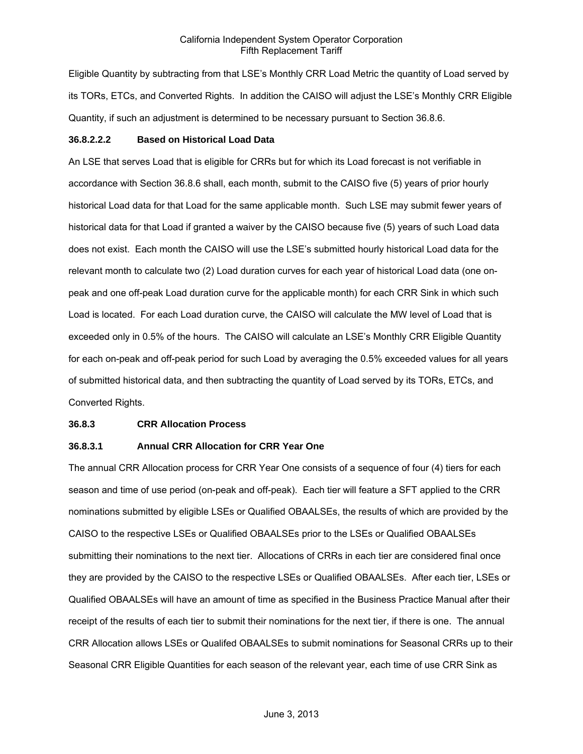Eligible Quantity by subtracting from that LSE's Monthly CRR Load Metric the quantity of Load served by its TORs, ETCs, and Converted Rights. In addition the CAISO will adjust the LSE's Monthly CRR Eligible Quantity, if such an adjustment is determined to be necessary pursuant to Section 36.8.6.

#### **36.8.2.2.2 Based on Historical Load Data**

An LSE that serves Load that is eligible for CRRs but for which its Load forecast is not verifiable in accordance with Section 36.8.6 shall, each month, submit to the CAISO five (5) years of prior hourly historical Load data for that Load for the same applicable month. Such LSE may submit fewer years of historical data for that Load if granted a waiver by the CAISO because five (5) years of such Load data does not exist. Each month the CAISO will use the LSE's submitted hourly historical Load data for the relevant month to calculate two (2) Load duration curves for each year of historical Load data (one onpeak and one off-peak Load duration curve for the applicable month) for each CRR Sink in which such Load is located. For each Load duration curve, the CAISO will calculate the MW level of Load that is exceeded only in 0.5% of the hours. The CAISO will calculate an LSE's Monthly CRR Eligible Quantity for each on-peak and off-peak period for such Load by averaging the 0.5% exceeded values for all years of submitted historical data, and then subtracting the quantity of Load served by its TORs, ETCs, and Converted Rights.

#### **36.8.3 CRR Allocation Process**

# **36.8.3.1 Annual CRR Allocation for CRR Year One**

The annual CRR Allocation process for CRR Year One consists of a sequence of four (4) tiers for each season and time of use period (on-peak and off-peak). Each tier will feature a SFT applied to the CRR nominations submitted by eligible LSEs or Qualified OBAALSEs, the results of which are provided by the CAISO to the respective LSEs or Qualified OBAALSEs prior to the LSEs or Qualified OBAALSEs submitting their nominations to the next tier. Allocations of CRRs in each tier are considered final once they are provided by the CAISO to the respective LSEs or Qualified OBAALSEs. After each tier, LSEs or Qualified OBAALSEs will have an amount of time as specified in the Business Practice Manual after their receipt of the results of each tier to submit their nominations for the next tier, if there is one. The annual CRR Allocation allows LSEs or Qualifed OBAALSEs to submit nominations for Seasonal CRRs up to their Seasonal CRR Eligible Quantities for each season of the relevant year, each time of use CRR Sink as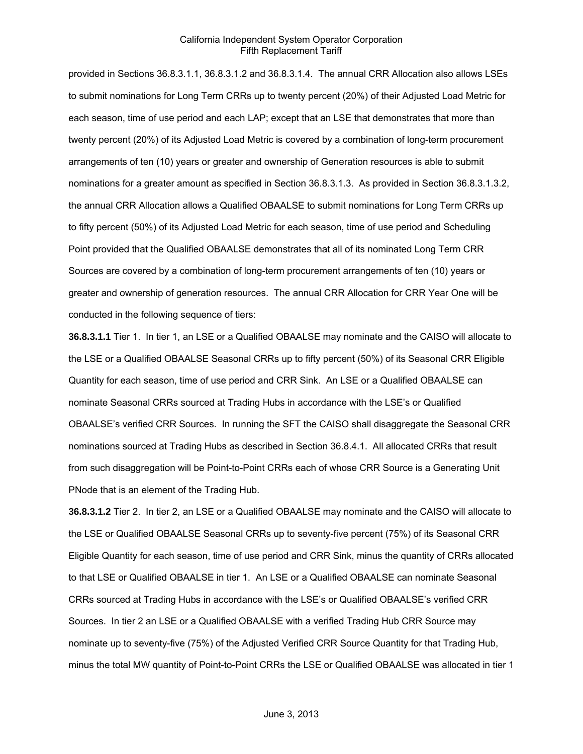provided in Sections 36.8.3.1.1, 36.8.3.1.2 and 36.8.3.1.4. The annual CRR Allocation also allows LSEs to submit nominations for Long Term CRRs up to twenty percent (20%) of their Adjusted Load Metric for each season, time of use period and each LAP; except that an LSE that demonstrates that more than twenty percent (20%) of its Adjusted Load Metric is covered by a combination of long-term procurement arrangements of ten (10) years or greater and ownership of Generation resources is able to submit nominations for a greater amount as specified in Section 36.8.3.1.3. As provided in Section 36.8.3.1.3.2, the annual CRR Allocation allows a Qualified OBAALSE to submit nominations for Long Term CRRs up to fifty percent (50%) of its Adjusted Load Metric for each season, time of use period and Scheduling Point provided that the Qualified OBAALSE demonstrates that all of its nominated Long Term CRR Sources are covered by a combination of long-term procurement arrangements of ten (10) years or greater and ownership of generation resources. The annual CRR Allocation for CRR Year One will be conducted in the following sequence of tiers:

**36.8.3.1.1** Tier 1. In tier 1, an LSE or a Qualified OBAALSE may nominate and the CAISO will allocate to the LSE or a Qualified OBAALSE Seasonal CRRs up to fifty percent (50%) of its Seasonal CRR Eligible Quantity for each season, time of use period and CRR Sink. An LSE or a Qualified OBAALSE can nominate Seasonal CRRs sourced at Trading Hubs in accordance with the LSE's or Qualified OBAALSE's verified CRR Sources. In running the SFT the CAISO shall disaggregate the Seasonal CRR nominations sourced at Trading Hubs as described in Section 36.8.4.1. All allocated CRRs that result from such disaggregation will be Point-to-Point CRRs each of whose CRR Source is a Generating Unit PNode that is an element of the Trading Hub.

**36.8.3.1.2** Tier 2. In tier 2, an LSE or a Qualified OBAALSE may nominate and the CAISO will allocate to the LSE or Qualified OBAALSE Seasonal CRRs up to seventy-five percent (75%) of its Seasonal CRR Eligible Quantity for each season, time of use period and CRR Sink, minus the quantity of CRRs allocated to that LSE or Qualified OBAALSE in tier 1. An LSE or a Qualified OBAALSE can nominate Seasonal CRRs sourced at Trading Hubs in accordance with the LSE's or Qualified OBAALSE's verified CRR Sources. In tier 2 an LSE or a Qualified OBAALSE with a verified Trading Hub CRR Source may nominate up to seventy-five (75%) of the Adjusted Verified CRR Source Quantity for that Trading Hub, minus the total MW quantity of Point-to-Point CRRs the LSE or Qualified OBAALSE was allocated in tier 1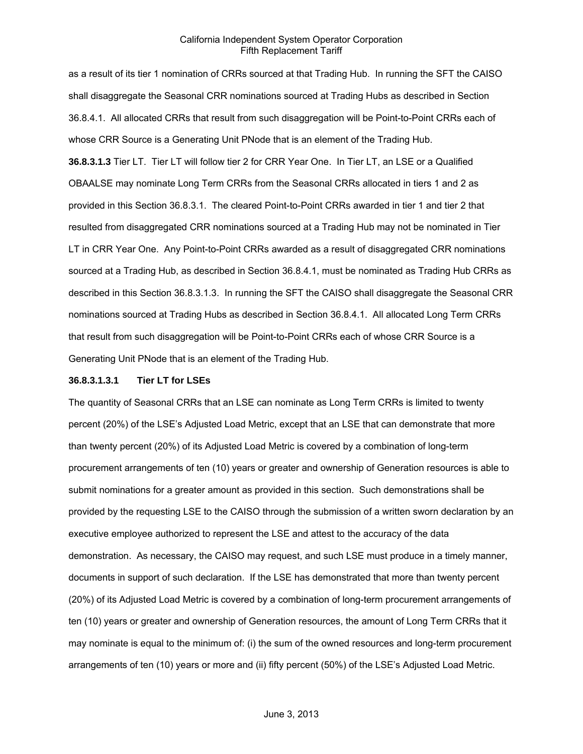as a result of its tier 1 nomination of CRRs sourced at that Trading Hub. In running the SFT the CAISO shall disaggregate the Seasonal CRR nominations sourced at Trading Hubs as described in Section 36.8.4.1. All allocated CRRs that result from such disaggregation will be Point-to-Point CRRs each of whose CRR Source is a Generating Unit PNode that is an element of the Trading Hub.

**36.8.3.1.3** Tier LT. Tier LT will follow tier 2 for CRR Year One. In Tier LT, an LSE or a Qualified OBAALSE may nominate Long Term CRRs from the Seasonal CRRs allocated in tiers 1 and 2 as provided in this Section 36.8.3.1. The cleared Point-to-Point CRRs awarded in tier 1 and tier 2 that resulted from disaggregated CRR nominations sourced at a Trading Hub may not be nominated in Tier LT in CRR Year One. Any Point-to-Point CRRs awarded as a result of disaggregated CRR nominations sourced at a Trading Hub, as described in Section 36.8.4.1, must be nominated as Trading Hub CRRs as described in this Section 36.8.3.1.3. In running the SFT the CAISO shall disaggregate the Seasonal CRR nominations sourced at Trading Hubs as described in Section 36.8.4.1. All allocated Long Term CRRs that result from such disaggregation will be Point-to-Point CRRs each of whose CRR Source is a Generating Unit PNode that is an element of the Trading Hub.

#### **36.8.3.1.3.1 Tier LT for LSEs**

The quantity of Seasonal CRRs that an LSE can nominate as Long Term CRRs is limited to twenty percent (20%) of the LSE's Adjusted Load Metric, except that an LSE that can demonstrate that more than twenty percent (20%) of its Adjusted Load Metric is covered by a combination of long-term procurement arrangements of ten (10) years or greater and ownership of Generation resources is able to submit nominations for a greater amount as provided in this section. Such demonstrations shall be provided by the requesting LSE to the CAISO through the submission of a written sworn declaration by an executive employee authorized to represent the LSE and attest to the accuracy of the data demonstration. As necessary, the CAISO may request, and such LSE must produce in a timely manner, documents in support of such declaration. If the LSE has demonstrated that more than twenty percent (20%) of its Adjusted Load Metric is covered by a combination of long-term procurement arrangements of ten (10) years or greater and ownership of Generation resources, the amount of Long Term CRRs that it may nominate is equal to the minimum of: (i) the sum of the owned resources and long-term procurement arrangements of ten (10) years or more and (ii) fifty percent (50%) of the LSE's Adjusted Load Metric.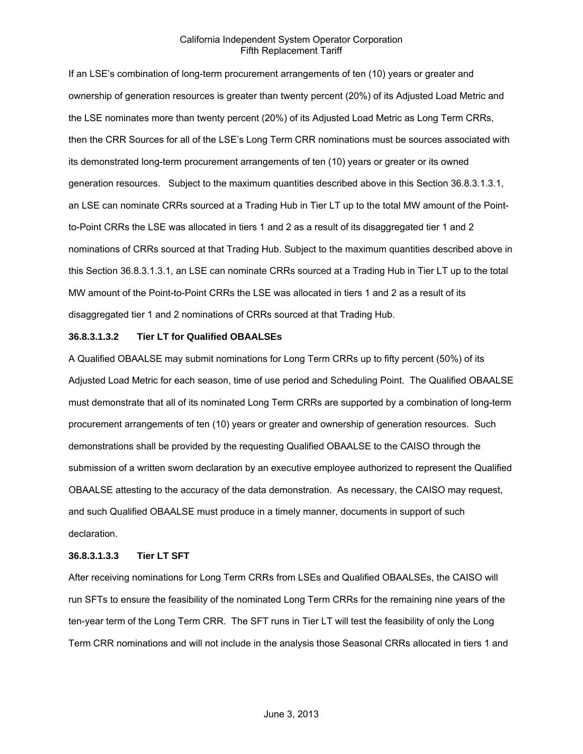If an LSE's combination of long-term procurement arrangements of ten (10) years or greater and ownership of generation resources is greater than twenty percent (20%) of its Adjusted Load Metric and the LSE nominates more than twenty percent (20%) of its Adjusted Load Metric as Long Term CRRs, then the CRR Sources for all of the LSE's Long Term CRR nominations must be sources associated with its demonstrated long-term procurement arrangements of ten (10) years or greater or its owned generation resources. Subject to the maximum quantities described above in this Section 36.8.3.1.3.1, an LSE can nominate CRRs sourced at a Trading Hub in Tier LT up to the total MW amount of the Pointto-Point CRRs the LSE was allocated in tiers 1 and 2 as a result of its disaggregated tier 1 and 2 nominations of CRRs sourced at that Trading Hub. Subject to the maximum quantities described above in this Section 36.8.3.1.3.1, an LSE can nominate CRRs sourced at a Trading Hub in Tier LT up to the total MW amount of the Point-to-Point CRRs the LSE was allocated in tiers 1 and 2 as a result of its disaggregated tier 1 and 2 nominations of CRRs sourced at that Trading Hub.

#### **36.8.3.1.3.2 Tier LT for Qualified OBAALSEs**

A Qualified OBAALSE may submit nominations for Long Term CRRs up to fifty percent (50%) of its Adjusted Load Metric for each season, time of use period and Scheduling Point. The Qualified OBAALSE must demonstrate that all of its nominated Long Term CRRs are supported by a combination of long-term procurement arrangements of ten (10) years or greater and ownership of generation resources. Such demonstrations shall be provided by the requesting Qualified OBAALSE to the CAISO through the submission of a written sworn declaration by an executive employee authorized to represent the Qualified OBAALSE attesting to the accuracy of the data demonstration. As necessary, the CAISO may request, and such Qualified OBAALSE must produce in a timely manner, documents in support of such declaration.

#### **36.8.3.1.3.3 Tier LT SFT**

After receiving nominations for Long Term CRRs from LSEs and Qualified OBAALSEs, the CAISO will run SFTs to ensure the feasibility of the nominated Long Term CRRs for the remaining nine years of the ten-year term of the Long Term CRR. The SFT runs in Tier LT will test the feasibility of only the Long Term CRR nominations and will not include in the analysis those Seasonal CRRs allocated in tiers 1 and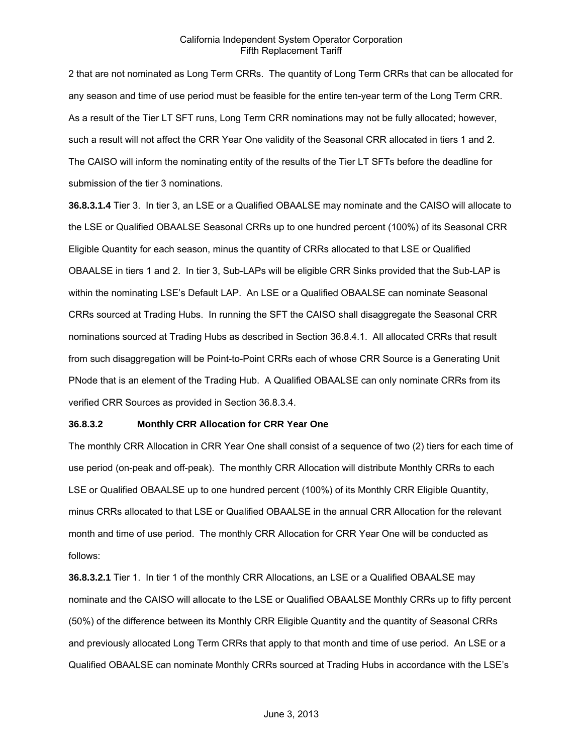2 that are not nominated as Long Term CRRs. The quantity of Long Term CRRs that can be allocated for any season and time of use period must be feasible for the entire ten-year term of the Long Term CRR. As a result of the Tier LT SFT runs, Long Term CRR nominations may not be fully allocated; however, such a result will not affect the CRR Year One validity of the Seasonal CRR allocated in tiers 1 and 2. The CAISO will inform the nominating entity of the results of the Tier LT SFTs before the deadline for submission of the tier 3 nominations.

**36.8.3.1.4** Tier 3. In tier 3, an LSE or a Qualified OBAALSE may nominate and the CAISO will allocate to the LSE or Qualified OBAALSE Seasonal CRRs up to one hundred percent (100%) of its Seasonal CRR Eligible Quantity for each season, minus the quantity of CRRs allocated to that LSE or Qualified OBAALSE in tiers 1 and 2. In tier 3, Sub-LAPs will be eligible CRR Sinks provided that the Sub-LAP is within the nominating LSE's Default LAP. An LSE or a Qualified OBAALSE can nominate Seasonal CRRs sourced at Trading Hubs. In running the SFT the CAISO shall disaggregate the Seasonal CRR nominations sourced at Trading Hubs as described in Section 36.8.4.1. All allocated CRRs that result from such disaggregation will be Point-to-Point CRRs each of whose CRR Source is a Generating Unit PNode that is an element of the Trading Hub. A Qualified OBAALSE can only nominate CRRs from its verified CRR Sources as provided in Section 36.8.3.4.

#### **36.8.3.2 Monthly CRR Allocation for CRR Year One**

The monthly CRR Allocation in CRR Year One shall consist of a sequence of two (2) tiers for each time of use period (on-peak and off-peak). The monthly CRR Allocation will distribute Monthly CRRs to each LSE or Qualified OBAALSE up to one hundred percent (100%) of its Monthly CRR Eligible Quantity, minus CRRs allocated to that LSE or Qualified OBAALSE in the annual CRR Allocation for the relevant month and time of use period. The monthly CRR Allocation for CRR Year One will be conducted as follows:

**36.8.3.2.1** Tier 1. In tier 1 of the monthly CRR Allocations, an LSE or a Qualified OBAALSE may nominate and the CAISO will allocate to the LSE or Qualified OBAALSE Monthly CRRs up to fifty percent (50%) of the difference between its Monthly CRR Eligible Quantity and the quantity of Seasonal CRRs and previously allocated Long Term CRRs that apply to that month and time of use period. An LSE or a Qualified OBAALSE can nominate Monthly CRRs sourced at Trading Hubs in accordance with the LSE's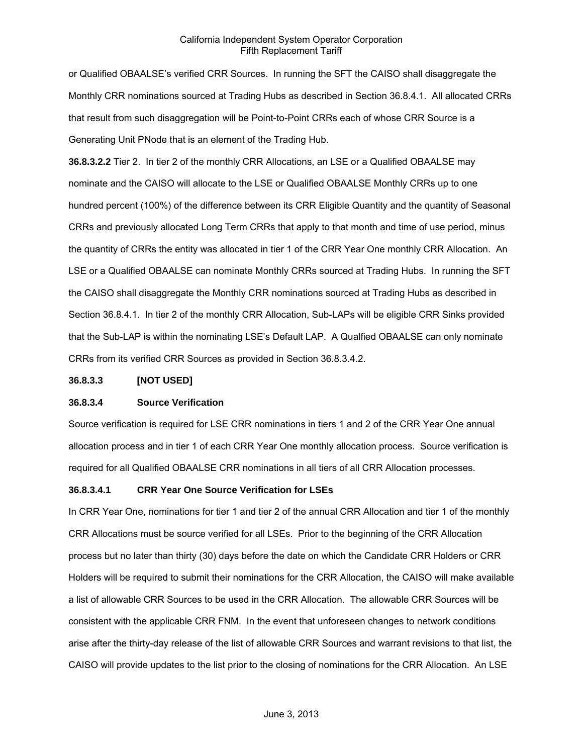or Qualified OBAALSE's verified CRR Sources. In running the SFT the CAISO shall disaggregate the Monthly CRR nominations sourced at Trading Hubs as described in Section 36.8.4.1. All allocated CRRs that result from such disaggregation will be Point-to-Point CRRs each of whose CRR Source is a Generating Unit PNode that is an element of the Trading Hub.

**36.8.3.2.2** Tier 2. In tier 2 of the monthly CRR Allocations, an LSE or a Qualified OBAALSE may nominate and the CAISO will allocate to the LSE or Qualified OBAALSE Monthly CRRs up to one hundred percent (100%) of the difference between its CRR Eligible Quantity and the quantity of Seasonal CRRs and previously allocated Long Term CRRs that apply to that month and time of use period, minus the quantity of CRRs the entity was allocated in tier 1 of the CRR Year One monthly CRR Allocation. An LSE or a Qualified OBAALSE can nominate Monthly CRRs sourced at Trading Hubs. In running the SFT the CAISO shall disaggregate the Monthly CRR nominations sourced at Trading Hubs as described in Section 36.8.4.1. In tier 2 of the monthly CRR Allocation, Sub-LAPs will be eligible CRR Sinks provided that the Sub-LAP is within the nominating LSE's Default LAP. A Qualfied OBAALSE can only nominate CRRs from its verified CRR Sources as provided in Section 36.8.3.4.2.

#### **36.8.3.3 [NOT USED]**

## **36.8.3.4 Source Verification**

Source verification is required for LSE CRR nominations in tiers 1 and 2 of the CRR Year One annual allocation process and in tier 1 of each CRR Year One monthly allocation process. Source verification is required for all Qualified OBAALSE CRR nominations in all tiers of all CRR Allocation processes.

#### **36.8.3.4.1 CRR Year One Source Verification for LSEs**

In CRR Year One, nominations for tier 1 and tier 2 of the annual CRR Allocation and tier 1 of the monthly CRR Allocations must be source verified for all LSEs. Prior to the beginning of the CRR Allocation process but no later than thirty (30) days before the date on which the Candidate CRR Holders or CRR Holders will be required to submit their nominations for the CRR Allocation, the CAISO will make available a list of allowable CRR Sources to be used in the CRR Allocation. The allowable CRR Sources will be consistent with the applicable CRR FNM. In the event that unforeseen changes to network conditions arise after the thirty-day release of the list of allowable CRR Sources and warrant revisions to that list, the CAISO will provide updates to the list prior to the closing of nominations for the CRR Allocation. An LSE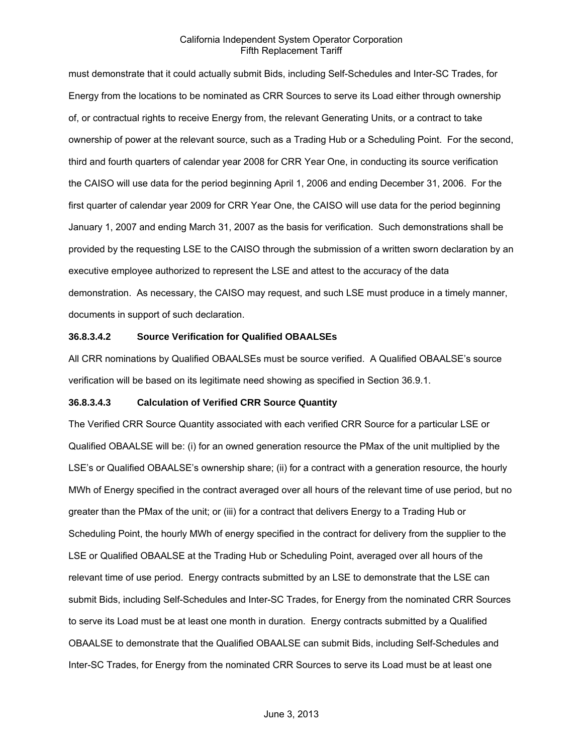must demonstrate that it could actually submit Bids, including Self-Schedules and Inter-SC Trades, for Energy from the locations to be nominated as CRR Sources to serve its Load either through ownership of, or contractual rights to receive Energy from, the relevant Generating Units, or a contract to take ownership of power at the relevant source, such as a Trading Hub or a Scheduling Point. For the second, third and fourth quarters of calendar year 2008 for CRR Year One, in conducting its source verification the CAISO will use data for the period beginning April 1, 2006 and ending December 31, 2006. For the first quarter of calendar year 2009 for CRR Year One, the CAISO will use data for the period beginning January 1, 2007 and ending March 31, 2007 as the basis for verification. Such demonstrations shall be provided by the requesting LSE to the CAISO through the submission of a written sworn declaration by an executive employee authorized to represent the LSE and attest to the accuracy of the data demonstration. As necessary, the CAISO may request, and such LSE must produce in a timely manner, documents in support of such declaration.

## **36.8.3.4.2 Source Verification for Qualified OBAALSEs**

All CRR nominations by Qualified OBAALSEs must be source verified. A Qualified OBAALSE's source verification will be based on its legitimate need showing as specified in Section 36.9.1.

## **36.8.3.4.3 Calculation of Verified CRR Source Quantity**

The Verified CRR Source Quantity associated with each verified CRR Source for a particular LSE or Qualified OBAALSE will be: (i) for an owned generation resource the PMax of the unit multiplied by the LSE's or Qualified OBAALSE's ownership share; (ii) for a contract with a generation resource, the hourly MWh of Energy specified in the contract averaged over all hours of the relevant time of use period, but no greater than the PMax of the unit; or (iii) for a contract that delivers Energy to a Trading Hub or Scheduling Point, the hourly MWh of energy specified in the contract for delivery from the supplier to the LSE or Qualified OBAALSE at the Trading Hub or Scheduling Point, averaged over all hours of the relevant time of use period. Energy contracts submitted by an LSE to demonstrate that the LSE can submit Bids, including Self-Schedules and Inter-SC Trades, for Energy from the nominated CRR Sources to serve its Load must be at least one month in duration. Energy contracts submitted by a Qualified OBAALSE to demonstrate that the Qualified OBAALSE can submit Bids, including Self-Schedules and Inter-SC Trades, for Energy from the nominated CRR Sources to serve its Load must be at least one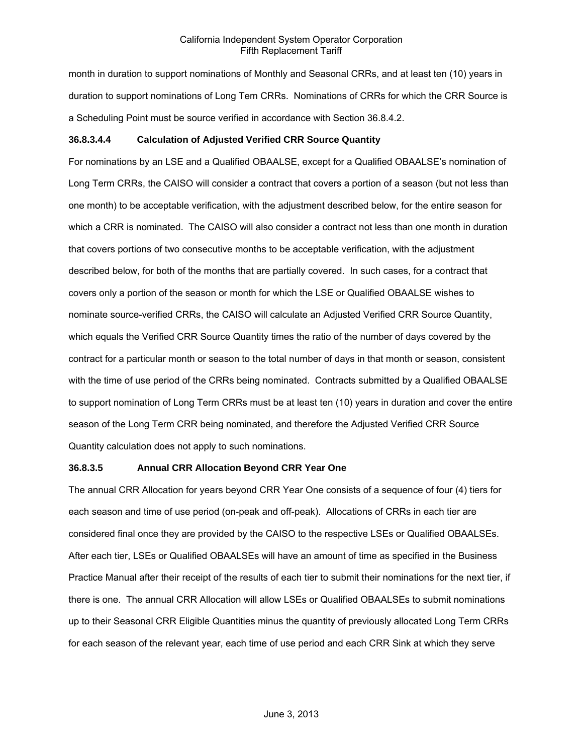month in duration to support nominations of Monthly and Seasonal CRRs, and at least ten (10) years in duration to support nominations of Long Tem CRRs. Nominations of CRRs for which the CRR Source is a Scheduling Point must be source verified in accordance with Section 36.8.4.2.

## **36.8.3.4.4 Calculation of Adjusted Verified CRR Source Quantity**

For nominations by an LSE and a Qualified OBAALSE, except for a Qualified OBAALSE's nomination of Long Term CRRs, the CAISO will consider a contract that covers a portion of a season (but not less than one month) to be acceptable verification, with the adjustment described below, for the entire season for which a CRR is nominated. The CAISO will also consider a contract not less than one month in duration that covers portions of two consecutive months to be acceptable verification, with the adjustment described below, for both of the months that are partially covered. In such cases, for a contract that covers only a portion of the season or month for which the LSE or Qualified OBAALSE wishes to nominate source-verified CRRs, the CAISO will calculate an Adjusted Verified CRR Source Quantity, which equals the Verified CRR Source Quantity times the ratio of the number of days covered by the contract for a particular month or season to the total number of days in that month or season, consistent with the time of use period of the CRRs being nominated. Contracts submitted by a Qualified OBAALSE to support nomination of Long Term CRRs must be at least ten (10) years in duration and cover the entire season of the Long Term CRR being nominated, and therefore the Adjusted Verified CRR Source Quantity calculation does not apply to such nominations.

## **36.8.3.5 Annual CRR Allocation Beyond CRR Year One**

The annual CRR Allocation for years beyond CRR Year One consists of a sequence of four (4) tiers for each season and time of use period (on-peak and off-peak). Allocations of CRRs in each tier are considered final once they are provided by the CAISO to the respective LSEs or Qualified OBAALSEs. After each tier, LSEs or Qualified OBAALSEs will have an amount of time as specified in the Business Practice Manual after their receipt of the results of each tier to submit their nominations for the next tier, if there is one. The annual CRR Allocation will allow LSEs or Qualified OBAALSEs to submit nominations up to their Seasonal CRR Eligible Quantities minus the quantity of previously allocated Long Term CRRs for each season of the relevant year, each time of use period and each CRR Sink at which they serve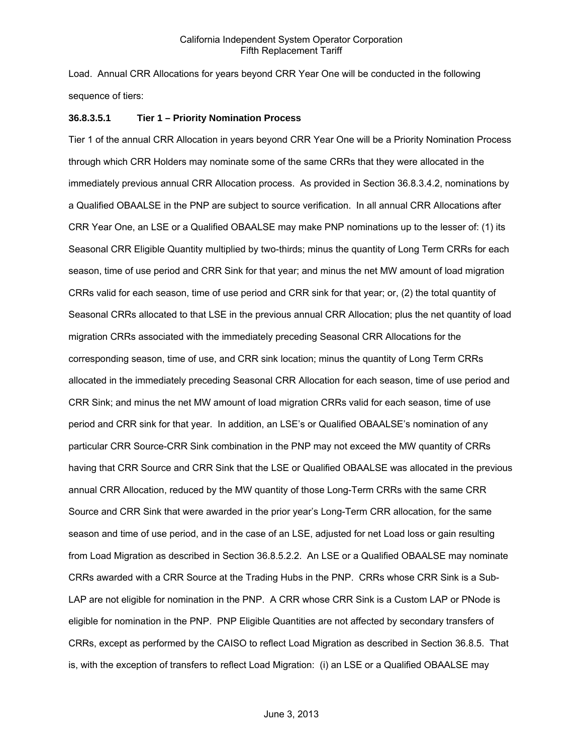Load. Annual CRR Allocations for years beyond CRR Year One will be conducted in the following sequence of tiers:

#### **36.8.3.5.1 Tier 1 – Priority Nomination Process**

Tier 1 of the annual CRR Allocation in years beyond CRR Year One will be a Priority Nomination Process through which CRR Holders may nominate some of the same CRRs that they were allocated in the immediately previous annual CRR Allocation process. As provided in Section 36.8.3.4.2, nominations by a Qualified OBAALSE in the PNP are subject to source verification. In all annual CRR Allocations after CRR Year One, an LSE or a Qualified OBAALSE may make PNP nominations up to the lesser of: (1) its Seasonal CRR Eligible Quantity multiplied by two-thirds; minus the quantity of Long Term CRRs for each season, time of use period and CRR Sink for that year; and minus the net MW amount of load migration CRRs valid for each season, time of use period and CRR sink for that year; or, (2) the total quantity of Seasonal CRRs allocated to that LSE in the previous annual CRR Allocation; plus the net quantity of load migration CRRs associated with the immediately preceding Seasonal CRR Allocations for the corresponding season, time of use, and CRR sink location; minus the quantity of Long Term CRRs allocated in the immediately preceding Seasonal CRR Allocation for each season, time of use period and CRR Sink; and minus the net MW amount of load migration CRRs valid for each season, time of use period and CRR sink for that year. In addition, an LSE's or Qualified OBAALSE's nomination of any particular CRR Source-CRR Sink combination in the PNP may not exceed the MW quantity of CRRs having that CRR Source and CRR Sink that the LSE or Qualified OBAALSE was allocated in the previous annual CRR Allocation, reduced by the MW quantity of those Long-Term CRRs with the same CRR Source and CRR Sink that were awarded in the prior year's Long-Term CRR allocation, for the same season and time of use period, and in the case of an LSE, adjusted for net Load loss or gain resulting from Load Migration as described in Section 36.8.5.2.2. An LSE or a Qualified OBAALSE may nominate CRRs awarded with a CRR Source at the Trading Hubs in the PNP. CRRs whose CRR Sink is a Sub-LAP are not eligible for nomination in the PNP. A CRR whose CRR Sink is a Custom LAP or PNode is eligible for nomination in the PNP. PNP Eligible Quantities are not affected by secondary transfers of CRRs, except as performed by the CAISO to reflect Load Migration as described in Section 36.8.5. That is, with the exception of transfers to reflect Load Migration: (i) an LSE or a Qualified OBAALSE may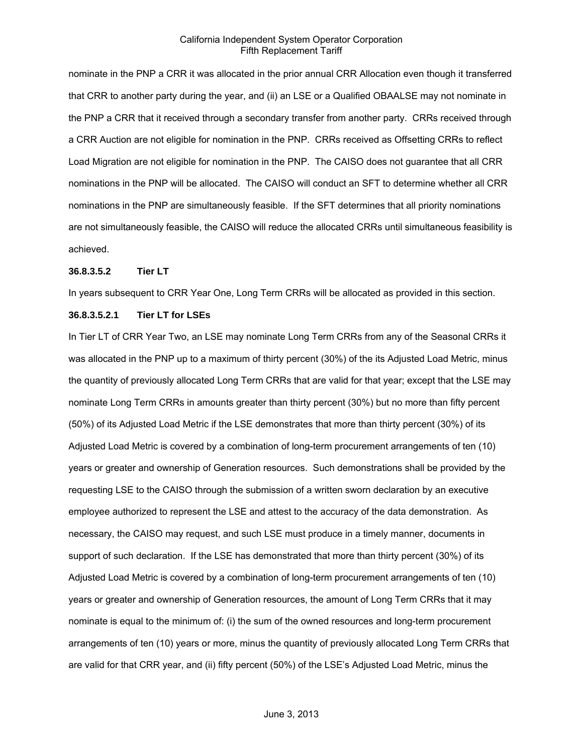nominate in the PNP a CRR it was allocated in the prior annual CRR Allocation even though it transferred that CRR to another party during the year, and (ii) an LSE or a Qualified OBAALSE may not nominate in the PNP a CRR that it received through a secondary transfer from another party. CRRs received through a CRR Auction are not eligible for nomination in the PNP. CRRs received as Offsetting CRRs to reflect Load Migration are not eligible for nomination in the PNP. The CAISO does not guarantee that all CRR nominations in the PNP will be allocated. The CAISO will conduct an SFT to determine whether all CRR nominations in the PNP are simultaneously feasible. If the SFT determines that all priority nominations are not simultaneously feasible, the CAISO will reduce the allocated CRRs until simultaneous feasibility is achieved.

#### **36.8.3.5.2 Tier LT**

In years subsequent to CRR Year One, Long Term CRRs will be allocated as provided in this section.

## **36.8.3.5.2.1 Tier LT for LSEs**

In Tier LT of CRR Year Two, an LSE may nominate Long Term CRRs from any of the Seasonal CRRs it was allocated in the PNP up to a maximum of thirty percent (30%) of the its Adjusted Load Metric, minus the quantity of previously allocated Long Term CRRs that are valid for that year; except that the LSE may nominate Long Term CRRs in amounts greater than thirty percent (30%) but no more than fifty percent (50%) of its Adjusted Load Metric if the LSE demonstrates that more than thirty percent (30%) of its Adjusted Load Metric is covered by a combination of long-term procurement arrangements of ten (10) years or greater and ownership of Generation resources. Such demonstrations shall be provided by the requesting LSE to the CAISO through the submission of a written sworn declaration by an executive employee authorized to represent the LSE and attest to the accuracy of the data demonstration. As necessary, the CAISO may request, and such LSE must produce in a timely manner, documents in support of such declaration. If the LSE has demonstrated that more than thirty percent (30%) of its Adjusted Load Metric is covered by a combination of long-term procurement arrangements of ten (10) years or greater and ownership of Generation resources, the amount of Long Term CRRs that it may nominate is equal to the minimum of: (i) the sum of the owned resources and long-term procurement arrangements of ten (10) years or more, minus the quantity of previously allocated Long Term CRRs that are valid for that CRR year, and (ii) fifty percent (50%) of the LSE's Adjusted Load Metric, minus the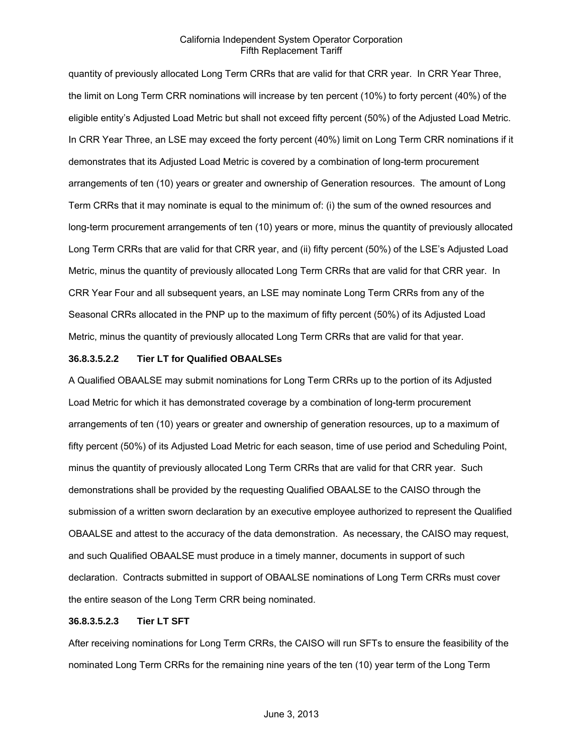quantity of previously allocated Long Term CRRs that are valid for that CRR year. In CRR Year Three, the limit on Long Term CRR nominations will increase by ten percent (10%) to forty percent (40%) of the eligible entity's Adjusted Load Metric but shall not exceed fifty percent (50%) of the Adjusted Load Metric. In CRR Year Three, an LSE may exceed the forty percent (40%) limit on Long Term CRR nominations if it demonstrates that its Adjusted Load Metric is covered by a combination of long-term procurement arrangements of ten (10) years or greater and ownership of Generation resources. The amount of Long Term CRRs that it may nominate is equal to the minimum of: (i) the sum of the owned resources and long-term procurement arrangements of ten (10) years or more, minus the quantity of previously allocated Long Term CRRs that are valid for that CRR year, and (ii) fifty percent (50%) of the LSE's Adjusted Load Metric, minus the quantity of previously allocated Long Term CRRs that are valid for that CRR year. In CRR Year Four and all subsequent years, an LSE may nominate Long Term CRRs from any of the Seasonal CRRs allocated in the PNP up to the maximum of fifty percent (50%) of its Adjusted Load Metric, minus the quantity of previously allocated Long Term CRRs that are valid for that year.

#### **36.8.3.5.2.2 Tier LT for Qualified OBAALSEs**

A Qualified OBAALSE may submit nominations for Long Term CRRs up to the portion of its Adjusted Load Metric for which it has demonstrated coverage by a combination of long-term procurement arrangements of ten (10) years or greater and ownership of generation resources, up to a maximum of fifty percent (50%) of its Adjusted Load Metric for each season, time of use period and Scheduling Point, minus the quantity of previously allocated Long Term CRRs that are valid for that CRR year. Such demonstrations shall be provided by the requesting Qualified OBAALSE to the CAISO through the submission of a written sworn declaration by an executive employee authorized to represent the Qualified OBAALSE and attest to the accuracy of the data demonstration. As necessary, the CAISO may request, and such Qualified OBAALSE must produce in a timely manner, documents in support of such declaration. Contracts submitted in support of OBAALSE nominations of Long Term CRRs must cover the entire season of the Long Term CRR being nominated.

#### **36.8.3.5.2.3 Tier LT SFT**

After receiving nominations for Long Term CRRs, the CAISO will run SFTs to ensure the feasibility of the nominated Long Term CRRs for the remaining nine years of the ten (10) year term of the Long Term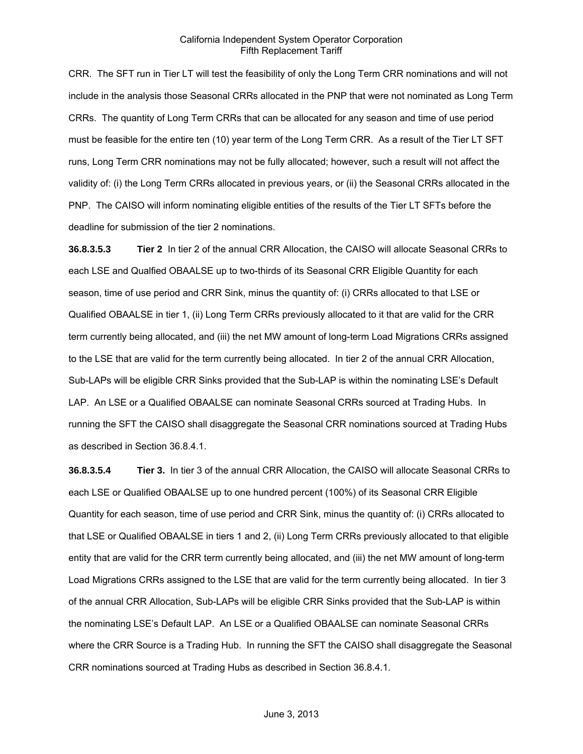CRR. The SFT run in Tier LT will test the feasibility of only the Long Term CRR nominations and will not include in the analysis those Seasonal CRRs allocated in the PNP that were not nominated as Long Term CRRs. The quantity of Long Term CRRs that can be allocated for any season and time of use period must be feasible for the entire ten (10) year term of the Long Term CRR. As a result of the Tier LT SFT runs, Long Term CRR nominations may not be fully allocated; however, such a result will not affect the validity of: (i) the Long Term CRRs allocated in previous years, or (ii) the Seasonal CRRs allocated in the PNP. The CAISO will inform nominating eligible entities of the results of the Tier LT SFTs before the deadline for submission of the tier 2 nominations.

**36.8.3.5.3 Tier 2** In tier 2 of the annual CRR Allocation, the CAISO will allocate Seasonal CRRs to each LSE and Qualfied OBAALSE up to two-thirds of its Seasonal CRR Eligible Quantity for each season, time of use period and CRR Sink, minus the quantity of: (i) CRRs allocated to that LSE or Qualified OBAALSE in tier 1, (ii) Long Term CRRs previously allocated to it that are valid for the CRR term currently being allocated, and (iii) the net MW amount of long-term Load Migrations CRRs assigned to the LSE that are valid for the term currently being allocated. In tier 2 of the annual CRR Allocation, Sub-LAPs will be eligible CRR Sinks provided that the Sub-LAP is within the nominating LSE's Default LAP. An LSE or a Qualified OBAALSE can nominate Seasonal CRRs sourced at Trading Hubs. In running the SFT the CAISO shall disaggregate the Seasonal CRR nominations sourced at Trading Hubs as described in Section 36.8.4.1.

**36.8.3.5.4 Tier 3.** In tier 3 of the annual CRR Allocation, the CAISO will allocate Seasonal CRRs to each LSE or Qualified OBAALSE up to one hundred percent (100%) of its Seasonal CRR Eligible Quantity for each season, time of use period and CRR Sink, minus the quantity of: (i) CRRs allocated to that LSE or Qualified OBAALSE in tiers 1 and 2, (ii) Long Term CRRs previously allocated to that eligible entity that are valid for the CRR term currently being allocated, and (iii) the net MW amount of long-term Load Migrations CRRs assigned to the LSE that are valid for the term currently being allocated. In tier 3 of the annual CRR Allocation, Sub-LAPs will be eligible CRR Sinks provided that the Sub-LAP is within the nominating LSE's Default LAP. An LSE or a Qualified OBAALSE can nominate Seasonal CRRs where the CRR Source is a Trading Hub. In running the SFT the CAISO shall disaggregate the Seasonal CRR nominations sourced at Trading Hubs as described in Section 36.8.4.1.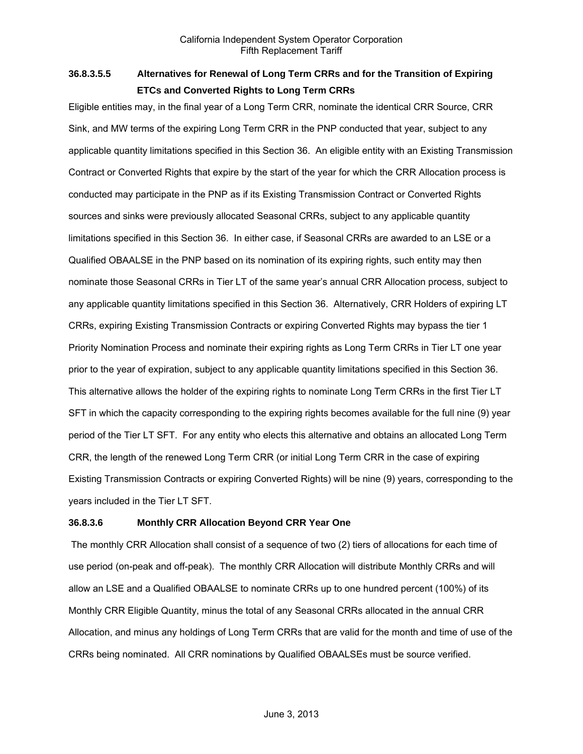# **36.8.3.5.5 Alternatives for Renewal of Long Term CRRs and for the Transition of Expiring ETCs and Converted Rights to Long Term CRRs**

Eligible entities may, in the final year of a Long Term CRR, nominate the identical CRR Source, CRR Sink, and MW terms of the expiring Long Term CRR in the PNP conducted that year, subject to any applicable quantity limitations specified in this Section 36. An eligible entity with an Existing Transmission Contract or Converted Rights that expire by the start of the year for which the CRR Allocation process is conducted may participate in the PNP as if its Existing Transmission Contract or Converted Rights sources and sinks were previously allocated Seasonal CRRs, subject to any applicable quantity limitations specified in this Section 36. In either case, if Seasonal CRRs are awarded to an LSE or a Qualified OBAALSE in the PNP based on its nomination of its expiring rights, such entity may then nominate those Seasonal CRRs in Tier LT of the same year's annual CRR Allocation process, subject to any applicable quantity limitations specified in this Section 36. Alternatively, CRR Holders of expiring LT CRRs, expiring Existing Transmission Contracts or expiring Converted Rights may bypass the tier 1 Priority Nomination Process and nominate their expiring rights as Long Term CRRs in Tier LT one year prior to the year of expiration, subject to any applicable quantity limitations specified in this Section 36. This alternative allows the holder of the expiring rights to nominate Long Term CRRs in the first Tier LT SFT in which the capacity corresponding to the expiring rights becomes available for the full nine (9) year period of the Tier LT SFT. For any entity who elects this alternative and obtains an allocated Long Term CRR, the length of the renewed Long Term CRR (or initial Long Term CRR in the case of expiring Existing Transmission Contracts or expiring Converted Rights) will be nine (9) years, corresponding to the years included in the Tier LT SFT.

# **36.8.3.6 Monthly CRR Allocation Beyond CRR Year One**

 The monthly CRR Allocation shall consist of a sequence of two (2) tiers of allocations for each time of use period (on-peak and off-peak). The monthly CRR Allocation will distribute Monthly CRRs and will allow an LSE and a Qualified OBAALSE to nominate CRRs up to one hundred percent (100%) of its Monthly CRR Eligible Quantity, minus the total of any Seasonal CRRs allocated in the annual CRR Allocation, and minus any holdings of Long Term CRRs that are valid for the month and time of use of the CRRs being nominated. All CRR nominations by Qualified OBAALSEs must be source verified.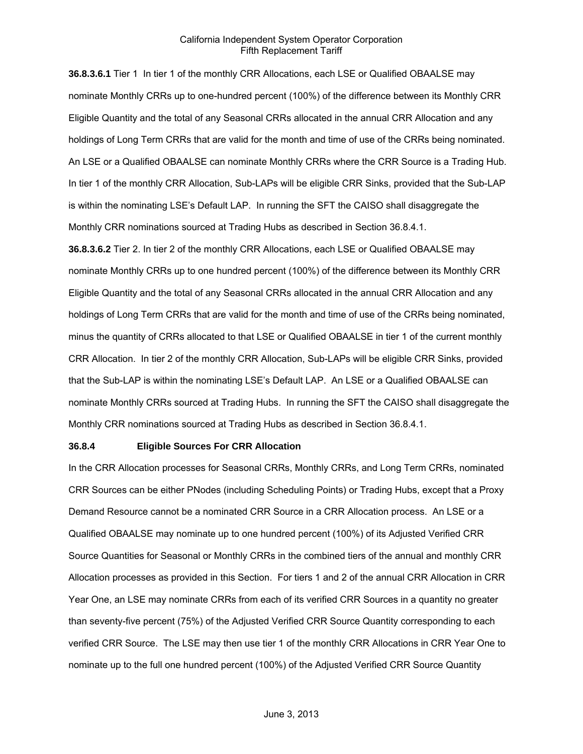**36.8.3.6.1** Tier 1 In tier 1 of the monthly CRR Allocations, each LSE or Qualified OBAALSE may nominate Monthly CRRs up to one-hundred percent (100%) of the difference between its Monthly CRR Eligible Quantity and the total of any Seasonal CRRs allocated in the annual CRR Allocation and any holdings of Long Term CRRs that are valid for the month and time of use of the CRRs being nominated. An LSE or a Qualified OBAALSE can nominate Monthly CRRs where the CRR Source is a Trading Hub. In tier 1 of the monthly CRR Allocation, Sub-LAPs will be eligible CRR Sinks, provided that the Sub-LAP is within the nominating LSE's Default LAP. In running the SFT the CAISO shall disaggregate the Monthly CRR nominations sourced at Trading Hubs as described in Section 36.8.4.1.

**36.8.3.6.2** Tier 2. In tier 2 of the monthly CRR Allocations, each LSE or Qualified OBAALSE may nominate Monthly CRRs up to one hundred percent (100%) of the difference between its Monthly CRR Eligible Quantity and the total of any Seasonal CRRs allocated in the annual CRR Allocation and any holdings of Long Term CRRs that are valid for the month and time of use of the CRRs being nominated, minus the quantity of CRRs allocated to that LSE or Qualified OBAALSE in tier 1 of the current monthly CRR Allocation. In tier 2 of the monthly CRR Allocation, Sub-LAPs will be eligible CRR Sinks, provided that the Sub-LAP is within the nominating LSE's Default LAP. An LSE or a Qualified OBAALSE can nominate Monthly CRRs sourced at Trading Hubs. In running the SFT the CAISO shall disaggregate the Monthly CRR nominations sourced at Trading Hubs as described in Section 36.8.4.1.

#### **36.8.4 Eligible Sources For CRR Allocation**

In the CRR Allocation processes for Seasonal CRRs, Monthly CRRs, and Long Term CRRs, nominated CRR Sources can be either PNodes (including Scheduling Points) or Trading Hubs, except that a Proxy Demand Resource cannot be a nominated CRR Source in a CRR Allocation process. An LSE or a Qualified OBAALSE may nominate up to one hundred percent (100%) of its Adjusted Verified CRR Source Quantities for Seasonal or Monthly CRRs in the combined tiers of the annual and monthly CRR Allocation processes as provided in this Section. For tiers 1 and 2 of the annual CRR Allocation in CRR Year One, an LSE may nominate CRRs from each of its verified CRR Sources in a quantity no greater than seventy-five percent (75%) of the Adjusted Verified CRR Source Quantity corresponding to each verified CRR Source. The LSE may then use tier 1 of the monthly CRR Allocations in CRR Year One to nominate up to the full one hundred percent (100%) of the Adjusted Verified CRR Source Quantity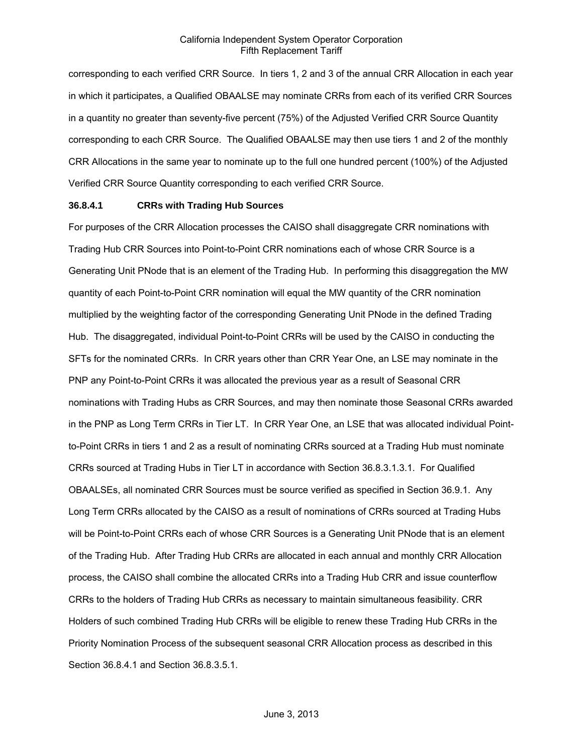corresponding to each verified CRR Source. In tiers 1, 2 and 3 of the annual CRR Allocation in each year in which it participates, a Qualified OBAALSE may nominate CRRs from each of its verified CRR Sources in a quantity no greater than seventy-five percent (75%) of the Adjusted Verified CRR Source Quantity corresponding to each CRR Source. The Qualified OBAALSE may then use tiers 1 and 2 of the monthly CRR Allocations in the same year to nominate up to the full one hundred percent (100%) of the Adjusted Verified CRR Source Quantity corresponding to each verified CRR Source.

#### **36.8.4.1 CRRs with Trading Hub Sources**

For purposes of the CRR Allocation processes the CAISO shall disaggregate CRR nominations with Trading Hub CRR Sources into Point-to-Point CRR nominations each of whose CRR Source is a Generating Unit PNode that is an element of the Trading Hub. In performing this disaggregation the MW quantity of each Point-to-Point CRR nomination will equal the MW quantity of the CRR nomination multiplied by the weighting factor of the corresponding Generating Unit PNode in the defined Trading Hub. The disaggregated, individual Point-to-Point CRRs will be used by the CAISO in conducting the SFTs for the nominated CRRs. In CRR years other than CRR Year One, an LSE may nominate in the PNP any Point-to-Point CRRs it was allocated the previous year as a result of Seasonal CRR nominations with Trading Hubs as CRR Sources, and may then nominate those Seasonal CRRs awarded in the PNP as Long Term CRRs in Tier LT. In CRR Year One, an LSE that was allocated individual Pointto-Point CRRs in tiers 1 and 2 as a result of nominating CRRs sourced at a Trading Hub must nominate CRRs sourced at Trading Hubs in Tier LT in accordance with Section 36.8.3.1.3.1. For Qualified OBAALSEs, all nominated CRR Sources must be source verified as specified in Section 36.9.1. Any Long Term CRRs allocated by the CAISO as a result of nominations of CRRs sourced at Trading Hubs will be Point-to-Point CRRs each of whose CRR Sources is a Generating Unit PNode that is an element of the Trading Hub. After Trading Hub CRRs are allocated in each annual and monthly CRR Allocation process, the CAISO shall combine the allocated CRRs into a Trading Hub CRR and issue counterflow CRRs to the holders of Trading Hub CRRs as necessary to maintain simultaneous feasibility. CRR Holders of such combined Trading Hub CRRs will be eligible to renew these Trading Hub CRRs in the Priority Nomination Process of the subsequent seasonal CRR Allocation process as described in this Section 36.8.4.1 and Section 36.8.3.5.1.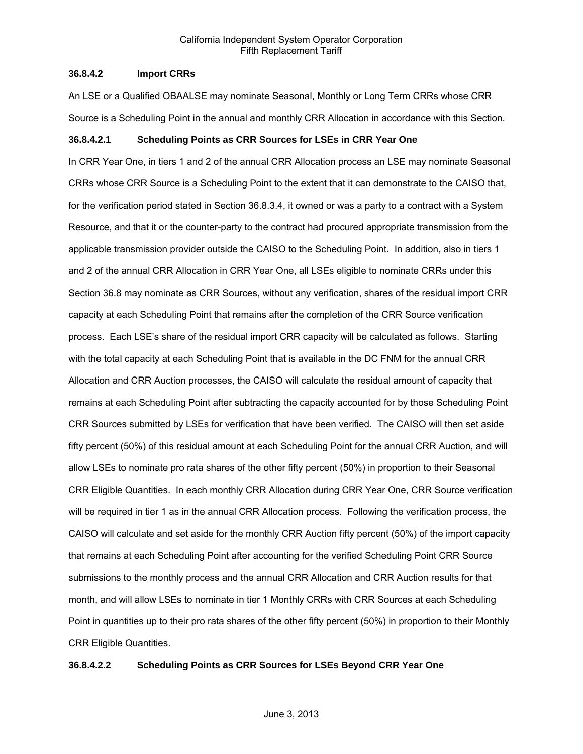## **36.8.4.2 Import CRRs**

An LSE or a Qualified OBAALSE may nominate Seasonal, Monthly or Long Term CRRs whose CRR Source is a Scheduling Point in the annual and monthly CRR Allocation in accordance with this Section.

#### **36.8.4.2.1 Scheduling Points as CRR Sources for LSEs in CRR Year One**

In CRR Year One, in tiers 1 and 2 of the annual CRR Allocation process an LSE may nominate Seasonal CRRs whose CRR Source is a Scheduling Point to the extent that it can demonstrate to the CAISO that, for the verification period stated in Section 36.8.3.4, it owned or was a party to a contract with a System Resource, and that it or the counter-party to the contract had procured appropriate transmission from the applicable transmission provider outside the CAISO to the Scheduling Point. In addition, also in tiers 1 and 2 of the annual CRR Allocation in CRR Year One, all LSEs eligible to nominate CRRs under this Section 36.8 may nominate as CRR Sources, without any verification, shares of the residual import CRR capacity at each Scheduling Point that remains after the completion of the CRR Source verification process. Each LSE's share of the residual import CRR capacity will be calculated as follows. Starting with the total capacity at each Scheduling Point that is available in the DC FNM for the annual CRR Allocation and CRR Auction processes, the CAISO will calculate the residual amount of capacity that remains at each Scheduling Point after subtracting the capacity accounted for by those Scheduling Point CRR Sources submitted by LSEs for verification that have been verified. The CAISO will then set aside fifty percent (50%) of this residual amount at each Scheduling Point for the annual CRR Auction, and will allow LSEs to nominate pro rata shares of the other fifty percent (50%) in proportion to their Seasonal CRR Eligible Quantities. In each monthly CRR Allocation during CRR Year One, CRR Source verification will be required in tier 1 as in the annual CRR Allocation process. Following the verification process, the CAISO will calculate and set aside for the monthly CRR Auction fifty percent (50%) of the import capacity that remains at each Scheduling Point after accounting for the verified Scheduling Point CRR Source submissions to the monthly process and the annual CRR Allocation and CRR Auction results for that month, and will allow LSEs to nominate in tier 1 Monthly CRRs with CRR Sources at each Scheduling Point in quantities up to their pro rata shares of the other fifty percent (50%) in proportion to their Monthly CRR Eligible Quantities.

#### **36.8.4.2.2 Scheduling Points as CRR Sources for LSEs Beyond CRR Year One**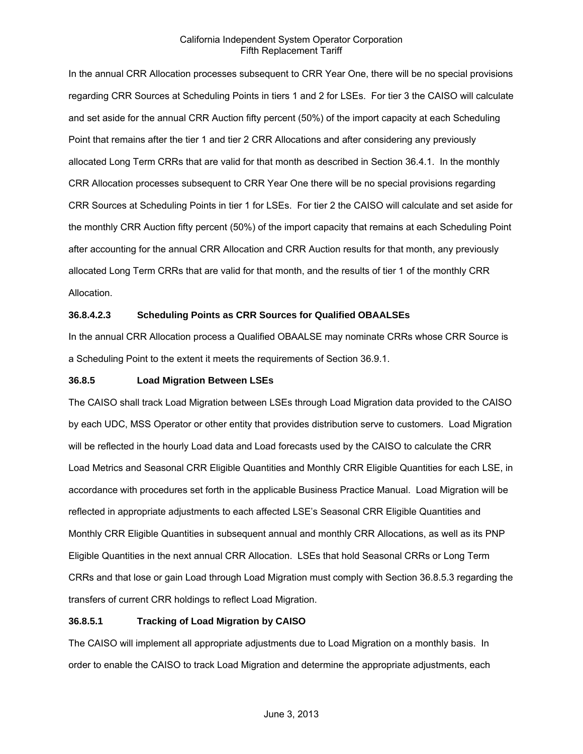In the annual CRR Allocation processes subsequent to CRR Year One, there will be no special provisions regarding CRR Sources at Scheduling Points in tiers 1 and 2 for LSEs. For tier 3 the CAISO will calculate and set aside for the annual CRR Auction fifty percent (50%) of the import capacity at each Scheduling Point that remains after the tier 1 and tier 2 CRR Allocations and after considering any previously allocated Long Term CRRs that are valid for that month as described in Section 36.4.1. In the monthly CRR Allocation processes subsequent to CRR Year One there will be no special provisions regarding CRR Sources at Scheduling Points in tier 1 for LSEs. For tier 2 the CAISO will calculate and set aside for the monthly CRR Auction fifty percent (50%) of the import capacity that remains at each Scheduling Point after accounting for the annual CRR Allocation and CRR Auction results for that month, any previously allocated Long Term CRRs that are valid for that month, and the results of tier 1 of the monthly CRR Allocation.

# **36.8.4.2.3 Scheduling Points as CRR Sources for Qualified OBAALSEs**

In the annual CRR Allocation process a Qualified OBAALSE may nominate CRRs whose CRR Source is a Scheduling Point to the extent it meets the requirements of Section 36.9.1.

## **36.8.5 Load Migration Between LSEs**

The CAISO shall track Load Migration between LSEs through Load Migration data provided to the CAISO by each UDC, MSS Operator or other entity that provides distribution serve to customers. Load Migration will be reflected in the hourly Load data and Load forecasts used by the CAISO to calculate the CRR Load Metrics and Seasonal CRR Eligible Quantities and Monthly CRR Eligible Quantities for each LSE, in accordance with procedures set forth in the applicable Business Practice Manual. Load Migration will be reflected in appropriate adjustments to each affected LSE's Seasonal CRR Eligible Quantities and Monthly CRR Eligible Quantities in subsequent annual and monthly CRR Allocations, as well as its PNP Eligible Quantities in the next annual CRR Allocation. LSEs that hold Seasonal CRRs or Long Term CRRs and that lose or gain Load through Load Migration must comply with Section 36.8.5.3 regarding the transfers of current CRR holdings to reflect Load Migration.

# **36.8.5.1 Tracking of Load Migration by CAISO**

The CAISO will implement all appropriate adjustments due to Load Migration on a monthly basis. In order to enable the CAISO to track Load Migration and determine the appropriate adjustments, each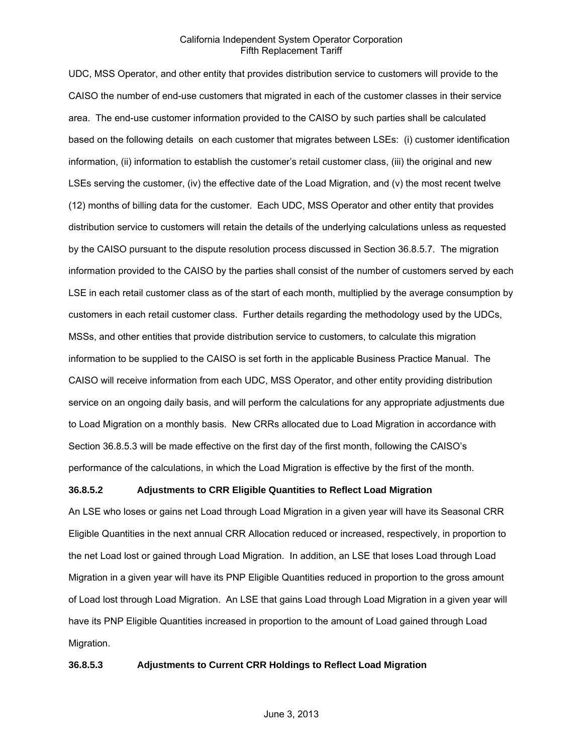UDC, MSS Operator, and other entity that provides distribution service to customers will provide to the CAISO the number of end-use customers that migrated in each of the customer classes in their service area. The end-use customer information provided to the CAISO by such parties shall be calculated based on the following details on each customer that migrates between LSEs: (i) customer identification information, (ii) information to establish the customer's retail customer class, (iii) the original and new LSEs serving the customer, (iv) the effective date of the Load Migration, and (v) the most recent twelve (12) months of billing data for the customer. Each UDC, MSS Operator and other entity that provides distribution service to customers will retain the details of the underlying calculations unless as requested by the CAISO pursuant to the dispute resolution process discussed in Section 36.8.5.7. The migration information provided to the CAISO by the parties shall consist of the number of customers served by each LSE in each retail customer class as of the start of each month, multiplied by the average consumption by customers in each retail customer class. Further details regarding the methodology used by the UDCs, MSSs, and other entities that provide distribution service to customers, to calculate this migration information to be supplied to the CAISO is set forth in the applicable Business Practice Manual. The CAISO will receive information from each UDC, MSS Operator, and other entity providing distribution service on an ongoing daily basis, and will perform the calculations for any appropriate adjustments due to Load Migration on a monthly basis. New CRRs allocated due to Load Migration in accordance with Section 36.8.5.3 will be made effective on the first day of the first month, following the CAISO's performance of the calculations, in which the Load Migration is effective by the first of the month.

## **36.8.5.2 Adjustments to CRR Eligible Quantities to Reflect Load Migration**

An LSE who loses or gains net Load through Load Migration in a given year will have its Seasonal CRR Eligible Quantities in the next annual CRR Allocation reduced or increased, respectively, in proportion to the net Load lost or gained through Load Migration. In addition, an LSE that loses Load through Load Migration in a given year will have its PNP Eligible Quantities reduced in proportion to the gross amount of Load lost through Load Migration. An LSE that gains Load through Load Migration in a given year will have its PNP Eligible Quantities increased in proportion to the amount of Load gained through Load Migration.

#### **36.8.5.3 Adjustments to Current CRR Holdings to Reflect Load Migration**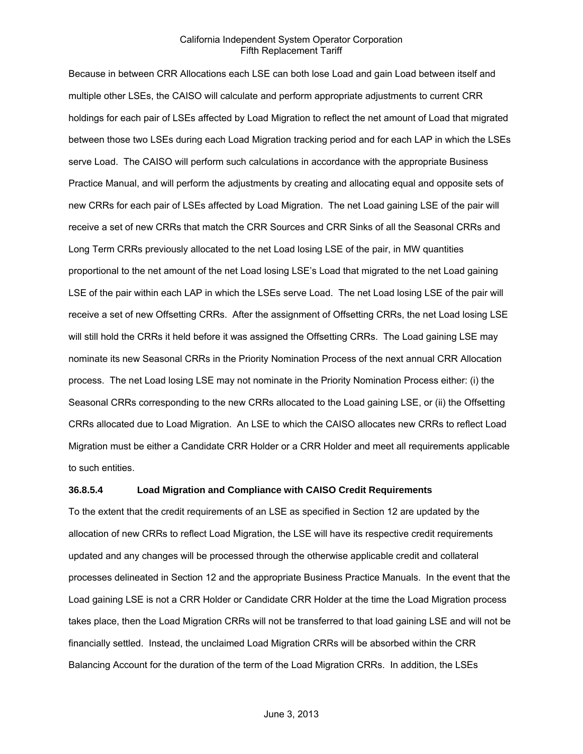Because in between CRR Allocations each LSE can both lose Load and gain Load between itself and multiple other LSEs, the CAISO will calculate and perform appropriate adjustments to current CRR holdings for each pair of LSEs affected by Load Migration to reflect the net amount of Load that migrated between those two LSEs during each Load Migration tracking period and for each LAP in which the LSEs serve Load. The CAISO will perform such calculations in accordance with the appropriate Business Practice Manual, and will perform the adjustments by creating and allocating equal and opposite sets of new CRRs for each pair of LSEs affected by Load Migration. The net Load gaining LSE of the pair will receive a set of new CRRs that match the CRR Sources and CRR Sinks of all the Seasonal CRRs and Long Term CRRs previously allocated to the net Load losing LSE of the pair, in MW quantities proportional to the net amount of the net Load losing LSE's Load that migrated to the net Load gaining LSE of the pair within each LAP in which the LSEs serve Load. The net Load losing LSE of the pair will receive a set of new Offsetting CRRs. After the assignment of Offsetting CRRs, the net Load losing LSE will still hold the CRRs it held before it was assigned the Offsetting CRRs. The Load gaining LSE may nominate its new Seasonal CRRs in the Priority Nomination Process of the next annual CRR Allocation process. The net Load losing LSE may not nominate in the Priority Nomination Process either: (i) the Seasonal CRRs corresponding to the new CRRs allocated to the Load gaining LSE, or (ii) the Offsetting CRRs allocated due to Load Migration. An LSE to which the CAISO allocates new CRRs to reflect Load Migration must be either a Candidate CRR Holder or a CRR Holder and meet all requirements applicable to such entities.

#### **36.8.5.4 Load Migration and Compliance with CAISO Credit Requirements**

To the extent that the credit requirements of an LSE as specified in Section 12 are updated by the allocation of new CRRs to reflect Load Migration, the LSE will have its respective credit requirements updated and any changes will be processed through the otherwise applicable credit and collateral processes delineated in Section 12 and the appropriate Business Practice Manuals. In the event that the Load gaining LSE is not a CRR Holder or Candidate CRR Holder at the time the Load Migration process takes place, then the Load Migration CRRs will not be transferred to that load gaining LSE and will not be financially settled. Instead, the unclaimed Load Migration CRRs will be absorbed within the CRR Balancing Account for the duration of the term of the Load Migration CRRs. In addition, the LSEs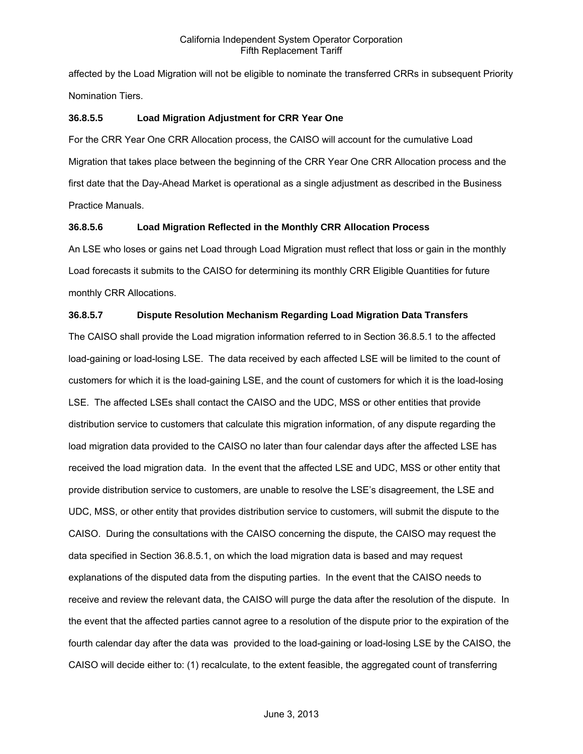affected by the Load Migration will not be eligible to nominate the transferred CRRs in subsequent Priority Nomination Tiers.

# **36.8.5.5 Load Migration Adjustment for CRR Year One**

For the CRR Year One CRR Allocation process, the CAISO will account for the cumulative Load Migration that takes place between the beginning of the CRR Year One CRR Allocation process and the first date that the Day-Ahead Market is operational as a single adjustment as described in the Business Practice Manuals.

# **36.8.5.6 Load Migration Reflected in the Monthly CRR Allocation Process**

An LSE who loses or gains net Load through Load Migration must reflect that loss or gain in the monthly Load forecasts it submits to the CAISO for determining its monthly CRR Eligible Quantities for future monthly CRR Allocations.

# **36.8.5.7 Dispute Resolution Mechanism Regarding Load Migration Data Transfers**

The CAISO shall provide the Load migration information referred to in Section 36.8.5.1 to the affected load-gaining or load-losing LSE. The data received by each affected LSE will be limited to the count of customers for which it is the load-gaining LSE, and the count of customers for which it is the load-losing LSE. The affected LSEs shall contact the CAISO and the UDC, MSS or other entities that provide distribution service to customers that calculate this migration information, of any dispute regarding the load migration data provided to the CAISO no later than four calendar days after the affected LSE has received the load migration data. In the event that the affected LSE and UDC, MSS or other entity that provide distribution service to customers, are unable to resolve the LSE's disagreement, the LSE and UDC, MSS, or other entity that provides distribution service to customers, will submit the dispute to the CAISO. During the consultations with the CAISO concerning the dispute, the CAISO may request the data specified in Section 36.8.5.1, on which the load migration data is based and may request explanations of the disputed data from the disputing parties. In the event that the CAISO needs to receive and review the relevant data, the CAISO will purge the data after the resolution of the dispute. In the event that the affected parties cannot agree to a resolution of the dispute prior to the expiration of the fourth calendar day after the data was provided to the load-gaining or load-losing LSE by the CAISO, the CAISO will decide either to: (1) recalculate, to the extent feasible, the aggregated count of transferring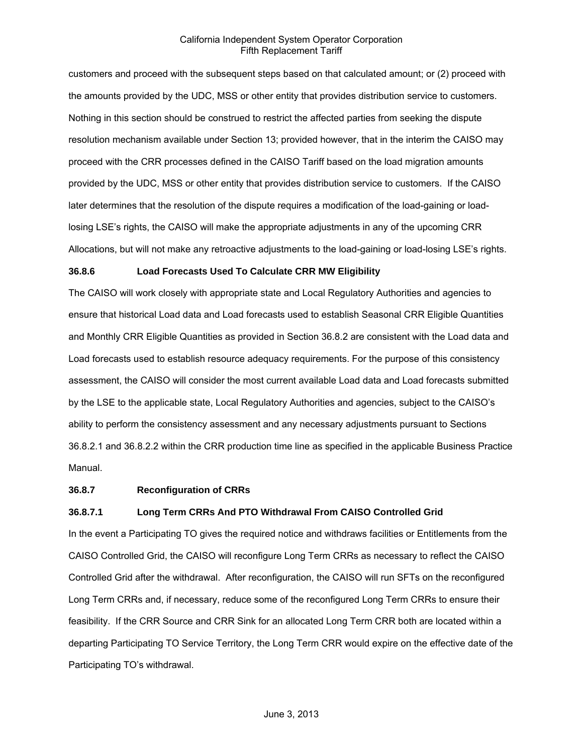customers and proceed with the subsequent steps based on that calculated amount; or (2) proceed with the amounts provided by the UDC, MSS or other entity that provides distribution service to customers. Nothing in this section should be construed to restrict the affected parties from seeking the dispute resolution mechanism available under Section 13; provided however, that in the interim the CAISO may proceed with the CRR processes defined in the CAISO Tariff based on the load migration amounts provided by the UDC, MSS or other entity that provides distribution service to customers. If the CAISO later determines that the resolution of the dispute requires a modification of the load-gaining or loadlosing LSE's rights, the CAISO will make the appropriate adjustments in any of the upcoming CRR Allocations, but will not make any retroactive adjustments to the load-gaining or load-losing LSE's rights.

#### **36.8.6 Load Forecasts Used To Calculate CRR MW Eligibility**

The CAISO will work closely with appropriate state and Local Regulatory Authorities and agencies to ensure that historical Load data and Load forecasts used to establish Seasonal CRR Eligible Quantities and Monthly CRR Eligible Quantities as provided in Section 36.8.2 are consistent with the Load data and Load forecasts used to establish resource adequacy requirements. For the purpose of this consistency assessment, the CAISO will consider the most current available Load data and Load forecasts submitted by the LSE to the applicable state, Local Regulatory Authorities and agencies, subject to the CAISO's ability to perform the consistency assessment and any necessary adjustments pursuant to Sections 36.8.2.1 and 36.8.2.2 within the CRR production time line as specified in the applicable Business Practice Manual.

## **36.8.7 Reconfiguration of CRRs**

#### **36.8.7.1 Long Term CRRs And PTO Withdrawal From CAISO Controlled Grid**

In the event a Participating TO gives the required notice and withdraws facilities or Entitlements from the CAISO Controlled Grid, the CAISO will reconfigure Long Term CRRs as necessary to reflect the CAISO Controlled Grid after the withdrawal. After reconfiguration, the CAISO will run SFTs on the reconfigured Long Term CRRs and, if necessary, reduce some of the reconfigured Long Term CRRs to ensure their feasibility. If the CRR Source and CRR Sink for an allocated Long Term CRR both are located within a departing Participating TO Service Territory, the Long Term CRR would expire on the effective date of the Participating TO's withdrawal.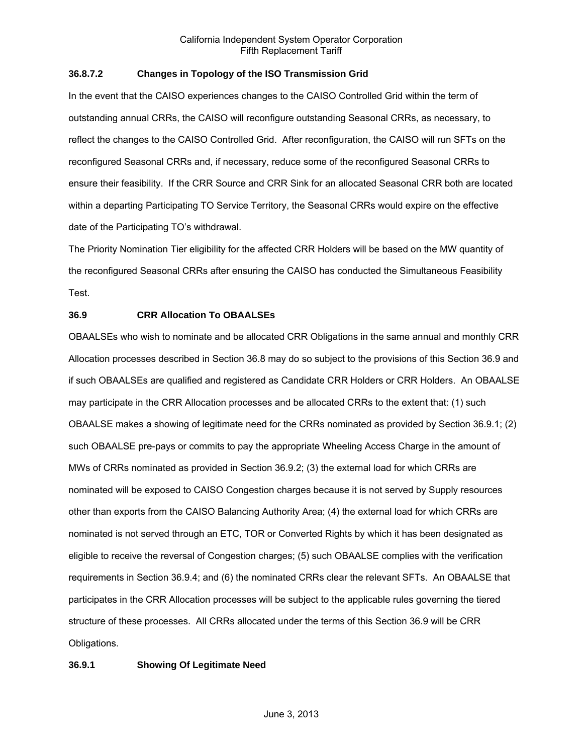# **36.8.7.2 Changes in Topology of the ISO Transmission Grid**

In the event that the CAISO experiences changes to the CAISO Controlled Grid within the term of outstanding annual CRRs, the CAISO will reconfigure outstanding Seasonal CRRs, as necessary, to reflect the changes to the CAISO Controlled Grid. After reconfiguration, the CAISO will run SFTs on the reconfigured Seasonal CRRs and, if necessary, reduce some of the reconfigured Seasonal CRRs to ensure their feasibility. If the CRR Source and CRR Sink for an allocated Seasonal CRR both are located within a departing Participating TO Service Territory, the Seasonal CRRs would expire on the effective date of the Participating TO's withdrawal.

The Priority Nomination Tier eligibility for the affected CRR Holders will be based on the MW quantity of the reconfigured Seasonal CRRs after ensuring the CAISO has conducted the Simultaneous Feasibility Test.

# **36.9 CRR Allocation To OBAALSEs**

OBAALSEs who wish to nominate and be allocated CRR Obligations in the same annual and monthly CRR Allocation processes described in Section 36.8 may do so subject to the provisions of this Section 36.9 and if such OBAALSEs are qualified and registered as Candidate CRR Holders or CRR Holders. An OBAALSE may participate in the CRR Allocation processes and be allocated CRRs to the extent that: (1) such OBAALSE makes a showing of legitimate need for the CRRs nominated as provided by Section 36.9.1; (2) such OBAALSE pre-pays or commits to pay the appropriate Wheeling Access Charge in the amount of MWs of CRRs nominated as provided in Section 36.9.2; (3) the external load for which CRRs are nominated will be exposed to CAISO Congestion charges because it is not served by Supply resources other than exports from the CAISO Balancing Authority Area; (4) the external load for which CRRs are nominated is not served through an ETC, TOR or Converted Rights by which it has been designated as eligible to receive the reversal of Congestion charges; (5) such OBAALSE complies with the verification requirements in Section 36.9.4; and (6) the nominated CRRs clear the relevant SFTs. An OBAALSE that participates in the CRR Allocation processes will be subject to the applicable rules governing the tiered structure of these processes. All CRRs allocated under the terms of this Section 36.9 will be CRR Obligations.

# **36.9.1 Showing Of Legitimate Need**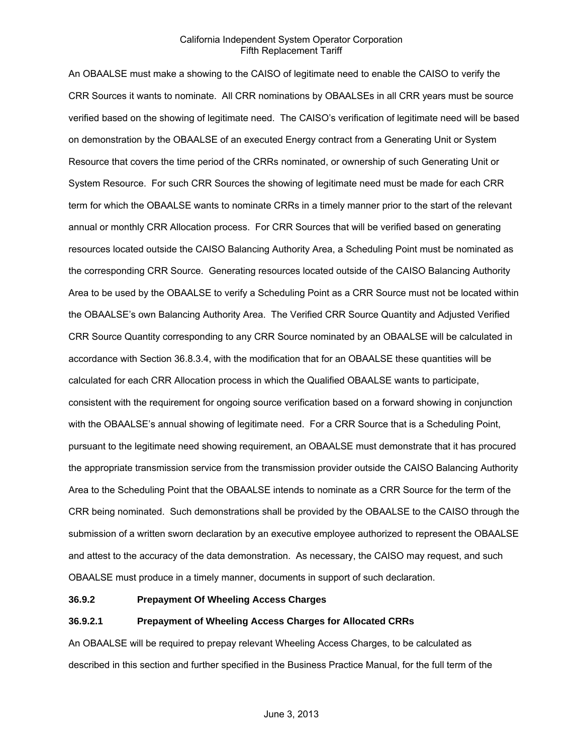An OBAALSE must make a showing to the CAISO of legitimate need to enable the CAISO to verify the CRR Sources it wants to nominate. All CRR nominations by OBAALSEs in all CRR years must be source verified based on the showing of legitimate need. The CAISO's verification of legitimate need will be based on demonstration by the OBAALSE of an executed Energy contract from a Generating Unit or System Resource that covers the time period of the CRRs nominated, or ownership of such Generating Unit or System Resource. For such CRR Sources the showing of legitimate need must be made for each CRR term for which the OBAALSE wants to nominate CRRs in a timely manner prior to the start of the relevant annual or monthly CRR Allocation process. For CRR Sources that will be verified based on generating resources located outside the CAISO Balancing Authority Area, a Scheduling Point must be nominated as the corresponding CRR Source. Generating resources located outside of the CAISO Balancing Authority Area to be used by the OBAALSE to verify a Scheduling Point as a CRR Source must not be located within the OBAALSE's own Balancing Authority Area. The Verified CRR Source Quantity and Adjusted Verified CRR Source Quantity corresponding to any CRR Source nominated by an OBAALSE will be calculated in accordance with Section 36.8.3.4, with the modification that for an OBAALSE these quantities will be calculated for each CRR Allocation process in which the Qualified OBAALSE wants to participate, consistent with the requirement for ongoing source verification based on a forward showing in conjunction with the OBAALSE's annual showing of legitimate need. For a CRR Source that is a Scheduling Point, pursuant to the legitimate need showing requirement, an OBAALSE must demonstrate that it has procured the appropriate transmission service from the transmission provider outside the CAISO Balancing Authority Area to the Scheduling Point that the OBAALSE intends to nominate as a CRR Source for the term of the CRR being nominated. Such demonstrations shall be provided by the OBAALSE to the CAISO through the submission of a written sworn declaration by an executive employee authorized to represent the OBAALSE and attest to the accuracy of the data demonstration. As necessary, the CAISO may request, and such OBAALSE must produce in a timely manner, documents in support of such declaration.

## **36.9.2 Prepayment Of Wheeling Access Charges**

## **36.9.2.1 Prepayment of Wheeling Access Charges for Allocated CRRs**

An OBAALSE will be required to prepay relevant Wheeling Access Charges, to be calculated as described in this section and further specified in the Business Practice Manual, for the full term of the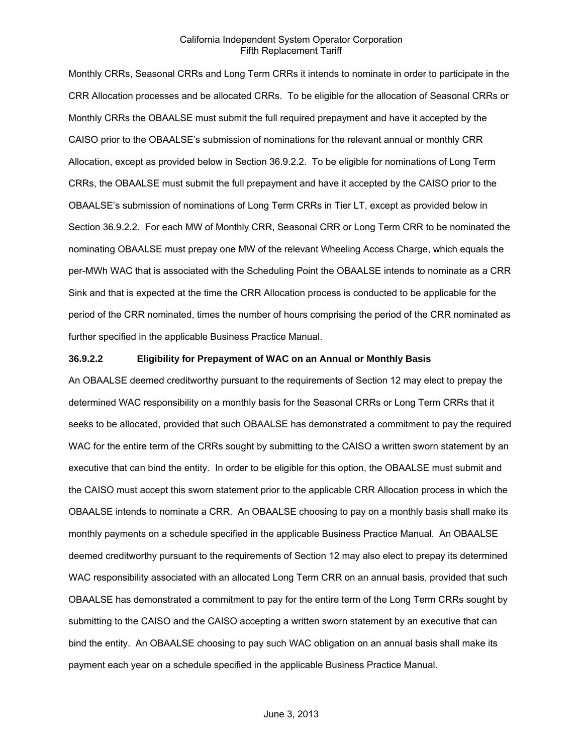Monthly CRRs, Seasonal CRRs and Long Term CRRs it intends to nominate in order to participate in the CRR Allocation processes and be allocated CRRs. To be eligible for the allocation of Seasonal CRRs or Monthly CRRs the OBAALSE must submit the full required prepayment and have it accepted by the CAISO prior to the OBAALSE's submission of nominations for the relevant annual or monthly CRR Allocation, except as provided below in Section 36.9.2.2. To be eligible for nominations of Long Term CRRs, the OBAALSE must submit the full prepayment and have it accepted by the CAISO prior to the OBAALSE's submission of nominations of Long Term CRRs in Tier LT, except as provided below in Section 36.9.2.2. For each MW of Monthly CRR, Seasonal CRR or Long Term CRR to be nominated the nominating OBAALSE must prepay one MW of the relevant Wheeling Access Charge, which equals the per-MWh WAC that is associated with the Scheduling Point the OBAALSE intends to nominate as a CRR Sink and that is expected at the time the CRR Allocation process is conducted to be applicable for the period of the CRR nominated, times the number of hours comprising the period of the CRR nominated as further specified in the applicable Business Practice Manual.

#### **36.9.2.2 Eligibility for Prepayment of WAC on an Annual or Monthly Basis**

An OBAALSE deemed creditworthy pursuant to the requirements of Section 12 may elect to prepay the determined WAC responsibility on a monthly basis for the Seasonal CRRs or Long Term CRRs that it seeks to be allocated, provided that such OBAALSE has demonstrated a commitment to pay the required WAC for the entire term of the CRRs sought by submitting to the CAISO a written sworn statement by an executive that can bind the entity. In order to be eligible for this option, the OBAALSE must submit and the CAISO must accept this sworn statement prior to the applicable CRR Allocation process in which the OBAALSE intends to nominate a CRR. An OBAALSE choosing to pay on a monthly basis shall make its monthly payments on a schedule specified in the applicable Business Practice Manual. An OBAALSE deemed creditworthy pursuant to the requirements of Section 12 may also elect to prepay its determined WAC responsibility associated with an allocated Long Term CRR on an annual basis, provided that such OBAALSE has demonstrated a commitment to pay for the entire term of the Long Term CRRs sought by submitting to the CAISO and the CAISO accepting a written sworn statement by an executive that can bind the entity. An OBAALSE choosing to pay such WAC obligation on an annual basis shall make its payment each year on a schedule specified in the applicable Business Practice Manual.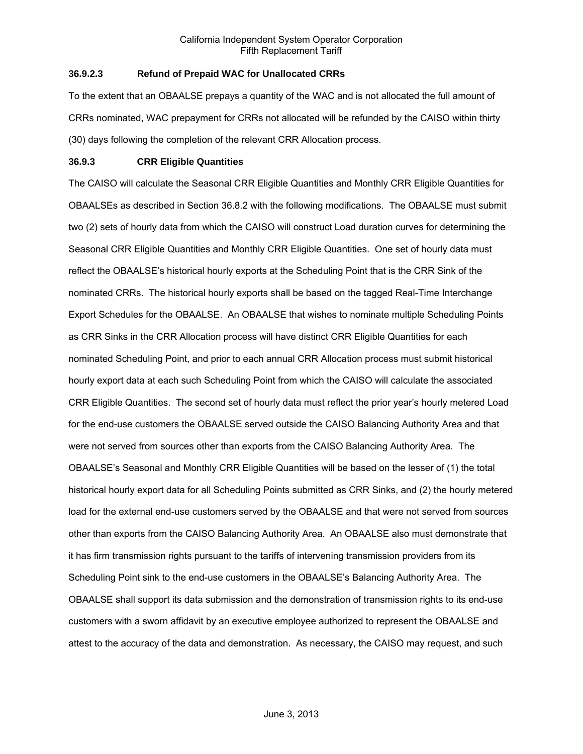# **36.9.2.3 Refund of Prepaid WAC for Unallocated CRRs**

To the extent that an OBAALSE prepays a quantity of the WAC and is not allocated the full amount of CRRs nominated, WAC prepayment for CRRs not allocated will be refunded by the CAISO within thirty (30) days following the completion of the relevant CRR Allocation process.

# **36.9.3 CRR Eligible Quantities**

The CAISO will calculate the Seasonal CRR Eligible Quantities and Monthly CRR Eligible Quantities for OBAALSEs as described in Section 36.8.2 with the following modifications. The OBAALSE must submit two (2) sets of hourly data from which the CAISO will construct Load duration curves for determining the Seasonal CRR Eligible Quantities and Monthly CRR Eligible Quantities. One set of hourly data must reflect the OBAALSE's historical hourly exports at the Scheduling Point that is the CRR Sink of the nominated CRRs. The historical hourly exports shall be based on the tagged Real-Time Interchange Export Schedules for the OBAALSE. An OBAALSE that wishes to nominate multiple Scheduling Points as CRR Sinks in the CRR Allocation process will have distinct CRR Eligible Quantities for each nominated Scheduling Point, and prior to each annual CRR Allocation process must submit historical hourly export data at each such Scheduling Point from which the CAISO will calculate the associated CRR Eligible Quantities. The second set of hourly data must reflect the prior year's hourly metered Load for the end-use customers the OBAALSE served outside the CAISO Balancing Authority Area and that were not served from sources other than exports from the CAISO Balancing Authority Area. The OBAALSE's Seasonal and Monthly CRR Eligible Quantities will be based on the lesser of (1) the total historical hourly export data for all Scheduling Points submitted as CRR Sinks, and (2) the hourly metered load for the external end-use customers served by the OBAALSE and that were not served from sources other than exports from the CAISO Balancing Authority Area. An OBAALSE also must demonstrate that it has firm transmission rights pursuant to the tariffs of intervening transmission providers from its Scheduling Point sink to the end-use customers in the OBAALSE's Balancing Authority Area. The OBAALSE shall support its data submission and the demonstration of transmission rights to its end-use customers with a sworn affidavit by an executive employee authorized to represent the OBAALSE and attest to the accuracy of the data and demonstration. As necessary, the CAISO may request, and such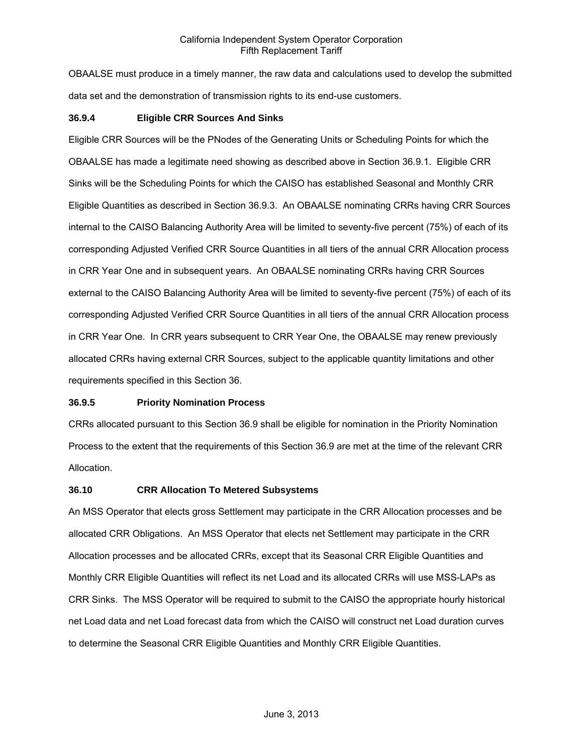OBAALSE must produce in a timely manner, the raw data and calculations used to develop the submitted data set and the demonstration of transmission rights to its end-use customers.

#### **36.9.4 Eligible CRR Sources And Sinks**

Eligible CRR Sources will be the PNodes of the Generating Units or Scheduling Points for which the OBAALSE has made a legitimate need showing as described above in Section 36.9.1. Eligible CRR Sinks will be the Scheduling Points for which the CAISO has established Seasonal and Monthly CRR Eligible Quantities as described in Section 36.9.3. An OBAALSE nominating CRRs having CRR Sources internal to the CAISO Balancing Authority Area will be limited to seventy-five percent (75%) of each of its corresponding Adjusted Verified CRR Source Quantities in all tiers of the annual CRR Allocation process in CRR Year One and in subsequent years. An OBAALSE nominating CRRs having CRR Sources external to the CAISO Balancing Authority Area will be limited to seventy-five percent (75%) of each of its corresponding Adjusted Verified CRR Source Quantities in all tiers of the annual CRR Allocation process in CRR Year One. In CRR years subsequent to CRR Year One, the OBAALSE may renew previously allocated CRRs having external CRR Sources, subject to the applicable quantity limitations and other requirements specified in this Section 36.

#### **36.9.5 Priority Nomination Process**

CRRs allocated pursuant to this Section 36.9 shall be eligible for nomination in the Priority Nomination Process to the extent that the requirements of this Section 36.9 are met at the time of the relevant CRR Allocation.

#### **36.10 CRR Allocation To Metered Subsystems**

An MSS Operator that elects gross Settlement may participate in the CRR Allocation processes and be allocated CRR Obligations. An MSS Operator that elects net Settlement may participate in the CRR Allocation processes and be allocated CRRs, except that its Seasonal CRR Eligible Quantities and Monthly CRR Eligible Quantities will reflect its net Load and its allocated CRRs will use MSS-LAPs as CRR Sinks. The MSS Operator will be required to submit to the CAISO the appropriate hourly historical net Load data and net Load forecast data from which the CAISO will construct net Load duration curves to determine the Seasonal CRR Eligible Quantities and Monthly CRR Eligible Quantities.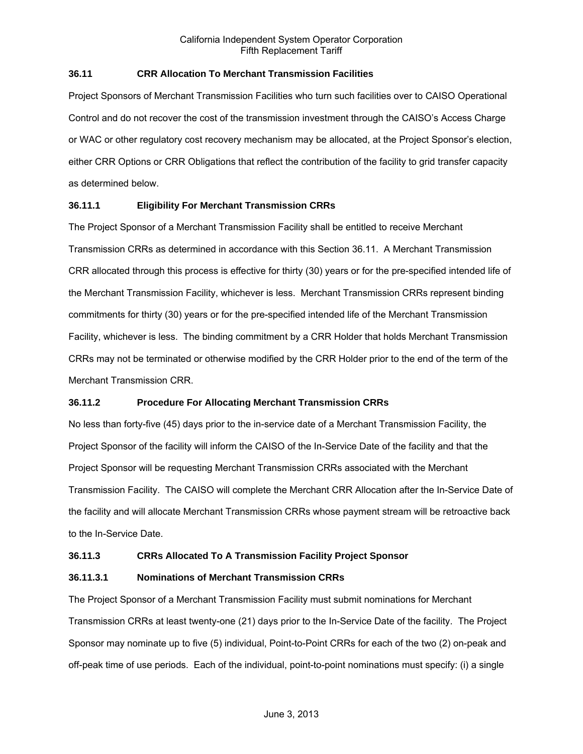## **36.11 CRR Allocation To Merchant Transmission Facilities**

Project Sponsors of Merchant Transmission Facilities who turn such facilities over to CAISO Operational Control and do not recover the cost of the transmission investment through the CAISO's Access Charge or WAC or other regulatory cost recovery mechanism may be allocated, at the Project Sponsor's election, either CRR Options or CRR Obligations that reflect the contribution of the facility to grid transfer capacity as determined below.

## **36.11.1 Eligibility For Merchant Transmission CRRs**

The Project Sponsor of a Merchant Transmission Facility shall be entitled to receive Merchant Transmission CRRs as determined in accordance with this Section 36.11. A Merchant Transmission CRR allocated through this process is effective for thirty (30) years or for the pre-specified intended life of the Merchant Transmission Facility, whichever is less. Merchant Transmission CRRs represent binding commitments for thirty (30) years or for the pre-specified intended life of the Merchant Transmission Facility, whichever is less. The binding commitment by a CRR Holder that holds Merchant Transmission CRRs may not be terminated or otherwise modified by the CRR Holder prior to the end of the term of the Merchant Transmission CRR.

#### **36.11.2 Procedure For Allocating Merchant Transmission CRRs**

No less than forty-five (45) days prior to the in-service date of a Merchant Transmission Facility, the Project Sponsor of the facility will inform the CAISO of the In-Service Date of the facility and that the Project Sponsor will be requesting Merchant Transmission CRRs associated with the Merchant Transmission Facility. The CAISO will complete the Merchant CRR Allocation after the In-Service Date of the facility and will allocate Merchant Transmission CRRs whose payment stream will be retroactive back to the In-Service Date.

#### **36.11.3 CRRs Allocated To A Transmission Facility Project Sponsor**

#### **36.11.3.1 Nominations of Merchant Transmission CRRs**

The Project Sponsor of a Merchant Transmission Facility must submit nominations for Merchant Transmission CRRs at least twenty-one (21) days prior to the In-Service Date of the facility. The Project Sponsor may nominate up to five (5) individual, Point-to-Point CRRs for each of the two (2) on-peak and off-peak time of use periods. Each of the individual, point-to-point nominations must specify: (i) a single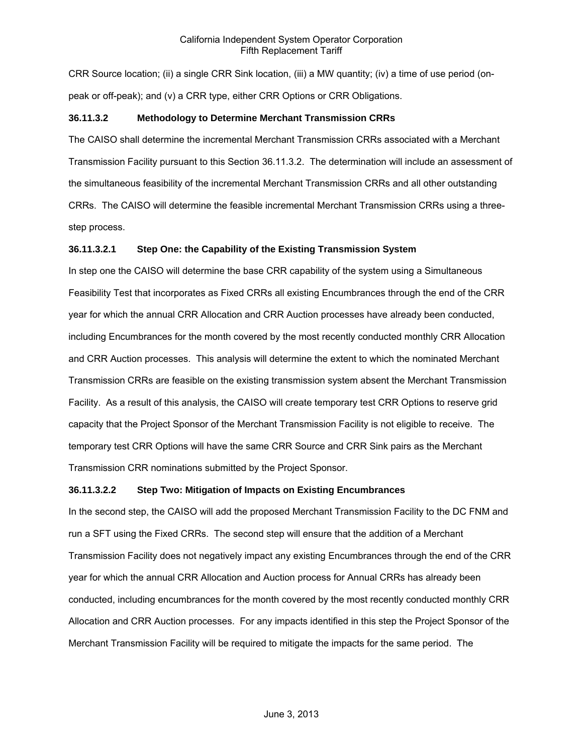CRR Source location; (ii) a single CRR Sink location, (iii) a MW quantity; (iv) a time of use period (onpeak or off-peak); and (v) a CRR type, either CRR Options or CRR Obligations.

# **36.11.3.2 Methodology to Determine Merchant Transmission CRRs**

The CAISO shall determine the incremental Merchant Transmission CRRs associated with a Merchant Transmission Facility pursuant to this Section 36.11.3.2. The determination will include an assessment of the simultaneous feasibility of the incremental Merchant Transmission CRRs and all other outstanding CRRs. The CAISO will determine the feasible incremental Merchant Transmission CRRs using a threestep process.

## **36.11.3.2.1 Step One: the Capability of the Existing Transmission System**

In step one the CAISO will determine the base CRR capability of the system using a Simultaneous Feasibility Test that incorporates as Fixed CRRs all existing Encumbrances through the end of the CRR year for which the annual CRR Allocation and CRR Auction processes have already been conducted, including Encumbrances for the month covered by the most recently conducted monthly CRR Allocation and CRR Auction processes. This analysis will determine the extent to which the nominated Merchant Transmission CRRs are feasible on the existing transmission system absent the Merchant Transmission Facility. As a result of this analysis, the CAISO will create temporary test CRR Options to reserve grid capacity that the Project Sponsor of the Merchant Transmission Facility is not eligible to receive. The temporary test CRR Options will have the same CRR Source and CRR Sink pairs as the Merchant Transmission CRR nominations submitted by the Project Sponsor.

# **36.11.3.2.2 Step Two: Mitigation of Impacts on Existing Encumbrances**

In the second step, the CAISO will add the proposed Merchant Transmission Facility to the DC FNM and run a SFT using the Fixed CRRs. The second step will ensure that the addition of a Merchant Transmission Facility does not negatively impact any existing Encumbrances through the end of the CRR year for which the annual CRR Allocation and Auction process for Annual CRRs has already been conducted, including encumbrances for the month covered by the most recently conducted monthly CRR Allocation and CRR Auction processes. For any impacts identified in this step the Project Sponsor of the Merchant Transmission Facility will be required to mitigate the impacts for the same period. The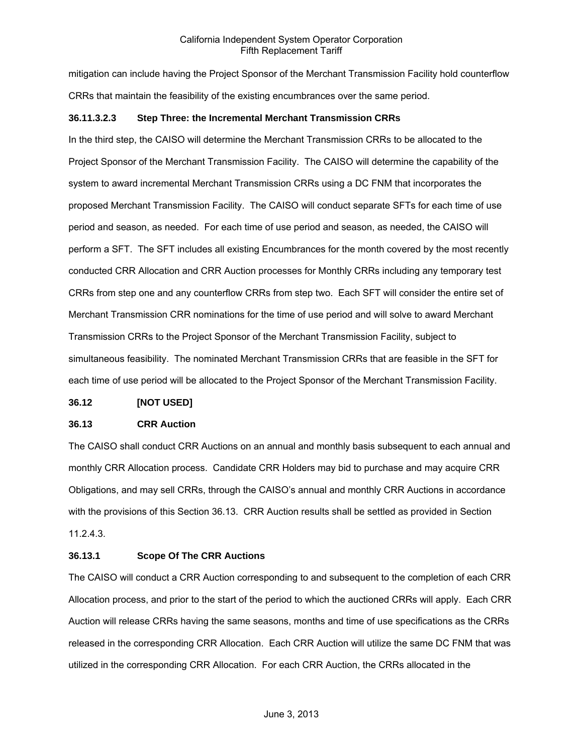mitigation can include having the Project Sponsor of the Merchant Transmission Facility hold counterflow CRRs that maintain the feasibility of the existing encumbrances over the same period.

#### **36.11.3.2.3 Step Three: the Incremental Merchant Transmission CRRs**

In the third step, the CAISO will determine the Merchant Transmission CRRs to be allocated to the Project Sponsor of the Merchant Transmission Facility. The CAISO will determine the capability of the system to award incremental Merchant Transmission CRRs using a DC FNM that incorporates the proposed Merchant Transmission Facility. The CAISO will conduct separate SFTs for each time of use period and season, as needed. For each time of use period and season, as needed, the CAISO will perform a SFT. The SFT includes all existing Encumbrances for the month covered by the most recently conducted CRR Allocation and CRR Auction processes for Monthly CRRs including any temporary test CRRs from step one and any counterflow CRRs from step two. Each SFT will consider the entire set of Merchant Transmission CRR nominations for the time of use period and will solve to award Merchant Transmission CRRs to the Project Sponsor of the Merchant Transmission Facility, subject to simultaneous feasibility. The nominated Merchant Transmission CRRs that are feasible in the SFT for each time of use period will be allocated to the Project Sponsor of the Merchant Transmission Facility.

#### **36.12 [NOT USED]**

#### **36.13 CRR Auction**

The CAISO shall conduct CRR Auctions on an annual and monthly basis subsequent to each annual and monthly CRR Allocation process. Candidate CRR Holders may bid to purchase and may acquire CRR Obligations, and may sell CRRs, through the CAISO's annual and monthly CRR Auctions in accordance with the provisions of this Section 36.13. CRR Auction results shall be settled as provided in Section 11.2.4.3.

#### **36.13.1 Scope Of The CRR Auctions**

The CAISO will conduct a CRR Auction corresponding to and subsequent to the completion of each CRR Allocation process, and prior to the start of the period to which the auctioned CRRs will apply. Each CRR Auction will release CRRs having the same seasons, months and time of use specifications as the CRRs released in the corresponding CRR Allocation. Each CRR Auction will utilize the same DC FNM that was utilized in the corresponding CRR Allocation. For each CRR Auction, the CRRs allocated in the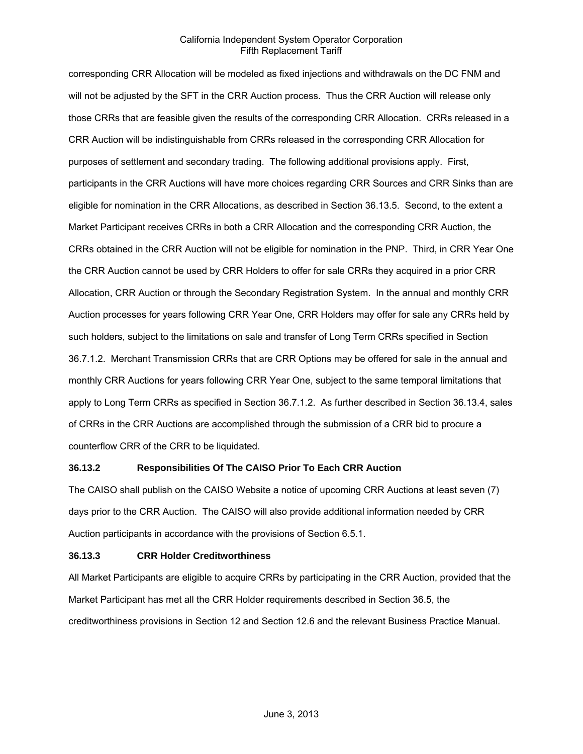corresponding CRR Allocation will be modeled as fixed injections and withdrawals on the DC FNM and will not be adjusted by the SFT in the CRR Auction process. Thus the CRR Auction will release only those CRRs that are feasible given the results of the corresponding CRR Allocation. CRRs released in a CRR Auction will be indistinguishable from CRRs released in the corresponding CRR Allocation for purposes of settlement and secondary trading. The following additional provisions apply. First, participants in the CRR Auctions will have more choices regarding CRR Sources and CRR Sinks than are eligible for nomination in the CRR Allocations, as described in Section 36.13.5. Second, to the extent a Market Participant receives CRRs in both a CRR Allocation and the corresponding CRR Auction, the CRRs obtained in the CRR Auction will not be eligible for nomination in the PNP. Third, in CRR Year One the CRR Auction cannot be used by CRR Holders to offer for sale CRRs they acquired in a prior CRR Allocation, CRR Auction or through the Secondary Registration System. In the annual and monthly CRR Auction processes for years following CRR Year One, CRR Holders may offer for sale any CRRs held by such holders, subject to the limitations on sale and transfer of Long Term CRRs specified in Section 36.7.1.2. Merchant Transmission CRRs that are CRR Options may be offered for sale in the annual and monthly CRR Auctions for years following CRR Year One, subject to the same temporal limitations that apply to Long Term CRRs as specified in Section 36.7.1.2. As further described in Section 36.13.4, sales of CRRs in the CRR Auctions are accomplished through the submission of a CRR bid to procure a counterflow CRR of the CRR to be liquidated.

#### **36.13.2 Responsibilities Of The CAISO Prior To Each CRR Auction**

The CAISO shall publish on the CAISO Website a notice of upcoming CRR Auctions at least seven (7) days prior to the CRR Auction. The CAISO will also provide additional information needed by CRR Auction participants in accordance with the provisions of Section 6.5.1.

# **36.13.3 CRR Holder Creditworthiness**

All Market Participants are eligible to acquire CRRs by participating in the CRR Auction, provided that the Market Participant has met all the CRR Holder requirements described in Section 36.5, the creditworthiness provisions in Section 12 and Section 12.6 and the relevant Business Practice Manual.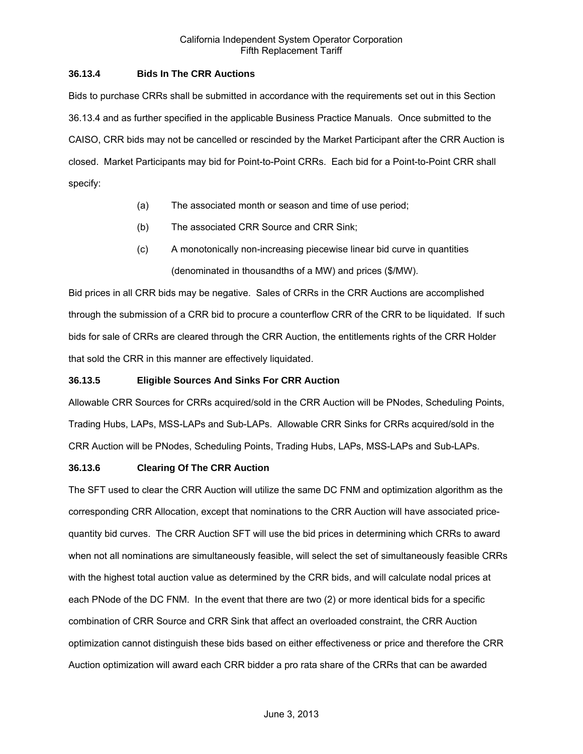## **36.13.4 Bids In The CRR Auctions**

Bids to purchase CRRs shall be submitted in accordance with the requirements set out in this Section 36.13.4 and as further specified in the applicable Business Practice Manuals. Once submitted to the CAISO, CRR bids may not be cancelled or rescinded by the Market Participant after the CRR Auction is closed. Market Participants may bid for Point-to-Point CRRs. Each bid for a Point-to-Point CRR shall specify:

- (a) The associated month or season and time of use period;
- (b) The associated CRR Source and CRR Sink;
- (c) A monotonically non-increasing piecewise linear bid curve in quantities (denominated in thousandths of a MW) and prices (\$/MW).

Bid prices in all CRR bids may be negative. Sales of CRRs in the CRR Auctions are accomplished through the submission of a CRR bid to procure a counterflow CRR of the CRR to be liquidated. If such bids for sale of CRRs are cleared through the CRR Auction, the entitlements rights of the CRR Holder that sold the CRR in this manner are effectively liquidated.

#### **36.13.5 Eligible Sources And Sinks For CRR Auction**

Allowable CRR Sources for CRRs acquired/sold in the CRR Auction will be PNodes, Scheduling Points, Trading Hubs, LAPs, MSS-LAPs and Sub-LAPs. Allowable CRR Sinks for CRRs acquired/sold in the CRR Auction will be PNodes, Scheduling Points, Trading Hubs, LAPs, MSS-LAPs and Sub-LAPs.

#### **36.13.6 Clearing Of The CRR Auction**

The SFT used to clear the CRR Auction will utilize the same DC FNM and optimization algorithm as the corresponding CRR Allocation, except that nominations to the CRR Auction will have associated pricequantity bid curves. The CRR Auction SFT will use the bid prices in determining which CRRs to award when not all nominations are simultaneously feasible, will select the set of simultaneously feasible CRRs with the highest total auction value as determined by the CRR bids, and will calculate nodal prices at each PNode of the DC FNM. In the event that there are two (2) or more identical bids for a specific combination of CRR Source and CRR Sink that affect an overloaded constraint, the CRR Auction optimization cannot distinguish these bids based on either effectiveness or price and therefore the CRR Auction optimization will award each CRR bidder a pro rata share of the CRRs that can be awarded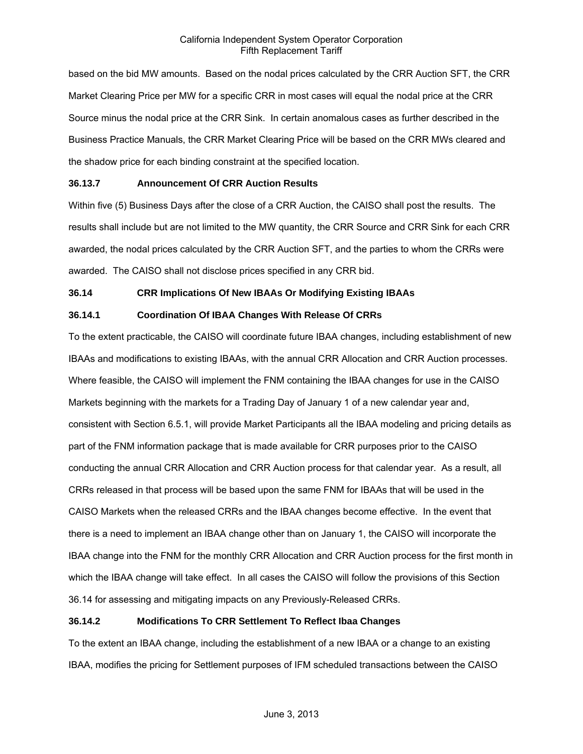based on the bid MW amounts. Based on the nodal prices calculated by the CRR Auction SFT, the CRR Market Clearing Price per MW for a specific CRR in most cases will equal the nodal price at the CRR Source minus the nodal price at the CRR Sink. In certain anomalous cases as further described in the Business Practice Manuals, the CRR Market Clearing Price will be based on the CRR MWs cleared and the shadow price for each binding constraint at the specified location.

## **36.13.7 Announcement Of CRR Auction Results**

Within five (5) Business Days after the close of a CRR Auction, the CAISO shall post the results. The results shall include but are not limited to the MW quantity, the CRR Source and CRR Sink for each CRR awarded, the nodal prices calculated by the CRR Auction SFT, and the parties to whom the CRRs were awarded. The CAISO shall not disclose prices specified in any CRR bid.

## **36.14 CRR Implications Of New IBAAs Or Modifying Existing IBAAs**

# **36.14.1 Coordination Of IBAA Changes With Release Of CRRs**

To the extent practicable, the CAISO will coordinate future IBAA changes, including establishment of new IBAAs and modifications to existing IBAAs, with the annual CRR Allocation and CRR Auction processes. Where feasible, the CAISO will implement the FNM containing the IBAA changes for use in the CAISO Markets beginning with the markets for a Trading Day of January 1 of a new calendar year and, consistent with Section 6.5.1, will provide Market Participants all the IBAA modeling and pricing details as part of the FNM information package that is made available for CRR purposes prior to the CAISO conducting the annual CRR Allocation and CRR Auction process for that calendar year. As a result, all CRRs released in that process will be based upon the same FNM for IBAAs that will be used in the CAISO Markets when the released CRRs and the IBAA changes become effective. In the event that there is a need to implement an IBAA change other than on January 1, the CAISO will incorporate the IBAA change into the FNM for the monthly CRR Allocation and CRR Auction process for the first month in which the IBAA change will take effect. In all cases the CAISO will follow the provisions of this Section 36.14 for assessing and mitigating impacts on any Previously-Released CRRs.

# **36.14.2 Modifications To CRR Settlement To Reflect Ibaa Changes**

To the extent an IBAA change, including the establishment of a new IBAA or a change to an existing IBAA, modifies the pricing for Settlement purposes of IFM scheduled transactions between the CAISO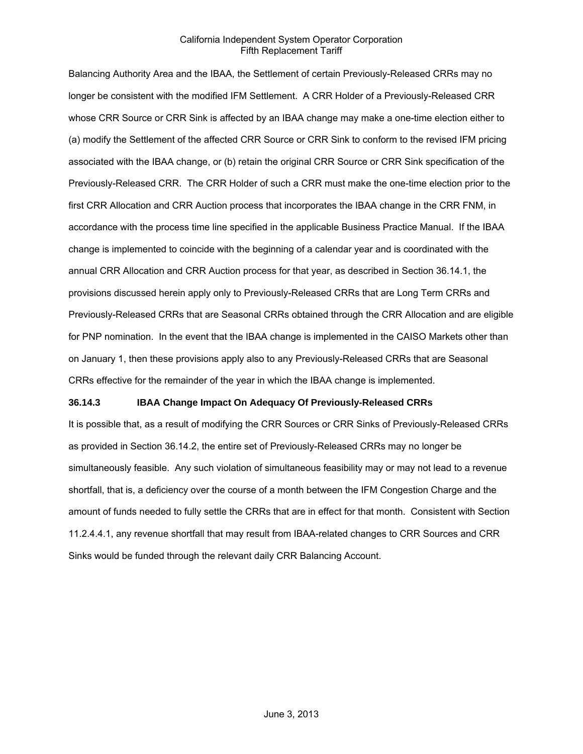Balancing Authority Area and the IBAA, the Settlement of certain Previously-Released CRRs may no longer be consistent with the modified IFM Settlement. A CRR Holder of a Previously-Released CRR whose CRR Source or CRR Sink is affected by an IBAA change may make a one-time election either to (a) modify the Settlement of the affected CRR Source or CRR Sink to conform to the revised IFM pricing associated with the IBAA change, or (b) retain the original CRR Source or CRR Sink specification of the Previously-Released CRR. The CRR Holder of such a CRR must make the one-time election prior to the first CRR Allocation and CRR Auction process that incorporates the IBAA change in the CRR FNM, in accordance with the process time line specified in the applicable Business Practice Manual. If the IBAA change is implemented to coincide with the beginning of a calendar year and is coordinated with the annual CRR Allocation and CRR Auction process for that year, as described in Section 36.14.1, the provisions discussed herein apply only to Previously-Released CRRs that are Long Term CRRs and Previously-Released CRRs that are Seasonal CRRs obtained through the CRR Allocation and are eligible for PNP nomination. In the event that the IBAA change is implemented in the CAISO Markets other than on January 1, then these provisions apply also to any Previously-Released CRRs that are Seasonal CRRs effective for the remainder of the year in which the IBAA change is implemented.

#### **36.14.3 IBAA Change Impact On Adequacy Of Previously-Released CRRs**

It is possible that, as a result of modifying the CRR Sources or CRR Sinks of Previously-Released CRRs as provided in Section 36.14.2, the entire set of Previously-Released CRRs may no longer be simultaneously feasible. Any such violation of simultaneous feasibility may or may not lead to a revenue shortfall, that is, a deficiency over the course of a month between the IFM Congestion Charge and the amount of funds needed to fully settle the CRRs that are in effect for that month. Consistent with Section 11.2.4.4.1, any revenue shortfall that may result from IBAA-related changes to CRR Sources and CRR Sinks would be funded through the relevant daily CRR Balancing Account.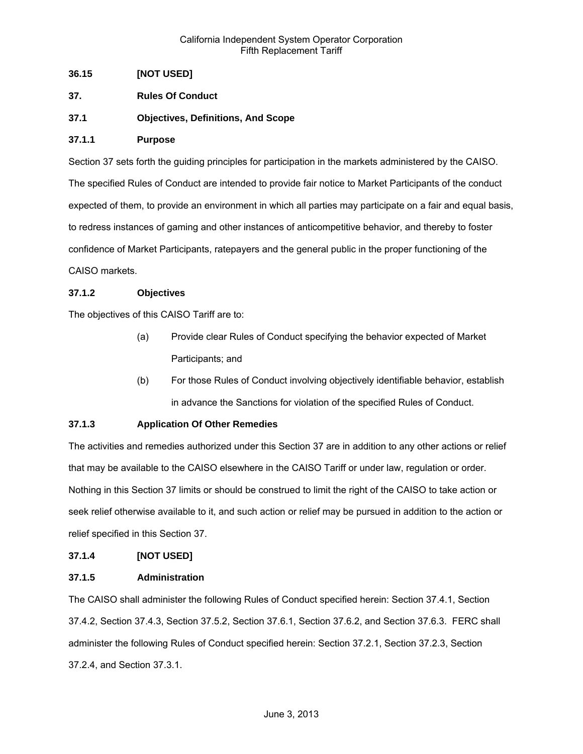# **36.15 [NOT USED]**

- **37. Rules Of Conduct**
- **37.1 Objectives, Definitions, And Scope**

#### **37.1.1 Purpose**

Section 37 sets forth the guiding principles for participation in the markets administered by the CAISO. The specified Rules of Conduct are intended to provide fair notice to Market Participants of the conduct expected of them, to provide an environment in which all parties may participate on a fair and equal basis, to redress instances of gaming and other instances of anticompetitive behavior, and thereby to foster confidence of Market Participants, ratepayers and the general public in the proper functioning of the CAISO markets.

## **37.1.2 Objectives**

The objectives of this CAISO Tariff are to:

- (a) Provide clear Rules of Conduct specifying the behavior expected of Market Participants; and
- (b) For those Rules of Conduct involving objectively identifiable behavior, establish in advance the Sanctions for violation of the specified Rules of Conduct.

# **37.1.3 Application Of Other Remedies**

The activities and remedies authorized under this Section 37 are in addition to any other actions or relief that may be available to the CAISO elsewhere in the CAISO Tariff or under law, regulation or order. Nothing in this Section 37 limits or should be construed to limit the right of the CAISO to take action or seek relief otherwise available to it, and such action or relief may be pursued in addition to the action or relief specified in this Section 37.

#### **37.1.4 [NOT USED]**

#### **37.1.5 Administration**

The CAISO shall administer the following Rules of Conduct specified herein: Section 37.4.1, Section 37.4.2, Section 37.4.3, Section 37.5.2, Section 37.6.1, Section 37.6.2, and Section 37.6.3. FERC shall administer the following Rules of Conduct specified herein: Section 37.2.1, Section 37.2.3, Section 37.2.4, and Section 37.3.1.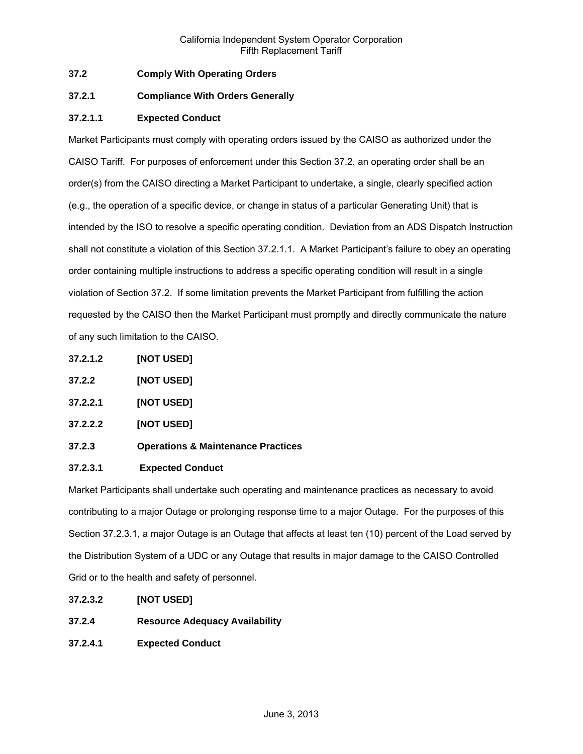# **37.2 Comply With Operating Orders**

# **37.2.1 Compliance With Orders Generally**

# **37.2.1.1 Expected Conduct**

Market Participants must comply with operating orders issued by the CAISO as authorized under the CAISO Tariff. For purposes of enforcement under this Section 37.2, an operating order shall be an order(s) from the CAISO directing a Market Participant to undertake, a single, clearly specified action (e.g., the operation of a specific device, or change in status of a particular Generating Unit) that is intended by the ISO to resolve a specific operating condition. Deviation from an ADS Dispatch Instruction shall not constitute a violation of this Section 37.2.1.1. A Market Participant's failure to obey an operating order containing multiple instructions to address a specific operating condition will result in a single violation of Section 37.2. If some limitation prevents the Market Participant from fulfilling the action requested by the CAISO then the Market Participant must promptly and directly communicate the nature of any such limitation to the CAISO.

- **37.2.1.2 [NOT USED]**
- **37.2.2 [NOT USED]**
- **37.2.2.1 [NOT USED]**
- **37.2.2.2 [NOT USED]**
- **37.2.3 Operations & Maintenance Practices**

# **37.2.3.1 Expected Conduct**

Market Participants shall undertake such operating and maintenance practices as necessary to avoid contributing to a major Outage or prolonging response time to a major Outage. For the purposes of this Section 37.2.3.1, a major Outage is an Outage that affects at least ten (10) percent of the Load served by the Distribution System of a UDC or any Outage that results in major damage to the CAISO Controlled Grid or to the health and safety of personnel.

- **37.2.3.2 [NOT USED]**
- **37.2.4 Resource Adequacy Availability**
- **37.2.4.1 Expected Conduct**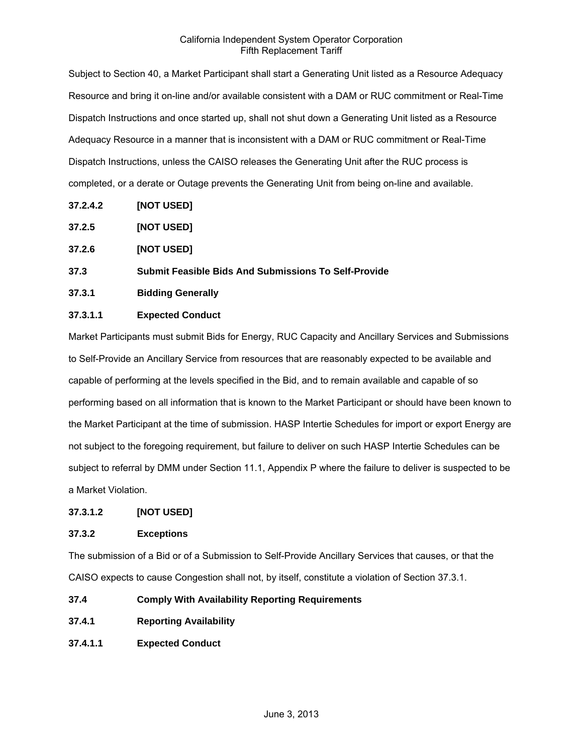Subject to Section 40, a Market Participant shall start a Generating Unit listed as a Resource Adequacy Resource and bring it on-line and/or available consistent with a DAM or RUC commitment or Real-Time Dispatch Instructions and once started up, shall not shut down a Generating Unit listed as a Resource Adequacy Resource in a manner that is inconsistent with a DAM or RUC commitment or Real-Time Dispatch Instructions, unless the CAISO releases the Generating Unit after the RUC process is completed, or a derate or Outage prevents the Generating Unit from being on-line and available.

- **37.2.4.2 [NOT USED]**
- **37.2.5 [NOT USED]**
- **37.2.6 [NOT USED]**
- **37.3 Submit Feasible Bids And Submissions To Self-Provide**
- **37.3.1 Bidding Generally**

# **37.3.1.1 Expected Conduct**

Market Participants must submit Bids for Energy, RUC Capacity and Ancillary Services and Submissions to Self-Provide an Ancillary Service from resources that are reasonably expected to be available and capable of performing at the levels specified in the Bid, and to remain available and capable of so performing based on all information that is known to the Market Participant or should have been known to the Market Participant at the time of submission. HASP Intertie Schedules for import or export Energy are not subject to the foregoing requirement, but failure to deliver on such HASP Intertie Schedules can be subject to referral by DMM under Section 11.1, Appendix P where the failure to deliver is suspected to be a Market Violation.

# **37.3.1.2 [NOT USED]**

# **37.3.2 Exceptions**

The submission of a Bid or of a Submission to Self-Provide Ancillary Services that causes, or that the CAISO expects to cause Congestion shall not, by itself, constitute a violation of Section 37.3.1.

- **37.4 Comply With Availability Reporting Requirements**
- **37.4.1 Reporting Availability**
- **37.4.1.1 Expected Conduct**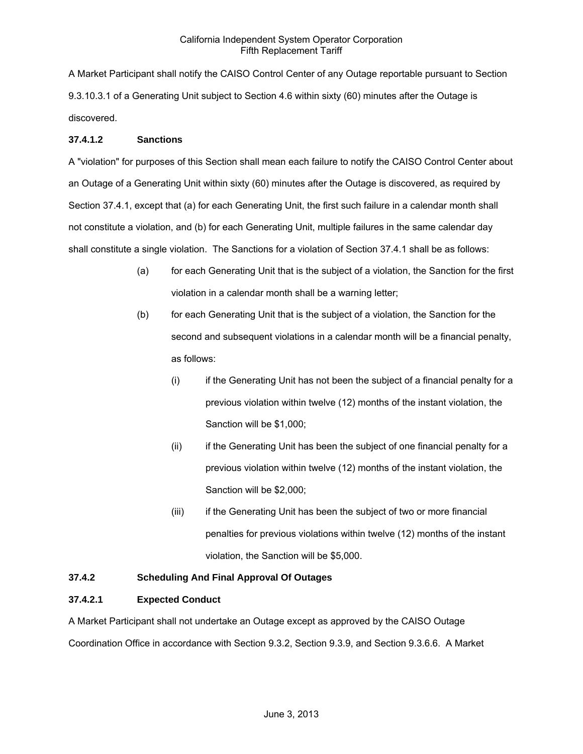A Market Participant shall notify the CAISO Control Center of any Outage reportable pursuant to Section 9.3.10.3.1 of a Generating Unit subject to Section 4.6 within sixty (60) minutes after the Outage is discovered.

# **37.4.1.2 Sanctions**

A "violation" for purposes of this Section shall mean each failure to notify the CAISO Control Center about an Outage of a Generating Unit within sixty (60) minutes after the Outage is discovered, as required by Section 37.4.1, except that (a) for each Generating Unit, the first such failure in a calendar month shall not constitute a violation, and (b) for each Generating Unit, multiple failures in the same calendar day shall constitute a single violation. The Sanctions for a violation of Section 37.4.1 shall be as follows:

- (a) for each Generating Unit that is the subject of a violation, the Sanction for the first violation in a calendar month shall be a warning letter;
- (b) for each Generating Unit that is the subject of a violation, the Sanction for the second and subsequent violations in a calendar month will be a financial penalty, as follows:
	- (i) if the Generating Unit has not been the subject of a financial penalty for a previous violation within twelve (12) months of the instant violation, the Sanction will be \$1,000;
	- (ii) if the Generating Unit has been the subject of one financial penalty for a previous violation within twelve (12) months of the instant violation, the Sanction will be \$2,000;
	- (iii) if the Generating Unit has been the subject of two or more financial penalties for previous violations within twelve (12) months of the instant violation, the Sanction will be \$5,000.

# **37.4.2 Scheduling And Final Approval Of Outages**

# **37.4.2.1 Expected Conduct**

A Market Participant shall not undertake an Outage except as approved by the CAISO Outage Coordination Office in accordance with Section 9.3.2, Section 9.3.9, and Section 9.3.6.6. A Market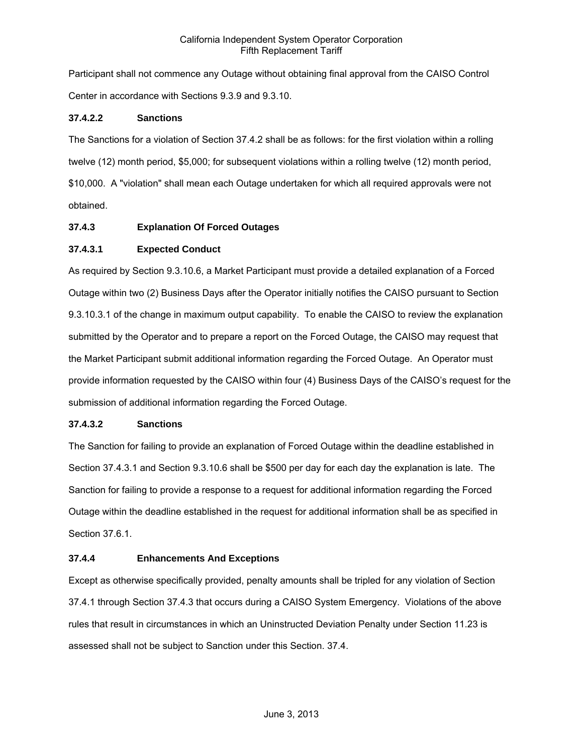Participant shall not commence any Outage without obtaining final approval from the CAISO Control Center in accordance with Sections 9.3.9 and 9.3.10.

# **37.4.2.2 Sanctions**

The Sanctions for a violation of Section 37.4.2 shall be as follows: for the first violation within a rolling twelve (12) month period, \$5,000; for subsequent violations within a rolling twelve (12) month period, \$10,000. A "violation" shall mean each Outage undertaken for which all required approvals were not obtained.

## **37.4.3 Explanation Of Forced Outages**

## **37.4.3.1 Expected Conduct**

As required by Section 9.3.10.6, a Market Participant must provide a detailed explanation of a Forced Outage within two (2) Business Days after the Operator initially notifies the CAISO pursuant to Section 9.3.10.3.1 of the change in maximum output capability. To enable the CAISO to review the explanation submitted by the Operator and to prepare a report on the Forced Outage, the CAISO may request that the Market Participant submit additional information regarding the Forced Outage. An Operator must provide information requested by the CAISO within four (4) Business Days of the CAISO's request for the submission of additional information regarding the Forced Outage.

#### **37.4.3.2 Sanctions**

The Sanction for failing to provide an explanation of Forced Outage within the deadline established in Section 37.4.3.1 and Section 9.3.10.6 shall be \$500 per day for each day the explanation is late. The Sanction for failing to provide a response to a request for additional information regarding the Forced Outage within the deadline established in the request for additional information shall be as specified in Section 37.6.1.

#### **37.4.4 Enhancements And Exceptions**

Except as otherwise specifically provided, penalty amounts shall be tripled for any violation of Section 37.4.1 through Section 37.4.3 that occurs during a CAISO System Emergency. Violations of the above rules that result in circumstances in which an Uninstructed Deviation Penalty under Section 11.23 is assessed shall not be subject to Sanction under this Section. 37.4.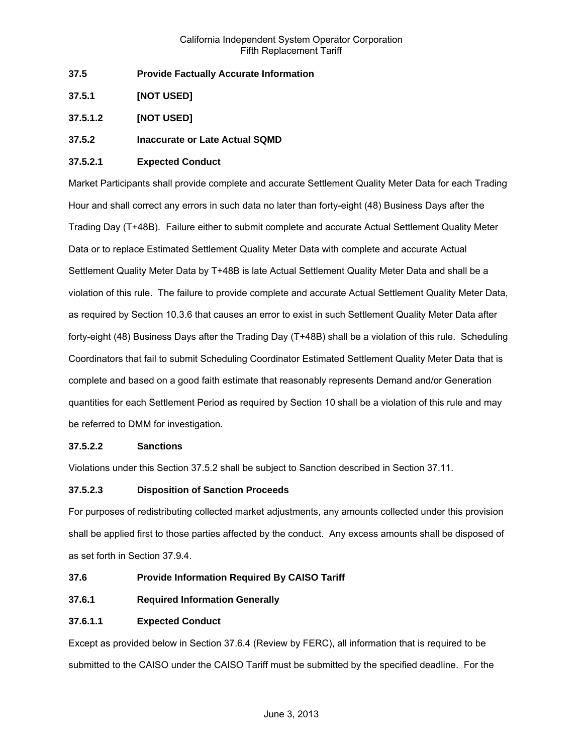- **37.5 Provide Factually Accurate Information**
- **37.5.1 [NOT USED]**
- **37.5.1.2 [NOT USED]**
- **37.5.2 Inaccurate or Late Actual SQMD**

# **37.5.2.1 Expected Conduct**

Market Participants shall provide complete and accurate Settlement Quality Meter Data for each Trading Hour and shall correct any errors in such data no later than forty-eight (48) Business Days after the Trading Day (T+48B). Failure either to submit complete and accurate Actual Settlement Quality Meter Data or to replace Estimated Settlement Quality Meter Data with complete and accurate Actual Settlement Quality Meter Data by T+48B is late Actual Settlement Quality Meter Data and shall be a violation of this rule. The failure to provide complete and accurate Actual Settlement Quality Meter Data, as required by Section 10.3.6 that causes an error to exist in such Settlement Quality Meter Data after forty-eight (48) Business Days after the Trading Day (T+48B) shall be a violation of this rule. Scheduling Coordinators that fail to submit Scheduling Coordinator Estimated Settlement Quality Meter Data that is complete and based on a good faith estimate that reasonably represents Demand and/or Generation quantities for each Settlement Period as required by Section 10 shall be a violation of this rule and may be referred to DMM for investigation.

#### **37.5.2.2 Sanctions**

Violations under this Section 37.5.2 shall be subject to Sanction described in Section 37.11.

# **37.5.2.3 Disposition of Sanction Proceeds**

For purposes of redistributing collected market adjustments, any amounts collected under this provision shall be applied first to those parties affected by the conduct. Any excess amounts shall be disposed of as set forth in Section 37.9.4.

- **37.6 Provide Information Required By CAISO Tariff**
- **37.6.1 Required Information Generally**

# **37.6.1.1 Expected Conduct**

Except as provided below in Section 37.6.4 (Review by FERC), all information that is required to be submitted to the CAISO under the CAISO Tariff must be submitted by the specified deadline. For the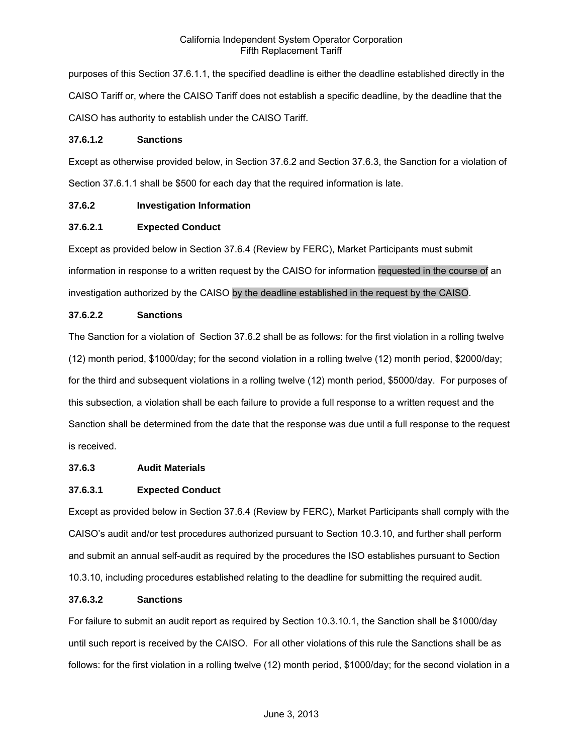purposes of this Section 37.6.1.1, the specified deadline is either the deadline established directly in the CAISO Tariff or, where the CAISO Tariff does not establish a specific deadline, by the deadline that the CAISO has authority to establish under the CAISO Tariff.

# **37.6.1.2 Sanctions**

Except as otherwise provided below, in Section 37.6.2 and Section 37.6.3, the Sanction for a violation of Section 37.6.1.1 shall be \$500 for each day that the required information is late.

# **37.6.2 Investigation Information**

# **37.6.2.1 Expected Conduct**

Except as provided below in Section 37.6.4 (Review by FERC), Market Participants must submit information in response to a written request by the CAISO for information requested in the course of an investigation authorized by the CAISO by the deadline established in the request by the CAISO.

# **37.6.2.2 Sanctions**

The Sanction for a violation of Section 37.6.2 shall be as follows: for the first violation in a rolling twelve (12) month period, \$1000/day; for the second violation in a rolling twelve (12) month period, \$2000/day; for the third and subsequent violations in a rolling twelve (12) month period, \$5000/day. For purposes of this subsection, a violation shall be each failure to provide a full response to a written request and the Sanction shall be determined from the date that the response was due until a full response to the request is received.

# **37.6.3 Audit Materials**

# **37.6.3.1 Expected Conduct**

Except as provided below in Section 37.6.4 (Review by FERC), Market Participants shall comply with the CAISO's audit and/or test procedures authorized pursuant to Section 10.3.10, and further shall perform and submit an annual self-audit as required by the procedures the ISO establishes pursuant to Section 10.3.10, including procedures established relating to the deadline for submitting the required audit.

# **37.6.3.2 Sanctions**

For failure to submit an audit report as required by Section 10.3.10.1, the Sanction shall be \$1000/day until such report is received by the CAISO. For all other violations of this rule the Sanctions shall be as follows: for the first violation in a rolling twelve (12) month period, \$1000/day; for the second violation in a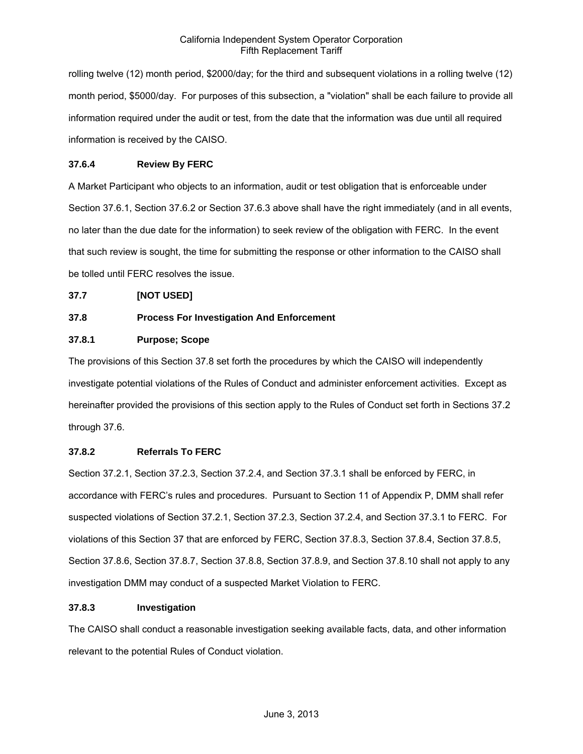rolling twelve (12) month period, \$2000/day; for the third and subsequent violations in a rolling twelve (12) month period, \$5000/day. For purposes of this subsection, a "violation" shall be each failure to provide all information required under the audit or test, from the date that the information was due until all required information is received by the CAISO.

# **37.6.4 Review By FERC**

A Market Participant who objects to an information, audit or test obligation that is enforceable under Section 37.6.1, Section 37.6.2 or Section 37.6.3 above shall have the right immediately (and in all events, no later than the due date for the information) to seek review of the obligation with FERC. In the event that such review is sought, the time for submitting the response or other information to the CAISO shall be tolled until FERC resolves the issue.

# **37.7 [NOT USED]**

# **37.8 Process For Investigation And Enforcement**

# **37.8.1 Purpose; Scope**

The provisions of this Section 37.8 set forth the procedures by which the CAISO will independently investigate potential violations of the Rules of Conduct and administer enforcement activities. Except as hereinafter provided the provisions of this section apply to the Rules of Conduct set forth in Sections 37.2 through 37.6.

# **37.8.2 Referrals To FERC**

Section 37.2.1, Section 37.2.3, Section 37.2.4, and Section 37.3.1 shall be enforced by FERC, in accordance with FERC's rules and procedures. Pursuant to Section 11 of Appendix P, DMM shall refer suspected violations of Section 37.2.1, Section 37.2.3, Section 37.2.4, and Section 37.3.1 to FERC. For violations of this Section 37 that are enforced by FERC, Section 37.8.3, Section 37.8.4, Section 37.8.5, Section 37.8.6, Section 37.8.7, Section 37.8.8, Section 37.8.9, and Section 37.8.10 shall not apply to any investigation DMM may conduct of a suspected Market Violation to FERC.

# **37.8.3 Investigation**

The CAISO shall conduct a reasonable investigation seeking available facts, data, and other information relevant to the potential Rules of Conduct violation.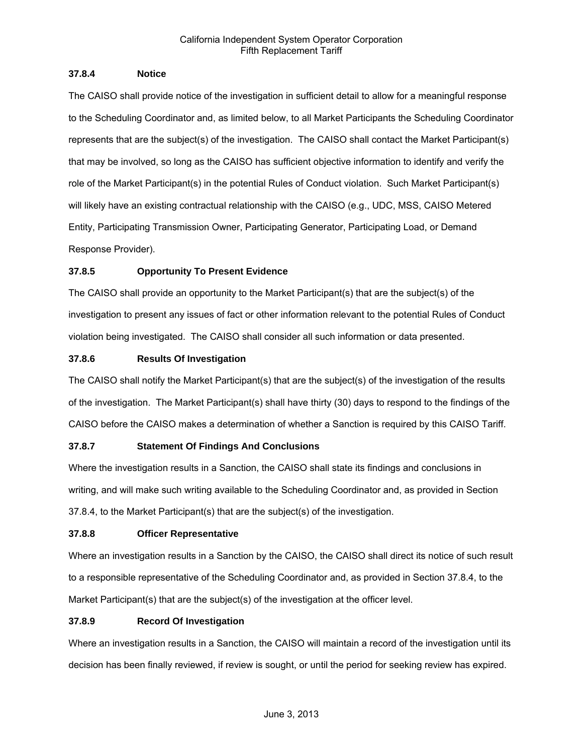## **37.8.4 Notice**

The CAISO shall provide notice of the investigation in sufficient detail to allow for a meaningful response to the Scheduling Coordinator and, as limited below, to all Market Participants the Scheduling Coordinator represents that are the subject(s) of the investigation. The CAISO shall contact the Market Participant(s) that may be involved, so long as the CAISO has sufficient objective information to identify and verify the role of the Market Participant(s) in the potential Rules of Conduct violation. Such Market Participant(s) will likely have an existing contractual relationship with the CAISO (e.g., UDC, MSS, CAISO Metered Entity, Participating Transmission Owner, Participating Generator, Participating Load, or Demand Response Provider).

# **37.8.5 Opportunity To Present Evidence**

The CAISO shall provide an opportunity to the Market Participant(s) that are the subject(s) of the investigation to present any issues of fact or other information relevant to the potential Rules of Conduct violation being investigated. The CAISO shall consider all such information or data presented.

# **37.8.6 Results Of Investigation**

The CAISO shall notify the Market Participant(s) that are the subject(s) of the investigation of the results of the investigation. The Market Participant(s) shall have thirty (30) days to respond to the findings of the CAISO before the CAISO makes a determination of whether a Sanction is required by this CAISO Tariff.

# **37.8.7 Statement Of Findings And Conclusions**

Where the investigation results in a Sanction, the CAISO shall state its findings and conclusions in writing, and will make such writing available to the Scheduling Coordinator and, as provided in Section 37.8.4, to the Market Participant(s) that are the subject(s) of the investigation.

# **37.8.8 Officer Representative**

Where an investigation results in a Sanction by the CAISO, the CAISO shall direct its notice of such result to a responsible representative of the Scheduling Coordinator and, as provided in Section 37.8.4, to the Market Participant(s) that are the subject(s) of the investigation at the officer level.

# **37.8.9 Record Of Investigation**

Where an investigation results in a Sanction, the CAISO will maintain a record of the investigation until its decision has been finally reviewed, if review is sought, or until the period for seeking review has expired.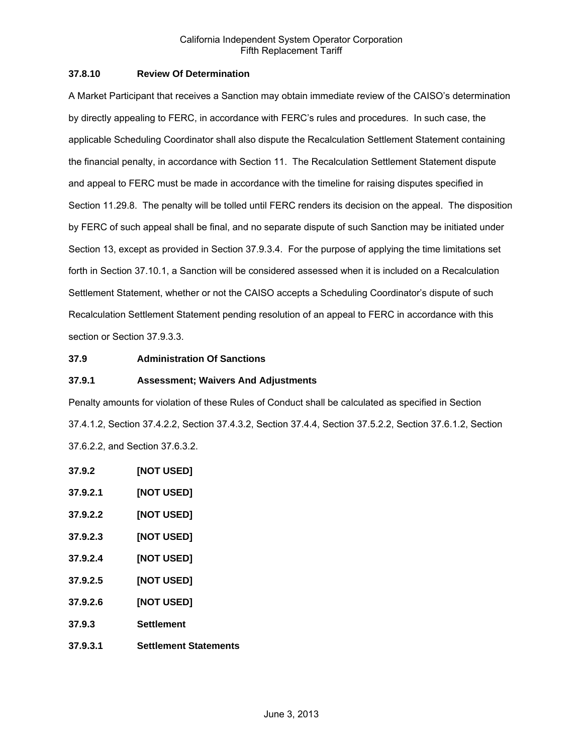# **37.8.10 Review Of Determination**

A Market Participant that receives a Sanction may obtain immediate review of the CAISO's determination by directly appealing to FERC, in accordance with FERC's rules and procedures. In such case, the applicable Scheduling Coordinator shall also dispute the Recalculation Settlement Statement containing the financial penalty, in accordance with Section 11. The Recalculation Settlement Statement dispute and appeal to FERC must be made in accordance with the timeline for raising disputes specified in Section 11.29.8. The penalty will be tolled until FERC renders its decision on the appeal. The disposition by FERC of such appeal shall be final, and no separate dispute of such Sanction may be initiated under Section 13, except as provided in Section 37.9.3.4. For the purpose of applying the time limitations set forth in Section 37.10.1, a Sanction will be considered assessed when it is included on a Recalculation Settlement Statement, whether or not the CAISO accepts a Scheduling Coordinator's dispute of such Recalculation Settlement Statement pending resolution of an appeal to FERC in accordance with this section or Section 37.9.3.3.

## **37.9 Administration Of Sanctions**

#### **37.9.1 Assessment; Waivers And Adjustments**

Penalty amounts for violation of these Rules of Conduct shall be calculated as specified in Section 37.4.1.2, Section 37.4.2.2, Section 37.4.3.2, Section 37.4.4, Section 37.5.2.2, Section 37.6.1.2, Section 37.6.2.2, and Section 37.6.3.2.

- **37.9.2 [NOT USED]**
- **37.9.2.1 [NOT USED]**
- **37.9.2.2 [NOT USED]**
- **37.9.2.3 [NOT USED]**
- **37.9.2.4 [NOT USED]**
- **37.9.2.5 [NOT USED]**
- **37.9.2.6 [NOT USED]**
- **37.9.3 Settlement**
- **37.9.3.1 Settlement Statements**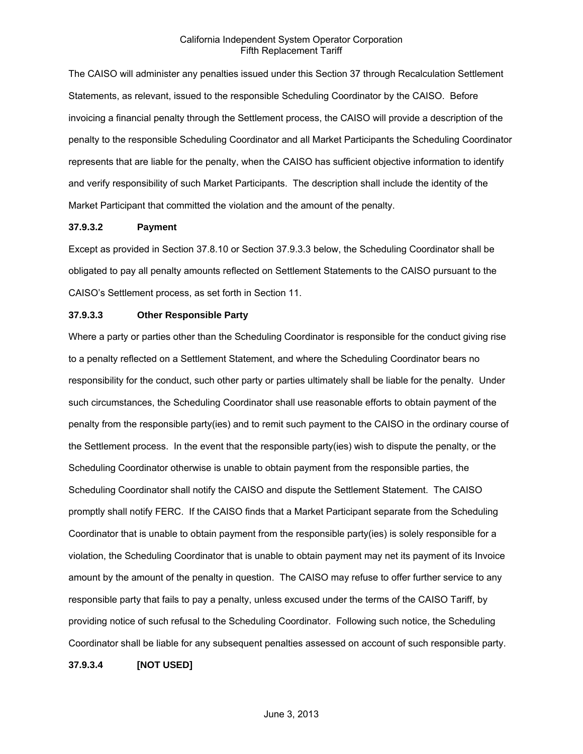The CAISO will administer any penalties issued under this Section 37 through Recalculation Settlement Statements, as relevant, issued to the responsible Scheduling Coordinator by the CAISO. Before invoicing a financial penalty through the Settlement process, the CAISO will provide a description of the penalty to the responsible Scheduling Coordinator and all Market Participants the Scheduling Coordinator represents that are liable for the penalty, when the CAISO has sufficient objective information to identify and verify responsibility of such Market Participants. The description shall include the identity of the Market Participant that committed the violation and the amount of the penalty.

#### **37.9.3.2 Payment**

Except as provided in Section 37.8.10 or Section 37.9.3.3 below, the Scheduling Coordinator shall be obligated to pay all penalty amounts reflected on Settlement Statements to the CAISO pursuant to the CAISO's Settlement process, as set forth in Section 11.

#### **37.9.3.3 Other Responsible Party**

Where a party or parties other than the Scheduling Coordinator is responsible for the conduct giving rise to a penalty reflected on a Settlement Statement, and where the Scheduling Coordinator bears no responsibility for the conduct, such other party or parties ultimately shall be liable for the penalty. Under such circumstances, the Scheduling Coordinator shall use reasonable efforts to obtain payment of the penalty from the responsible party(ies) and to remit such payment to the CAISO in the ordinary course of the Settlement process. In the event that the responsible party(ies) wish to dispute the penalty, or the Scheduling Coordinator otherwise is unable to obtain payment from the responsible parties, the Scheduling Coordinator shall notify the CAISO and dispute the Settlement Statement. The CAISO promptly shall notify FERC. If the CAISO finds that a Market Participant separate from the Scheduling Coordinator that is unable to obtain payment from the responsible party(ies) is solely responsible for a violation, the Scheduling Coordinator that is unable to obtain payment may net its payment of its Invoice amount by the amount of the penalty in question. The CAISO may refuse to offer further service to any responsible party that fails to pay a penalty, unless excused under the terms of the CAISO Tariff, by providing notice of such refusal to the Scheduling Coordinator. Following such notice, the Scheduling Coordinator shall be liable for any subsequent penalties assessed on account of such responsible party.

**37.9.3.4 [NOT USED]**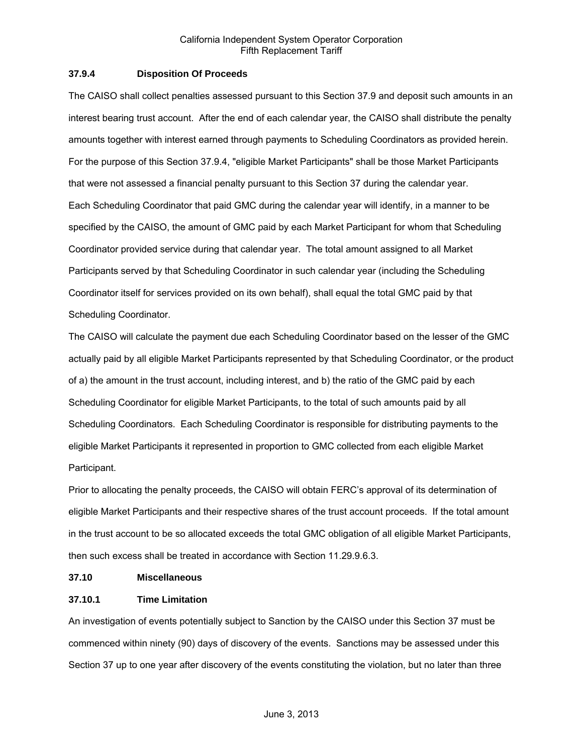## **37.9.4 Disposition Of Proceeds**

The CAISO shall collect penalties assessed pursuant to this Section 37.9 and deposit such amounts in an interest bearing trust account. After the end of each calendar year, the CAISO shall distribute the penalty amounts together with interest earned through payments to Scheduling Coordinators as provided herein. For the purpose of this Section 37.9.4, "eligible Market Participants" shall be those Market Participants that were not assessed a financial penalty pursuant to this Section 37 during the calendar year. Each Scheduling Coordinator that paid GMC during the calendar year will identify, in a manner to be specified by the CAISO, the amount of GMC paid by each Market Participant for whom that Scheduling Coordinator provided service during that calendar year. The total amount assigned to all Market Participants served by that Scheduling Coordinator in such calendar year (including the Scheduling Coordinator itself for services provided on its own behalf), shall equal the total GMC paid by that Scheduling Coordinator.

The CAISO will calculate the payment due each Scheduling Coordinator based on the lesser of the GMC actually paid by all eligible Market Participants represented by that Scheduling Coordinator, or the product of a) the amount in the trust account, including interest, and b) the ratio of the GMC paid by each Scheduling Coordinator for eligible Market Participants, to the total of such amounts paid by all Scheduling Coordinators. Each Scheduling Coordinator is responsible for distributing payments to the eligible Market Participants it represented in proportion to GMC collected from each eligible Market Participant.

Prior to allocating the penalty proceeds, the CAISO will obtain FERC's approval of its determination of eligible Market Participants and their respective shares of the trust account proceeds. If the total amount in the trust account to be so allocated exceeds the total GMC obligation of all eligible Market Participants, then such excess shall be treated in accordance with Section 11.29.9.6.3.

#### **37.10 Miscellaneous**

# **37.10.1 Time Limitation**

An investigation of events potentially subject to Sanction by the CAISO under this Section 37 must be commenced within ninety (90) days of discovery of the events. Sanctions may be assessed under this Section 37 up to one year after discovery of the events constituting the violation, but no later than three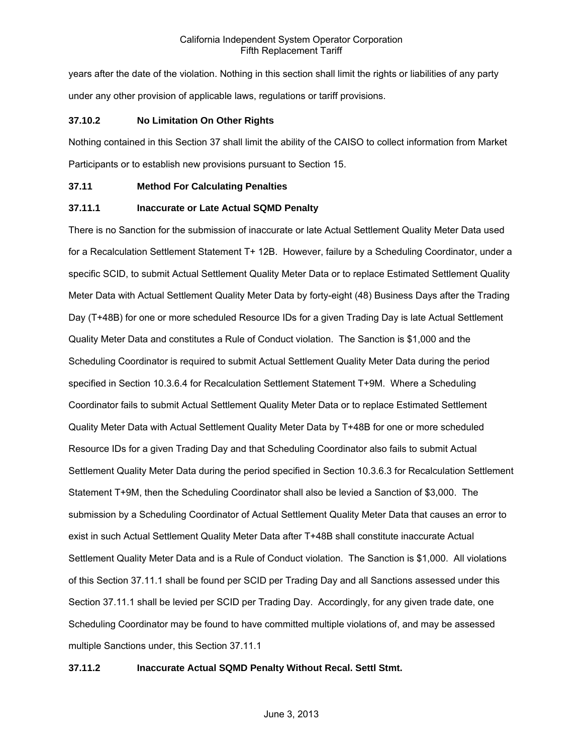years after the date of the violation. Nothing in this section shall limit the rights or liabilities of any party under any other provision of applicable laws, regulations or tariff provisions.

## **37.10.2 No Limitation On Other Rights**

Nothing contained in this Section 37 shall limit the ability of the CAISO to collect information from Market Participants or to establish new provisions pursuant to Section 15.

#### **37.11 Method For Calculating Penalties**

## **37.11.1 Inaccurate or Late Actual SQMD Penalty**

There is no Sanction for the submission of inaccurate or late Actual Settlement Quality Meter Data used for a Recalculation Settlement Statement T+ 12B. However, failure by a Scheduling Coordinator, under a specific SCID, to submit Actual Settlement Quality Meter Data or to replace Estimated Settlement Quality Meter Data with Actual Settlement Quality Meter Data by forty-eight (48) Business Days after the Trading Day (T+48B) for one or more scheduled Resource IDs for a given Trading Day is late Actual Settlement Quality Meter Data and constitutes a Rule of Conduct violation. The Sanction is \$1,000 and the Scheduling Coordinator is required to submit Actual Settlement Quality Meter Data during the period specified in Section 10.3.6.4 for Recalculation Settlement Statement T+9M. Where a Scheduling Coordinator fails to submit Actual Settlement Quality Meter Data or to replace Estimated Settlement Quality Meter Data with Actual Settlement Quality Meter Data by T+48B for one or more scheduled Resource IDs for a given Trading Day and that Scheduling Coordinator also fails to submit Actual Settlement Quality Meter Data during the period specified in Section 10.3.6.3 for Recalculation Settlement Statement T+9M, then the Scheduling Coordinator shall also be levied a Sanction of \$3,000. The submission by a Scheduling Coordinator of Actual Settlement Quality Meter Data that causes an error to exist in such Actual Settlement Quality Meter Data after T+48B shall constitute inaccurate Actual Settlement Quality Meter Data and is a Rule of Conduct violation. The Sanction is \$1,000. All violations of this Section 37.11.1 shall be found per SCID per Trading Day and all Sanctions assessed under this Section 37.11.1 shall be levied per SCID per Trading Day. Accordingly, for any given trade date, one Scheduling Coordinator may be found to have committed multiple violations of, and may be assessed multiple Sanctions under, this Section 37.11.1

# **37.11.2 Inaccurate Actual SQMD Penalty Without Recal. Settl Stmt.**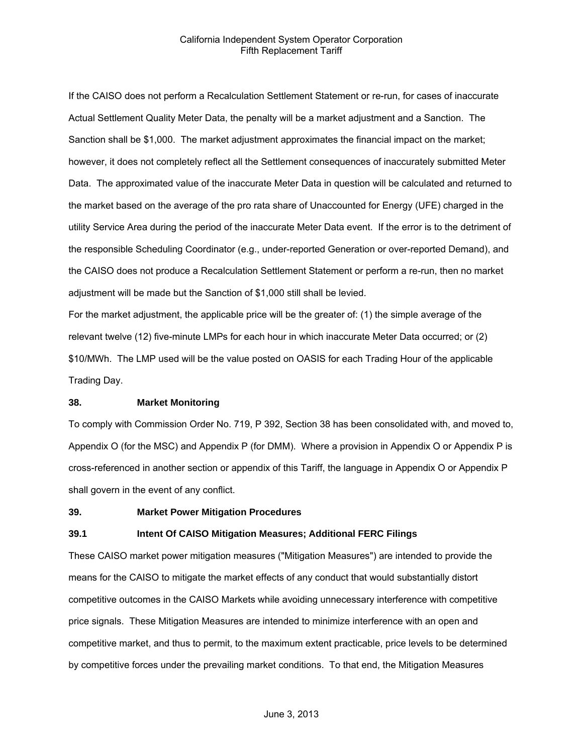If the CAISO does not perform a Recalculation Settlement Statement or re-run, for cases of inaccurate Actual Settlement Quality Meter Data, the penalty will be a market adjustment and a Sanction. The Sanction shall be \$1,000. The market adjustment approximates the financial impact on the market; however, it does not completely reflect all the Settlement consequences of inaccurately submitted Meter Data. The approximated value of the inaccurate Meter Data in question will be calculated and returned to the market based on the average of the pro rata share of Unaccounted for Energy (UFE) charged in the utility Service Area during the period of the inaccurate Meter Data event. If the error is to the detriment of the responsible Scheduling Coordinator (e.g., under-reported Generation or over-reported Demand), and the CAISO does not produce a Recalculation Settlement Statement or perform a re-run, then no market adjustment will be made but the Sanction of \$1,000 still shall be levied.

For the market adjustment, the applicable price will be the greater of: (1) the simple average of the relevant twelve (12) five-minute LMPs for each hour in which inaccurate Meter Data occurred; or (2) \$10/MWh. The LMP used will be the value posted on OASIS for each Trading Hour of the applicable Trading Day.

#### **38. Market Monitoring**

To comply with Commission Order No. 719, P 392, Section 38 has been consolidated with, and moved to, Appendix O (for the MSC) and Appendix P (for DMM). Where a provision in Appendix O or Appendix P is cross-referenced in another section or appendix of this Tariff, the language in Appendix O or Appendix P shall govern in the event of any conflict.

#### **39. Market Power Mitigation Procedures**

#### **39.1 Intent Of CAISO Mitigation Measures; Additional FERC Filings**

These CAISO market power mitigation measures ("Mitigation Measures") are intended to provide the means for the CAISO to mitigate the market effects of any conduct that would substantially distort competitive outcomes in the CAISO Markets while avoiding unnecessary interference with competitive price signals. These Mitigation Measures are intended to minimize interference with an open and competitive market, and thus to permit, to the maximum extent practicable, price levels to be determined by competitive forces under the prevailing market conditions. To that end, the Mitigation Measures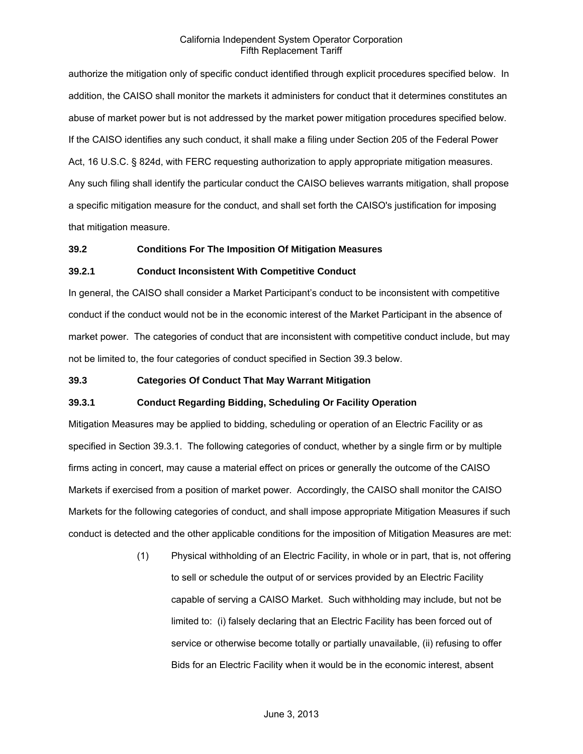authorize the mitigation only of specific conduct identified through explicit procedures specified below. In addition, the CAISO shall monitor the markets it administers for conduct that it determines constitutes an abuse of market power but is not addressed by the market power mitigation procedures specified below. If the CAISO identifies any such conduct, it shall make a filing under Section 205 of the Federal Power Act, 16 U.S.C. § 824d, with FERC requesting authorization to apply appropriate mitigation measures. Any such filing shall identify the particular conduct the CAISO believes warrants mitigation, shall propose a specific mitigation measure for the conduct, and shall set forth the CAISO's justification for imposing that mitigation measure.

#### **39.2 Conditions For The Imposition Of Mitigation Measures**

#### **39.2.1 Conduct Inconsistent With Competitive Conduct**

In general, the CAISO shall consider a Market Participant's conduct to be inconsistent with competitive conduct if the conduct would not be in the economic interest of the Market Participant in the absence of market power. The categories of conduct that are inconsistent with competitive conduct include, but may not be limited to, the four categories of conduct specified in Section 39.3 below.

#### **39.3 Categories Of Conduct That May Warrant Mitigation**

# **39.3.1 Conduct Regarding Bidding, Scheduling Or Facility Operation**

Mitigation Measures may be applied to bidding, scheduling or operation of an Electric Facility or as specified in Section 39.3.1. The following categories of conduct, whether by a single firm or by multiple firms acting in concert, may cause a material effect on prices or generally the outcome of the CAISO Markets if exercised from a position of market power. Accordingly, the CAISO shall monitor the CAISO Markets for the following categories of conduct, and shall impose appropriate Mitigation Measures if such conduct is detected and the other applicable conditions for the imposition of Mitigation Measures are met:

> (1) Physical withholding of an Electric Facility, in whole or in part, that is, not offering to sell or schedule the output of or services provided by an Electric Facility capable of serving a CAISO Market. Such withholding may include, but not be limited to: (i) falsely declaring that an Electric Facility has been forced out of service or otherwise become totally or partially unavailable, (ii) refusing to offer Bids for an Electric Facility when it would be in the economic interest, absent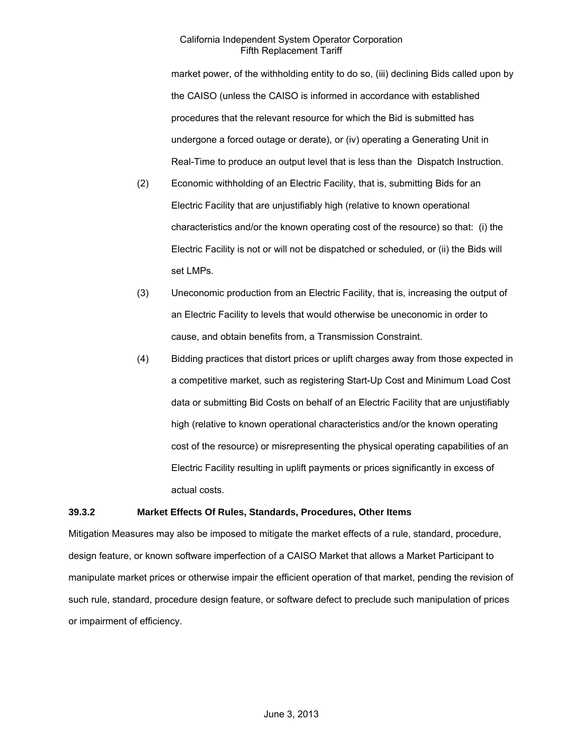market power, of the withholding entity to do so, (iii) declining Bids called upon by the CAISO (unless the CAISO is informed in accordance with established procedures that the relevant resource for which the Bid is submitted has undergone a forced outage or derate), or (iv) operating a Generating Unit in Real-Time to produce an output level that is less than the Dispatch Instruction.

- (2) Economic withholding of an Electric Facility, that is, submitting Bids for an Electric Facility that are unjustifiably high (relative to known operational characteristics and/or the known operating cost of the resource) so that: (i) the Electric Facility is not or will not be dispatched or scheduled, or (ii) the Bids will set LMPs.
- (3) Uneconomic production from an Electric Facility, that is, increasing the output of an Electric Facility to levels that would otherwise be uneconomic in order to cause, and obtain benefits from, a Transmission Constraint.
- (4) Bidding practices that distort prices or uplift charges away from those expected in a competitive market, such as registering Start-Up Cost and Minimum Load Cost data or submitting Bid Costs on behalf of an Electric Facility that are unjustifiably high (relative to known operational characteristics and/or the known operating cost of the resource) or misrepresenting the physical operating capabilities of an Electric Facility resulting in uplift payments or prices significantly in excess of actual costs.

#### **39.3.2 Market Effects Of Rules, Standards, Procedures, Other Items**

Mitigation Measures may also be imposed to mitigate the market effects of a rule, standard, procedure, design feature, or known software imperfection of a CAISO Market that allows a Market Participant to manipulate market prices or otherwise impair the efficient operation of that market, pending the revision of such rule, standard, procedure design feature, or software defect to preclude such manipulation of prices or impairment of efficiency.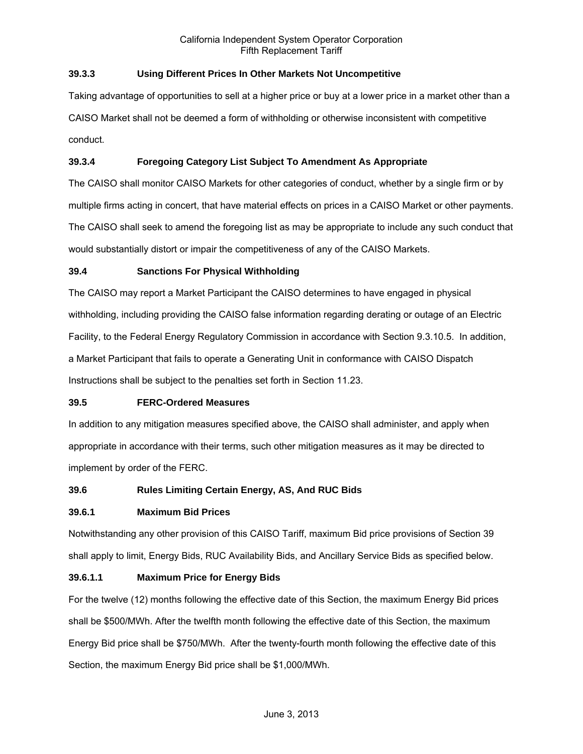# **39.3.3 Using Different Prices In Other Markets Not Uncompetitive**

Taking advantage of opportunities to sell at a higher price or buy at a lower price in a market other than a CAISO Market shall not be deemed a form of withholding or otherwise inconsistent with competitive conduct.

# **39.3.4 Foregoing Category List Subject To Amendment As Appropriate**

The CAISO shall monitor CAISO Markets for other categories of conduct, whether by a single firm or by multiple firms acting in concert, that have material effects on prices in a CAISO Market or other payments. The CAISO shall seek to amend the foregoing list as may be appropriate to include any such conduct that would substantially distort or impair the competitiveness of any of the CAISO Markets.

# **39.4 Sanctions For Physical Withholding**

The CAISO may report a Market Participant the CAISO determines to have engaged in physical withholding, including providing the CAISO false information regarding derating or outage of an Electric Facility, to the Federal Energy Regulatory Commission in accordance with Section 9.3.10.5. In addition, a Market Participant that fails to operate a Generating Unit in conformance with CAISO Dispatch Instructions shall be subject to the penalties set forth in Section 11.23.

# **39.5 FERC-Ordered Measures**

In addition to any mitigation measures specified above, the CAISO shall administer, and apply when appropriate in accordance with their terms, such other mitigation measures as it may be directed to implement by order of the FERC.

# **39.6 Rules Limiting Certain Energy, AS, And RUC Bids**

# **39.6.1 Maximum Bid Prices**

Notwithstanding any other provision of this CAISO Tariff, maximum Bid price provisions of Section 39 shall apply to limit, Energy Bids, RUC Availability Bids, and Ancillary Service Bids as specified below.

# **39.6.1.1 Maximum Price for Energy Bids**

For the twelve (12) months following the effective date of this Section, the maximum Energy Bid prices shall be \$500/MWh. After the twelfth month following the effective date of this Section, the maximum Energy Bid price shall be \$750/MWh. After the twenty-fourth month following the effective date of this Section, the maximum Energy Bid price shall be \$1,000/MWh.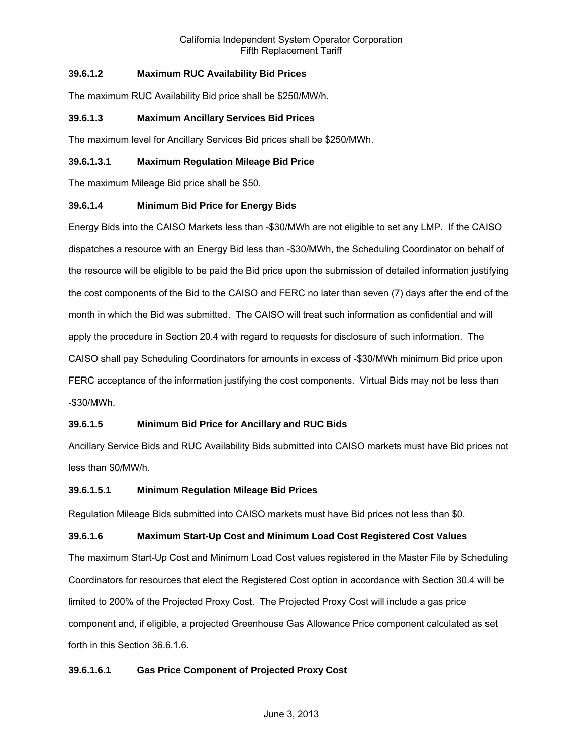# **39.6.1.2 Maximum RUC Availability Bid Prices**

The maximum RUC Availability Bid price shall be \$250/MW/h.

# **39.6.1.3 Maximum Ancillary Services Bid Prices**

The maximum level for Ancillary Services Bid prices shall be \$250/MWh.

## **39.6.1.3.1 Maximum Regulation Mileage Bid Price**

The maximum Mileage Bid price shall be \$50.

# **39.6.1.4 Minimum Bid Price for Energy Bids**

Energy Bids into the CAISO Markets less than -\$30/MWh are not eligible to set any LMP. If the CAISO dispatches a resource with an Energy Bid less than -\$30/MWh, the Scheduling Coordinator on behalf of the resource will be eligible to be paid the Bid price upon the submission of detailed information justifying the cost components of the Bid to the CAISO and FERC no later than seven (7) days after the end of the month in which the Bid was submitted. The CAISO will treat such information as confidential and will apply the procedure in Section 20.4 with regard to requests for disclosure of such information. The CAISO shall pay Scheduling Coordinators for amounts in excess of -\$30/MWh minimum Bid price upon FERC acceptance of the information justifying the cost components. Virtual Bids may not be less than -\$30/MWh.

# **39.6.1.5 Minimum Bid Price for Ancillary and RUC Bids**

Ancillary Service Bids and RUC Availability Bids submitted into CAISO markets must have Bid prices not less than \$0/MW/h.

#### **39.6.1.5.1 Minimum Regulation Mileage Bid Prices**

Regulation Mileage Bids submitted into CAISO markets must have Bid prices not less than \$0.

#### **39.6.1.6 Maximum Start-Up Cost and Minimum Load Cost Registered Cost Values**

The maximum Start-Up Cost and Minimum Load Cost values registered in the Master File by Scheduling Coordinators for resources that elect the Registered Cost option in accordance with Section 30.4 will be limited to 200% of the Projected Proxy Cost. The Projected Proxy Cost will include a gas price component and, if eligible, a projected Greenhouse Gas Allowance Price component calculated as set forth in this Section 36.6.1.6.

# **39.6.1.6.1 Gas Price Component of Projected Proxy Cost**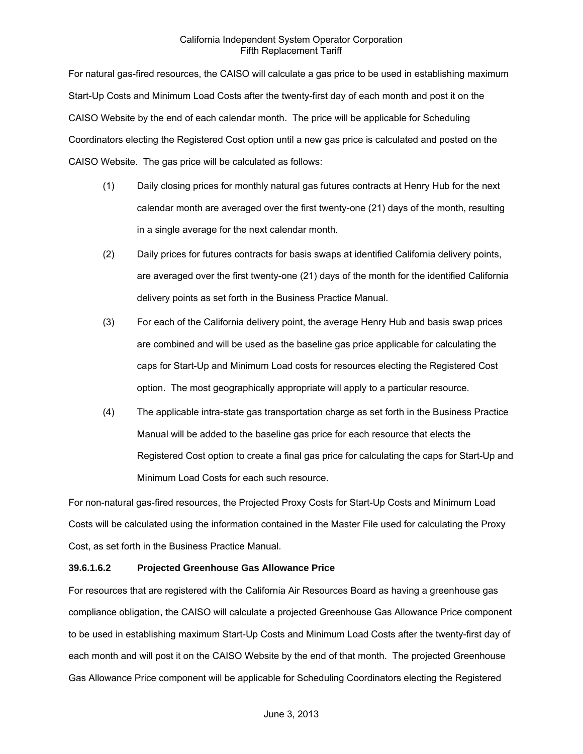For natural gas-fired resources, the CAISO will calculate a gas price to be used in establishing maximum Start-Up Costs and Minimum Load Costs after the twenty-first day of each month and post it on the CAISO Website by the end of each calendar month. The price will be applicable for Scheduling Coordinators electing the Registered Cost option until a new gas price is calculated and posted on the CAISO Website. The gas price will be calculated as follows:

- (1) Daily closing prices for monthly natural gas futures contracts at Henry Hub for the next calendar month are averaged over the first twenty-one (21) days of the month, resulting in a single average for the next calendar month.
- (2) Daily prices for futures contracts for basis swaps at identified California delivery points, are averaged over the first twenty-one (21) days of the month for the identified California delivery points as set forth in the Business Practice Manual.
- (3) For each of the California delivery point, the average Henry Hub and basis swap prices are combined and will be used as the baseline gas price applicable for calculating the caps for Start-Up and Minimum Load costs for resources electing the Registered Cost option. The most geographically appropriate will apply to a particular resource.
- (4) The applicable intra-state gas transportation charge as set forth in the Business Practice Manual will be added to the baseline gas price for each resource that elects the Registered Cost option to create a final gas price for calculating the caps for Start-Up and Minimum Load Costs for each such resource.

For non-natural gas-fired resources, the Projected Proxy Costs for Start-Up Costs and Minimum Load Costs will be calculated using the information contained in the Master File used for calculating the Proxy Cost, as set forth in the Business Practice Manual.

# **39.6.1.6.2 Projected Greenhouse Gas Allowance Price**

For resources that are registered with the California Air Resources Board as having a greenhouse gas compliance obligation, the CAISO will calculate a projected Greenhouse Gas Allowance Price component to be used in establishing maximum Start-Up Costs and Minimum Load Costs after the twenty-first day of each month and will post it on the CAISO Website by the end of that month. The projected Greenhouse Gas Allowance Price component will be applicable for Scheduling Coordinators electing the Registered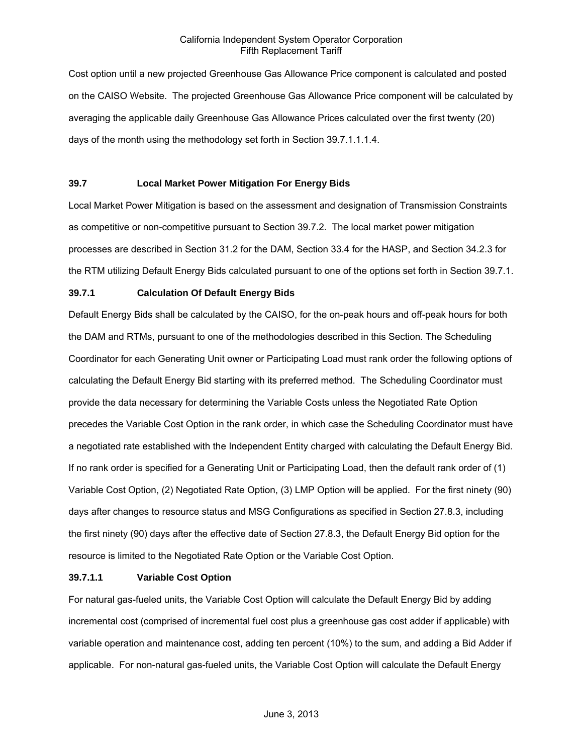Cost option until a new projected Greenhouse Gas Allowance Price component is calculated and posted on the CAISO Website. The projected Greenhouse Gas Allowance Price component will be calculated by averaging the applicable daily Greenhouse Gas Allowance Prices calculated over the first twenty (20) days of the month using the methodology set forth in Section 39.7.1.1.1.4.

# **39.7 Local Market Power Mitigation For Energy Bids**

Local Market Power Mitigation is based on the assessment and designation of Transmission Constraints as competitive or non-competitive pursuant to Section 39.7.2. The local market power mitigation processes are described in Section 31.2 for the DAM, Section 33.4 for the HASP, and Section 34.2.3 for the RTM utilizing Default Energy Bids calculated pursuant to one of the options set forth in Section 39.7.1.

# **39.7.1 Calculation Of Default Energy Bids**

Default Energy Bids shall be calculated by the CAISO, for the on-peak hours and off-peak hours for both the DAM and RTMs, pursuant to one of the methodologies described in this Section. The Scheduling Coordinator for each Generating Unit owner or Participating Load must rank order the following options of calculating the Default Energy Bid starting with its preferred method. The Scheduling Coordinator must provide the data necessary for determining the Variable Costs unless the Negotiated Rate Option precedes the Variable Cost Option in the rank order, in which case the Scheduling Coordinator must have a negotiated rate established with the Independent Entity charged with calculating the Default Energy Bid. If no rank order is specified for a Generating Unit or Participating Load, then the default rank order of (1) Variable Cost Option, (2) Negotiated Rate Option, (3) LMP Option will be applied. For the first ninety (90) days after changes to resource status and MSG Configurations as specified in Section 27.8.3, including the first ninety (90) days after the effective date of Section 27.8.3, the Default Energy Bid option for the resource is limited to the Negotiated Rate Option or the Variable Cost Option.

#### **39.7.1.1 Variable Cost Option**

For natural gas-fueled units, the Variable Cost Option will calculate the Default Energy Bid by adding incremental cost (comprised of incremental fuel cost plus a greenhouse gas cost adder if applicable) with variable operation and maintenance cost, adding ten percent (10%) to the sum, and adding a Bid Adder if applicable. For non-natural gas-fueled units, the Variable Cost Option will calculate the Default Energy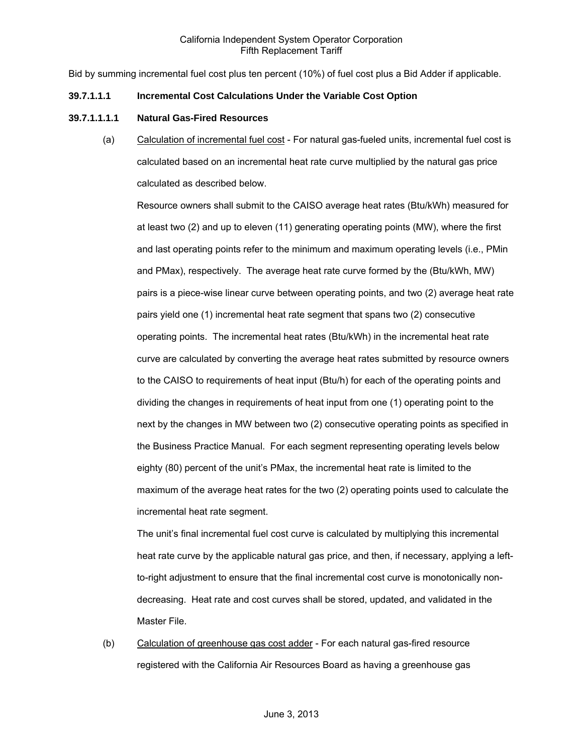Bid by summing incremental fuel cost plus ten percent (10%) of fuel cost plus a Bid Adder if applicable.

#### **39.7.1.1.1 Incremental Cost Calculations Under the Variable Cost Option**

#### **39.7.1.1.1.1 Natural Gas-Fired Resources**

(a) Calculation of incremental fuel cost - For natural gas-fueled units, incremental fuel cost is calculated based on an incremental heat rate curve multiplied by the natural gas price calculated as described below.

Resource owners shall submit to the CAISO average heat rates (Btu/kWh) measured for at least two (2) and up to eleven (11) generating operating points (MW), where the first and last operating points refer to the minimum and maximum operating levels (i.e., PMin and PMax), respectively. The average heat rate curve formed by the (Btu/kWh, MW) pairs is a piece-wise linear curve between operating points, and two (2) average heat rate pairs yield one (1) incremental heat rate segment that spans two (2) consecutive operating points. The incremental heat rates (Btu/kWh) in the incremental heat rate curve are calculated by converting the average heat rates submitted by resource owners to the CAISO to requirements of heat input (Btu/h) for each of the operating points and dividing the changes in requirements of heat input from one (1) operating point to the next by the changes in MW between two (2) consecutive operating points as specified in the Business Practice Manual. For each segment representing operating levels below eighty (80) percent of the unit's PMax, the incremental heat rate is limited to the maximum of the average heat rates for the two (2) operating points used to calculate the incremental heat rate segment.

The unit's final incremental fuel cost curve is calculated by multiplying this incremental heat rate curve by the applicable natural gas price, and then, if necessary, applying a leftto-right adjustment to ensure that the final incremental cost curve is monotonically nondecreasing. Heat rate and cost curves shall be stored, updated, and validated in the Master File.

(b) Calculation of greenhouse gas cost adder - For each natural gas-fired resource registered with the California Air Resources Board as having a greenhouse gas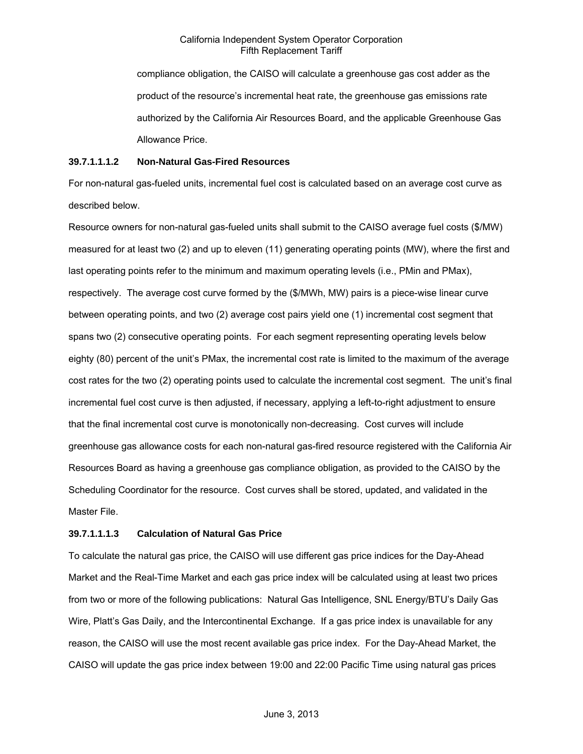compliance obligation, the CAISO will calculate a greenhouse gas cost adder as the product of the resource's incremental heat rate, the greenhouse gas emissions rate authorized by the California Air Resources Board, and the applicable Greenhouse Gas Allowance Price.

#### **39.7.1.1.1.2 Non-Natural Gas-Fired Resources**

For non-natural gas-fueled units, incremental fuel cost is calculated based on an average cost curve as described below.

Resource owners for non-natural gas-fueled units shall submit to the CAISO average fuel costs (\$/MW) measured for at least two (2) and up to eleven (11) generating operating points (MW), where the first and last operating points refer to the minimum and maximum operating levels (i.e., PMin and PMax), respectively. The average cost curve formed by the (\$/MWh, MW) pairs is a piece-wise linear curve between operating points, and two (2) average cost pairs yield one (1) incremental cost segment that spans two (2) consecutive operating points. For each segment representing operating levels below eighty (80) percent of the unit's PMax, the incremental cost rate is limited to the maximum of the average cost rates for the two (2) operating points used to calculate the incremental cost segment. The unit's final incremental fuel cost curve is then adjusted, if necessary, applying a left-to-right adjustment to ensure that the final incremental cost curve is monotonically non-decreasing. Cost curves will include greenhouse gas allowance costs for each non-natural gas-fired resource registered with the California Air Resources Board as having a greenhouse gas compliance obligation, as provided to the CAISO by the Scheduling Coordinator for the resource. Cost curves shall be stored, updated, and validated in the Master File.

# **39.7.1.1.1.3 Calculation of Natural Gas Price**

To calculate the natural gas price, the CAISO will use different gas price indices for the Day-Ahead Market and the Real-Time Market and each gas price index will be calculated using at least two prices from two or more of the following publications: Natural Gas Intelligence, SNL Energy/BTU's Daily Gas Wire, Platt's Gas Daily, and the Intercontinental Exchange. If a gas price index is unavailable for any reason, the CAISO will use the most recent available gas price index. For the Day-Ahead Market, the CAISO will update the gas price index between 19:00 and 22:00 Pacific Time using natural gas prices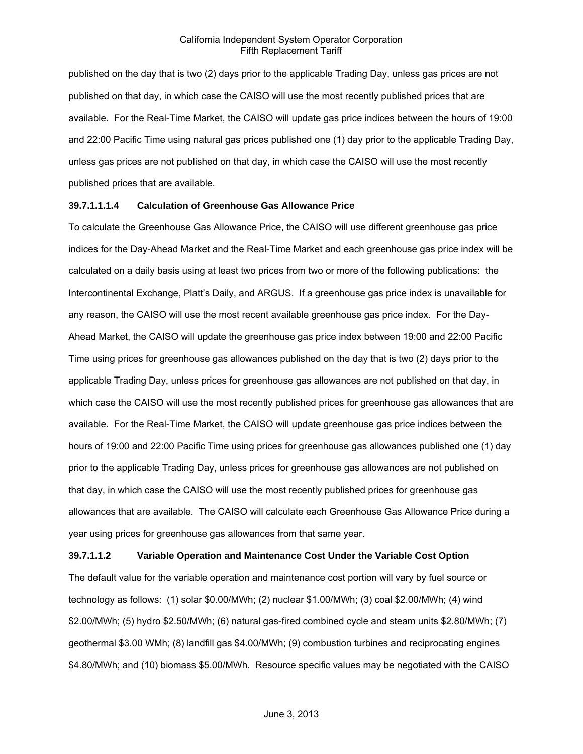published on the day that is two (2) days prior to the applicable Trading Day, unless gas prices are not published on that day, in which case the CAISO will use the most recently published prices that are available. For the Real-Time Market, the CAISO will update gas price indices between the hours of 19:00 and 22:00 Pacific Time using natural gas prices published one (1) day prior to the applicable Trading Day, unless gas prices are not published on that day, in which case the CAISO will use the most recently published prices that are available.

#### **39.7.1.1.1.4 Calculation of Greenhouse Gas Allowance Price**

To calculate the Greenhouse Gas Allowance Price, the CAISO will use different greenhouse gas price indices for the Day-Ahead Market and the Real-Time Market and each greenhouse gas price index will be calculated on a daily basis using at least two prices from two or more of the following publications: the Intercontinental Exchange, Platt's Daily, and ARGUS. If a greenhouse gas price index is unavailable for any reason, the CAISO will use the most recent available greenhouse gas price index. For the Day-Ahead Market, the CAISO will update the greenhouse gas price index between 19:00 and 22:00 Pacific Time using prices for greenhouse gas allowances published on the day that is two (2) days prior to the applicable Trading Day, unless prices for greenhouse gas allowances are not published on that day, in which case the CAISO will use the most recently published prices for greenhouse gas allowances that are available. For the Real-Time Market, the CAISO will update greenhouse gas price indices between the hours of 19:00 and 22:00 Pacific Time using prices for greenhouse gas allowances published one (1) day prior to the applicable Trading Day, unless prices for greenhouse gas allowances are not published on that day, in which case the CAISO will use the most recently published prices for greenhouse gas allowances that are available. The CAISO will calculate each Greenhouse Gas Allowance Price during a year using prices for greenhouse gas allowances from that same year.

#### **39.7.1.1.2 Variable Operation and Maintenance Cost Under the Variable Cost Option**

The default value for the variable operation and maintenance cost portion will vary by fuel source or technology as follows: (1) solar \$0.00/MWh; (2) nuclear \$1.00/MWh; (3) coal \$2.00/MWh; (4) wind \$2.00/MWh; (5) hydro \$2.50/MWh; (6) natural gas-fired combined cycle and steam units \$2.80/MWh; (7) geothermal \$3.00 WMh; (8) landfill gas \$4.00/MWh; (9) combustion turbines and reciprocating engines \$4.80/MWh; and (10) biomass \$5.00/MWh. Resource specific values may be negotiated with the CAISO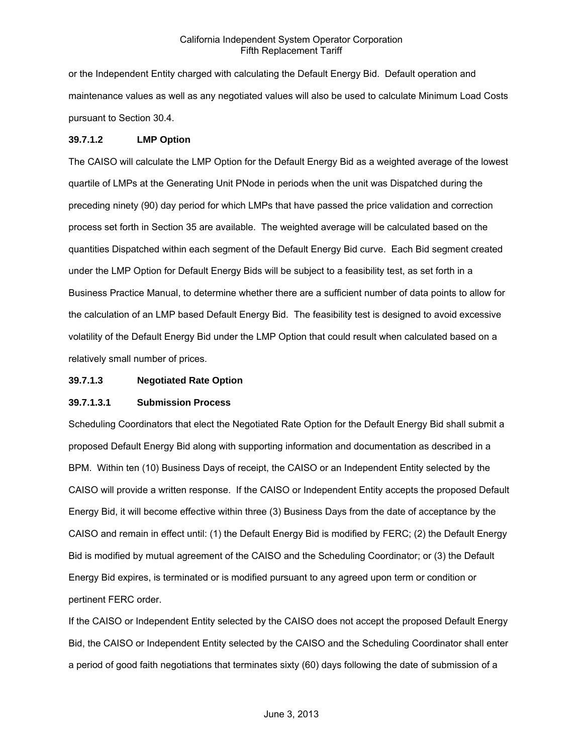or the Independent Entity charged with calculating the Default Energy Bid. Default operation and maintenance values as well as any negotiated values will also be used to calculate Minimum Load Costs pursuant to Section 30.4.

#### **39.7.1.2 LMP Option**

The CAISO will calculate the LMP Option for the Default Energy Bid as a weighted average of the lowest quartile of LMPs at the Generating Unit PNode in periods when the unit was Dispatched during the preceding ninety (90) day period for which LMPs that have passed the price validation and correction process set forth in Section 35 are available. The weighted average will be calculated based on the quantities Dispatched within each segment of the Default Energy Bid curve. Each Bid segment created under the LMP Option for Default Energy Bids will be subject to a feasibility test, as set forth in a Business Practice Manual, to determine whether there are a sufficient number of data points to allow for the calculation of an LMP based Default Energy Bid. The feasibility test is designed to avoid excessive volatility of the Default Energy Bid under the LMP Option that could result when calculated based on a relatively small number of prices.

### **39.7.1.3 Negotiated Rate Option**

# **39.7.1.3.1 Submission Process**

Scheduling Coordinators that elect the Negotiated Rate Option for the Default Energy Bid shall submit a proposed Default Energy Bid along with supporting information and documentation as described in a BPM. Within ten (10) Business Days of receipt, the CAISO or an Independent Entity selected by the CAISO will provide a written response. If the CAISO or Independent Entity accepts the proposed Default Energy Bid, it will become effective within three (3) Business Days from the date of acceptance by the CAISO and remain in effect until: (1) the Default Energy Bid is modified by FERC; (2) the Default Energy Bid is modified by mutual agreement of the CAISO and the Scheduling Coordinator; or (3) the Default Energy Bid expires, is terminated or is modified pursuant to any agreed upon term or condition or pertinent FERC order.

If the CAISO or Independent Entity selected by the CAISO does not accept the proposed Default Energy Bid, the CAISO or Independent Entity selected by the CAISO and the Scheduling Coordinator shall enter a period of good faith negotiations that terminates sixty (60) days following the date of submission of a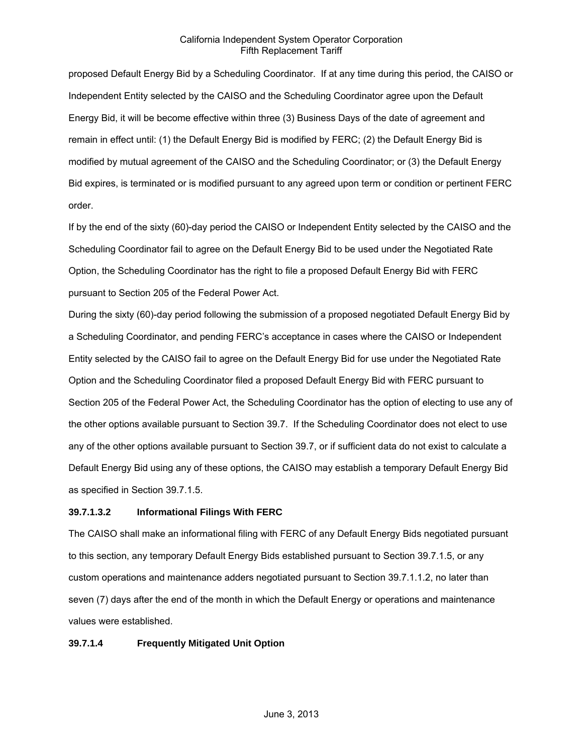proposed Default Energy Bid by a Scheduling Coordinator. If at any time during this period, the CAISO or Independent Entity selected by the CAISO and the Scheduling Coordinator agree upon the Default Energy Bid, it will be become effective within three (3) Business Days of the date of agreement and remain in effect until: (1) the Default Energy Bid is modified by FERC; (2) the Default Energy Bid is modified by mutual agreement of the CAISO and the Scheduling Coordinator; or (3) the Default Energy Bid expires, is terminated or is modified pursuant to any agreed upon term or condition or pertinent FERC order.

If by the end of the sixty (60)-day period the CAISO or Independent Entity selected by the CAISO and the Scheduling Coordinator fail to agree on the Default Energy Bid to be used under the Negotiated Rate Option, the Scheduling Coordinator has the right to file a proposed Default Energy Bid with FERC pursuant to Section 205 of the Federal Power Act.

During the sixty (60)-day period following the submission of a proposed negotiated Default Energy Bid by a Scheduling Coordinator, and pending FERC's acceptance in cases where the CAISO or Independent Entity selected by the CAISO fail to agree on the Default Energy Bid for use under the Negotiated Rate Option and the Scheduling Coordinator filed a proposed Default Energy Bid with FERC pursuant to Section 205 of the Federal Power Act, the Scheduling Coordinator has the option of electing to use any of the other options available pursuant to Section 39.7. If the Scheduling Coordinator does not elect to use any of the other options available pursuant to Section 39.7, or if sufficient data do not exist to calculate a Default Energy Bid using any of these options, the CAISO may establish a temporary Default Energy Bid as specified in Section 39.7.1.5.

#### **39.7.1.3.2 Informational Filings With FERC**

The CAISO shall make an informational filing with FERC of any Default Energy Bids negotiated pursuant to this section, any temporary Default Energy Bids established pursuant to Section 39.7.1.5, or any custom operations and maintenance adders negotiated pursuant to Section 39.7.1.1.2, no later than seven (7) days after the end of the month in which the Default Energy or operations and maintenance values were established.

#### **39.7.1.4 Frequently Mitigated Unit Option**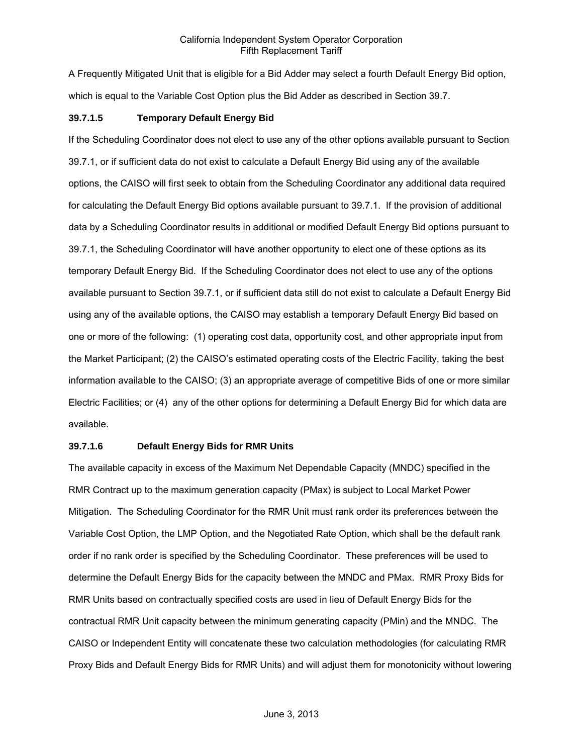A Frequently Mitigated Unit that is eligible for a Bid Adder may select a fourth Default Energy Bid option, which is equal to the Variable Cost Option plus the Bid Adder as described in Section 39.7.

#### **39.7.1.5 Temporary Default Energy Bid**

If the Scheduling Coordinator does not elect to use any of the other options available pursuant to Section 39.7.1, or if sufficient data do not exist to calculate a Default Energy Bid using any of the available options, the CAISO will first seek to obtain from the Scheduling Coordinator any additional data required for calculating the Default Energy Bid options available pursuant to 39.7.1. If the provision of additional data by a Scheduling Coordinator results in additional or modified Default Energy Bid options pursuant to 39.7.1, the Scheduling Coordinator will have another opportunity to elect one of these options as its temporary Default Energy Bid. If the Scheduling Coordinator does not elect to use any of the options available pursuant to Section 39.7.1, or if sufficient data still do not exist to calculate a Default Energy Bid using any of the available options, the CAISO may establish a temporary Default Energy Bid based on one or more of the following: (1) operating cost data, opportunity cost, and other appropriate input from the Market Participant; (2) the CAISO's estimated operating costs of the Electric Facility, taking the best information available to the CAISO; (3) an appropriate average of competitive Bids of one or more similar Electric Facilities; or (4) any of the other options for determining a Default Energy Bid for which data are available.

# **39.7.1.6 Default Energy Bids for RMR Units**

The available capacity in excess of the Maximum Net Dependable Capacity (MNDC) specified in the RMR Contract up to the maximum generation capacity (PMax) is subject to Local Market Power Mitigation. The Scheduling Coordinator for the RMR Unit must rank order its preferences between the Variable Cost Option, the LMP Option, and the Negotiated Rate Option, which shall be the default rank order if no rank order is specified by the Scheduling Coordinator. These preferences will be used to determine the Default Energy Bids for the capacity between the MNDC and PMax. RMR Proxy Bids for RMR Units based on contractually specified costs are used in lieu of Default Energy Bids for the contractual RMR Unit capacity between the minimum generating capacity (PMin) and the MNDC. The CAISO or Independent Entity will concatenate these two calculation methodologies (for calculating RMR Proxy Bids and Default Energy Bids for RMR Units) and will adjust them for monotonicity without lowering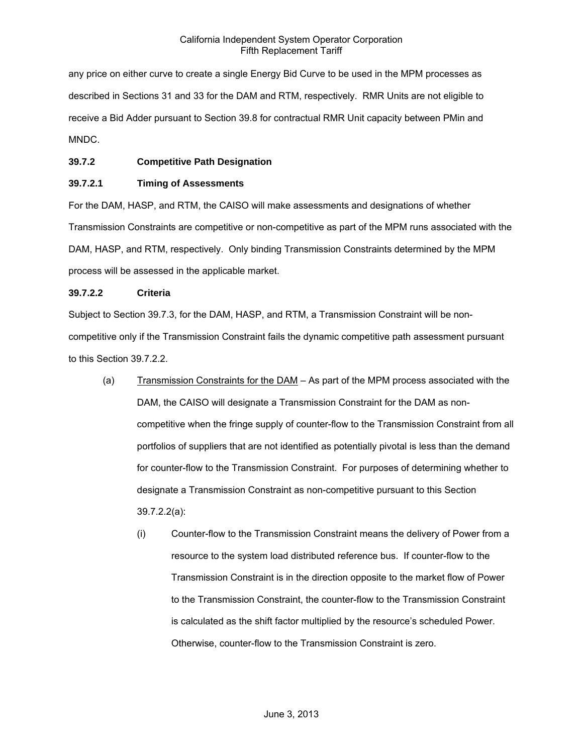any price on either curve to create a single Energy Bid Curve to be used in the MPM processes as described in Sections 31 and 33 for the DAM and RTM, respectively. RMR Units are not eligible to receive a Bid Adder pursuant to Section 39.8 for contractual RMR Unit capacity between PMin and MNDC.

## **39.7.2 Competitive Path Designation**

## **39.7.2.1 Timing of Assessments**

For the DAM, HASP, and RTM, the CAISO will make assessments and designations of whether Transmission Constraints are competitive or non-competitive as part of the MPM runs associated with the DAM, HASP, and RTM, respectively. Only binding Transmission Constraints determined by the MPM process will be assessed in the applicable market.

## **39.7.2.2 Criteria**

Subject to Section 39.7.3, for the DAM, HASP, and RTM, a Transmission Constraint will be noncompetitive only if the Transmission Constraint fails the dynamic competitive path assessment pursuant to this Section 39.7.2.2.

- (a) Transmission Constraints for the DAM As part of the MPM process associated with the DAM, the CAISO will designate a Transmission Constraint for the DAM as noncompetitive when the fringe supply of counter-flow to the Transmission Constraint from all portfolios of suppliers that are not identified as potentially pivotal is less than the demand for counter-flow to the Transmission Constraint. For purposes of determining whether to designate a Transmission Constraint as non-competitive pursuant to this Section 39.7.2.2(a):
	- (i) Counter-flow to the Transmission Constraint means the delivery of Power from a resource to the system load distributed reference bus. If counter-flow to the Transmission Constraint is in the direction opposite to the market flow of Power to the Transmission Constraint, the counter-flow to the Transmission Constraint is calculated as the shift factor multiplied by the resource's scheduled Power. Otherwise, counter-flow to the Transmission Constraint is zero.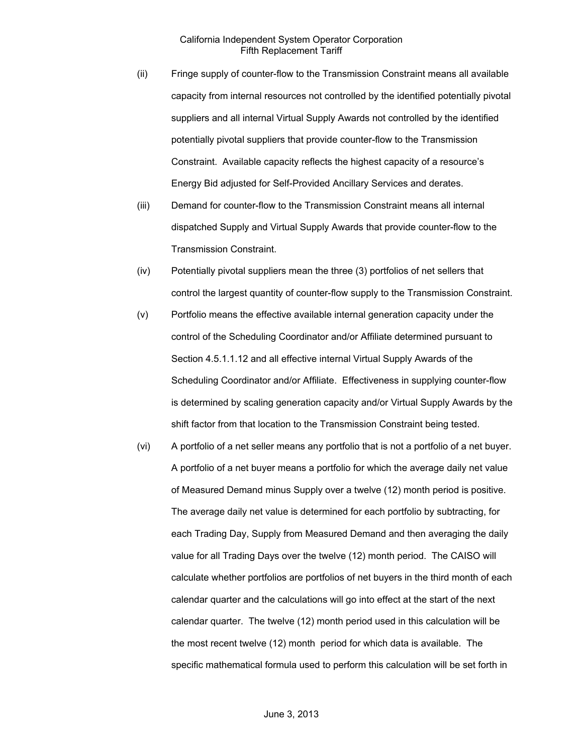- (ii) Fringe supply of counter-flow to the Transmission Constraint means all available capacity from internal resources not controlled by the identified potentially pivotal suppliers and all internal Virtual Supply Awards not controlled by the identified potentially pivotal suppliers that provide counter-flow to the Transmission Constraint. Available capacity reflects the highest capacity of a resource's Energy Bid adjusted for Self-Provided Ancillary Services and derates.
- (iii) Demand for counter-flow to the Transmission Constraint means all internal dispatched Supply and Virtual Supply Awards that provide counter-flow to the Transmission Constraint.
- (iv) Potentially pivotal suppliers mean the three (3) portfolios of net sellers that control the largest quantity of counter-flow supply to the Transmission Constraint.
- (v) Portfolio means the effective available internal generation capacity under the control of the Scheduling Coordinator and/or Affiliate determined pursuant to Section 4.5.1.1.12 and all effective internal Virtual Supply Awards of the Scheduling Coordinator and/or Affiliate. Effectiveness in supplying counter-flow is determined by scaling generation capacity and/or Virtual Supply Awards by the shift factor from that location to the Transmission Constraint being tested.
- (vi) A portfolio of a net seller means any portfolio that is not a portfolio of a net buyer. A portfolio of a net buyer means a portfolio for which the average daily net value of Measured Demand minus Supply over a twelve (12) month period is positive. The average daily net value is determined for each portfolio by subtracting, for each Trading Day, Supply from Measured Demand and then averaging the daily value for all Trading Days over the twelve (12) month period. The CAISO will calculate whether portfolios are portfolios of net buyers in the third month of each calendar quarter and the calculations will go into effect at the start of the next calendar quarter. The twelve (12) month period used in this calculation will be the most recent twelve (12) month period for which data is available. The specific mathematical formula used to perform this calculation will be set forth in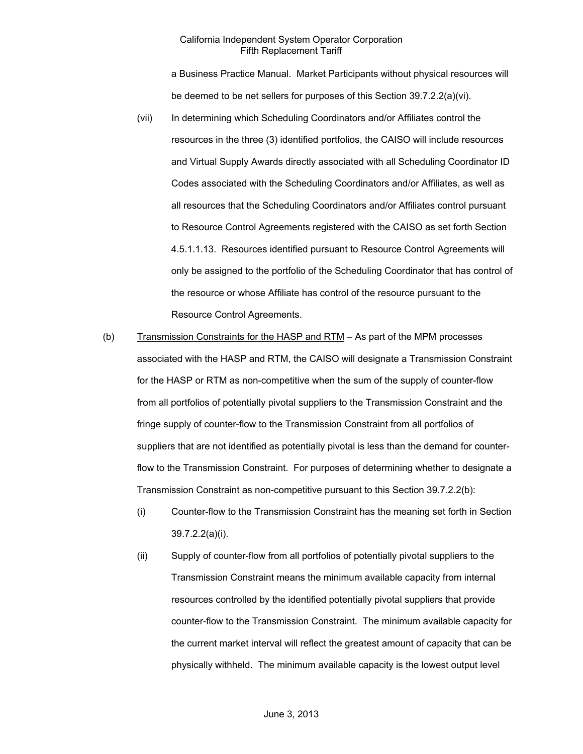a Business Practice Manual. Market Participants without physical resources will be deemed to be net sellers for purposes of this Section 39.7.2.2(a)(vi).

- (vii) In determining which Scheduling Coordinators and/or Affiliates control the resources in the three (3) identified portfolios, the CAISO will include resources and Virtual Supply Awards directly associated with all Scheduling Coordinator ID Codes associated with the Scheduling Coordinators and/or Affiliates, as well as all resources that the Scheduling Coordinators and/or Affiliates control pursuant to Resource Control Agreements registered with the CAISO as set forth Section 4.5.1.1.13. Resources identified pursuant to Resource Control Agreements will only be assigned to the portfolio of the Scheduling Coordinator that has control of the resource or whose Affiliate has control of the resource pursuant to the Resource Control Agreements.
- (b) Transmission Constraints for the HASP and RTM As part of the MPM processes associated with the HASP and RTM, the CAISO will designate a Transmission Constraint for the HASP or RTM as non-competitive when the sum of the supply of counter-flow from all portfolios of potentially pivotal suppliers to the Transmission Constraint and the fringe supply of counter-flow to the Transmission Constraint from all portfolios of suppliers that are not identified as potentially pivotal is less than the demand for counterflow to the Transmission Constraint. For purposes of determining whether to designate a Transmission Constraint as non-competitive pursuant to this Section 39.7.2.2(b):
	- (i) Counter-flow to the Transmission Constraint has the meaning set forth in Section 39.7.2.2(a)(i).
	- (ii) Supply of counter-flow from all portfolios of potentially pivotal suppliers to the Transmission Constraint means the minimum available capacity from internal resources controlled by the identified potentially pivotal suppliers that provide counter-flow to the Transmission Constraint. The minimum available capacity for the current market interval will reflect the greatest amount of capacity that can be physically withheld. The minimum available capacity is the lowest output level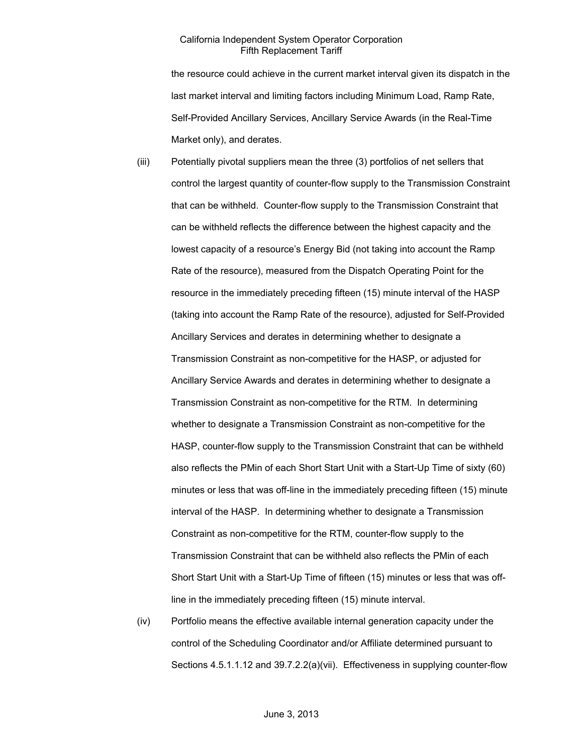the resource could achieve in the current market interval given its dispatch in the last market interval and limiting factors including Minimum Load, Ramp Rate, Self-Provided Ancillary Services, Ancillary Service Awards (in the Real-Time Market only), and derates.

- (iii) Potentially pivotal suppliers mean the three (3) portfolios of net sellers that control the largest quantity of counter-flow supply to the Transmission Constraint that can be withheld. Counter-flow supply to the Transmission Constraint that can be withheld reflects the difference between the highest capacity and the lowest capacity of a resource's Energy Bid (not taking into account the Ramp Rate of the resource), measured from the Dispatch Operating Point for the resource in the immediately preceding fifteen (15) minute interval of the HASP (taking into account the Ramp Rate of the resource), adjusted for Self-Provided Ancillary Services and derates in determining whether to designate a Transmission Constraint as non-competitive for the HASP, or adjusted for Ancillary Service Awards and derates in determining whether to designate a Transmission Constraint as non-competitive for the RTM. In determining whether to designate a Transmission Constraint as non-competitive for the HASP, counter-flow supply to the Transmission Constraint that can be withheld also reflects the PMin of each Short Start Unit with a Start-Up Time of sixty (60) minutes or less that was off-line in the immediately preceding fifteen (15) minute interval of the HASP. In determining whether to designate a Transmission Constraint as non-competitive for the RTM, counter-flow supply to the Transmission Constraint that can be withheld also reflects the PMin of each Short Start Unit with a Start-Up Time of fifteen (15) minutes or less that was offline in the immediately preceding fifteen (15) minute interval.
- (iv) Portfolio means the effective available internal generation capacity under the control of the Scheduling Coordinator and/or Affiliate determined pursuant to Sections 4.5.1.1.12 and 39.7.2.2(a)(vii). Effectiveness in supplying counter-flow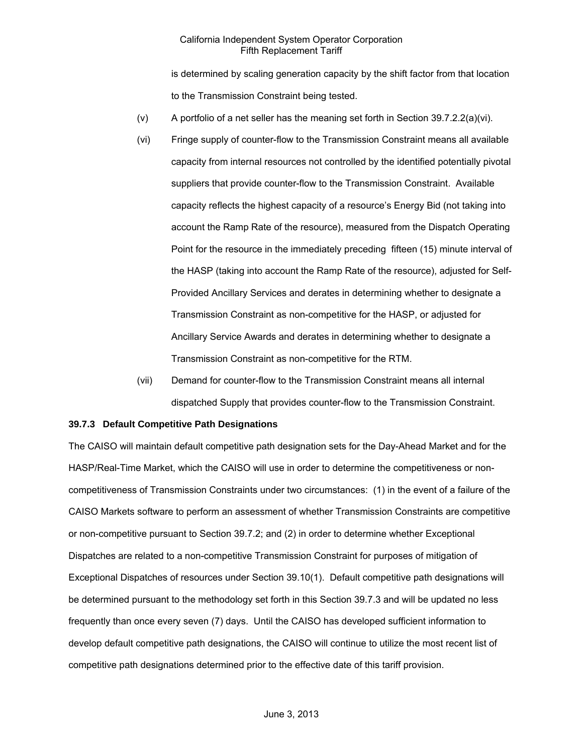is determined by scaling generation capacity by the shift factor from that location to the Transmission Constraint being tested.

- (v) A portfolio of a net seller has the meaning set forth in Section 39.7.2.2(a)(vi).
- (vi) Fringe supply of counter-flow to the Transmission Constraint means all available capacity from internal resources not controlled by the identified potentially pivotal suppliers that provide counter-flow to the Transmission Constraint. Available capacity reflects the highest capacity of a resource's Energy Bid (not taking into account the Ramp Rate of the resource), measured from the Dispatch Operating Point for the resource in the immediately preceding fifteen (15) minute interval of the HASP (taking into account the Ramp Rate of the resource), adjusted for Self-Provided Ancillary Services and derates in determining whether to designate a Transmission Constraint as non-competitive for the HASP, or adjusted for Ancillary Service Awards and derates in determining whether to designate a Transmission Constraint as non-competitive for the RTM.
- (vii) Demand for counter-flow to the Transmission Constraint means all internal dispatched Supply that provides counter-flow to the Transmission Constraint.

#### **39.7.3 Default Competitive Path Designations**

The CAISO will maintain default competitive path designation sets for the Day-Ahead Market and for the HASP/Real-Time Market, which the CAISO will use in order to determine the competitiveness or noncompetitiveness of Transmission Constraints under two circumstances: (1) in the event of a failure of the CAISO Markets software to perform an assessment of whether Transmission Constraints are competitive or non-competitive pursuant to Section 39.7.2; and (2) in order to determine whether Exceptional Dispatches are related to a non-competitive Transmission Constraint for purposes of mitigation of Exceptional Dispatches of resources under Section 39.10(1). Default competitive path designations will be determined pursuant to the methodology set forth in this Section 39.7.3 and will be updated no less frequently than once every seven (7) days. Until the CAISO has developed sufficient information to develop default competitive path designations, the CAISO will continue to utilize the most recent list of competitive path designations determined prior to the effective date of this tariff provision.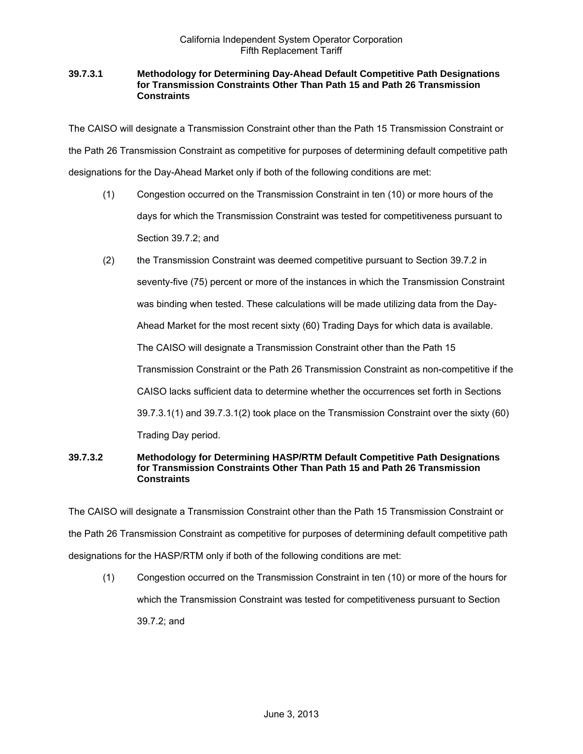### **39.7.3.1 Methodology for Determining Day-Ahead Default Competitive Path Designations for Transmission Constraints Other Than Path 15 and Path 26 Transmission Constraints**

The CAISO will designate a Transmission Constraint other than the Path 15 Transmission Constraint or the Path 26 Transmission Constraint as competitive for purposes of determining default competitive path designations for the Day-Ahead Market only if both of the following conditions are met:

- (1) Congestion occurred on the Transmission Constraint in ten (10) or more hours of the days for which the Transmission Constraint was tested for competitiveness pursuant to Section 39.7.2; and
- (2) the Transmission Constraint was deemed competitive pursuant to Section 39.7.2 in seventy-five (75) percent or more of the instances in which the Transmission Constraint was binding when tested. These calculations will be made utilizing data from the Day-Ahead Market for the most recent sixty (60) Trading Days for which data is available. The CAISO will designate a Transmission Constraint other than the Path 15 Transmission Constraint or the Path 26 Transmission Constraint as non-competitive if the CAISO lacks sufficient data to determine whether the occurrences set forth in Sections 39.7.3.1(1) and 39.7.3.1(2) took place on the Transmission Constraint over the sixty (60) Trading Day period.

### **39.7.3.2 Methodology for Determining HASP/RTM Default Competitive Path Designations for Transmission Constraints Other Than Path 15 and Path 26 Transmission Constraints**

The CAISO will designate a Transmission Constraint other than the Path 15 Transmission Constraint or the Path 26 Transmission Constraint as competitive for purposes of determining default competitive path designations for the HASP/RTM only if both of the following conditions are met:

(1) Congestion occurred on the Transmission Constraint in ten (10) or more of the hours for which the Transmission Constraint was tested for competitiveness pursuant to Section 39.7.2; and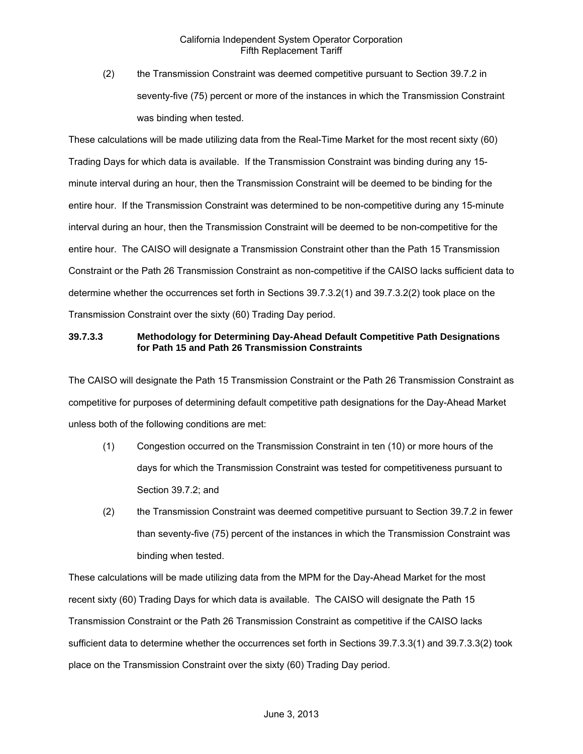(2) the Transmission Constraint was deemed competitive pursuant to Section 39.7.2 in seventy-five (75) percent or more of the instances in which the Transmission Constraint was binding when tested.

These calculations will be made utilizing data from the Real-Time Market for the most recent sixty (60) Trading Days for which data is available. If the Transmission Constraint was binding during any 15 minute interval during an hour, then the Transmission Constraint will be deemed to be binding for the entire hour. If the Transmission Constraint was determined to be non-competitive during any 15-minute interval during an hour, then the Transmission Constraint will be deemed to be non-competitive for the entire hour. The CAISO will designate a Transmission Constraint other than the Path 15 Transmission Constraint or the Path 26 Transmission Constraint as non-competitive if the CAISO lacks sufficient data to determine whether the occurrences set forth in Sections 39.7.3.2(1) and 39.7.3.2(2) took place on the Transmission Constraint over the sixty (60) Trading Day period.

# **39.7.3.3 Methodology for Determining Day-Ahead Default Competitive Path Designations for Path 15 and Path 26 Transmission Constraints**

The CAISO will designate the Path 15 Transmission Constraint or the Path 26 Transmission Constraint as competitive for purposes of determining default competitive path designations for the Day-Ahead Market unless both of the following conditions are met:

- (1) Congestion occurred on the Transmission Constraint in ten (10) or more hours of the days for which the Transmission Constraint was tested for competitiveness pursuant to Section 39.7.2; and
- (2) the Transmission Constraint was deemed competitive pursuant to Section 39.7.2 in fewer than seventy-five (75) percent of the instances in which the Transmission Constraint was binding when tested.

These calculations will be made utilizing data from the MPM for the Day-Ahead Market for the most recent sixty (60) Trading Days for which data is available. The CAISO will designate the Path 15 Transmission Constraint or the Path 26 Transmission Constraint as competitive if the CAISO lacks sufficient data to determine whether the occurrences set forth in Sections 39.7.3.3(1) and 39.7.3.3(2) took place on the Transmission Constraint over the sixty (60) Trading Day period.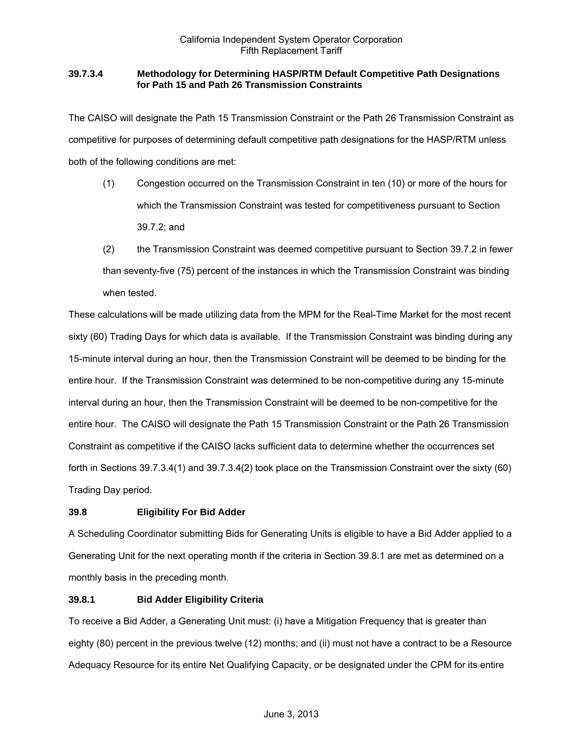# **39.7.3.4 Methodology for Determining HASP/RTM Default Competitive Path Designations for Path 15 and Path 26 Transmission Constraints**

The CAISO will designate the Path 15 Transmission Constraint or the Path 26 Transmission Constraint as competitive for purposes of determining default competitive path designations for the HASP/RTM unless both of the following conditions are met:

- (1) Congestion occurred on the Transmission Constraint in ten (10) or more of the hours for which the Transmission Constraint was tested for competitiveness pursuant to Section 39.7.2; and
- (2) the Transmission Constraint was deemed competitive pursuant to Section 39.7.2 in fewer than seventy-five (75) percent of the instances in which the Transmission Constraint was binding when tested.

These calculations will be made utilizing data from the MPM for the Real-Time Market for the most recent sixty (60) Trading Days for which data is available. If the Transmission Constraint was binding during any 15-minute interval during an hour, then the Transmission Constraint will be deemed to be binding for the entire hour. If the Transmission Constraint was determined to be non-competitive during any 15-minute interval during an hour, then the Transmission Constraint will be deemed to be non-competitive for the entire hour. The CAISO will designate the Path 15 Transmission Constraint or the Path 26 Transmission Constraint as competitive if the CAISO lacks sufficient data to determine whether the occurrences set forth in Sections 39.7.3.4(1) and 39.7.3.4(2) took place on the Transmission Constraint over the sixty (60) Trading Day period.

# **39.8 Eligibility For Bid Adder**

A Scheduling Coordinator submitting Bids for Generating Units is eligible to have a Bid Adder applied to a Generating Unit for the next operating month if the criteria in Section 39.8.1 are met as determined on a monthly basis in the preceding month.

# **39.8.1 Bid Adder Eligibility Criteria**

To receive a Bid Adder, a Generating Unit must: (i) have a Mitigation Frequency that is greater than eighty (80) percent in the previous twelve (12) months; and (ii) must not have a contract to be a Resource Adequacy Resource for its entire Net Qualifying Capacity, or be designated under the CPM for its entire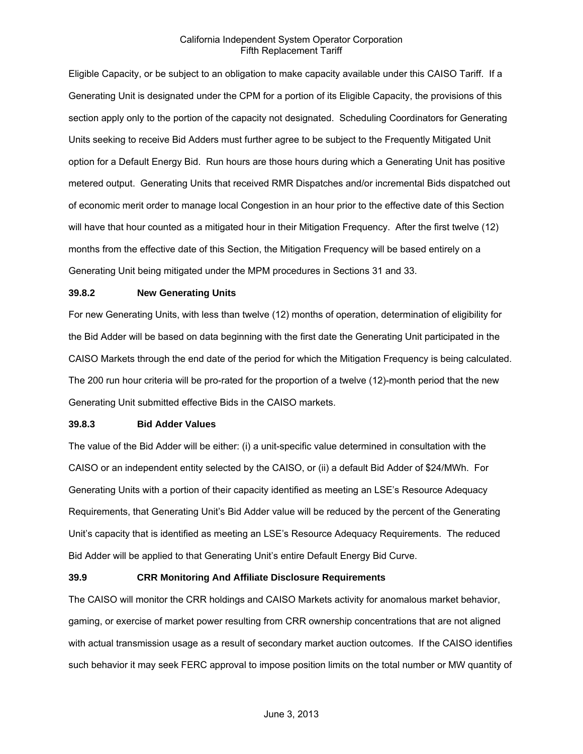Eligible Capacity, or be subject to an obligation to make capacity available under this CAISO Tariff. If a Generating Unit is designated under the CPM for a portion of its Eligible Capacity, the provisions of this section apply only to the portion of the capacity not designated. Scheduling Coordinators for Generating Units seeking to receive Bid Adders must further agree to be subject to the Frequently Mitigated Unit option for a Default Energy Bid. Run hours are those hours during which a Generating Unit has positive metered output. Generating Units that received RMR Dispatches and/or incremental Bids dispatched out of economic merit order to manage local Congestion in an hour prior to the effective date of this Section will have that hour counted as a mitigated hour in their Mitigation Frequency. After the first twelve (12) months from the effective date of this Section, the Mitigation Frequency will be based entirely on a Generating Unit being mitigated under the MPM procedures in Sections 31 and 33.

#### **39.8.2 New Generating Units**

For new Generating Units, with less than twelve (12) months of operation, determination of eligibility for the Bid Adder will be based on data beginning with the first date the Generating Unit participated in the CAISO Markets through the end date of the period for which the Mitigation Frequency is being calculated. The 200 run hour criteria will be pro-rated for the proportion of a twelve (12)-month period that the new Generating Unit submitted effective Bids in the CAISO markets.

#### **39.8.3 Bid Adder Values**

The value of the Bid Adder will be either: (i) a unit-specific value determined in consultation with the CAISO or an independent entity selected by the CAISO, or (ii) a default Bid Adder of \$24/MWh. For Generating Units with a portion of their capacity identified as meeting an LSE's Resource Adequacy Requirements, that Generating Unit's Bid Adder value will be reduced by the percent of the Generating Unit's capacity that is identified as meeting an LSE's Resource Adequacy Requirements. The reduced Bid Adder will be applied to that Generating Unit's entire Default Energy Bid Curve.

#### **39.9 CRR Monitoring And Affiliate Disclosure Requirements**

The CAISO will monitor the CRR holdings and CAISO Markets activity for anomalous market behavior, gaming, or exercise of market power resulting from CRR ownership concentrations that are not aligned with actual transmission usage as a result of secondary market auction outcomes. If the CAISO identifies such behavior it may seek FERC approval to impose position limits on the total number or MW quantity of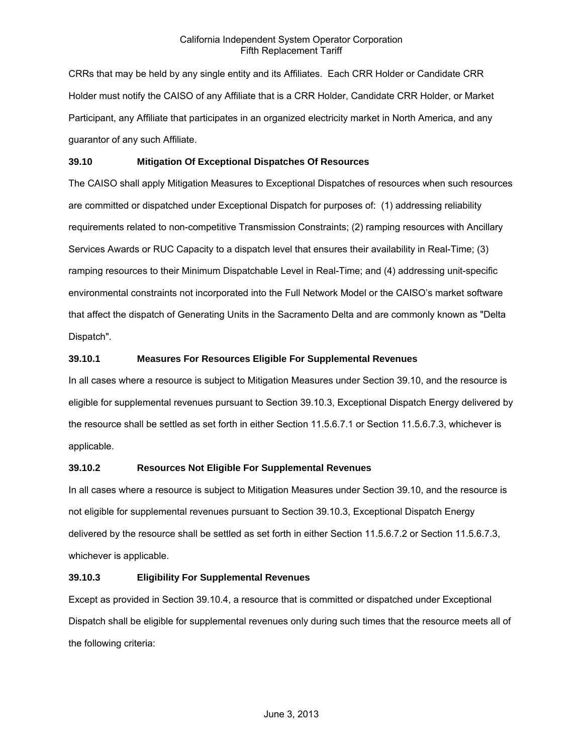CRRs that may be held by any single entity and its Affiliates. Each CRR Holder or Candidate CRR Holder must notify the CAISO of any Affiliate that is a CRR Holder, Candidate CRR Holder, or Market Participant, any Affiliate that participates in an organized electricity market in North America, and any guarantor of any such Affiliate.

### **39.10 Mitigation Of Exceptional Dispatches Of Resources**

The CAISO shall apply Mitigation Measures to Exceptional Dispatches of resources when such resources are committed or dispatched under Exceptional Dispatch for purposes of: (1) addressing reliability requirements related to non-competitive Transmission Constraints; (2) ramping resources with Ancillary Services Awards or RUC Capacity to a dispatch level that ensures their availability in Real-Time; (3) ramping resources to their Minimum Dispatchable Level in Real-Time; and (4) addressing unit-specific environmental constraints not incorporated into the Full Network Model or the CAISO's market software that affect the dispatch of Generating Units in the Sacramento Delta and are commonly known as "Delta Dispatch".

### **39.10.1 Measures For Resources Eligible For Supplemental Revenues**

In all cases where a resource is subject to Mitigation Measures under Section 39.10, and the resource is eligible for supplemental revenues pursuant to Section 39.10.3, Exceptional Dispatch Energy delivered by the resource shall be settled as set forth in either Section 11.5.6.7.1 or Section 11.5.6.7.3, whichever is applicable.

# **39.10.2 Resources Not Eligible For Supplemental Revenues**

In all cases where a resource is subject to Mitigation Measures under Section 39.10, and the resource is not eligible for supplemental revenues pursuant to Section 39.10.3, Exceptional Dispatch Energy delivered by the resource shall be settled as set forth in either Section 11.5.6.7.2 or Section 11.5.6.7.3, whichever is applicable.

# **39.10.3 Eligibility For Supplemental Revenues**

Except as provided in Section 39.10.4, a resource that is committed or dispatched under Exceptional Dispatch shall be eligible for supplemental revenues only during such times that the resource meets all of the following criteria: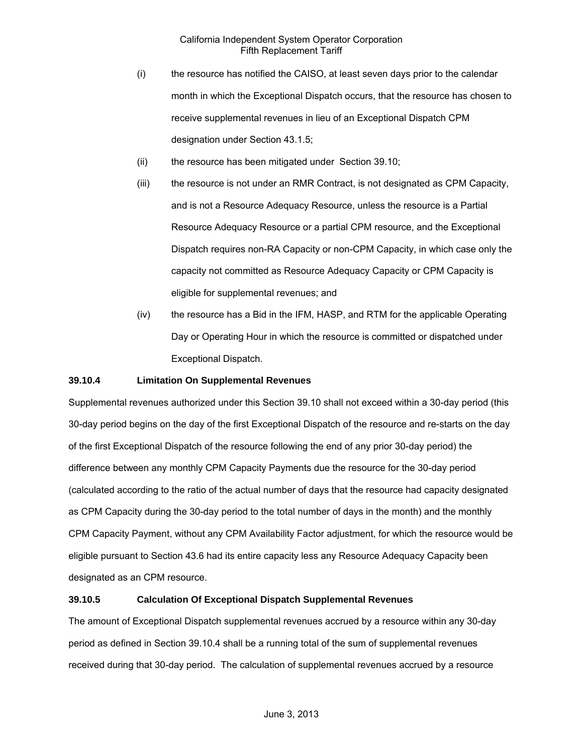- (i) the resource has notified the CAISO, at least seven days prior to the calendar month in which the Exceptional Dispatch occurs, that the resource has chosen to receive supplemental revenues in lieu of an Exceptional Dispatch CPM designation under Section 43.1.5;
- (ii) the resource has been mitigated under Section 39.10;
- (iii) the resource is not under an RMR Contract, is not designated as CPM Capacity, and is not a Resource Adequacy Resource, unless the resource is a Partial Resource Adequacy Resource or a partial CPM resource, and the Exceptional Dispatch requires non-RA Capacity or non-CPM Capacity, in which case only the capacity not committed as Resource Adequacy Capacity or CPM Capacity is eligible for supplemental revenues; and
- (iv) the resource has a Bid in the IFM, HASP, and RTM for the applicable Operating Day or Operating Hour in which the resource is committed or dispatched under Exceptional Dispatch.

### **39.10.4 Limitation On Supplemental Revenues**

Supplemental revenues authorized under this Section 39.10 shall not exceed within a 30-day period (this 30-day period begins on the day of the first Exceptional Dispatch of the resource and re-starts on the day of the first Exceptional Dispatch of the resource following the end of any prior 30-day period) the difference between any monthly CPM Capacity Payments due the resource for the 30-day period (calculated according to the ratio of the actual number of days that the resource had capacity designated as CPM Capacity during the 30-day period to the total number of days in the month) and the monthly CPM Capacity Payment, without any CPM Availability Factor adjustment, for which the resource would be eligible pursuant to Section 43.6 had its entire capacity less any Resource Adequacy Capacity been designated as an CPM resource.

# **39.10.5 Calculation Of Exceptional Dispatch Supplemental Revenues**

The amount of Exceptional Dispatch supplemental revenues accrued by a resource within any 30-day period as defined in Section 39.10.4 shall be a running total of the sum of supplemental revenues received during that 30-day period. The calculation of supplemental revenues accrued by a resource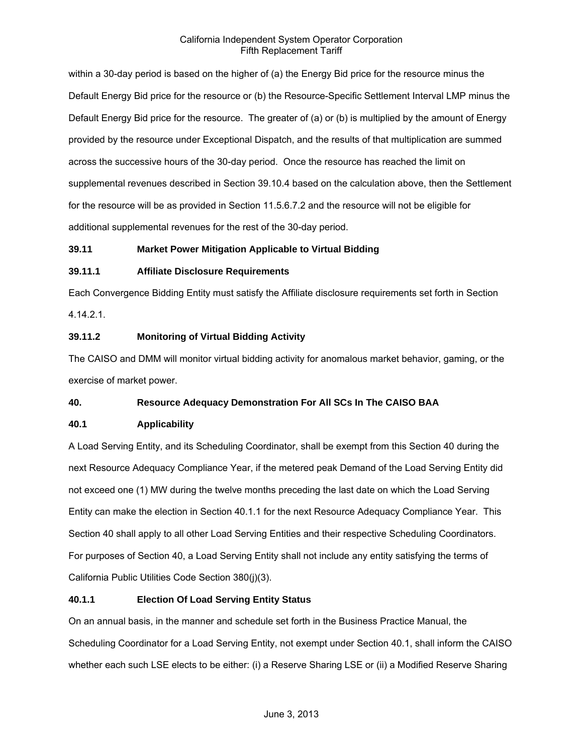within a 30-day period is based on the higher of (a) the Energy Bid price for the resource minus the Default Energy Bid price for the resource or (b) the Resource-Specific Settlement Interval LMP minus the Default Energy Bid price for the resource. The greater of (a) or (b) is multiplied by the amount of Energy provided by the resource under Exceptional Dispatch, and the results of that multiplication are summed across the successive hours of the 30-day period. Once the resource has reached the limit on supplemental revenues described in Section 39.10.4 based on the calculation above, then the Settlement for the resource will be as provided in Section 11.5.6.7.2 and the resource will not be eligible for additional supplemental revenues for the rest of the 30-day period.

# **39.11 Market Power Mitigation Applicable to Virtual Bidding**

# **39.11.1 Affiliate Disclosure Requirements**

Each Convergence Bidding Entity must satisfy the Affiliate disclosure requirements set forth in Section 4.14.2.1.

# **39.11.2 Monitoring of Virtual Bidding Activity**

The CAISO and DMM will monitor virtual bidding activity for anomalous market behavior, gaming, or the exercise of market power.

# **40. Resource Adequacy Demonstration For All SCs In The CAISO BAA**

# **40.1 Applicability**

A Load Serving Entity, and its Scheduling Coordinator, shall be exempt from this Section 40 during the next Resource Adequacy Compliance Year, if the metered peak Demand of the Load Serving Entity did not exceed one (1) MW during the twelve months preceding the last date on which the Load Serving Entity can make the election in Section 40.1.1 for the next Resource Adequacy Compliance Year. This Section 40 shall apply to all other Load Serving Entities and their respective Scheduling Coordinators. For purposes of Section 40, a Load Serving Entity shall not include any entity satisfying the terms of California Public Utilities Code Section 380(j)(3).

# **40.1.1 Election Of Load Serving Entity Status**

On an annual basis, in the manner and schedule set forth in the Business Practice Manual, the Scheduling Coordinator for a Load Serving Entity, not exempt under Section 40.1, shall inform the CAISO whether each such LSE elects to be either: (i) a Reserve Sharing LSE or (ii) a Modified Reserve Sharing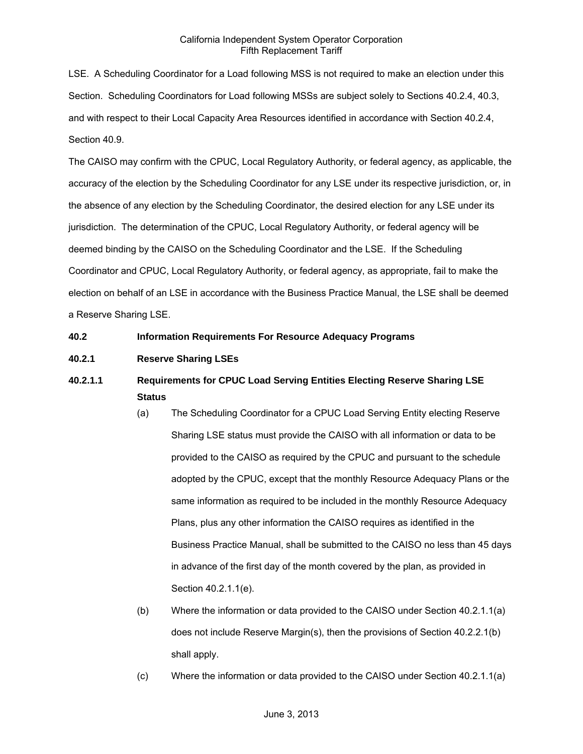LSE. A Scheduling Coordinator for a Load following MSS is not required to make an election under this Section. Scheduling Coordinators for Load following MSSs are subject solely to Sections 40.2.4, 40.3, and with respect to their Local Capacity Area Resources identified in accordance with Section 40.2.4, Section 40.9.

The CAISO may confirm with the CPUC, Local Regulatory Authority, or federal agency, as applicable, the accuracy of the election by the Scheduling Coordinator for any LSE under its respective jurisdiction, or, in the absence of any election by the Scheduling Coordinator, the desired election for any LSE under its jurisdiction. The determination of the CPUC, Local Regulatory Authority, or federal agency will be deemed binding by the CAISO on the Scheduling Coordinator and the LSE. If the Scheduling Coordinator and CPUC, Local Regulatory Authority, or federal agency, as appropriate, fail to make the election on behalf of an LSE in accordance with the Business Practice Manual, the LSE shall be deemed a Reserve Sharing LSE.

### **40.2 Information Requirements For Resource Adequacy Programs**

# **40.2.1 Reserve Sharing LSEs**

# **40.2.1.1 Requirements for CPUC Load Serving Entities Electing Reserve Sharing LSE Status**

- (a) The Scheduling Coordinator for a CPUC Load Serving Entity electing Reserve Sharing LSE status must provide the CAISO with all information or data to be provided to the CAISO as required by the CPUC and pursuant to the schedule adopted by the CPUC, except that the monthly Resource Adequacy Plans or the same information as required to be included in the monthly Resource Adequacy Plans, plus any other information the CAISO requires as identified in the Business Practice Manual, shall be submitted to the CAISO no less than 45 days in advance of the first day of the month covered by the plan, as provided in Section 40.2.1.1(e).
- (b) Where the information or data provided to the CAISO under Section 40.2.1.1(a) does not include Reserve Margin(s), then the provisions of Section 40.2.2.1(b) shall apply.
- (c) Where the information or data provided to the CAISO under Section 40.2.1.1(a)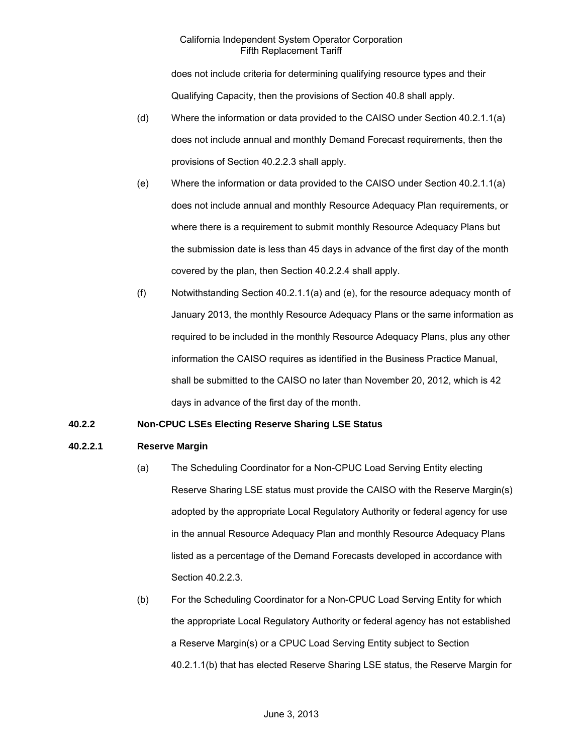does not include criteria for determining qualifying resource types and their Qualifying Capacity, then the provisions of Section 40.8 shall apply.

- (d) Where the information or data provided to the CAISO under Section 40.2.1.1(a) does not include annual and monthly Demand Forecast requirements, then the provisions of Section 40.2.2.3 shall apply.
- (e) Where the information or data provided to the CAISO under Section 40.2.1.1(a) does not include annual and monthly Resource Adequacy Plan requirements, or where there is a requirement to submit monthly Resource Adequacy Plans but the submission date is less than 45 days in advance of the first day of the month covered by the plan, then Section 40.2.2.4 shall apply.
- (f) Notwithstanding Section 40.2.1.1(a) and (e), for the resource adequacy month of January 2013, the monthly Resource Adequacy Plans or the same information as required to be included in the monthly Resource Adequacy Plans, plus any other information the CAISO requires as identified in the Business Practice Manual, shall be submitted to the CAISO no later than November 20, 2012, which is 42 days in advance of the first day of the month.

# **40.2.2 Non-CPUC LSEs Electing Reserve Sharing LSE Status**

# **40.2.2.1 Reserve Margin**

- (a) The Scheduling Coordinator for a Non-CPUC Load Serving Entity electing Reserve Sharing LSE status must provide the CAISO with the Reserve Margin(s) adopted by the appropriate Local Regulatory Authority or federal agency for use in the annual Resource Adequacy Plan and monthly Resource Adequacy Plans listed as a percentage of the Demand Forecasts developed in accordance with Section 40.2.2.3.
- (b) For the Scheduling Coordinator for a Non-CPUC Load Serving Entity for which the appropriate Local Regulatory Authority or federal agency has not established a Reserve Margin(s) or a CPUC Load Serving Entity subject to Section 40.2.1.1(b) that has elected Reserve Sharing LSE status, the Reserve Margin for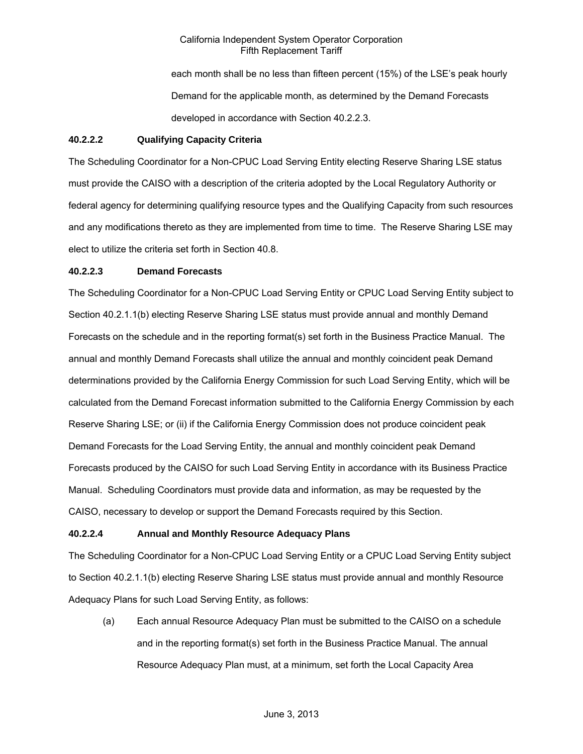each month shall be no less than fifteen percent (15%) of the LSE's peak hourly Demand for the applicable month, as determined by the Demand Forecasts developed in accordance with Section 40.2.2.3.

# **40.2.2.2 Qualifying Capacity Criteria**

The Scheduling Coordinator for a Non-CPUC Load Serving Entity electing Reserve Sharing LSE status must provide the CAISO with a description of the criteria adopted by the Local Regulatory Authority or federal agency for determining qualifying resource types and the Qualifying Capacity from such resources and any modifications thereto as they are implemented from time to time. The Reserve Sharing LSE may elect to utilize the criteria set forth in Section 40.8.

### **40.2.2.3 Demand Forecasts**

The Scheduling Coordinator for a Non-CPUC Load Serving Entity or CPUC Load Serving Entity subject to Section 40.2.1.1(b) electing Reserve Sharing LSE status must provide annual and monthly Demand Forecasts on the schedule and in the reporting format(s) set forth in the Business Practice Manual. The annual and monthly Demand Forecasts shall utilize the annual and monthly coincident peak Demand determinations provided by the California Energy Commission for such Load Serving Entity, which will be calculated from the Demand Forecast information submitted to the California Energy Commission by each Reserve Sharing LSE; or (ii) if the California Energy Commission does not produce coincident peak Demand Forecasts for the Load Serving Entity, the annual and monthly coincident peak Demand Forecasts produced by the CAISO for such Load Serving Entity in accordance with its Business Practice Manual. Scheduling Coordinators must provide data and information, as may be requested by the CAISO, necessary to develop or support the Demand Forecasts required by this Section.

# **40.2.2.4 Annual and Monthly Resource Adequacy Plans**

The Scheduling Coordinator for a Non-CPUC Load Serving Entity or a CPUC Load Serving Entity subject to Section 40.2.1.1(b) electing Reserve Sharing LSE status must provide annual and monthly Resource Adequacy Plans for such Load Serving Entity, as follows:

(a) Each annual Resource Adequacy Plan must be submitted to the CAISO on a schedule and in the reporting format(s) set forth in the Business Practice Manual. The annual Resource Adequacy Plan must, at a minimum, set forth the Local Capacity Area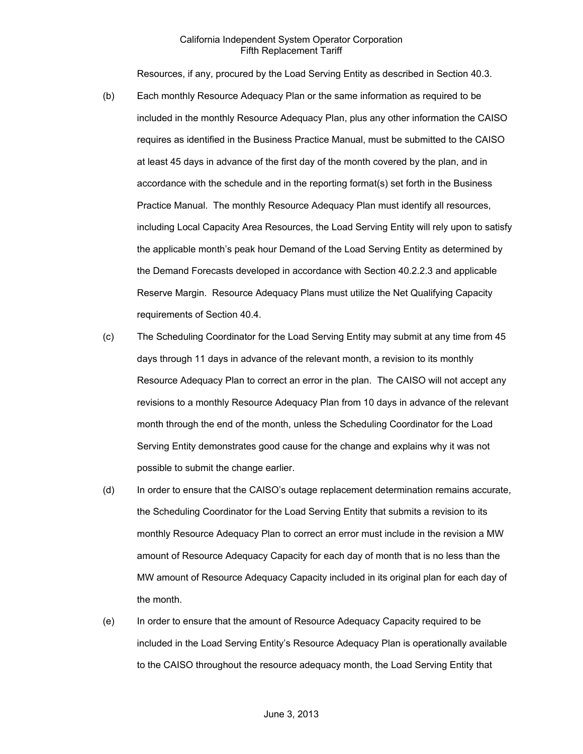Resources, if any, procured by the Load Serving Entity as described in Section 40.3.

- (b) Each monthly Resource Adequacy Plan or the same information as required to be included in the monthly Resource Adequacy Plan, plus any other information the CAISO requires as identified in the Business Practice Manual, must be submitted to the CAISO at least 45 days in advance of the first day of the month covered by the plan, and in accordance with the schedule and in the reporting format(s) set forth in the Business Practice Manual. The monthly Resource Adequacy Plan must identify all resources, including Local Capacity Area Resources, the Load Serving Entity will rely upon to satisfy the applicable month's peak hour Demand of the Load Serving Entity as determined by the Demand Forecasts developed in accordance with Section 40.2.2.3 and applicable Reserve Margin. Resource Adequacy Plans must utilize the Net Qualifying Capacity requirements of Section 40.4.
- (c) The Scheduling Coordinator for the Load Serving Entity may submit at any time from 45 days through 11 days in advance of the relevant month, a revision to its monthly Resource Adequacy Plan to correct an error in the plan. The CAISO will not accept any revisions to a monthly Resource Adequacy Plan from 10 days in advance of the relevant month through the end of the month, unless the Scheduling Coordinator for the Load Serving Entity demonstrates good cause for the change and explains why it was not possible to submit the change earlier.
- (d) In order to ensure that the CAISO's outage replacement determination remains accurate, the Scheduling Coordinator for the Load Serving Entity that submits a revision to its monthly Resource Adequacy Plan to correct an error must include in the revision a MW amount of Resource Adequacy Capacity for each day of month that is no less than the MW amount of Resource Adequacy Capacity included in its original plan for each day of the month.
- (e) In order to ensure that the amount of Resource Adequacy Capacity required to be included in the Load Serving Entity's Resource Adequacy Plan is operationally available to the CAISO throughout the resource adequacy month, the Load Serving Entity that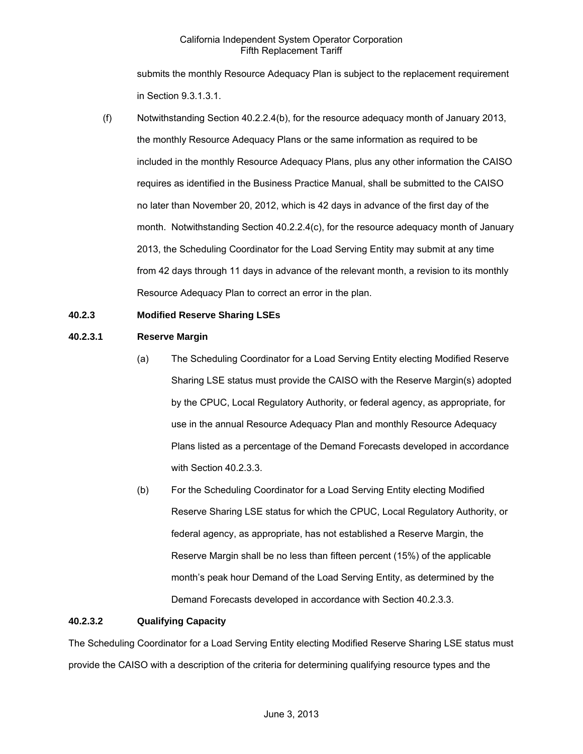submits the monthly Resource Adequacy Plan is subject to the replacement requirement in Section 9.3.1.3.1.

(f) Notwithstanding Section 40.2.2.4(b), for the resource adequacy month of January 2013, the monthly Resource Adequacy Plans or the same information as required to be included in the monthly Resource Adequacy Plans, plus any other information the CAISO requires as identified in the Business Practice Manual, shall be submitted to the CAISO no later than November 20, 2012, which is 42 days in advance of the first day of the month. Notwithstanding Section 40.2.2.4(c), for the resource adequacy month of January 2013, the Scheduling Coordinator for the Load Serving Entity may submit at any time from 42 days through 11 days in advance of the relevant month, a revision to its monthly Resource Adequacy Plan to correct an error in the plan.

# **40.2.3 Modified Reserve Sharing LSEs**

### **40.2.3.1 Reserve Margin**

- (a) The Scheduling Coordinator for a Load Serving Entity electing Modified Reserve Sharing LSE status must provide the CAISO with the Reserve Margin(s) adopted by the CPUC, Local Regulatory Authority, or federal agency, as appropriate, for use in the annual Resource Adequacy Plan and monthly Resource Adequacy Plans listed as a percentage of the Demand Forecasts developed in accordance with Section 40.2.3.3.
- (b) For the Scheduling Coordinator for a Load Serving Entity electing Modified Reserve Sharing LSE status for which the CPUC, Local Regulatory Authority, or federal agency, as appropriate, has not established a Reserve Margin, the Reserve Margin shall be no less than fifteen percent (15%) of the applicable month's peak hour Demand of the Load Serving Entity, as determined by the Demand Forecasts developed in accordance with Section 40.2.3.3.

#### **40.2.3.2 Qualifying Capacity**

The Scheduling Coordinator for a Load Serving Entity electing Modified Reserve Sharing LSE status must provide the CAISO with a description of the criteria for determining qualifying resource types and the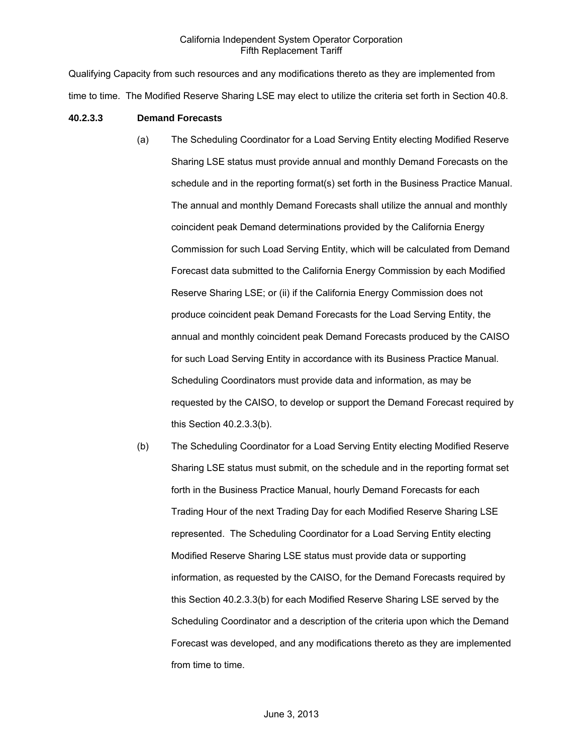Qualifying Capacity from such resources and any modifications thereto as they are implemented from time to time. The Modified Reserve Sharing LSE may elect to utilize the criteria set forth in Section 40.8.

### **40.2.3.3 Demand Forecasts**

- (a) The Scheduling Coordinator for a Load Serving Entity electing Modified Reserve Sharing LSE status must provide annual and monthly Demand Forecasts on the schedule and in the reporting format(s) set forth in the Business Practice Manual. The annual and monthly Demand Forecasts shall utilize the annual and monthly coincident peak Demand determinations provided by the California Energy Commission for such Load Serving Entity, which will be calculated from Demand Forecast data submitted to the California Energy Commission by each Modified Reserve Sharing LSE; or (ii) if the California Energy Commission does not produce coincident peak Demand Forecasts for the Load Serving Entity, the annual and monthly coincident peak Demand Forecasts produced by the CAISO for such Load Serving Entity in accordance with its Business Practice Manual. Scheduling Coordinators must provide data and information, as may be requested by the CAISO, to develop or support the Demand Forecast required by this Section 40.2.3.3(b).
- (b) The Scheduling Coordinator for a Load Serving Entity electing Modified Reserve Sharing LSE status must submit, on the schedule and in the reporting format set forth in the Business Practice Manual, hourly Demand Forecasts for each Trading Hour of the next Trading Day for each Modified Reserve Sharing LSE represented. The Scheduling Coordinator for a Load Serving Entity electing Modified Reserve Sharing LSE status must provide data or supporting information, as requested by the CAISO, for the Demand Forecasts required by this Section 40.2.3.3(b) for each Modified Reserve Sharing LSE served by the Scheduling Coordinator and a description of the criteria upon which the Demand Forecast was developed, and any modifications thereto as they are implemented from time to time.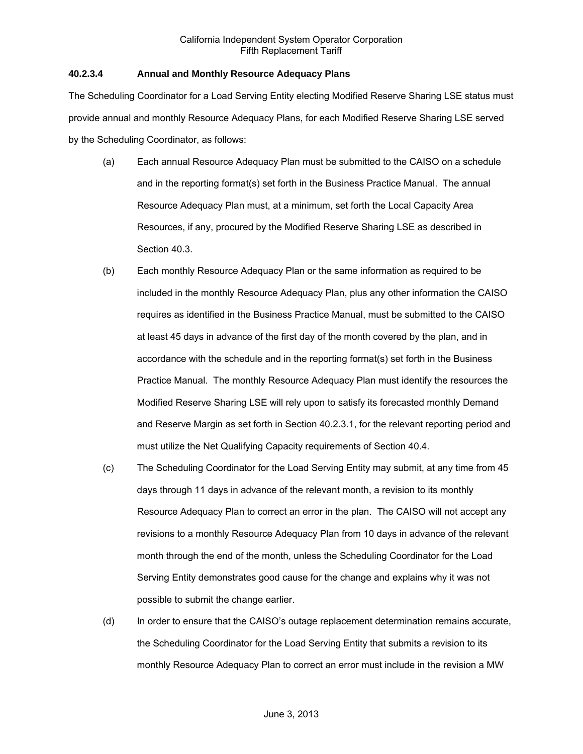## **40.2.3.4 Annual and Monthly Resource Adequacy Plans**

The Scheduling Coordinator for a Load Serving Entity electing Modified Reserve Sharing LSE status must provide annual and monthly Resource Adequacy Plans, for each Modified Reserve Sharing LSE served by the Scheduling Coordinator, as follows:

- (a) Each annual Resource Adequacy Plan must be submitted to the CAISO on a schedule and in the reporting format(s) set forth in the Business Practice Manual. The annual Resource Adequacy Plan must, at a minimum, set forth the Local Capacity Area Resources, if any, procured by the Modified Reserve Sharing LSE as described in Section 40.3.
- (b) Each monthly Resource Adequacy Plan or the same information as required to be included in the monthly Resource Adequacy Plan, plus any other information the CAISO requires as identified in the Business Practice Manual, must be submitted to the CAISO at least 45 days in advance of the first day of the month covered by the plan, and in accordance with the schedule and in the reporting format(s) set forth in the Business Practice Manual. The monthly Resource Adequacy Plan must identify the resources the Modified Reserve Sharing LSE will rely upon to satisfy its forecasted monthly Demand and Reserve Margin as set forth in Section 40.2.3.1, for the relevant reporting period and must utilize the Net Qualifying Capacity requirements of Section 40.4.
- (c) The Scheduling Coordinator for the Load Serving Entity may submit, at any time from 45 days through 11 days in advance of the relevant month, a revision to its monthly Resource Adequacy Plan to correct an error in the plan. The CAISO will not accept any revisions to a monthly Resource Adequacy Plan from 10 days in advance of the relevant month through the end of the month, unless the Scheduling Coordinator for the Load Serving Entity demonstrates good cause for the change and explains why it was not possible to submit the change earlier.
- (d) In order to ensure that the CAISO's outage replacement determination remains accurate, the Scheduling Coordinator for the Load Serving Entity that submits a revision to its monthly Resource Adequacy Plan to correct an error must include in the revision a MW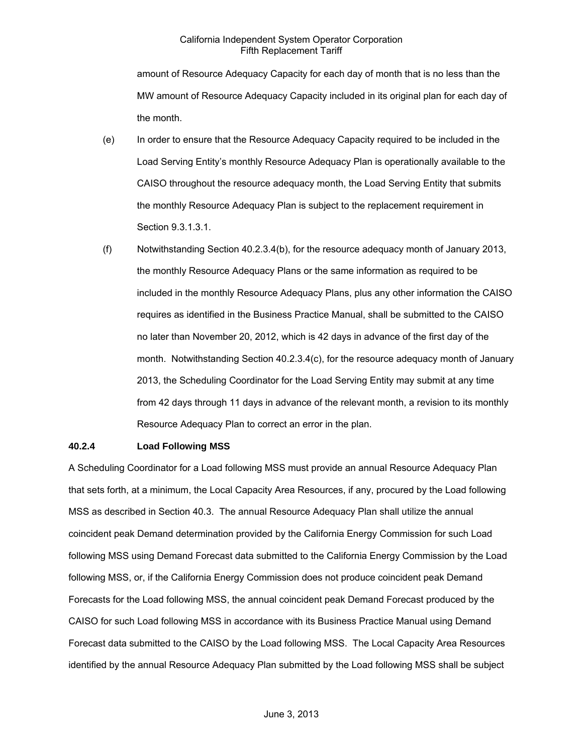amount of Resource Adequacy Capacity for each day of month that is no less than the MW amount of Resource Adequacy Capacity included in its original plan for each day of the month.

- (e) In order to ensure that the Resource Adequacy Capacity required to be included in the Load Serving Entity's monthly Resource Adequacy Plan is operationally available to the CAISO throughout the resource adequacy month, the Load Serving Entity that submits the monthly Resource Adequacy Plan is subject to the replacement requirement in Section 9.3.1.3.1.
- (f) Notwithstanding Section 40.2.3.4(b), for the resource adequacy month of January 2013, the monthly Resource Adequacy Plans or the same information as required to be included in the monthly Resource Adequacy Plans, plus any other information the CAISO requires as identified in the Business Practice Manual, shall be submitted to the CAISO no later than November 20, 2012, which is 42 days in advance of the first day of the month. Notwithstanding Section 40.2.3.4(c), for the resource adequacy month of January 2013, the Scheduling Coordinator for the Load Serving Entity may submit at any time from 42 days through 11 days in advance of the relevant month, a revision to its monthly Resource Adequacy Plan to correct an error in the plan.

### **40.2.4 Load Following MSS**

A Scheduling Coordinator for a Load following MSS must provide an annual Resource Adequacy Plan that sets forth, at a minimum, the Local Capacity Area Resources, if any, procured by the Load following MSS as described in Section 40.3. The annual Resource Adequacy Plan shall utilize the annual coincident peak Demand determination provided by the California Energy Commission for such Load following MSS using Demand Forecast data submitted to the California Energy Commission by the Load following MSS, or, if the California Energy Commission does not produce coincident peak Demand Forecasts for the Load following MSS, the annual coincident peak Demand Forecast produced by the CAISO for such Load following MSS in accordance with its Business Practice Manual using Demand Forecast data submitted to the CAISO by the Load following MSS. The Local Capacity Area Resources identified by the annual Resource Adequacy Plan submitted by the Load following MSS shall be subject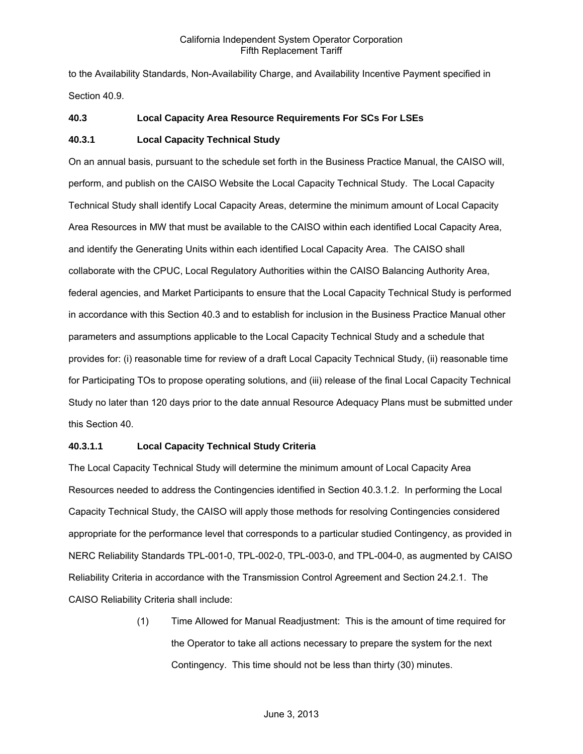to the Availability Standards, Non-Availability Charge, and Availability Incentive Payment specified in Section 40.9.

### **40.3 Local Capacity Area Resource Requirements For SCs For LSEs**

### **40.3.1 Local Capacity Technical Study**

On an annual basis, pursuant to the schedule set forth in the Business Practice Manual, the CAISO will, perform, and publish on the CAISO Website the Local Capacity Technical Study. The Local Capacity Technical Study shall identify Local Capacity Areas, determine the minimum amount of Local Capacity Area Resources in MW that must be available to the CAISO within each identified Local Capacity Area, and identify the Generating Units within each identified Local Capacity Area. The CAISO shall collaborate with the CPUC, Local Regulatory Authorities within the CAISO Balancing Authority Area, federal agencies, and Market Participants to ensure that the Local Capacity Technical Study is performed in accordance with this Section 40.3 and to establish for inclusion in the Business Practice Manual other parameters and assumptions applicable to the Local Capacity Technical Study and a schedule that provides for: (i) reasonable time for review of a draft Local Capacity Technical Study, (ii) reasonable time for Participating TOs to propose operating solutions, and (iii) release of the final Local Capacity Technical Study no later than 120 days prior to the date annual Resource Adequacy Plans must be submitted under this Section 40.

### **40.3.1.1 Local Capacity Technical Study Criteria**

The Local Capacity Technical Study will determine the minimum amount of Local Capacity Area Resources needed to address the Contingencies identified in Section 40.3.1.2. In performing the Local Capacity Technical Study, the CAISO will apply those methods for resolving Contingencies considered appropriate for the performance level that corresponds to a particular studied Contingency, as provided in NERC Reliability Standards TPL-001-0, TPL-002-0, TPL-003-0, and TPL-004-0, as augmented by CAISO Reliability Criteria in accordance with the Transmission Control Agreement and Section 24.2.1. The CAISO Reliability Criteria shall include:

> (1) Time Allowed for Manual Readjustment: This is the amount of time required for the Operator to take all actions necessary to prepare the system for the next Contingency. This time should not be less than thirty (30) minutes.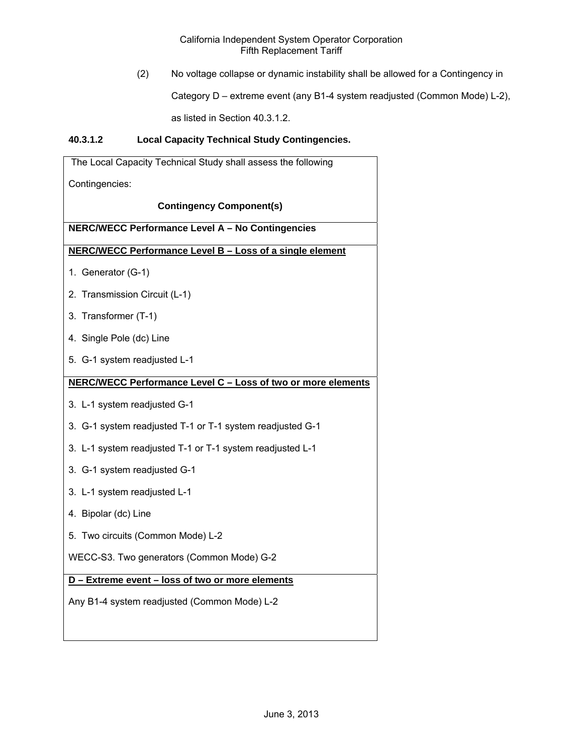(2) No voltage collapse or dynamic instability shall be allowed for a Contingency in

Category D – extreme event (any B1-4 system readjusted (Common Mode) L-2),

as listed in Section 40.3.1.2.

# **40.3.1.2 Local Capacity Technical Study Contingencies.**

| The Local Capacity Technical Study shall assess the following |
|---------------------------------------------------------------|
| Contingencies:                                                |
| <b>Contingency Component(s)</b>                               |
| NERC/WECC Performance Level A - No Contingencies              |
| NERC/WECC Performance Level B - Loss of a single element      |
| 1. Generator (G-1)                                            |
| 2. Transmission Circuit (L-1)                                 |
| 3. Transformer (T-1)                                          |
| 4. Single Pole (dc) Line                                      |
| 5. G-1 system readjusted L-1                                  |
| NERC/WECC Performance Level C - Loss of two or more elements  |
| 3. L-1 system readjusted G-1                                  |
| 3. G-1 system readjusted T-1 or T-1 system readjusted G-1     |
| 3. L-1 system readjusted T-1 or T-1 system readjusted L-1     |
| 3. G-1 system readjusted G-1                                  |
| 3. L-1 system readjusted L-1                                  |
| 4. Bipolar (dc) Line                                          |
| 5. Two circuits (Common Mode) L-2                             |
| WECC-S3. Two generators (Common Mode) G-2                     |
| D - Extreme event - loss of two or more elements              |
| Any B1-4 system readjusted (Common Mode) L-2                  |
|                                                               |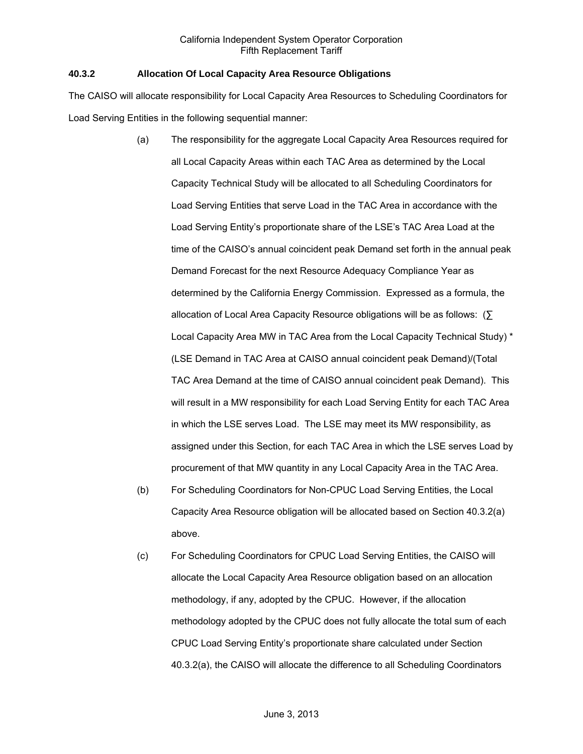### **40.3.2 Allocation Of Local Capacity Area Resource Obligations**

The CAISO will allocate responsibility for Local Capacity Area Resources to Scheduling Coordinators for Load Serving Entities in the following sequential manner:

- (a) The responsibility for the aggregate Local Capacity Area Resources required for all Local Capacity Areas within each TAC Area as determined by the Local Capacity Technical Study will be allocated to all Scheduling Coordinators for Load Serving Entities that serve Load in the TAC Area in accordance with the Load Serving Entity's proportionate share of the LSE's TAC Area Load at the time of the CAISO's annual coincident peak Demand set forth in the annual peak Demand Forecast for the next Resource Adequacy Compliance Year as determined by the California Energy Commission. Expressed as a formula, the allocation of Local Area Capacity Resource obligations will be as follows: (∑ Local Capacity Area MW in TAC Area from the Local Capacity Technical Study) \* (LSE Demand in TAC Area at CAISO annual coincident peak Demand)/(Total TAC Area Demand at the time of CAISO annual coincident peak Demand). This will result in a MW responsibility for each Load Serving Entity for each TAC Area in which the LSE serves Load. The LSE may meet its MW responsibility, as assigned under this Section, for each TAC Area in which the LSE serves Load by procurement of that MW quantity in any Local Capacity Area in the TAC Area.
- (b) For Scheduling Coordinators for Non-CPUC Load Serving Entities, the Local Capacity Area Resource obligation will be allocated based on Section 40.3.2(a) above.
- (c) For Scheduling Coordinators for CPUC Load Serving Entities, the CAISO will allocate the Local Capacity Area Resource obligation based on an allocation methodology, if any, adopted by the CPUC. However, if the allocation methodology adopted by the CPUC does not fully allocate the total sum of each CPUC Load Serving Entity's proportionate share calculated under Section 40.3.2(a), the CAISO will allocate the difference to all Scheduling Coordinators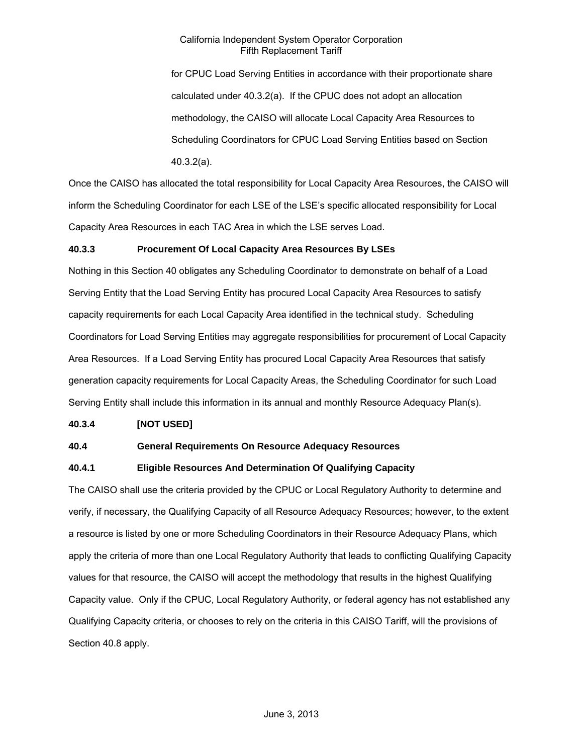for CPUC Load Serving Entities in accordance with their proportionate share calculated under 40.3.2(a). If the CPUC does not adopt an allocation methodology, the CAISO will allocate Local Capacity Area Resources to Scheduling Coordinators for CPUC Load Serving Entities based on Section 40.3.2(a).

Once the CAISO has allocated the total responsibility for Local Capacity Area Resources, the CAISO will inform the Scheduling Coordinator for each LSE of the LSE's specific allocated responsibility for Local Capacity Area Resources in each TAC Area in which the LSE serves Load.

# **40.3.3 Procurement Of Local Capacity Area Resources By LSEs**

Nothing in this Section 40 obligates any Scheduling Coordinator to demonstrate on behalf of a Load Serving Entity that the Load Serving Entity has procured Local Capacity Area Resources to satisfy capacity requirements for each Local Capacity Area identified in the technical study. Scheduling Coordinators for Load Serving Entities may aggregate responsibilities for procurement of Local Capacity Area Resources. If a Load Serving Entity has procured Local Capacity Area Resources that satisfy generation capacity requirements for Local Capacity Areas, the Scheduling Coordinator for such Load Serving Entity shall include this information in its annual and monthly Resource Adequacy Plan(s).

#### **40.3.4 [NOT USED]**

# **40.4 General Requirements On Resource Adequacy Resources**

# **40.4.1 Eligible Resources And Determination Of Qualifying Capacity**

The CAISO shall use the criteria provided by the CPUC or Local Regulatory Authority to determine and verify, if necessary, the Qualifying Capacity of all Resource Adequacy Resources; however, to the extent a resource is listed by one or more Scheduling Coordinators in their Resource Adequacy Plans, which apply the criteria of more than one Local Regulatory Authority that leads to conflicting Qualifying Capacity values for that resource, the CAISO will accept the methodology that results in the highest Qualifying Capacity value. Only if the CPUC, Local Regulatory Authority, or federal agency has not established any Qualifying Capacity criteria, or chooses to rely on the criteria in this CAISO Tariff, will the provisions of Section 40.8 apply.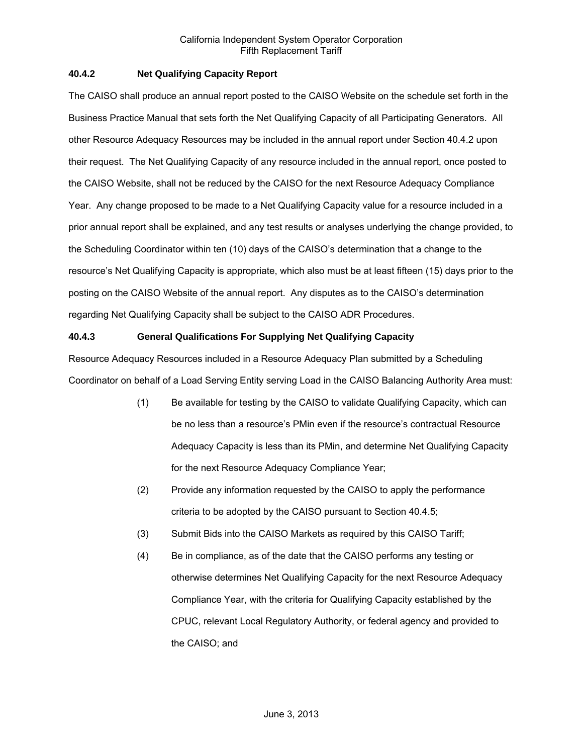## **40.4.2 Net Qualifying Capacity Report**

The CAISO shall produce an annual report posted to the CAISO Website on the schedule set forth in the Business Practice Manual that sets forth the Net Qualifying Capacity of all Participating Generators. All other Resource Adequacy Resources may be included in the annual report under Section 40.4.2 upon their request. The Net Qualifying Capacity of any resource included in the annual report, once posted to the CAISO Website, shall not be reduced by the CAISO for the next Resource Adequacy Compliance Year. Any change proposed to be made to a Net Qualifying Capacity value for a resource included in a prior annual report shall be explained, and any test results or analyses underlying the change provided, to the Scheduling Coordinator within ten (10) days of the CAISO's determination that a change to the resource's Net Qualifying Capacity is appropriate, which also must be at least fifteen (15) days prior to the posting on the CAISO Website of the annual report. Any disputes as to the CAISO's determination regarding Net Qualifying Capacity shall be subject to the CAISO ADR Procedures.

# **40.4.3 General Qualifications For Supplying Net Qualifying Capacity**

Resource Adequacy Resources included in a Resource Adequacy Plan submitted by a Scheduling Coordinator on behalf of a Load Serving Entity serving Load in the CAISO Balancing Authority Area must:

- (1) Be available for testing by the CAISO to validate Qualifying Capacity, which can be no less than a resource's PMin even if the resource's contractual Resource Adequacy Capacity is less than its PMin, and determine Net Qualifying Capacity for the next Resource Adequacy Compliance Year;
- (2) Provide any information requested by the CAISO to apply the performance criteria to be adopted by the CAISO pursuant to Section 40.4.5;
- (3) Submit Bids into the CAISO Markets as required by this CAISO Tariff;
- (4) Be in compliance, as of the date that the CAISO performs any testing or otherwise determines Net Qualifying Capacity for the next Resource Adequacy Compliance Year, with the criteria for Qualifying Capacity established by the CPUC, relevant Local Regulatory Authority, or federal agency and provided to the CAISO; and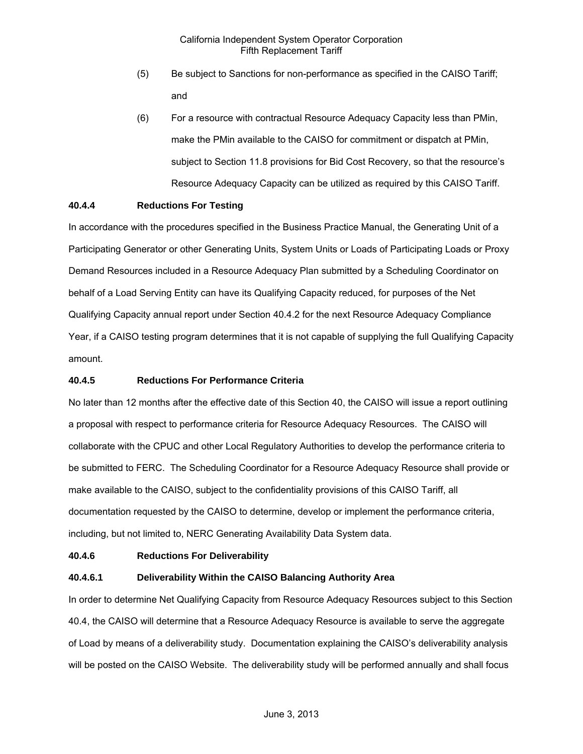- (5) Be subject to Sanctions for non-performance as specified in the CAISO Tariff; and
- (6) For a resource with contractual Resource Adequacy Capacity less than PMin, make the PMin available to the CAISO for commitment or dispatch at PMin, subject to Section 11.8 provisions for Bid Cost Recovery, so that the resource's Resource Adequacy Capacity can be utilized as required by this CAISO Tariff.

# **40.4.4 Reductions For Testing**

In accordance with the procedures specified in the Business Practice Manual, the Generating Unit of a Participating Generator or other Generating Units, System Units or Loads of Participating Loads or Proxy Demand Resources included in a Resource Adequacy Plan submitted by a Scheduling Coordinator on behalf of a Load Serving Entity can have its Qualifying Capacity reduced, for purposes of the Net Qualifying Capacity annual report under Section 40.4.2 for the next Resource Adequacy Compliance Year, if a CAISO testing program determines that it is not capable of supplying the full Qualifying Capacity amount.

#### **40.4.5 Reductions For Performance Criteria**

No later than 12 months after the effective date of this Section 40, the CAISO will issue a report outlining a proposal with respect to performance criteria for Resource Adequacy Resources. The CAISO will collaborate with the CPUC and other Local Regulatory Authorities to develop the performance criteria to be submitted to FERC. The Scheduling Coordinator for a Resource Adequacy Resource shall provide or make available to the CAISO, subject to the confidentiality provisions of this CAISO Tariff, all documentation requested by the CAISO to determine, develop or implement the performance criteria, including, but not limited to, NERC Generating Availability Data System data.

#### **40.4.6 Reductions For Deliverability**

#### **40.4.6.1 Deliverability Within the CAISO Balancing Authority Area**

In order to determine Net Qualifying Capacity from Resource Adequacy Resources subject to this Section 40.4, the CAISO will determine that a Resource Adequacy Resource is available to serve the aggregate of Load by means of a deliverability study. Documentation explaining the CAISO's deliverability analysis will be posted on the CAISO Website. The deliverability study will be performed annually and shall focus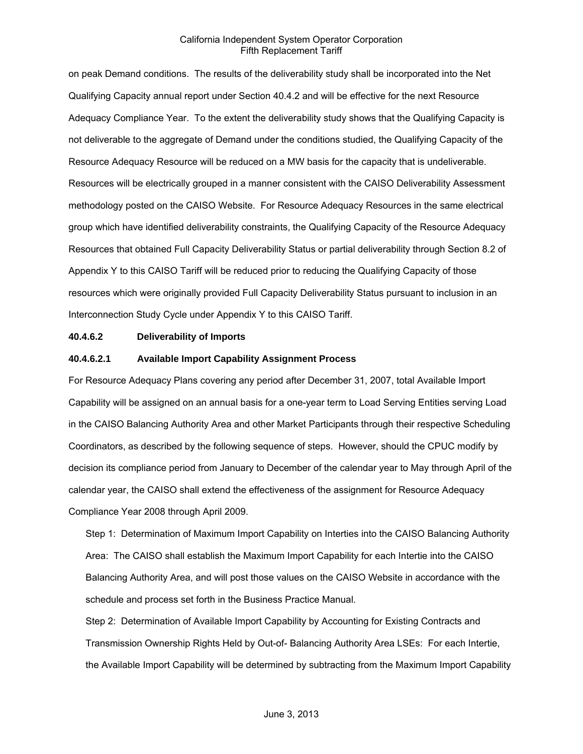on peak Demand conditions. The results of the deliverability study shall be incorporated into the Net Qualifying Capacity annual report under Section 40.4.2 and will be effective for the next Resource Adequacy Compliance Year. To the extent the deliverability study shows that the Qualifying Capacity is not deliverable to the aggregate of Demand under the conditions studied, the Qualifying Capacity of the Resource Adequacy Resource will be reduced on a MW basis for the capacity that is undeliverable. Resources will be electrically grouped in a manner consistent with the CAISO Deliverability Assessment methodology posted on the CAISO Website. For Resource Adequacy Resources in the same electrical group which have identified deliverability constraints, the Qualifying Capacity of the Resource Adequacy Resources that obtained Full Capacity Deliverability Status or partial deliverability through Section 8.2 of Appendix Y to this CAISO Tariff will be reduced prior to reducing the Qualifying Capacity of those resources which were originally provided Full Capacity Deliverability Status pursuant to inclusion in an Interconnection Study Cycle under Appendix Y to this CAISO Tariff.

#### **40.4.6.2 Deliverability of Imports**

#### **40.4.6.2.1 Available Import Capability Assignment Process**

For Resource Adequacy Plans covering any period after December 31, 2007, total Available Import Capability will be assigned on an annual basis for a one-year term to Load Serving Entities serving Load in the CAISO Balancing Authority Area and other Market Participants through their respective Scheduling Coordinators, as described by the following sequence of steps. However, should the CPUC modify by decision its compliance period from January to December of the calendar year to May through April of the calendar year, the CAISO shall extend the effectiveness of the assignment for Resource Adequacy Compliance Year 2008 through April 2009.

Step 1: Determination of Maximum Import Capability on Interties into the CAISO Balancing Authority Area: The CAISO shall establish the Maximum Import Capability for each Intertie into the CAISO Balancing Authority Area, and will post those values on the CAISO Website in accordance with the schedule and process set forth in the Business Practice Manual.

Step 2: Determination of Available Import Capability by Accounting for Existing Contracts and Transmission Ownership Rights Held by Out-of- Balancing Authority Area LSEs: For each Intertie, the Available Import Capability will be determined by subtracting from the Maximum Import Capability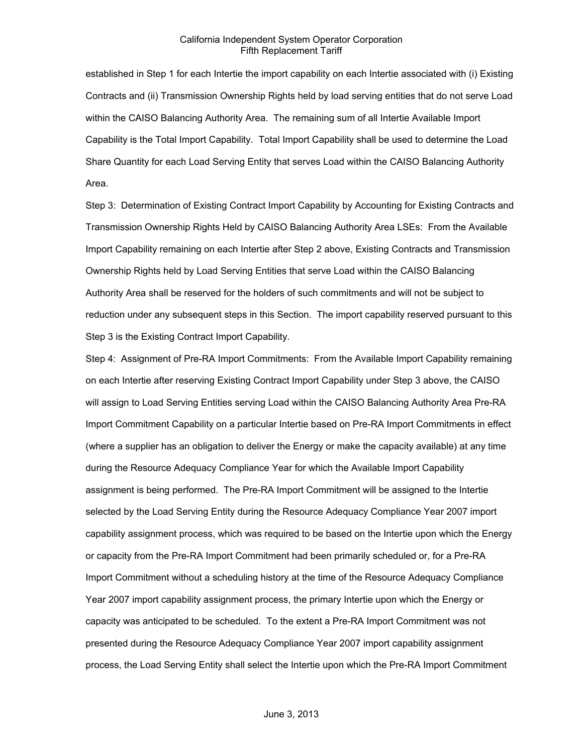established in Step 1 for each Intertie the import capability on each Intertie associated with (i) Existing Contracts and (ii) Transmission Ownership Rights held by load serving entities that do not serve Load within the CAISO Balancing Authority Area. The remaining sum of all Intertie Available Import Capability is the Total Import Capability. Total Import Capability shall be used to determine the Load Share Quantity for each Load Serving Entity that serves Load within the CAISO Balancing Authority Area.

Step 3: Determination of Existing Contract Import Capability by Accounting for Existing Contracts and Transmission Ownership Rights Held by CAISO Balancing Authority Area LSEs: From the Available Import Capability remaining on each Intertie after Step 2 above, Existing Contracts and Transmission Ownership Rights held by Load Serving Entities that serve Load within the CAISO Balancing Authority Area shall be reserved for the holders of such commitments and will not be subject to reduction under any subsequent steps in this Section. The import capability reserved pursuant to this Step 3 is the Existing Contract Import Capability.

Step 4: Assignment of Pre-RA Import Commitments: From the Available Import Capability remaining on each Intertie after reserving Existing Contract Import Capability under Step 3 above, the CAISO will assign to Load Serving Entities serving Load within the CAISO Balancing Authority Area Pre-RA Import Commitment Capability on a particular Intertie based on Pre-RA Import Commitments in effect (where a supplier has an obligation to deliver the Energy or make the capacity available) at any time during the Resource Adequacy Compliance Year for which the Available Import Capability assignment is being performed. The Pre-RA Import Commitment will be assigned to the Intertie selected by the Load Serving Entity during the Resource Adequacy Compliance Year 2007 import capability assignment process, which was required to be based on the Intertie upon which the Energy or capacity from the Pre-RA Import Commitment had been primarily scheduled or, for a Pre-RA Import Commitment without a scheduling history at the time of the Resource Adequacy Compliance Year 2007 import capability assignment process, the primary Intertie upon which the Energy or capacity was anticipated to be scheduled. To the extent a Pre-RA Import Commitment was not presented during the Resource Adequacy Compliance Year 2007 import capability assignment process, the Load Serving Entity shall select the Intertie upon which the Pre-RA Import Commitment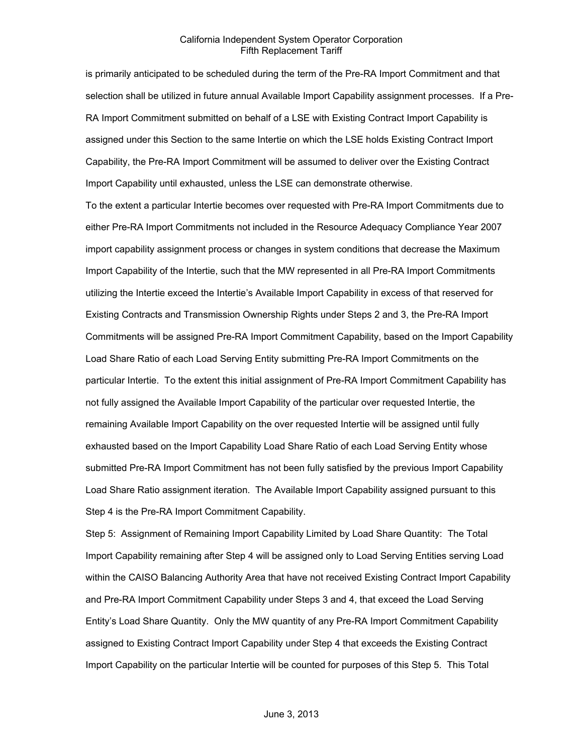is primarily anticipated to be scheduled during the term of the Pre-RA Import Commitment and that selection shall be utilized in future annual Available Import Capability assignment processes. If a Pre-RA Import Commitment submitted on behalf of a LSE with Existing Contract Import Capability is assigned under this Section to the same Intertie on which the LSE holds Existing Contract Import Capability, the Pre-RA Import Commitment will be assumed to deliver over the Existing Contract Import Capability until exhausted, unless the LSE can demonstrate otherwise.

To the extent a particular Intertie becomes over requested with Pre-RA Import Commitments due to either Pre-RA Import Commitments not included in the Resource Adequacy Compliance Year 2007 import capability assignment process or changes in system conditions that decrease the Maximum Import Capability of the Intertie, such that the MW represented in all Pre-RA Import Commitments utilizing the Intertie exceed the Intertie's Available Import Capability in excess of that reserved for Existing Contracts and Transmission Ownership Rights under Steps 2 and 3, the Pre-RA Import Commitments will be assigned Pre-RA Import Commitment Capability, based on the Import Capability Load Share Ratio of each Load Serving Entity submitting Pre-RA Import Commitments on the particular Intertie. To the extent this initial assignment of Pre-RA Import Commitment Capability has not fully assigned the Available Import Capability of the particular over requested Intertie, the remaining Available Import Capability on the over requested Intertie will be assigned until fully exhausted based on the Import Capability Load Share Ratio of each Load Serving Entity whose submitted Pre-RA Import Commitment has not been fully satisfied by the previous Import Capability Load Share Ratio assignment iteration. The Available Import Capability assigned pursuant to this Step 4 is the Pre-RA Import Commitment Capability.

Step 5: Assignment of Remaining Import Capability Limited by Load Share Quantity: The Total Import Capability remaining after Step 4 will be assigned only to Load Serving Entities serving Load within the CAISO Balancing Authority Area that have not received Existing Contract Import Capability and Pre-RA Import Commitment Capability under Steps 3 and 4, that exceed the Load Serving Entity's Load Share Quantity. Only the MW quantity of any Pre-RA Import Commitment Capability assigned to Existing Contract Import Capability under Step 4 that exceeds the Existing Contract Import Capability on the particular Intertie will be counted for purposes of this Step 5. This Total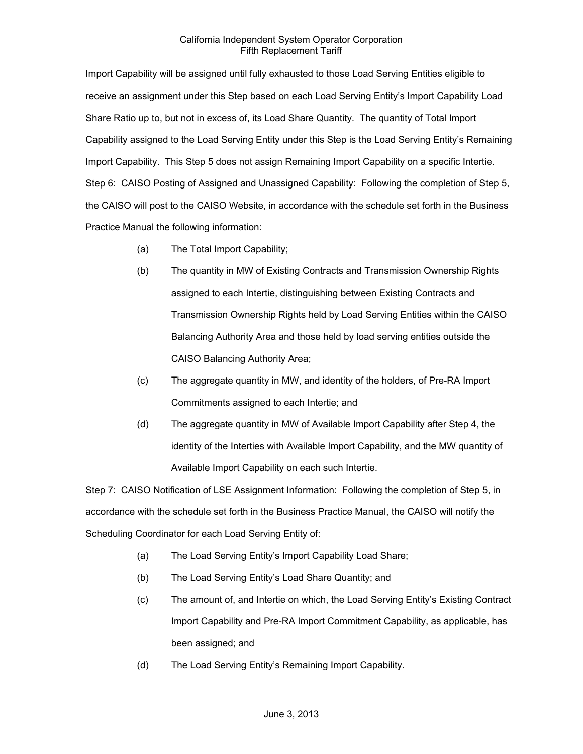Import Capability will be assigned until fully exhausted to those Load Serving Entities eligible to receive an assignment under this Step based on each Load Serving Entity's Import Capability Load Share Ratio up to, but not in excess of, its Load Share Quantity. The quantity of Total Import Capability assigned to the Load Serving Entity under this Step is the Load Serving Entity's Remaining Import Capability. This Step 5 does not assign Remaining Import Capability on a specific Intertie. Step 6: CAISO Posting of Assigned and Unassigned Capability: Following the completion of Step 5, the CAISO will post to the CAISO Website, in accordance with the schedule set forth in the Business Practice Manual the following information:

- (a) The Total Import Capability;
- (b) The quantity in MW of Existing Contracts and Transmission Ownership Rights assigned to each Intertie, distinguishing between Existing Contracts and Transmission Ownership Rights held by Load Serving Entities within the CAISO Balancing Authority Area and those held by load serving entities outside the CAISO Balancing Authority Area;
- (c) The aggregate quantity in MW, and identity of the holders, of Pre-RA Import Commitments assigned to each Intertie; and
- (d) The aggregate quantity in MW of Available Import Capability after Step 4, the identity of the Interties with Available Import Capability, and the MW quantity of Available Import Capability on each such Intertie.

Step 7: CAISO Notification of LSE Assignment Information: Following the completion of Step 5, in accordance with the schedule set forth in the Business Practice Manual, the CAISO will notify the Scheduling Coordinator for each Load Serving Entity of:

- (a) The Load Serving Entity's Import Capability Load Share;
- (b) The Load Serving Entity's Load Share Quantity; and
- (c) The amount of, and Intertie on which, the Load Serving Entity's Existing Contract Import Capability and Pre-RA Import Commitment Capability, as applicable, has been assigned; and
- (d) The Load Serving Entity's Remaining Import Capability.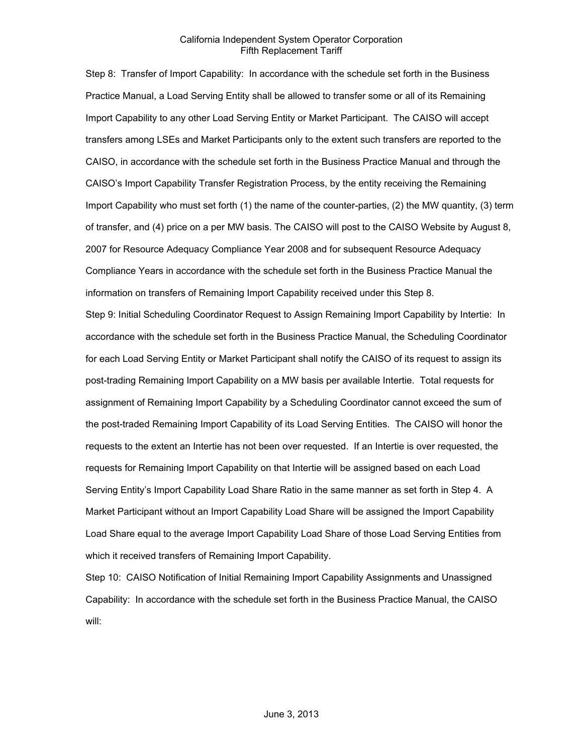Step 8: Transfer of Import Capability: In accordance with the schedule set forth in the Business Practice Manual, a Load Serving Entity shall be allowed to transfer some or all of its Remaining Import Capability to any other Load Serving Entity or Market Participant. The CAISO will accept transfers among LSEs and Market Participants only to the extent such transfers are reported to the CAISO, in accordance with the schedule set forth in the Business Practice Manual and through the CAISO's Import Capability Transfer Registration Process, by the entity receiving the Remaining Import Capability who must set forth (1) the name of the counter-parties, (2) the MW quantity, (3) term of transfer, and (4) price on a per MW basis. The CAISO will post to the CAISO Website by August 8, 2007 for Resource Adequacy Compliance Year 2008 and for subsequent Resource Adequacy Compliance Years in accordance with the schedule set forth in the Business Practice Manual the information on transfers of Remaining Import Capability received under this Step 8.

Step 9: Initial Scheduling Coordinator Request to Assign Remaining Import Capability by Intertie: In accordance with the schedule set forth in the Business Practice Manual, the Scheduling Coordinator for each Load Serving Entity or Market Participant shall notify the CAISO of its request to assign its post-trading Remaining Import Capability on a MW basis per available Intertie. Total requests for assignment of Remaining Import Capability by a Scheduling Coordinator cannot exceed the sum of the post-traded Remaining Import Capability of its Load Serving Entities. The CAISO will honor the requests to the extent an Intertie has not been over requested. If an Intertie is over requested, the requests for Remaining Import Capability on that Intertie will be assigned based on each Load Serving Entity's Import Capability Load Share Ratio in the same manner as set forth in Step 4. A Market Participant without an Import Capability Load Share will be assigned the Import Capability Load Share equal to the average Import Capability Load Share of those Load Serving Entities from which it received transfers of Remaining Import Capability.

Step 10: CAISO Notification of Initial Remaining Import Capability Assignments and Unassigned Capability: In accordance with the schedule set forth in the Business Practice Manual, the CAISO will: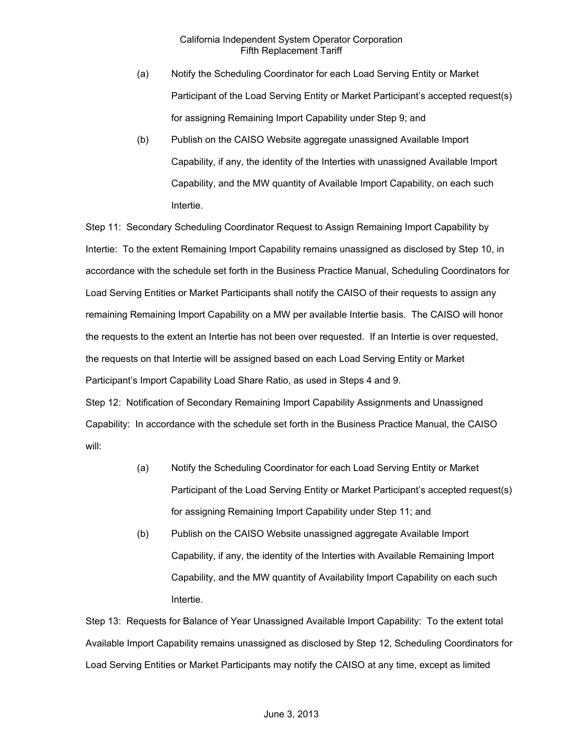- (a) Notify the Scheduling Coordinator for each Load Serving Entity or Market Participant of the Load Serving Entity or Market Participant's accepted request(s) for assigning Remaining Import Capability under Step 9; and
- (b) Publish on the CAISO Website aggregate unassigned Available Import Capability, if any, the identity of the Interties with unassigned Available Import Capability, and the MW quantity of Available Import Capability, on each such Intertie.

Step 11: Secondary Scheduling Coordinator Request to Assign Remaining Import Capability by Intertie: To the extent Remaining Import Capability remains unassigned as disclosed by Step 10, in accordance with the schedule set forth in the Business Practice Manual, Scheduling Coordinators for Load Serving Entities or Market Participants shall notify the CAISO of their requests to assign any remaining Remaining Import Capability on a MW per available Intertie basis. The CAISO will honor the requests to the extent an Intertie has not been over requested. If an Intertie is over requested, the requests on that Intertie will be assigned based on each Load Serving Entity or Market Participant's Import Capability Load Share Ratio, as used in Steps 4 and 9. Step 12: Notification of Secondary Remaining Import Capability Assignments and Unassigned Capability: In accordance with the schedule set forth in the Business Practice Manual, the CAISO will:

- (a) Notify the Scheduling Coordinator for each Load Serving Entity or Market Participant of the Load Serving Entity or Market Participant's accepted request(s) for assigning Remaining Import Capability under Step 11; and
- (b) Publish on the CAISO Website unassigned aggregate Available Import Capability, if any, the identity of the Interties with Available Remaining Import Capability, and the MW quantity of Availability Import Capability on each such Intertie.

Step 13: Requests for Balance of Year Unassigned Available Import Capability: To the extent total Available Import Capability remains unassigned as disclosed by Step 12, Scheduling Coordinators for Load Serving Entities or Market Participants may notify the CAISO at any time, except as limited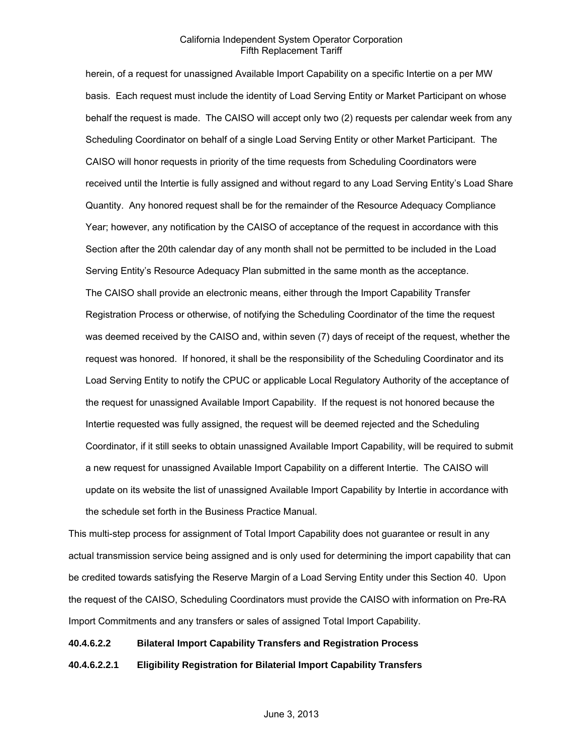herein, of a request for unassigned Available Import Capability on a specific Intertie on a per MW basis. Each request must include the identity of Load Serving Entity or Market Participant on whose behalf the request is made. The CAISO will accept only two (2) requests per calendar week from any Scheduling Coordinator on behalf of a single Load Serving Entity or other Market Participant. The CAISO will honor requests in priority of the time requests from Scheduling Coordinators were received until the Intertie is fully assigned and without regard to any Load Serving Entity's Load Share Quantity. Any honored request shall be for the remainder of the Resource Adequacy Compliance Year; however, any notification by the CAISO of acceptance of the request in accordance with this Section after the 20th calendar day of any month shall not be permitted to be included in the Load Serving Entity's Resource Adequacy Plan submitted in the same month as the acceptance. The CAISO shall provide an electronic means, either through the Import Capability Transfer Registration Process or otherwise, of notifying the Scheduling Coordinator of the time the request was deemed received by the CAISO and, within seven (7) days of receipt of the request, whether the request was honored. If honored, it shall be the responsibility of the Scheduling Coordinator and its Load Serving Entity to notify the CPUC or applicable Local Regulatory Authority of the acceptance of the request for unassigned Available Import Capability. If the request is not honored because the Intertie requested was fully assigned, the request will be deemed rejected and the Scheduling Coordinator, if it still seeks to obtain unassigned Available Import Capability, will be required to submit a new request for unassigned Available Import Capability on a different Intertie. The CAISO will update on its website the list of unassigned Available Import Capability by Intertie in accordance with the schedule set forth in the Business Practice Manual.

This multi-step process for assignment of Total Import Capability does not guarantee or result in any actual transmission service being assigned and is only used for determining the import capability that can be credited towards satisfying the Reserve Margin of a Load Serving Entity under this Section 40. Upon the request of the CAISO, Scheduling Coordinators must provide the CAISO with information on Pre-RA Import Commitments and any transfers or sales of assigned Total Import Capability.

### **40.4.6.2.2 Bilateral Import Capability Transfers and Registration Process**

**40.4.6.2.2.1 Eligibility Registration for Bilaterial Import Capability Transfers**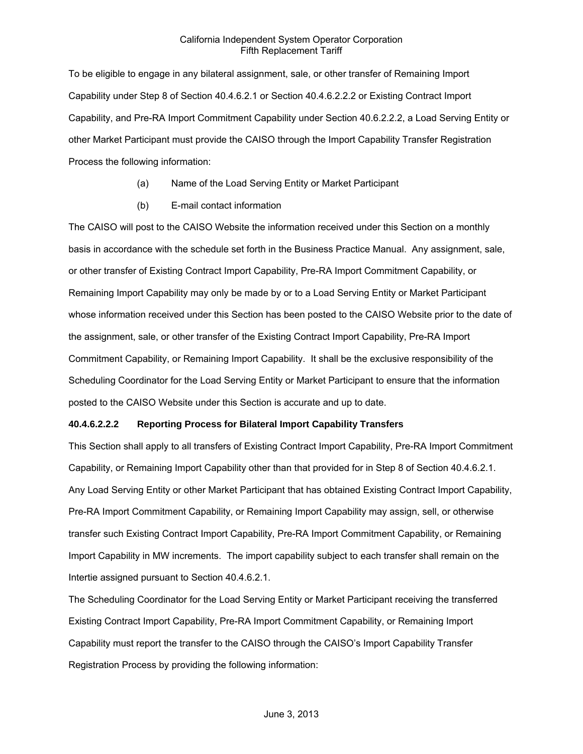To be eligible to engage in any bilateral assignment, sale, or other transfer of Remaining Import Capability under Step 8 of Section 40.4.6.2.1 or Section 40.4.6.2.2.2 or Existing Contract Import Capability, and Pre-RA Import Commitment Capability under Section 40.6.2.2.2, a Load Serving Entity or other Market Participant must provide the CAISO through the Import Capability Transfer Registration Process the following information:

- (a) Name of the Load Serving Entity or Market Participant
- (b) E-mail contact information

The CAISO will post to the CAISO Website the information received under this Section on a monthly basis in accordance with the schedule set forth in the Business Practice Manual. Any assignment, sale, or other transfer of Existing Contract Import Capability, Pre-RA Import Commitment Capability, or Remaining Import Capability may only be made by or to a Load Serving Entity or Market Participant whose information received under this Section has been posted to the CAISO Website prior to the date of the assignment, sale, or other transfer of the Existing Contract Import Capability, Pre-RA Import Commitment Capability, or Remaining Import Capability. It shall be the exclusive responsibility of the Scheduling Coordinator for the Load Serving Entity or Market Participant to ensure that the information posted to the CAISO Website under this Section is accurate and up to date.

# **40.4.6.2.2.2 Reporting Process for Bilateral Import Capability Transfers**

This Section shall apply to all transfers of Existing Contract Import Capability, Pre-RA Import Commitment Capability, or Remaining Import Capability other than that provided for in Step 8 of Section 40.4.6.2.1. Any Load Serving Entity or other Market Participant that has obtained Existing Contract Import Capability, Pre-RA Import Commitment Capability, or Remaining Import Capability may assign, sell, or otherwise transfer such Existing Contract Import Capability, Pre-RA Import Commitment Capability, or Remaining Import Capability in MW increments. The import capability subject to each transfer shall remain on the Intertie assigned pursuant to Section 40.4.6.2.1.

The Scheduling Coordinator for the Load Serving Entity or Market Participant receiving the transferred Existing Contract Import Capability, Pre-RA Import Commitment Capability, or Remaining Import Capability must report the transfer to the CAISO through the CAISO's Import Capability Transfer Registration Process by providing the following information: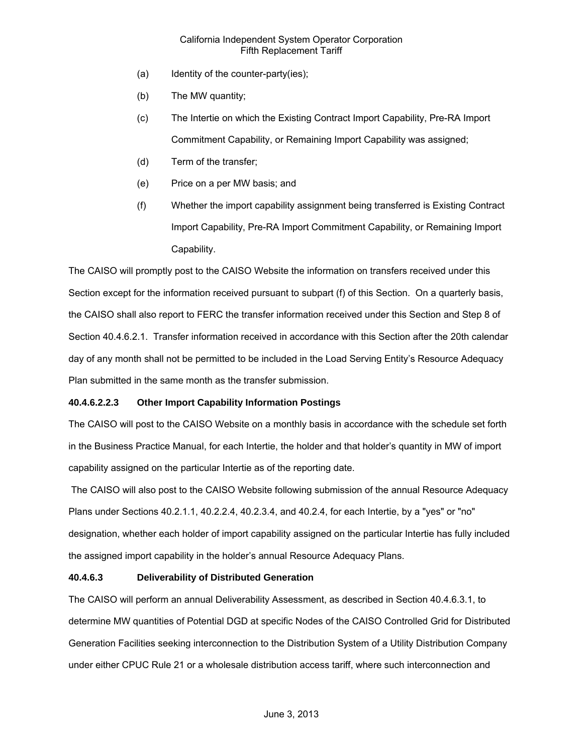- (a) Identity of the counter-party(ies);
- (b) The MW quantity;
- (c) The Intertie on which the Existing Contract Import Capability, Pre-RA Import Commitment Capability, or Remaining Import Capability was assigned;
- (d) Term of the transfer;
- (e) Price on a per MW basis; and
- (f) Whether the import capability assignment being transferred is Existing Contract Import Capability, Pre-RA Import Commitment Capability, or Remaining Import Capability.

The CAISO will promptly post to the CAISO Website the information on transfers received under this Section except for the information received pursuant to subpart (f) of this Section. On a quarterly basis, the CAISO shall also report to FERC the transfer information received under this Section and Step 8 of Section 40.4.6.2.1. Transfer information received in accordance with this Section after the 20th calendar day of any month shall not be permitted to be included in the Load Serving Entity's Resource Adequacy Plan submitted in the same month as the transfer submission.

# **40.4.6.2.2.3 Other Import Capability Information Postings**

The CAISO will post to the CAISO Website on a monthly basis in accordance with the schedule set forth in the Business Practice Manual, for each Intertie, the holder and that holder's quantity in MW of import capability assigned on the particular Intertie as of the reporting date.

 The CAISO will also post to the CAISO Website following submission of the annual Resource Adequacy Plans under Sections 40.2.1.1, 40.2.2.4, 40.2.3.4, and 40.2.4, for each Intertie, by a "yes" or "no" designation, whether each holder of import capability assigned on the particular Intertie has fully included the assigned import capability in the holder's annual Resource Adequacy Plans.

# **40.4.6.3 Deliverability of Distributed Generation**

The CAISO will perform an annual Deliverability Assessment, as described in Section 40.4.6.3.1, to determine MW quantities of Potential DGD at specific Nodes of the CAISO Controlled Grid for Distributed Generation Facilities seeking interconnection to the Distribution System of a Utility Distribution Company under either CPUC Rule 21 or a wholesale distribution access tariff, where such interconnection and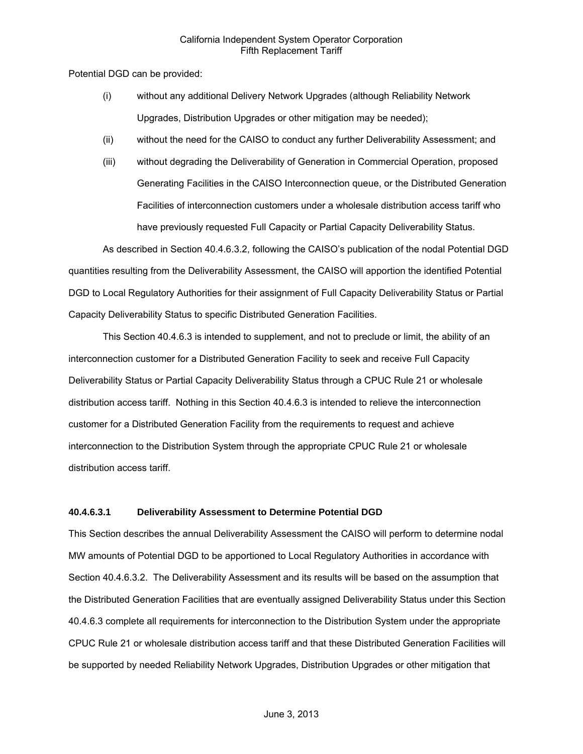Potential DGD can be provided:

- (i) without any additional Delivery Network Upgrades (although Reliability Network Upgrades, Distribution Upgrades or other mitigation may be needed);
- (ii) without the need for the CAISO to conduct any further Deliverability Assessment; and
- (iii) without degrading the Deliverability of Generation in Commercial Operation, proposed Generating Facilities in the CAISO Interconnection queue, or the Distributed Generation Facilities of interconnection customers under a wholesale distribution access tariff who have previously requested Full Capacity or Partial Capacity Deliverability Status.

As described in Section 40.4.6.3.2, following the CAISO's publication of the nodal Potential DGD quantities resulting from the Deliverability Assessment, the CAISO will apportion the identified Potential DGD to Local Regulatory Authorities for their assignment of Full Capacity Deliverability Status or Partial Capacity Deliverability Status to specific Distributed Generation Facilities.

This Section 40.4.6.3 is intended to supplement, and not to preclude or limit, the ability of an interconnection customer for a Distributed Generation Facility to seek and receive Full Capacity Deliverability Status or Partial Capacity Deliverability Status through a CPUC Rule 21 or wholesale distribution access tariff. Nothing in this Section 40.4.6.3 is intended to relieve the interconnection customer for a Distributed Generation Facility from the requirements to request and achieve interconnection to the Distribution System through the appropriate CPUC Rule 21 or wholesale distribution access tariff.

#### **40.4.6.3.1 Deliverability Assessment to Determine Potential DGD**

This Section describes the annual Deliverability Assessment the CAISO will perform to determine nodal MW amounts of Potential DGD to be apportioned to Local Regulatory Authorities in accordance with Section 40.4.6.3.2. The Deliverability Assessment and its results will be based on the assumption that the Distributed Generation Facilities that are eventually assigned Deliverability Status under this Section 40.4.6.3 complete all requirements for interconnection to the Distribution System under the appropriate CPUC Rule 21 or wholesale distribution access tariff and that these Distributed Generation Facilities will be supported by needed Reliability Network Upgrades, Distribution Upgrades or other mitigation that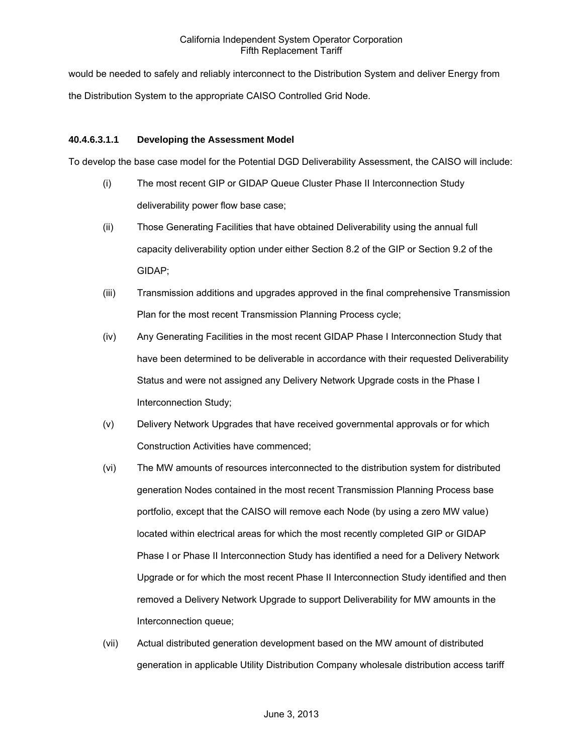would be needed to safely and reliably interconnect to the Distribution System and deliver Energy from the Distribution System to the appropriate CAISO Controlled Grid Node.

## **40.4.6.3.1.1 Developing the Assessment Model**

To develop the base case model for the Potential DGD Deliverability Assessment, the CAISO will include:

- (i) The most recent GIP or GIDAP Queue Cluster Phase II Interconnection Study deliverability power flow base case;
- (ii) Those Generating Facilities that have obtained Deliverability using the annual full capacity deliverability option under either Section 8.2 of the GIP or Section 9.2 of the GIDAP;
- (iii) Transmission additions and upgrades approved in the final comprehensive Transmission Plan for the most recent Transmission Planning Process cycle;
- (iv) Any Generating Facilities in the most recent GIDAP Phase I Interconnection Study that have been determined to be deliverable in accordance with their requested Deliverability Status and were not assigned any Delivery Network Upgrade costs in the Phase I Interconnection Study;
- (v) Delivery Network Upgrades that have received governmental approvals or for which Construction Activities have commenced;
- (vi) The MW amounts of resources interconnected to the distribution system for distributed generation Nodes contained in the most recent Transmission Planning Process base portfolio, except that the CAISO will remove each Node (by using a zero MW value) located within electrical areas for which the most recently completed GIP or GIDAP Phase I or Phase II Interconnection Study has identified a need for a Delivery Network Upgrade or for which the most recent Phase II Interconnection Study identified and then removed a Delivery Network Upgrade to support Deliverability for MW amounts in the Interconnection queue;
- (vii) Actual distributed generation development based on the MW amount of distributed generation in applicable Utility Distribution Company wholesale distribution access tariff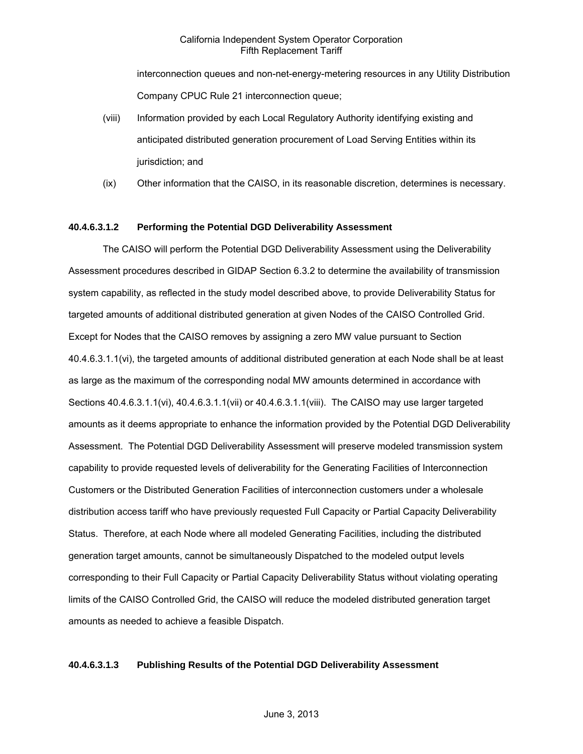interconnection queues and non-net-energy-metering resources in any Utility Distribution Company CPUC Rule 21 interconnection queue;

- (viii) Information provided by each Local Regulatory Authority identifying existing and anticipated distributed generation procurement of Load Serving Entities within its jurisdiction; and
- (ix) Other information that the CAISO, in its reasonable discretion, determines is necessary.

### **40.4.6.3.1.2 Performing the Potential DGD Deliverability Assessment**

The CAISO will perform the Potential DGD Deliverability Assessment using the Deliverability Assessment procedures described in GIDAP Section 6.3.2 to determine the availability of transmission system capability, as reflected in the study model described above, to provide Deliverability Status for targeted amounts of additional distributed generation at given Nodes of the CAISO Controlled Grid. Except for Nodes that the CAISO removes by assigning a zero MW value pursuant to Section 40.4.6.3.1.1(vi), the targeted amounts of additional distributed generation at each Node shall be at least as large as the maximum of the corresponding nodal MW amounts determined in accordance with Sections 40.4.6.3.1.1(vi), 40.4.6.3.1.1(vii) or 40.4.6.3.1.1(viii). The CAISO may use larger targeted amounts as it deems appropriate to enhance the information provided by the Potential DGD Deliverability Assessment. The Potential DGD Deliverability Assessment will preserve modeled transmission system capability to provide requested levels of deliverability for the Generating Facilities of Interconnection Customers or the Distributed Generation Facilities of interconnection customers under a wholesale distribution access tariff who have previously requested Full Capacity or Partial Capacity Deliverability Status. Therefore, at each Node where all modeled Generating Facilities, including the distributed generation target amounts, cannot be simultaneously Dispatched to the modeled output levels corresponding to their Full Capacity or Partial Capacity Deliverability Status without violating operating limits of the CAISO Controlled Grid, the CAISO will reduce the modeled distributed generation target amounts as needed to achieve a feasible Dispatch.

#### **40.4.6.3.1.3 Publishing Results of the Potential DGD Deliverability Assessment**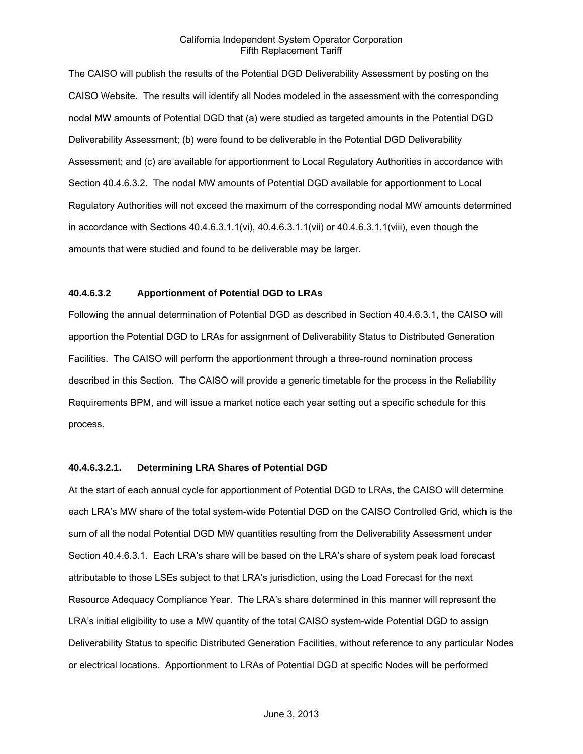The CAISO will publish the results of the Potential DGD Deliverability Assessment by posting on the CAISO Website. The results will identify all Nodes modeled in the assessment with the corresponding nodal MW amounts of Potential DGD that (a) were studied as targeted amounts in the Potential DGD Deliverability Assessment; (b) were found to be deliverable in the Potential DGD Deliverability Assessment; and (c) are available for apportionment to Local Regulatory Authorities in accordance with Section 40.4.6.3.2. The nodal MW amounts of Potential DGD available for apportionment to Local Regulatory Authorities will not exceed the maximum of the corresponding nodal MW amounts determined in accordance with Sections 40.4.6.3.1.1(vi), 40.4.6.3.1.1(vii) or 40.4.6.3.1.1(viii), even though the amounts that were studied and found to be deliverable may be larger.

# **40.4.6.3.2 Apportionment of Potential DGD to LRAs**

Following the annual determination of Potential DGD as described in Section 40.4.6.3.1, the CAISO will apportion the Potential DGD to LRAs for assignment of Deliverability Status to Distributed Generation Facilities. The CAISO will perform the apportionment through a three-round nomination process described in this Section. The CAISO will provide a generic timetable for the process in the Reliability Requirements BPM, and will issue a market notice each year setting out a specific schedule for this process.

### **40.4.6.3.2.1. Determining LRA Shares of Potential DGD**

At the start of each annual cycle for apportionment of Potential DGD to LRAs, the CAISO will determine each LRA's MW share of the total system-wide Potential DGD on the CAISO Controlled Grid, which is the sum of all the nodal Potential DGD MW quantities resulting from the Deliverability Assessment under Section 40.4.6.3.1. Each LRA's share will be based on the LRA's share of system peak load forecast attributable to those LSEs subject to that LRA's jurisdiction, using the Load Forecast for the next Resource Adequacy Compliance Year. The LRA's share determined in this manner will represent the LRA's initial eligibility to use a MW quantity of the total CAISO system-wide Potential DGD to assign Deliverability Status to specific Distributed Generation Facilities, without reference to any particular Nodes or electrical locations. Apportionment to LRAs of Potential DGD at specific Nodes will be performed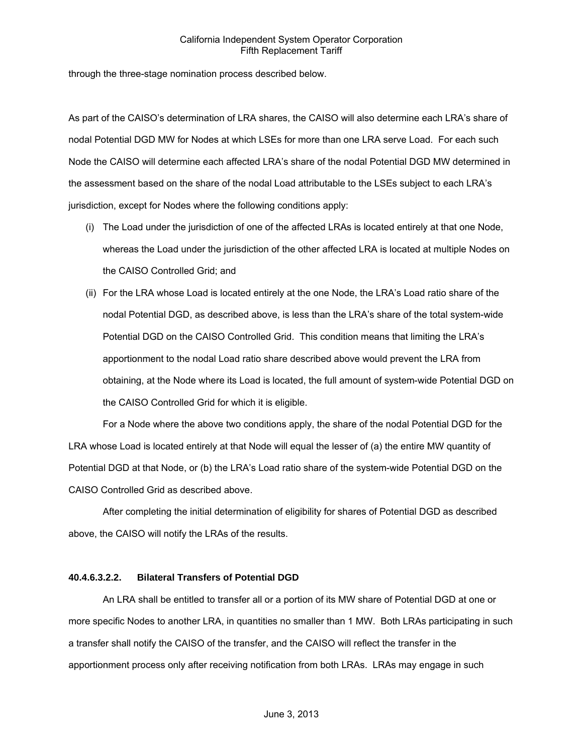through the three-stage nomination process described below.

As part of the CAISO's determination of LRA shares, the CAISO will also determine each LRA's share of nodal Potential DGD MW for Nodes at which LSEs for more than one LRA serve Load. For each such Node the CAISO will determine each affected LRA's share of the nodal Potential DGD MW determined in the assessment based on the share of the nodal Load attributable to the LSEs subject to each LRA's jurisdiction, except for Nodes where the following conditions apply:

- (i) The Load under the jurisdiction of one of the affected LRAs is located entirely at that one Node, whereas the Load under the jurisdiction of the other affected LRA is located at multiple Nodes on the CAISO Controlled Grid; and
- (ii) For the LRA whose Load is located entirely at the one Node, the LRA's Load ratio share of the nodal Potential DGD, as described above, is less than the LRA's share of the total system-wide Potential DGD on the CAISO Controlled Grid. This condition means that limiting the LRA's apportionment to the nodal Load ratio share described above would prevent the LRA from obtaining, at the Node where its Load is located, the full amount of system-wide Potential DGD on the CAISO Controlled Grid for which it is eligible.

For a Node where the above two conditions apply, the share of the nodal Potential DGD for the LRA whose Load is located entirely at that Node will equal the lesser of (a) the entire MW quantity of Potential DGD at that Node, or (b) the LRA's Load ratio share of the system-wide Potential DGD on the CAISO Controlled Grid as described above.

After completing the initial determination of eligibility for shares of Potential DGD as described above, the CAISO will notify the LRAs of the results.

# **40.4.6.3.2.2. Bilateral Transfers of Potential DGD**

An LRA shall be entitled to transfer all or a portion of its MW share of Potential DGD at one or more specific Nodes to another LRA, in quantities no smaller than 1 MW. Both LRAs participating in such a transfer shall notify the CAISO of the transfer, and the CAISO will reflect the transfer in the apportionment process only after receiving notification from both LRAs. LRAs may engage in such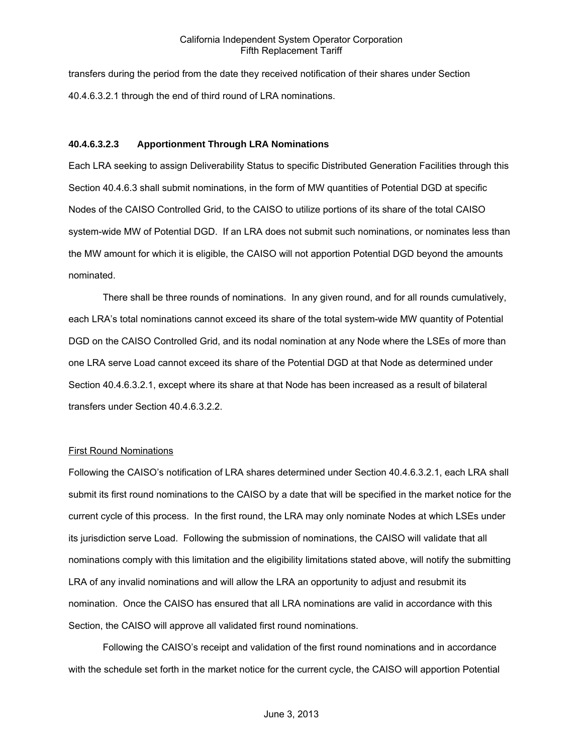transfers during the period from the date they received notification of their shares under Section 40.4.6.3.2.1 through the end of third round of LRA nominations.

### **40.4.6.3.2.3 Apportionment Through LRA Nominations**

Each LRA seeking to assign Deliverability Status to specific Distributed Generation Facilities through this Section 40.4.6.3 shall submit nominations, in the form of MW quantities of Potential DGD at specific Nodes of the CAISO Controlled Grid, to the CAISO to utilize portions of its share of the total CAISO system-wide MW of Potential DGD. If an LRA does not submit such nominations, or nominates less than the MW amount for which it is eligible, the CAISO will not apportion Potential DGD beyond the amounts nominated.

There shall be three rounds of nominations. In any given round, and for all rounds cumulatively, each LRA's total nominations cannot exceed its share of the total system-wide MW quantity of Potential DGD on the CAISO Controlled Grid, and its nodal nomination at any Node where the LSEs of more than one LRA serve Load cannot exceed its share of the Potential DGD at that Node as determined under Section 40.4.6.3.2.1, except where its share at that Node has been increased as a result of bilateral transfers under Section 40.4.6.3.2.2.

### First Round Nominations

Following the CAISO's notification of LRA shares determined under Section 40.4.6.3.2.1, each LRA shall submit its first round nominations to the CAISO by a date that will be specified in the market notice for the current cycle of this process. In the first round, the LRA may only nominate Nodes at which LSEs under its jurisdiction serve Load. Following the submission of nominations, the CAISO will validate that all nominations comply with this limitation and the eligibility limitations stated above, will notify the submitting LRA of any invalid nominations and will allow the LRA an opportunity to adjust and resubmit its nomination. Once the CAISO has ensured that all LRA nominations are valid in accordance with this Section, the CAISO will approve all validated first round nominations.

Following the CAISO's receipt and validation of the first round nominations and in accordance with the schedule set forth in the market notice for the current cycle, the CAISO will apportion Potential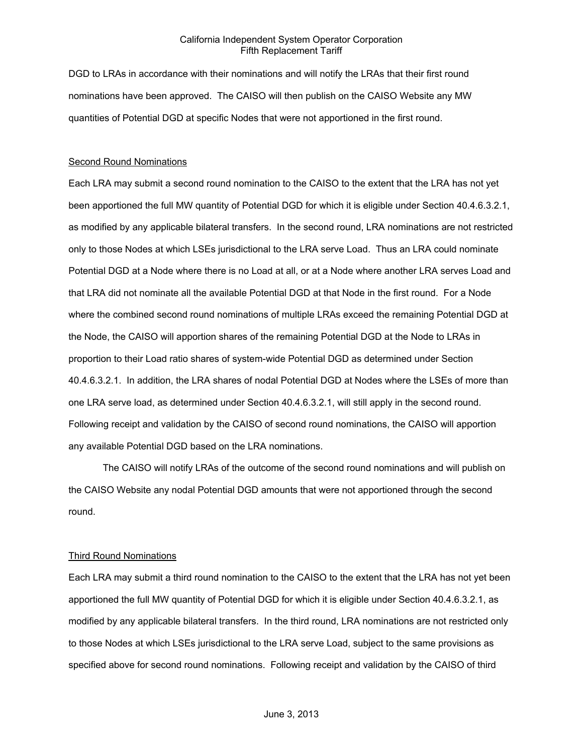DGD to LRAs in accordance with their nominations and will notify the LRAs that their first round nominations have been approved. The CAISO will then publish on the CAISO Website any MW quantities of Potential DGD at specific Nodes that were not apportioned in the first round.

#### **Second Round Nominations**

Each LRA may submit a second round nomination to the CAISO to the extent that the LRA has not yet been apportioned the full MW quantity of Potential DGD for which it is eligible under Section 40.4.6.3.2.1, as modified by any applicable bilateral transfers. In the second round, LRA nominations are not restricted only to those Nodes at which LSEs jurisdictional to the LRA serve Load. Thus an LRA could nominate Potential DGD at a Node where there is no Load at all, or at a Node where another LRA serves Load and that LRA did not nominate all the available Potential DGD at that Node in the first round. For a Node where the combined second round nominations of multiple LRAs exceed the remaining Potential DGD at the Node, the CAISO will apportion shares of the remaining Potential DGD at the Node to LRAs in proportion to their Load ratio shares of system-wide Potential DGD as determined under Section 40.4.6.3.2.1. In addition, the LRA shares of nodal Potential DGD at Nodes where the LSEs of more than one LRA serve load, as determined under Section 40.4.6.3.2.1, will still apply in the second round. Following receipt and validation by the CAISO of second round nominations, the CAISO will apportion any available Potential DGD based on the LRA nominations.

The CAISO will notify LRAs of the outcome of the second round nominations and will publish on the CAISO Website any nodal Potential DGD amounts that were not apportioned through the second round.

#### Third Round Nominations

Each LRA may submit a third round nomination to the CAISO to the extent that the LRA has not yet been apportioned the full MW quantity of Potential DGD for which it is eligible under Section 40.4.6.3.2.1, as modified by any applicable bilateral transfers. In the third round, LRA nominations are not restricted only to those Nodes at which LSEs jurisdictional to the LRA serve Load, subject to the same provisions as specified above for second round nominations. Following receipt and validation by the CAISO of third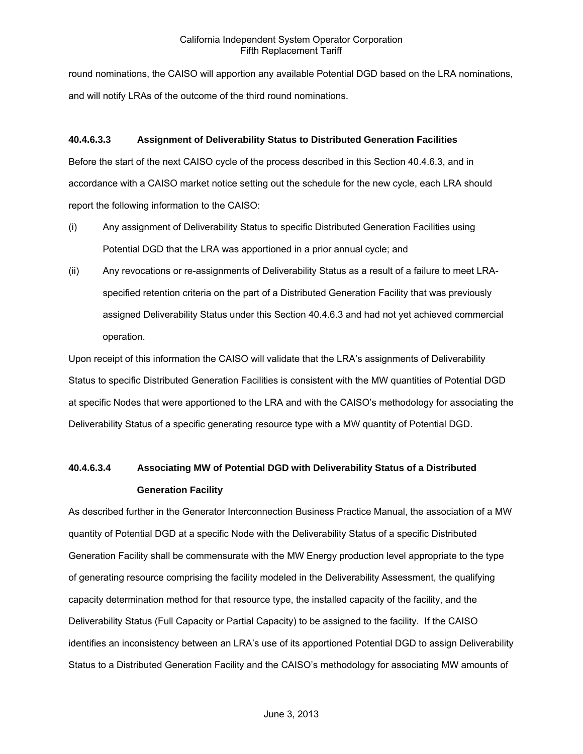round nominations, the CAISO will apportion any available Potential DGD based on the LRA nominations, and will notify LRAs of the outcome of the third round nominations.

# **40.4.6.3.3 Assignment of Deliverability Status to Distributed Generation Facilities**

Before the start of the next CAISO cycle of the process described in this Section 40.4.6.3, and in accordance with a CAISO market notice setting out the schedule for the new cycle, each LRA should report the following information to the CAISO:

- (i) Any assignment of Deliverability Status to specific Distributed Generation Facilities using Potential DGD that the LRA was apportioned in a prior annual cycle; and
- (ii) Any revocations or re-assignments of Deliverability Status as a result of a failure to meet LRAspecified retention criteria on the part of a Distributed Generation Facility that was previously assigned Deliverability Status under this Section 40.4.6.3 and had not yet achieved commercial operation.

Upon receipt of this information the CAISO will validate that the LRA's assignments of Deliverability Status to specific Distributed Generation Facilities is consistent with the MW quantities of Potential DGD at specific Nodes that were apportioned to the LRA and with the CAISO's methodology for associating the Deliverability Status of a specific generating resource type with a MW quantity of Potential DGD.

# **40.4.6.3.4 Associating MW of Potential DGD with Deliverability Status of a Distributed Generation Facility**

As described further in the Generator Interconnection Business Practice Manual, the association of a MW quantity of Potential DGD at a specific Node with the Deliverability Status of a specific Distributed Generation Facility shall be commensurate with the MW Energy production level appropriate to the type of generating resource comprising the facility modeled in the Deliverability Assessment, the qualifying capacity determination method for that resource type, the installed capacity of the facility, and the Deliverability Status (Full Capacity or Partial Capacity) to be assigned to the facility. If the CAISO identifies an inconsistency between an LRA's use of its apportioned Potential DGD to assign Deliverability Status to a Distributed Generation Facility and the CAISO's methodology for associating MW amounts of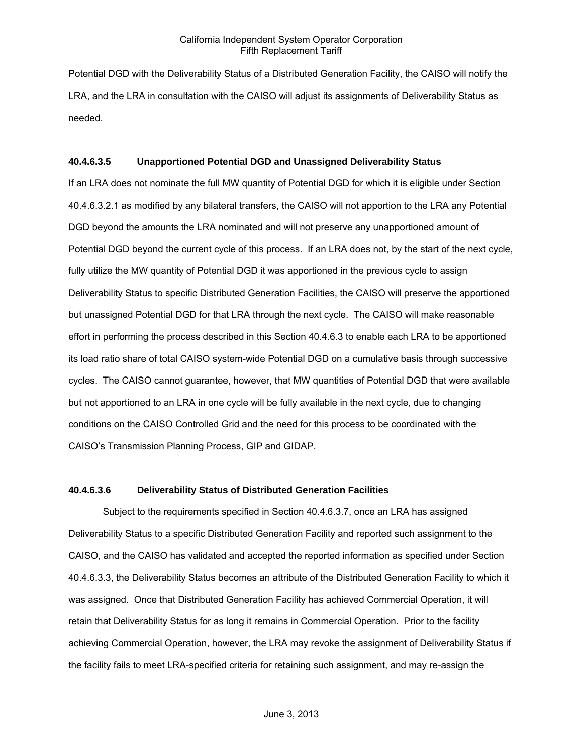Potential DGD with the Deliverability Status of a Distributed Generation Facility, the CAISO will notify the LRA, and the LRA in consultation with the CAISO will adjust its assignments of Deliverability Status as needed.

#### **40.4.6.3.5 Unapportioned Potential DGD and Unassigned Deliverability Status**

If an LRA does not nominate the full MW quantity of Potential DGD for which it is eligible under Section 40.4.6.3.2.1 as modified by any bilateral transfers, the CAISO will not apportion to the LRA any Potential DGD beyond the amounts the LRA nominated and will not preserve any unapportioned amount of Potential DGD beyond the current cycle of this process. If an LRA does not, by the start of the next cycle, fully utilize the MW quantity of Potential DGD it was apportioned in the previous cycle to assign Deliverability Status to specific Distributed Generation Facilities, the CAISO will preserve the apportioned but unassigned Potential DGD for that LRA through the next cycle. The CAISO will make reasonable effort in performing the process described in this Section 40.4.6.3 to enable each LRA to be apportioned its load ratio share of total CAISO system-wide Potential DGD on a cumulative basis through successive cycles. The CAISO cannot guarantee, however, that MW quantities of Potential DGD that were available but not apportioned to an LRA in one cycle will be fully available in the next cycle, due to changing conditions on the CAISO Controlled Grid and the need for this process to be coordinated with the CAISO's Transmission Planning Process, GIP and GIDAP.

#### **40.4.6.3.6 Deliverability Status of Distributed Generation Facilities**

Subject to the requirements specified in Section 40.4.6.3.7, once an LRA has assigned Deliverability Status to a specific Distributed Generation Facility and reported such assignment to the CAISO, and the CAISO has validated and accepted the reported information as specified under Section 40.4.6.3.3, the Deliverability Status becomes an attribute of the Distributed Generation Facility to which it was assigned. Once that Distributed Generation Facility has achieved Commercial Operation, it will retain that Deliverability Status for as long it remains in Commercial Operation. Prior to the facility achieving Commercial Operation, however, the LRA may revoke the assignment of Deliverability Status if the facility fails to meet LRA-specified criteria for retaining such assignment, and may re-assign the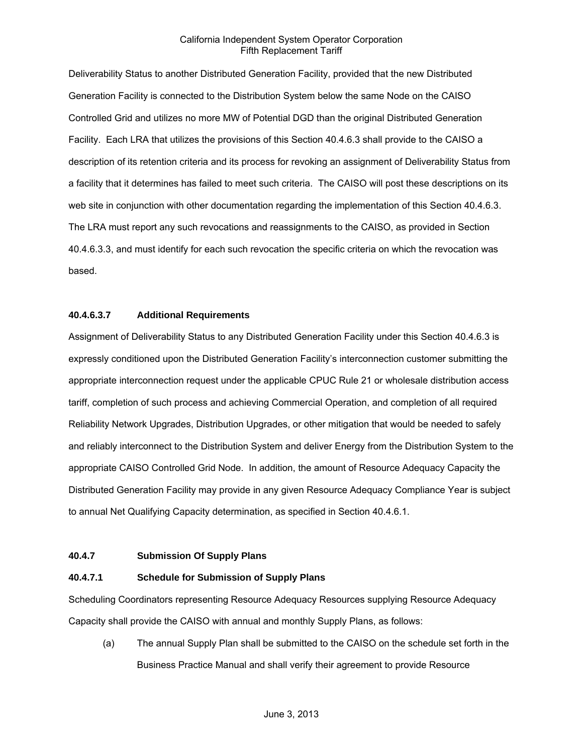Deliverability Status to another Distributed Generation Facility, provided that the new Distributed Generation Facility is connected to the Distribution System below the same Node on the CAISO Controlled Grid and utilizes no more MW of Potential DGD than the original Distributed Generation Facility. Each LRA that utilizes the provisions of this Section 40.4.6.3 shall provide to the CAISO a description of its retention criteria and its process for revoking an assignment of Deliverability Status from a facility that it determines has failed to meet such criteria. The CAISO will post these descriptions on its web site in conjunction with other documentation regarding the implementation of this Section 40.4.6.3. The LRA must report any such revocations and reassignments to the CAISO, as provided in Section 40.4.6.3.3, and must identify for each such revocation the specific criteria on which the revocation was based.

# **40.4.6.3.7 Additional Requirements**

Assignment of Deliverability Status to any Distributed Generation Facility under this Section 40.4.6.3 is expressly conditioned upon the Distributed Generation Facility's interconnection customer submitting the appropriate interconnection request under the applicable CPUC Rule 21 or wholesale distribution access tariff, completion of such process and achieving Commercial Operation, and completion of all required Reliability Network Upgrades, Distribution Upgrades, or other mitigation that would be needed to safely and reliably interconnect to the Distribution System and deliver Energy from the Distribution System to the appropriate CAISO Controlled Grid Node. In addition, the amount of Resource Adequacy Capacity the Distributed Generation Facility may provide in any given Resource Adequacy Compliance Year is subject to annual Net Qualifying Capacity determination, as specified in Section 40.4.6.1.

# **40.4.7 Submission Of Supply Plans**

# **40.4.7.1 Schedule for Submission of Supply Plans**

Scheduling Coordinators representing Resource Adequacy Resources supplying Resource Adequacy Capacity shall provide the CAISO with annual and monthly Supply Plans, as follows:

(a) The annual Supply Plan shall be submitted to the CAISO on the schedule set forth in the Business Practice Manual and shall verify their agreement to provide Resource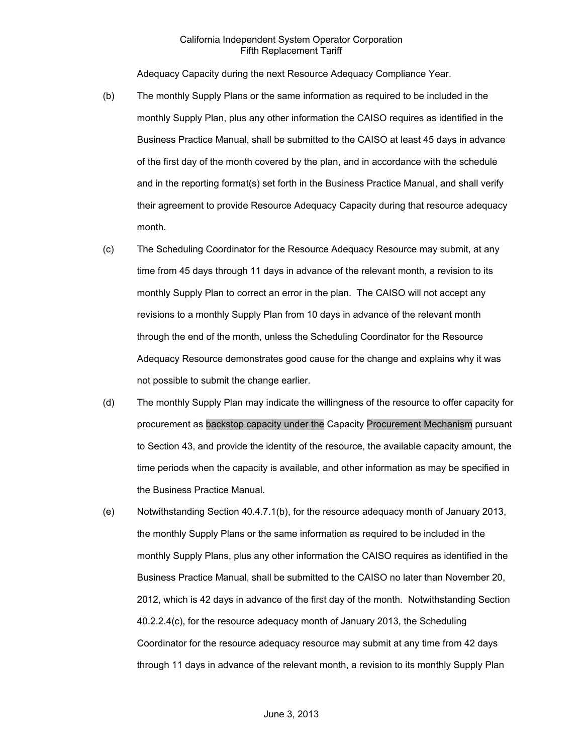Adequacy Capacity during the next Resource Adequacy Compliance Year.

- (b) The monthly Supply Plans or the same information as required to be included in the monthly Supply Plan, plus any other information the CAISO requires as identified in the Business Practice Manual, shall be submitted to the CAISO at least 45 days in advance of the first day of the month covered by the plan, and in accordance with the schedule and in the reporting format(s) set forth in the Business Practice Manual, and shall verify their agreement to provide Resource Adequacy Capacity during that resource adequacy month.
- (c) The Scheduling Coordinator for the Resource Adequacy Resource may submit, at any time from 45 days through 11 days in advance of the relevant month, a revision to its monthly Supply Plan to correct an error in the plan. The CAISO will not accept any revisions to a monthly Supply Plan from 10 days in advance of the relevant month through the end of the month, unless the Scheduling Coordinator for the Resource Adequacy Resource demonstrates good cause for the change and explains why it was not possible to submit the change earlier.
- (d) The monthly Supply Plan may indicate the willingness of the resource to offer capacity for procurement as backstop capacity under the Capacity Procurement Mechanism pursuant to Section 43, and provide the identity of the resource, the available capacity amount, the time periods when the capacity is available, and other information as may be specified in the Business Practice Manual.
- (e) Notwithstanding Section 40.4.7.1(b), for the resource adequacy month of January 2013, the monthly Supply Plans or the same information as required to be included in the monthly Supply Plans, plus any other information the CAISO requires as identified in the Business Practice Manual, shall be submitted to the CAISO no later than November 20, 2012, which is 42 days in advance of the first day of the month. Notwithstanding Section 40.2.2.4(c), for the resource adequacy month of January 2013, the Scheduling Coordinator for the resource adequacy resource may submit at any time from 42 days through 11 days in advance of the relevant month, a revision to its monthly Supply Plan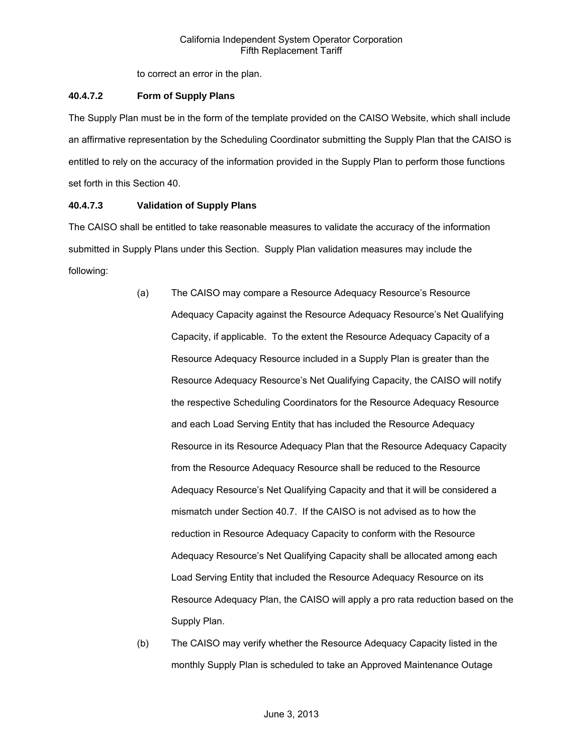to correct an error in the plan.

# **40.4.7.2 Form of Supply Plans**

The Supply Plan must be in the form of the template provided on the CAISO Website, which shall include an affirmative representation by the Scheduling Coordinator submitting the Supply Plan that the CAISO is entitled to rely on the accuracy of the information provided in the Supply Plan to perform those functions set forth in this Section 40.

# **40.4.7.3 Validation of Supply Plans**

The CAISO shall be entitled to take reasonable measures to validate the accuracy of the information submitted in Supply Plans under this Section. Supply Plan validation measures may include the following:

- (a) The CAISO may compare a Resource Adequacy Resource's Resource Adequacy Capacity against the Resource Adequacy Resource's Net Qualifying Capacity, if applicable. To the extent the Resource Adequacy Capacity of a Resource Adequacy Resource included in a Supply Plan is greater than the Resource Adequacy Resource's Net Qualifying Capacity, the CAISO will notify the respective Scheduling Coordinators for the Resource Adequacy Resource and each Load Serving Entity that has included the Resource Adequacy Resource in its Resource Adequacy Plan that the Resource Adequacy Capacity from the Resource Adequacy Resource shall be reduced to the Resource Adequacy Resource's Net Qualifying Capacity and that it will be considered a mismatch under Section 40.7. If the CAISO is not advised as to how the reduction in Resource Adequacy Capacity to conform with the Resource Adequacy Resource's Net Qualifying Capacity shall be allocated among each Load Serving Entity that included the Resource Adequacy Resource on its Resource Adequacy Plan, the CAISO will apply a pro rata reduction based on the Supply Plan.
- (b) The CAISO may verify whether the Resource Adequacy Capacity listed in the monthly Supply Plan is scheduled to take an Approved Maintenance Outage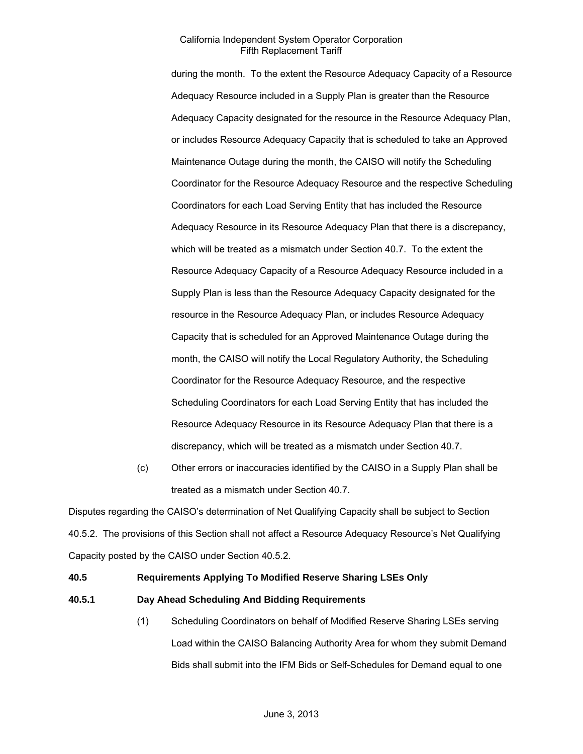during the month. To the extent the Resource Adequacy Capacity of a Resource Adequacy Resource included in a Supply Plan is greater than the Resource Adequacy Capacity designated for the resource in the Resource Adequacy Plan, or includes Resource Adequacy Capacity that is scheduled to take an Approved Maintenance Outage during the month, the CAISO will notify the Scheduling Coordinator for the Resource Adequacy Resource and the respective Scheduling Coordinators for each Load Serving Entity that has included the Resource Adequacy Resource in its Resource Adequacy Plan that there is a discrepancy, which will be treated as a mismatch under Section 40.7. To the extent the Resource Adequacy Capacity of a Resource Adequacy Resource included in a Supply Plan is less than the Resource Adequacy Capacity designated for the resource in the Resource Adequacy Plan, or includes Resource Adequacy Capacity that is scheduled for an Approved Maintenance Outage during the month, the CAISO will notify the Local Regulatory Authority, the Scheduling Coordinator for the Resource Adequacy Resource, and the respective Scheduling Coordinators for each Load Serving Entity that has included the Resource Adequacy Resource in its Resource Adequacy Plan that there is a discrepancy, which will be treated as a mismatch under Section 40.7.

(c) Other errors or inaccuracies identified by the CAISO in a Supply Plan shall be treated as a mismatch under Section 40.7.

Disputes regarding the CAISO's determination of Net Qualifying Capacity shall be subject to Section 40.5.2. The provisions of this Section shall not affect a Resource Adequacy Resource's Net Qualifying Capacity posted by the CAISO under Section 40.5.2.

### **40.5 Requirements Applying To Modified Reserve Sharing LSEs Only**

### **40.5.1 Day Ahead Scheduling And Bidding Requirements**

(1) Scheduling Coordinators on behalf of Modified Reserve Sharing LSEs serving Load within the CAISO Balancing Authority Area for whom they submit Demand Bids shall submit into the IFM Bids or Self-Schedules for Demand equal to one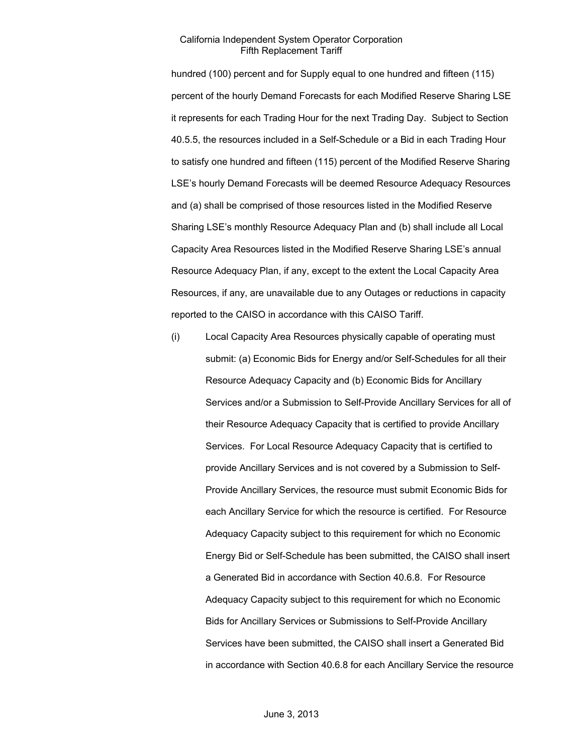hundred (100) percent and for Supply equal to one hundred and fifteen (115) percent of the hourly Demand Forecasts for each Modified Reserve Sharing LSE it represents for each Trading Hour for the next Trading Day. Subject to Section 40.5.5, the resources included in a Self-Schedule or a Bid in each Trading Hour to satisfy one hundred and fifteen (115) percent of the Modified Reserve Sharing LSE's hourly Demand Forecasts will be deemed Resource Adequacy Resources and (a) shall be comprised of those resources listed in the Modified Reserve Sharing LSE's monthly Resource Adequacy Plan and (b) shall include all Local Capacity Area Resources listed in the Modified Reserve Sharing LSE's annual Resource Adequacy Plan, if any, except to the extent the Local Capacity Area Resources, if any, are unavailable due to any Outages or reductions in capacity reported to the CAISO in accordance with this CAISO Tariff.

(i) Local Capacity Area Resources physically capable of operating must submit: (a) Economic Bids for Energy and/or Self-Schedules for all their Resource Adequacy Capacity and (b) Economic Bids for Ancillary Services and/or a Submission to Self-Provide Ancillary Services for all of their Resource Adequacy Capacity that is certified to provide Ancillary Services. For Local Resource Adequacy Capacity that is certified to provide Ancillary Services and is not covered by a Submission to Self-Provide Ancillary Services, the resource must submit Economic Bids for each Ancillary Service for which the resource is certified. For Resource Adequacy Capacity subject to this requirement for which no Economic Energy Bid or Self-Schedule has been submitted, the CAISO shall insert a Generated Bid in accordance with Section 40.6.8. For Resource Adequacy Capacity subject to this requirement for which no Economic Bids for Ancillary Services or Submissions to Self-Provide Ancillary Services have been submitted, the CAISO shall insert a Generated Bid in accordance with Section 40.6.8 for each Ancillary Service the resource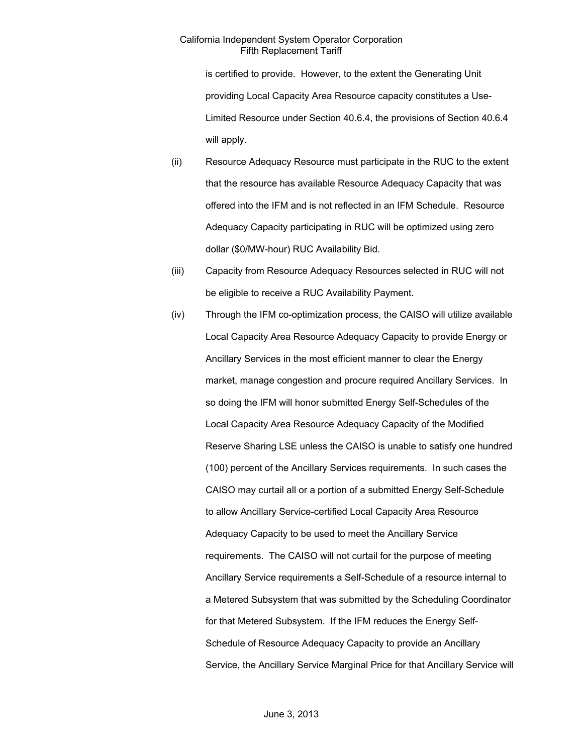is certified to provide. However, to the extent the Generating Unit providing Local Capacity Area Resource capacity constitutes a Use-Limited Resource under Section 40.6.4, the provisions of Section 40.6.4 will apply.

- (ii) Resource Adequacy Resource must participate in the RUC to the extent that the resource has available Resource Adequacy Capacity that was offered into the IFM and is not reflected in an IFM Schedule. Resource Adequacy Capacity participating in RUC will be optimized using zero dollar (\$0/MW-hour) RUC Availability Bid.
- (iii) Capacity from Resource Adequacy Resources selected in RUC will not be eligible to receive a RUC Availability Payment.
- (iv) Through the IFM co-optimization process, the CAISO will utilize available Local Capacity Area Resource Adequacy Capacity to provide Energy or Ancillary Services in the most efficient manner to clear the Energy market, manage congestion and procure required Ancillary Services. In so doing the IFM will honor submitted Energy Self-Schedules of the Local Capacity Area Resource Adequacy Capacity of the Modified Reserve Sharing LSE unless the CAISO is unable to satisfy one hundred (100) percent of the Ancillary Services requirements. In such cases the CAISO may curtail all or a portion of a submitted Energy Self-Schedule to allow Ancillary Service-certified Local Capacity Area Resource Adequacy Capacity to be used to meet the Ancillary Service requirements. The CAISO will not curtail for the purpose of meeting Ancillary Service requirements a Self-Schedule of a resource internal to a Metered Subsystem that was submitted by the Scheduling Coordinator for that Metered Subsystem. If the IFM reduces the Energy Self-Schedule of Resource Adequacy Capacity to provide an Ancillary Service, the Ancillary Service Marginal Price for that Ancillary Service will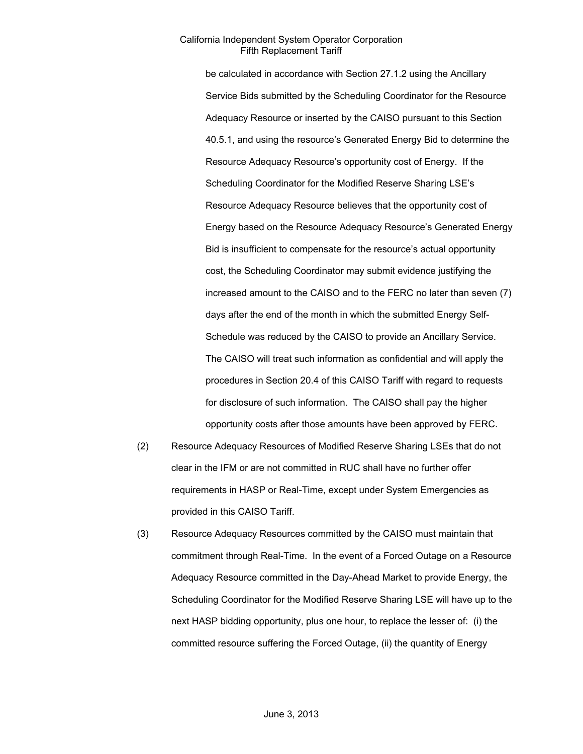be calculated in accordance with Section 27.1.2 using the Ancillary Service Bids submitted by the Scheduling Coordinator for the Resource Adequacy Resource or inserted by the CAISO pursuant to this Section 40.5.1, and using the resource's Generated Energy Bid to determine the Resource Adequacy Resource's opportunity cost of Energy. If the Scheduling Coordinator for the Modified Reserve Sharing LSE's Resource Adequacy Resource believes that the opportunity cost of Energy based on the Resource Adequacy Resource's Generated Energy Bid is insufficient to compensate for the resource's actual opportunity cost, the Scheduling Coordinator may submit evidence justifying the increased amount to the CAISO and to the FERC no later than seven (7) days after the end of the month in which the submitted Energy Self-Schedule was reduced by the CAISO to provide an Ancillary Service. The CAISO will treat such information as confidential and will apply the procedures in Section 20.4 of this CAISO Tariff with regard to requests for disclosure of such information. The CAISO shall pay the higher opportunity costs after those amounts have been approved by FERC.

- (2) Resource Adequacy Resources of Modified Reserve Sharing LSEs that do not clear in the IFM or are not committed in RUC shall have no further offer requirements in HASP or Real-Time, except under System Emergencies as provided in this CAISO Tariff.
- (3) Resource Adequacy Resources committed by the CAISO must maintain that commitment through Real-Time. In the event of a Forced Outage on a Resource Adequacy Resource committed in the Day-Ahead Market to provide Energy, the Scheduling Coordinator for the Modified Reserve Sharing LSE will have up to the next HASP bidding opportunity, plus one hour, to replace the lesser of: (i) the committed resource suffering the Forced Outage, (ii) the quantity of Energy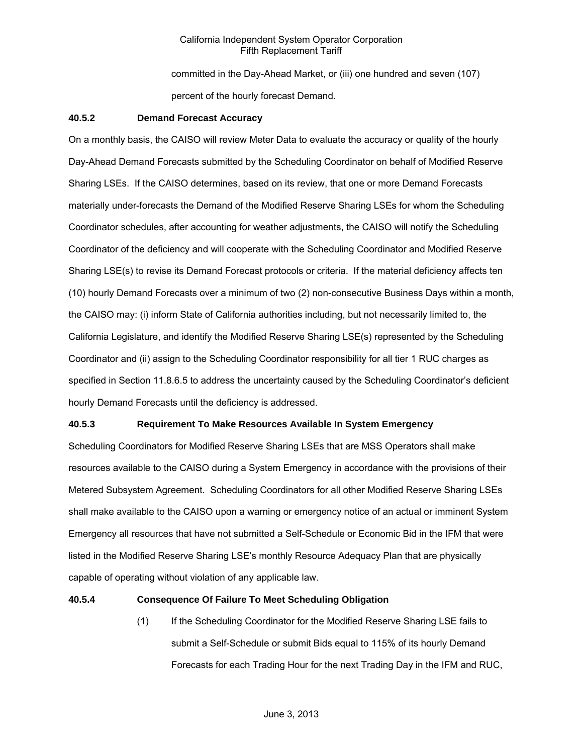committed in the Day-Ahead Market, or (iii) one hundred and seven (107) percent of the hourly forecast Demand.

### **40.5.2 Demand Forecast Accuracy**

On a monthly basis, the CAISO will review Meter Data to evaluate the accuracy or quality of the hourly Day-Ahead Demand Forecasts submitted by the Scheduling Coordinator on behalf of Modified Reserve Sharing LSEs. If the CAISO determines, based on its review, that one or more Demand Forecasts materially under-forecasts the Demand of the Modified Reserve Sharing LSEs for whom the Scheduling Coordinator schedules, after accounting for weather adjustments, the CAISO will notify the Scheduling Coordinator of the deficiency and will cooperate with the Scheduling Coordinator and Modified Reserve Sharing LSE(s) to revise its Demand Forecast protocols or criteria. If the material deficiency affects ten (10) hourly Demand Forecasts over a minimum of two (2) non-consecutive Business Days within a month, the CAISO may: (i) inform State of California authorities including, but not necessarily limited to, the California Legislature, and identify the Modified Reserve Sharing LSE(s) represented by the Scheduling Coordinator and (ii) assign to the Scheduling Coordinator responsibility for all tier 1 RUC charges as specified in Section 11.8.6.5 to address the uncertainty caused by the Scheduling Coordinator's deficient hourly Demand Forecasts until the deficiency is addressed.

### **40.5.3 Requirement To Make Resources Available In System Emergency**

Scheduling Coordinators for Modified Reserve Sharing LSEs that are MSS Operators shall make resources available to the CAISO during a System Emergency in accordance with the provisions of their Metered Subsystem Agreement. Scheduling Coordinators for all other Modified Reserve Sharing LSEs shall make available to the CAISO upon a warning or emergency notice of an actual or imminent System Emergency all resources that have not submitted a Self-Schedule or Economic Bid in the IFM that were listed in the Modified Reserve Sharing LSE's monthly Resource Adequacy Plan that are physically capable of operating without violation of any applicable law.

#### **40.5.4 Consequence Of Failure To Meet Scheduling Obligation**

(1) If the Scheduling Coordinator for the Modified Reserve Sharing LSE fails to submit a Self-Schedule or submit Bids equal to 115% of its hourly Demand Forecasts for each Trading Hour for the next Trading Day in the IFM and RUC,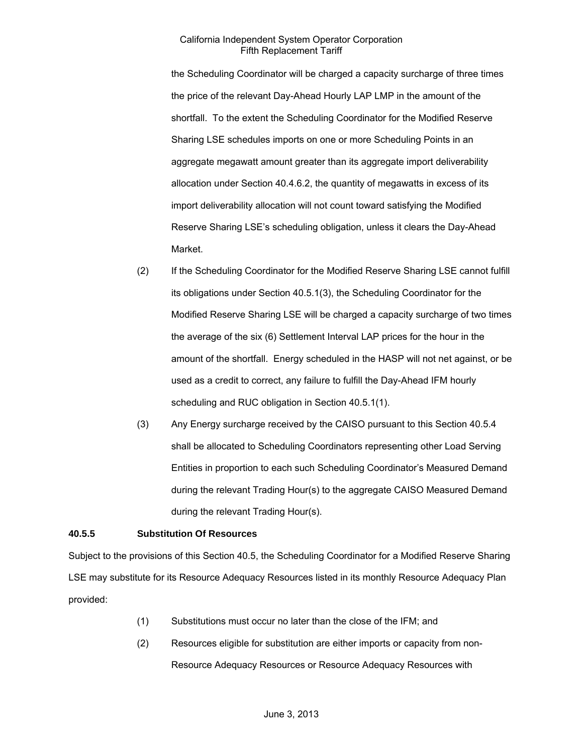the Scheduling Coordinator will be charged a capacity surcharge of three times the price of the relevant Day-Ahead Hourly LAP LMP in the amount of the shortfall. To the extent the Scheduling Coordinator for the Modified Reserve Sharing LSE schedules imports on one or more Scheduling Points in an aggregate megawatt amount greater than its aggregate import deliverability allocation under Section 40.4.6.2, the quantity of megawatts in excess of its import deliverability allocation will not count toward satisfying the Modified Reserve Sharing LSE's scheduling obligation, unless it clears the Day-Ahead Market.

- (2) If the Scheduling Coordinator for the Modified Reserve Sharing LSE cannot fulfill its obligations under Section 40.5.1(3), the Scheduling Coordinator for the Modified Reserve Sharing LSE will be charged a capacity surcharge of two times the average of the six (6) Settlement Interval LAP prices for the hour in the amount of the shortfall. Energy scheduled in the HASP will not net against, or be used as a credit to correct, any failure to fulfill the Day-Ahead IFM hourly scheduling and RUC obligation in Section 40.5.1(1).
- (3) Any Energy surcharge received by the CAISO pursuant to this Section 40.5.4 shall be allocated to Scheduling Coordinators representing other Load Serving Entities in proportion to each such Scheduling Coordinator's Measured Demand during the relevant Trading Hour(s) to the aggregate CAISO Measured Demand during the relevant Trading Hour(s).

## **40.5.5 Substitution Of Resources**

Subject to the provisions of this Section 40.5, the Scheduling Coordinator for a Modified Reserve Sharing LSE may substitute for its Resource Adequacy Resources listed in its monthly Resource Adequacy Plan provided:

- (1) Substitutions must occur no later than the close of the IFM; and
- (2) Resources eligible for substitution are either imports or capacity from non-Resource Adequacy Resources or Resource Adequacy Resources with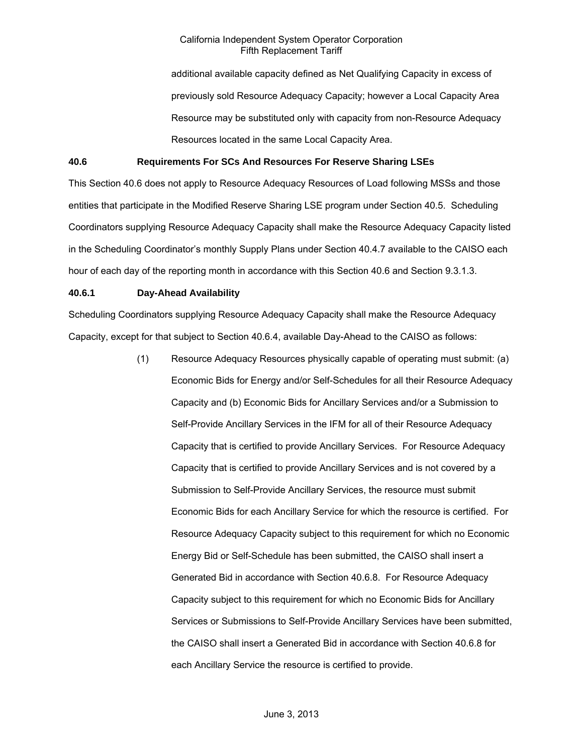additional available capacity defined as Net Qualifying Capacity in excess of previously sold Resource Adequacy Capacity; however a Local Capacity Area Resource may be substituted only with capacity from non-Resource Adequacy Resources located in the same Local Capacity Area.

### **40.6 Requirements For SCs And Resources For Reserve Sharing LSEs**

This Section 40.6 does not apply to Resource Adequacy Resources of Load following MSSs and those entities that participate in the Modified Reserve Sharing LSE program under Section 40.5. Scheduling Coordinators supplying Resource Adequacy Capacity shall make the Resource Adequacy Capacity listed in the Scheduling Coordinator's monthly Supply Plans under Section 40.4.7 available to the CAISO each hour of each day of the reporting month in accordance with this Section 40.6 and Section 9.3.1.3.

#### **40.6.1 Day-Ahead Availability**

Scheduling Coordinators supplying Resource Adequacy Capacity shall make the Resource Adequacy Capacity, except for that subject to Section 40.6.4, available Day-Ahead to the CAISO as follows:

> (1) Resource Adequacy Resources physically capable of operating must submit: (a) Economic Bids for Energy and/or Self-Schedules for all their Resource Adequacy Capacity and (b) Economic Bids for Ancillary Services and/or a Submission to Self-Provide Ancillary Services in the IFM for all of their Resource Adequacy Capacity that is certified to provide Ancillary Services. For Resource Adequacy Capacity that is certified to provide Ancillary Services and is not covered by a Submission to Self-Provide Ancillary Services, the resource must submit Economic Bids for each Ancillary Service for which the resource is certified. For Resource Adequacy Capacity subject to this requirement for which no Economic Energy Bid or Self-Schedule has been submitted, the CAISO shall insert a Generated Bid in accordance with Section 40.6.8. For Resource Adequacy Capacity subject to this requirement for which no Economic Bids for Ancillary Services or Submissions to Self-Provide Ancillary Services have been submitted, the CAISO shall insert a Generated Bid in accordance with Section 40.6.8 for each Ancillary Service the resource is certified to provide.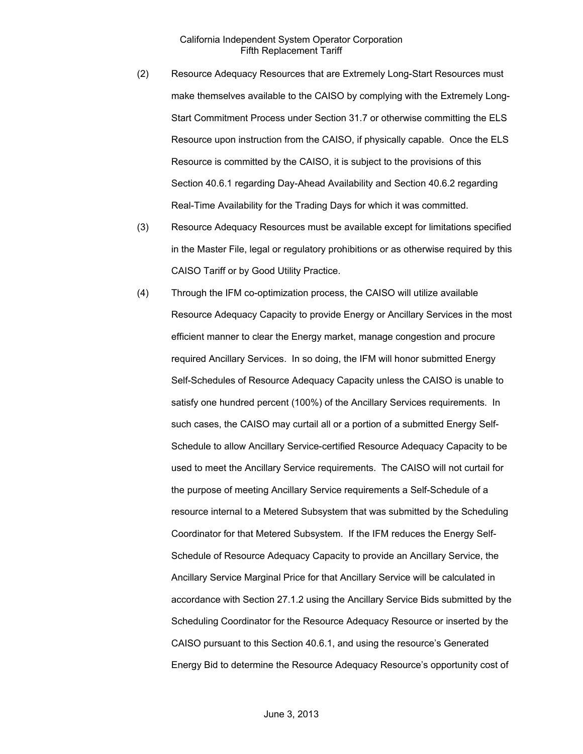- (2) Resource Adequacy Resources that are Extremely Long-Start Resources must make themselves available to the CAISO by complying with the Extremely Long-Start Commitment Process under Section 31.7 or otherwise committing the ELS Resource upon instruction from the CAISO, if physically capable. Once the ELS Resource is committed by the CAISO, it is subject to the provisions of this Section 40.6.1 regarding Day-Ahead Availability and Section 40.6.2 regarding Real-Time Availability for the Trading Days for which it was committed.
- (3) Resource Adequacy Resources must be available except for limitations specified in the Master File, legal or regulatory prohibitions or as otherwise required by this CAISO Tariff or by Good Utility Practice.
- (4) Through the IFM co-optimization process, the CAISO will utilize available Resource Adequacy Capacity to provide Energy or Ancillary Services in the most efficient manner to clear the Energy market, manage congestion and procure required Ancillary Services. In so doing, the IFM will honor submitted Energy Self-Schedules of Resource Adequacy Capacity unless the CAISO is unable to satisfy one hundred percent (100%) of the Ancillary Services requirements. In such cases, the CAISO may curtail all or a portion of a submitted Energy Self-Schedule to allow Ancillary Service-certified Resource Adequacy Capacity to be used to meet the Ancillary Service requirements. The CAISO will not curtail for the purpose of meeting Ancillary Service requirements a Self-Schedule of a resource internal to a Metered Subsystem that was submitted by the Scheduling Coordinator for that Metered Subsystem. If the IFM reduces the Energy Self-Schedule of Resource Adequacy Capacity to provide an Ancillary Service, the Ancillary Service Marginal Price for that Ancillary Service will be calculated in accordance with Section 27.1.2 using the Ancillary Service Bids submitted by the Scheduling Coordinator for the Resource Adequacy Resource or inserted by the CAISO pursuant to this Section 40.6.1, and using the resource's Generated Energy Bid to determine the Resource Adequacy Resource's opportunity cost of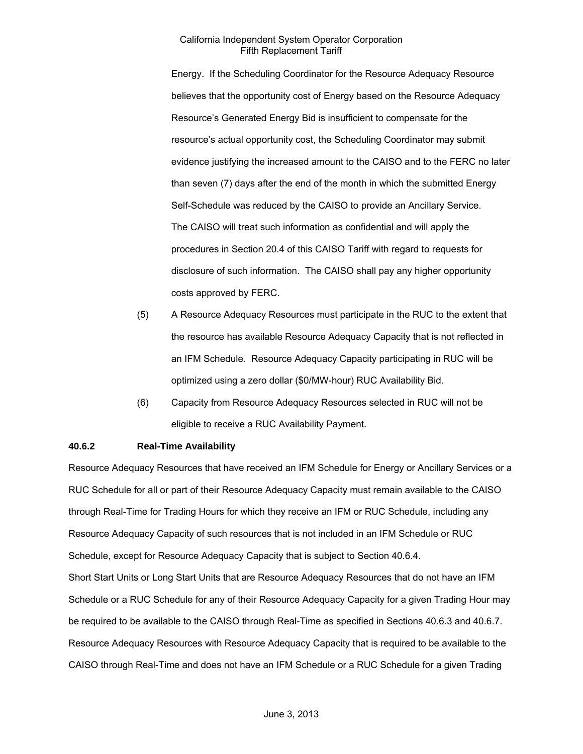Energy. If the Scheduling Coordinator for the Resource Adequacy Resource believes that the opportunity cost of Energy based on the Resource Adequacy Resource's Generated Energy Bid is insufficient to compensate for the resource's actual opportunity cost, the Scheduling Coordinator may submit evidence justifying the increased amount to the CAISO and to the FERC no later than seven (7) days after the end of the month in which the submitted Energy Self-Schedule was reduced by the CAISO to provide an Ancillary Service. The CAISO will treat such information as confidential and will apply the procedures in Section 20.4 of this CAISO Tariff with regard to requests for disclosure of such information. The CAISO shall pay any higher opportunity costs approved by FERC.

- (5) A Resource Adequacy Resources must participate in the RUC to the extent that the resource has available Resource Adequacy Capacity that is not reflected in an IFM Schedule. Resource Adequacy Capacity participating in RUC will be optimized using a zero dollar (\$0/MW-hour) RUC Availability Bid.
- (6) Capacity from Resource Adequacy Resources selected in RUC will not be eligible to receive a RUC Availability Payment.

### **40.6.2 Real-Time Availability**

Resource Adequacy Resources that have received an IFM Schedule for Energy or Ancillary Services or a RUC Schedule for all or part of their Resource Adequacy Capacity must remain available to the CAISO through Real-Time for Trading Hours for which they receive an IFM or RUC Schedule, including any Resource Adequacy Capacity of such resources that is not included in an IFM Schedule or RUC Schedule, except for Resource Adequacy Capacity that is subject to Section 40.6.4. Short Start Units or Long Start Units that are Resource Adequacy Resources that do not have an IFM Schedule or a RUC Schedule for any of their Resource Adequacy Capacity for a given Trading Hour may be required to be available to the CAISO through Real-Time as specified in Sections 40.6.3 and 40.6.7. Resource Adequacy Resources with Resource Adequacy Capacity that is required to be available to the CAISO through Real-Time and does not have an IFM Schedule or a RUC Schedule for a given Trading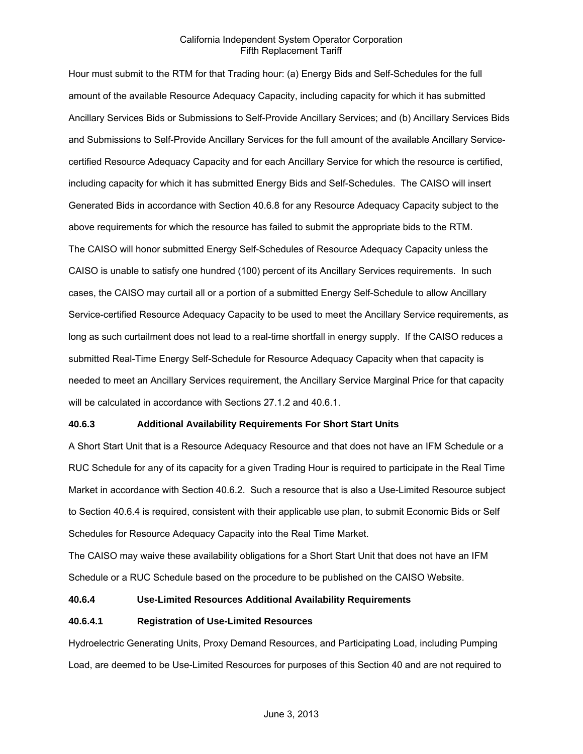Hour must submit to the RTM for that Trading hour: (a) Energy Bids and Self-Schedules for the full amount of the available Resource Adequacy Capacity, including capacity for which it has submitted Ancillary Services Bids or Submissions to Self-Provide Ancillary Services; and (b) Ancillary Services Bids and Submissions to Self-Provide Ancillary Services for the full amount of the available Ancillary Servicecertified Resource Adequacy Capacity and for each Ancillary Service for which the resource is certified, including capacity for which it has submitted Energy Bids and Self-Schedules. The CAISO will insert Generated Bids in accordance with Section 40.6.8 for any Resource Adequacy Capacity subject to the above requirements for which the resource has failed to submit the appropriate bids to the RTM. The CAISO will honor submitted Energy Self-Schedules of Resource Adequacy Capacity unless the CAISO is unable to satisfy one hundred (100) percent of its Ancillary Services requirements. In such cases, the CAISO may curtail all or a portion of a submitted Energy Self-Schedule to allow Ancillary Service-certified Resource Adequacy Capacity to be used to meet the Ancillary Service requirements, as long as such curtailment does not lead to a real-time shortfall in energy supply. If the CAISO reduces a submitted Real-Time Energy Self-Schedule for Resource Adequacy Capacity when that capacity is needed to meet an Ancillary Services requirement, the Ancillary Service Marginal Price for that capacity will be calculated in accordance with Sections 27.1.2 and 40.6.1.

### **40.6.3 Additional Availability Requirements For Short Start Units**

A Short Start Unit that is a Resource Adequacy Resource and that does not have an IFM Schedule or a RUC Schedule for any of its capacity for a given Trading Hour is required to participate in the Real Time Market in accordance with Section 40.6.2. Such a resource that is also a Use-Limited Resource subject to Section 40.6.4 is required, consistent with their applicable use plan, to submit Economic Bids or Self Schedules for Resource Adequacy Capacity into the Real Time Market.

The CAISO may waive these availability obligations for a Short Start Unit that does not have an IFM Schedule or a RUC Schedule based on the procedure to be published on the CAISO Website.

### **40.6.4 Use-Limited Resources Additional Availability Requirements**

#### **40.6.4.1 Registration of Use-Limited Resources**

Hydroelectric Generating Units, Proxy Demand Resources, and Participating Load, including Pumping Load, are deemed to be Use-Limited Resources for purposes of this Section 40 and are not required to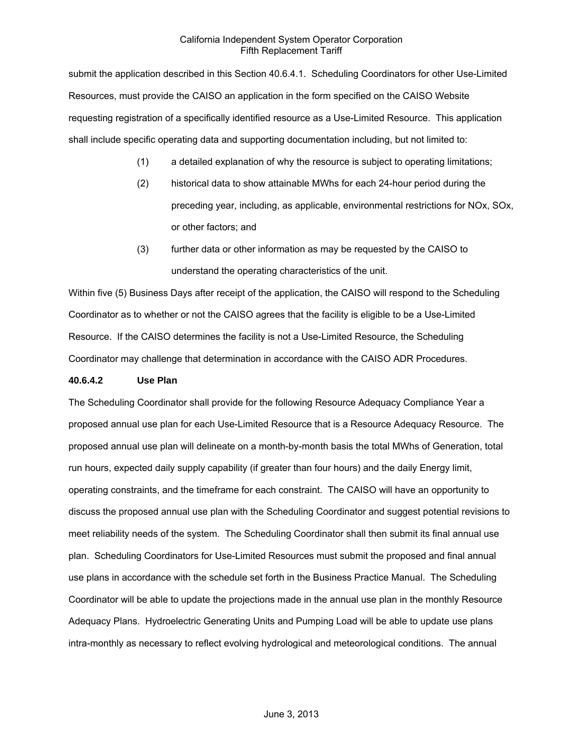submit the application described in this Section 40.6.4.1. Scheduling Coordinators for other Use-Limited Resources, must provide the CAISO an application in the form specified on the CAISO Website requesting registration of a specifically identified resource as a Use-Limited Resource. This application shall include specific operating data and supporting documentation including, but not limited to:

- (1) a detailed explanation of why the resource is subject to operating limitations;
- (2) historical data to show attainable MWhs for each 24-hour period during the preceding year, including, as applicable, environmental restrictions for NOx, SOx, or other factors; and
- (3) further data or other information as may be requested by the CAISO to understand the operating characteristics of the unit.

Within five (5) Business Days after receipt of the application, the CAISO will respond to the Scheduling Coordinator as to whether or not the CAISO agrees that the facility is eligible to be a Use-Limited Resource. If the CAISO determines the facility is not a Use-Limited Resource, the Scheduling Coordinator may challenge that determination in accordance with the CAISO ADR Procedures.

### **40.6.4.2 Use Plan**

The Scheduling Coordinator shall provide for the following Resource Adequacy Compliance Year a proposed annual use plan for each Use-Limited Resource that is a Resource Adequacy Resource. The proposed annual use plan will delineate on a month-by-month basis the total MWhs of Generation, total run hours, expected daily supply capability (if greater than four hours) and the daily Energy limit, operating constraints, and the timeframe for each constraint. The CAISO will have an opportunity to discuss the proposed annual use plan with the Scheduling Coordinator and suggest potential revisions to meet reliability needs of the system. The Scheduling Coordinator shall then submit its final annual use plan. Scheduling Coordinators for Use-Limited Resources must submit the proposed and final annual use plans in accordance with the schedule set forth in the Business Practice Manual. The Scheduling Coordinator will be able to update the projections made in the annual use plan in the monthly Resource Adequacy Plans. Hydroelectric Generating Units and Pumping Load will be able to update use plans intra-monthly as necessary to reflect evolving hydrological and meteorological conditions. The annual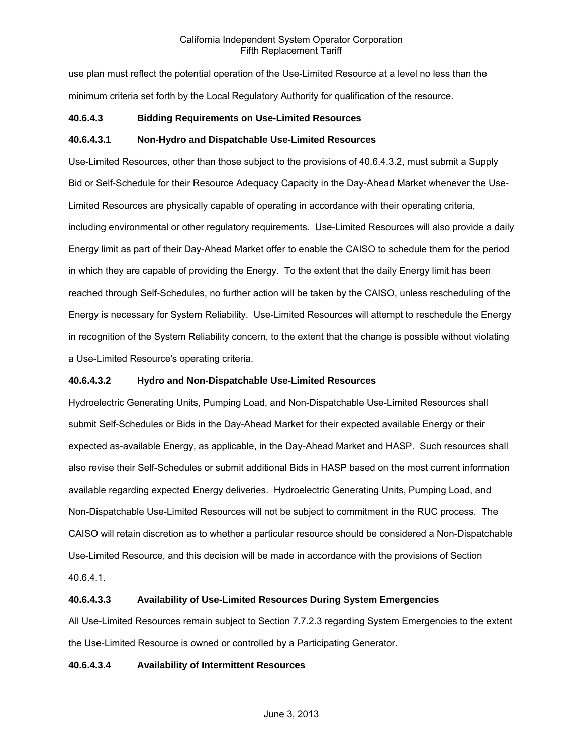use plan must reflect the potential operation of the Use-Limited Resource at a level no less than the minimum criteria set forth by the Local Regulatory Authority for qualification of the resource.

# **40.6.4.3 Bidding Requirements on Use-Limited Resources**

# **40.6.4.3.1 Non-Hydro and Dispatchable Use-Limited Resources**

Use-Limited Resources, other than those subject to the provisions of 40.6.4.3.2, must submit a Supply Bid or Self-Schedule for their Resource Adequacy Capacity in the Day-Ahead Market whenever the Use-Limited Resources are physically capable of operating in accordance with their operating criteria, including environmental or other regulatory requirements. Use-Limited Resources will also provide a daily Energy limit as part of their Day-Ahead Market offer to enable the CAISO to schedule them for the period in which they are capable of providing the Energy. To the extent that the daily Energy limit has been reached through Self-Schedules, no further action will be taken by the CAISO, unless rescheduling of the Energy is necessary for System Reliability. Use-Limited Resources will attempt to reschedule the Energy in recognition of the System Reliability concern, to the extent that the change is possible without violating a Use-Limited Resource's operating criteria.

# **40.6.4.3.2 Hydro and Non-Dispatchable Use-Limited Resources**

Hydroelectric Generating Units, Pumping Load, and Non-Dispatchable Use-Limited Resources shall submit Self-Schedules or Bids in the Day-Ahead Market for their expected available Energy or their expected as-available Energy, as applicable, in the Day-Ahead Market and HASP. Such resources shall also revise their Self-Schedules or submit additional Bids in HASP based on the most current information available regarding expected Energy deliveries. Hydroelectric Generating Units, Pumping Load, and Non-Dispatchable Use-Limited Resources will not be subject to commitment in the RUC process. The CAISO will retain discretion as to whether a particular resource should be considered a Non-Dispatchable Use-Limited Resource, and this decision will be made in accordance with the provisions of Section 40.6.4.1.

### **40.6.4.3.3 Availability of Use-Limited Resources During System Emergencies**

All Use-Limited Resources remain subject to Section 7.7.2.3 regarding System Emergencies to the extent the Use-Limited Resource is owned or controlled by a Participating Generator.

### **40.6.4.3.4 Availability of Intermittent Resources**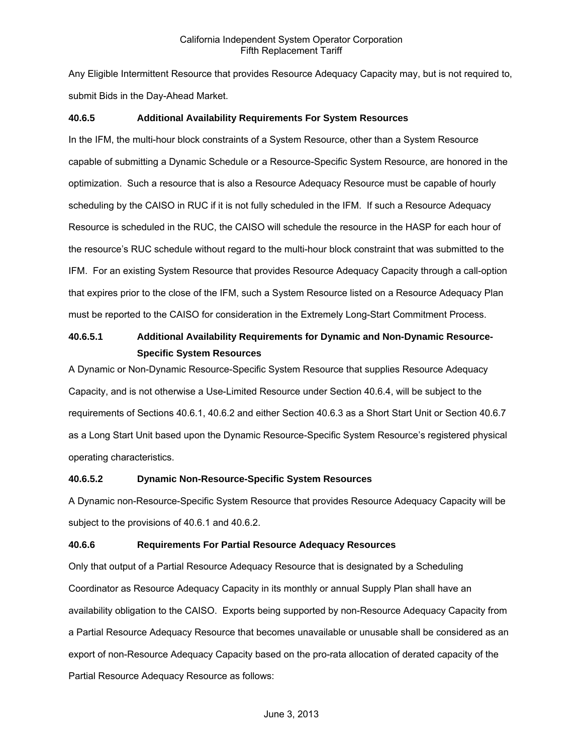Any Eligible Intermittent Resource that provides Resource Adequacy Capacity may, but is not required to, submit Bids in the Day-Ahead Market.

### **40.6.5 Additional Availability Requirements For System Resources**

In the IFM, the multi-hour block constraints of a System Resource, other than a System Resource capable of submitting a Dynamic Schedule or a Resource-Specific System Resource, are honored in the optimization. Such a resource that is also a Resource Adequacy Resource must be capable of hourly scheduling by the CAISO in RUC if it is not fully scheduled in the IFM. If such a Resource Adequacy Resource is scheduled in the RUC, the CAISO will schedule the resource in the HASP for each hour of the resource's RUC schedule without regard to the multi-hour block constraint that was submitted to the IFM. For an existing System Resource that provides Resource Adequacy Capacity through a call-option that expires prior to the close of the IFM, such a System Resource listed on a Resource Adequacy Plan must be reported to the CAISO for consideration in the Extremely Long-Start Commitment Process.

# **40.6.5.1 Additional Availability Requirements for Dynamic and Non-Dynamic Resource-Specific System Resources**

A Dynamic or Non-Dynamic Resource-Specific System Resource that supplies Resource Adequacy Capacity, and is not otherwise a Use-Limited Resource under Section 40.6.4, will be subject to the requirements of Sections 40.6.1, 40.6.2 and either Section 40.6.3 as a Short Start Unit or Section 40.6.7 as a Long Start Unit based upon the Dynamic Resource-Specific System Resource's registered physical operating characteristics.

### **40.6.5.2 Dynamic Non-Resource-Specific System Resources**

A Dynamic non-Resource-Specific System Resource that provides Resource Adequacy Capacity will be subject to the provisions of 40.6.1 and 40.6.2.

# **40.6.6 Requirements For Partial Resource Adequacy Resources**

Only that output of a Partial Resource Adequacy Resource that is designated by a Scheduling Coordinator as Resource Adequacy Capacity in its monthly or annual Supply Plan shall have an availability obligation to the CAISO. Exports being supported by non-Resource Adequacy Capacity from a Partial Resource Adequacy Resource that becomes unavailable or unusable shall be considered as an export of non-Resource Adequacy Capacity based on the pro-rata allocation of derated capacity of the Partial Resource Adequacy Resource as follows: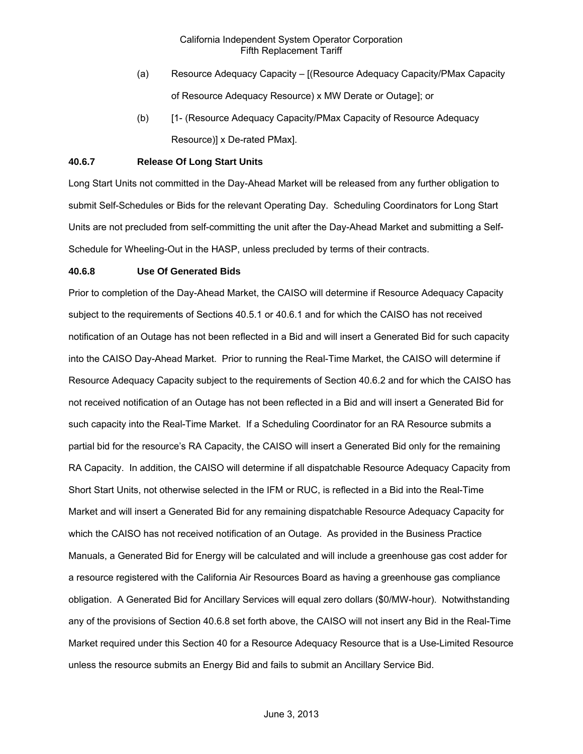- (a) Resource Adequacy Capacity [(Resource Adequacy Capacity/PMax Capacity of Resource Adequacy Resource) x MW Derate or Outage]; or
- (b) [1- (Resource Adequacy Capacity/PMax Capacity of Resource Adequacy Resource)] x De-rated PMax].

### **40.6.7 Release Of Long Start Units**

Long Start Units not committed in the Day-Ahead Market will be released from any further obligation to submit Self-Schedules or Bids for the relevant Operating Day. Scheduling Coordinators for Long Start Units are not precluded from self-committing the unit after the Day-Ahead Market and submitting a Self-Schedule for Wheeling-Out in the HASP, unless precluded by terms of their contracts.

# **40.6.8 Use Of Generated Bids**

Prior to completion of the Day-Ahead Market, the CAISO will determine if Resource Adequacy Capacity subject to the requirements of Sections 40.5.1 or 40.6.1 and for which the CAISO has not received notification of an Outage has not been reflected in a Bid and will insert a Generated Bid for such capacity into the CAISO Day-Ahead Market. Prior to running the Real-Time Market, the CAISO will determine if Resource Adequacy Capacity subject to the requirements of Section 40.6.2 and for which the CAISO has not received notification of an Outage has not been reflected in a Bid and will insert a Generated Bid for such capacity into the Real-Time Market. If a Scheduling Coordinator for an RA Resource submits a partial bid for the resource's RA Capacity, the CAISO will insert a Generated Bid only for the remaining RA Capacity. In addition, the CAISO will determine if all dispatchable Resource Adequacy Capacity from Short Start Units, not otherwise selected in the IFM or RUC, is reflected in a Bid into the Real-Time Market and will insert a Generated Bid for any remaining dispatchable Resource Adequacy Capacity for which the CAISO has not received notification of an Outage. As provided in the Business Practice Manuals, a Generated Bid for Energy will be calculated and will include a greenhouse gas cost adder for a resource registered with the California Air Resources Board as having a greenhouse gas compliance obligation. A Generated Bid for Ancillary Services will equal zero dollars (\$0/MW-hour). Notwithstanding any of the provisions of Section 40.6.8 set forth above, the CAISO will not insert any Bid in the Real-Time Market required under this Section 40 for a Resource Adequacy Resource that is a Use-Limited Resource unless the resource submits an Energy Bid and fails to submit an Ancillary Service Bid.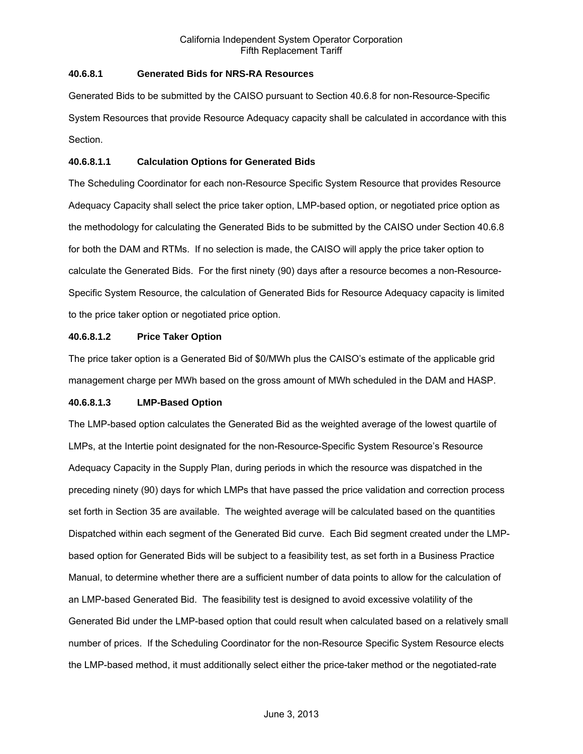# **40.6.8.1 Generated Bids for NRS-RA Resources**

Generated Bids to be submitted by the CAISO pursuant to Section 40.6.8 for non-Resource-Specific System Resources that provide Resource Adequacy capacity shall be calculated in accordance with this Section.

# **40.6.8.1.1 Calculation Options for Generated Bids**

The Scheduling Coordinator for each non-Resource Specific System Resource that provides Resource Adequacy Capacity shall select the price taker option, LMP-based option, or negotiated price option as the methodology for calculating the Generated Bids to be submitted by the CAISO under Section 40.6.8 for both the DAM and RTMs. If no selection is made, the CAISO will apply the price taker option to calculate the Generated Bids. For the first ninety (90) days after a resource becomes a non-Resource-Specific System Resource, the calculation of Generated Bids for Resource Adequacy capacity is limited to the price taker option or negotiated price option.

# **40.6.8.1.2 Price Taker Option**

The price taker option is a Generated Bid of \$0/MWh plus the CAISO's estimate of the applicable grid management charge per MWh based on the gross amount of MWh scheduled in the DAM and HASP.

# **40.6.8.1.3 LMP-Based Option**

The LMP-based option calculates the Generated Bid as the weighted average of the lowest quartile of LMPs, at the Intertie point designated for the non-Resource-Specific System Resource's Resource Adequacy Capacity in the Supply Plan, during periods in which the resource was dispatched in the preceding ninety (90) days for which LMPs that have passed the price validation and correction process set forth in Section 35 are available. The weighted average will be calculated based on the quantities Dispatched within each segment of the Generated Bid curve. Each Bid segment created under the LMPbased option for Generated Bids will be subject to a feasibility test, as set forth in a Business Practice Manual, to determine whether there are a sufficient number of data points to allow for the calculation of an LMP-based Generated Bid. The feasibility test is designed to avoid excessive volatility of the Generated Bid under the LMP-based option that could result when calculated based on a relatively small number of prices. If the Scheduling Coordinator for the non-Resource Specific System Resource elects the LMP-based method, it must additionally select either the price-taker method or the negotiated-rate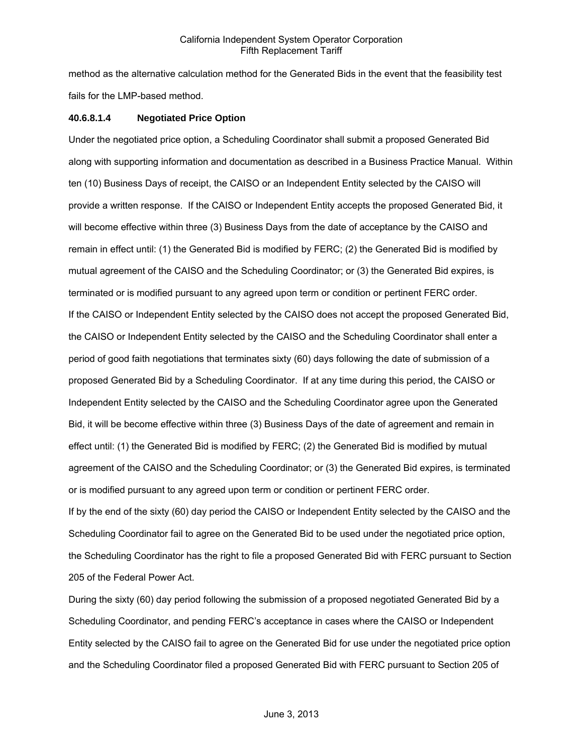method as the alternative calculation method for the Generated Bids in the event that the feasibility test fails for the LMP-based method.

### **40.6.8.1.4 Negotiated Price Option**

Under the negotiated price option, a Scheduling Coordinator shall submit a proposed Generated Bid along with supporting information and documentation as described in a Business Practice Manual. Within ten (10) Business Days of receipt, the CAISO or an Independent Entity selected by the CAISO will provide a written response. If the CAISO or Independent Entity accepts the proposed Generated Bid, it will become effective within three (3) Business Days from the date of acceptance by the CAISO and remain in effect until: (1) the Generated Bid is modified by FERC; (2) the Generated Bid is modified by mutual agreement of the CAISO and the Scheduling Coordinator; or (3) the Generated Bid expires, is terminated or is modified pursuant to any agreed upon term or condition or pertinent FERC order. If the CAISO or Independent Entity selected by the CAISO does not accept the proposed Generated Bid, the CAISO or Independent Entity selected by the CAISO and the Scheduling Coordinator shall enter a period of good faith negotiations that terminates sixty (60) days following the date of submission of a proposed Generated Bid by a Scheduling Coordinator. If at any time during this period, the CAISO or Independent Entity selected by the CAISO and the Scheduling Coordinator agree upon the Generated Bid, it will be become effective within three (3) Business Days of the date of agreement and remain in effect until: (1) the Generated Bid is modified by FERC; (2) the Generated Bid is modified by mutual agreement of the CAISO and the Scheduling Coordinator; or (3) the Generated Bid expires, is terminated or is modified pursuant to any agreed upon term or condition or pertinent FERC order.

If by the end of the sixty (60) day period the CAISO or Independent Entity selected by the CAISO and the Scheduling Coordinator fail to agree on the Generated Bid to be used under the negotiated price option, the Scheduling Coordinator has the right to file a proposed Generated Bid with FERC pursuant to Section 205 of the Federal Power Act.

During the sixty (60) day period following the submission of a proposed negotiated Generated Bid by a Scheduling Coordinator, and pending FERC's acceptance in cases where the CAISO or Independent Entity selected by the CAISO fail to agree on the Generated Bid for use under the negotiated price option and the Scheduling Coordinator filed a proposed Generated Bid with FERC pursuant to Section 205 of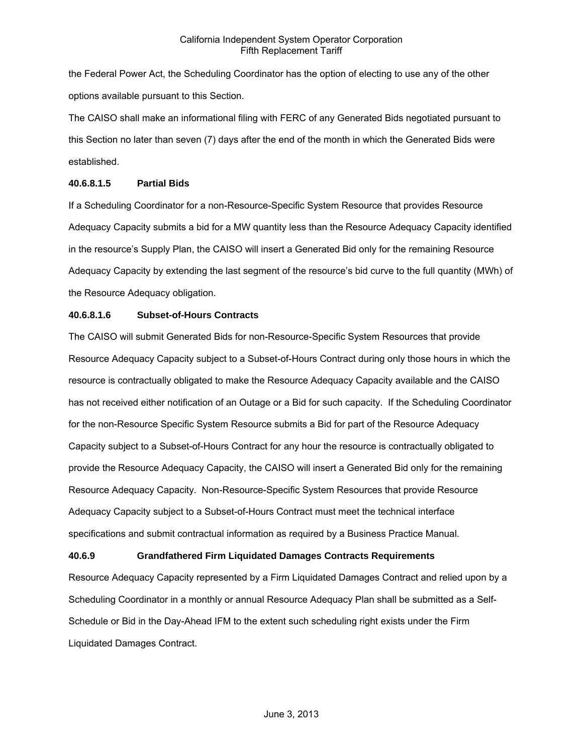the Federal Power Act, the Scheduling Coordinator has the option of electing to use any of the other options available pursuant to this Section.

The CAISO shall make an informational filing with FERC of any Generated Bids negotiated pursuant to this Section no later than seven (7) days after the end of the month in which the Generated Bids were established.

# **40.6.8.1.5 Partial Bids**

If a Scheduling Coordinator for a non-Resource-Specific System Resource that provides Resource Adequacy Capacity submits a bid for a MW quantity less than the Resource Adequacy Capacity identified in the resource's Supply Plan, the CAISO will insert a Generated Bid only for the remaining Resource Adequacy Capacity by extending the last segment of the resource's bid curve to the full quantity (MWh) of the Resource Adequacy obligation.

# **40.6.8.1.6 Subset-of-Hours Contracts**

The CAISO will submit Generated Bids for non-Resource-Specific System Resources that provide Resource Adequacy Capacity subject to a Subset-of-Hours Contract during only those hours in which the resource is contractually obligated to make the Resource Adequacy Capacity available and the CAISO has not received either notification of an Outage or a Bid for such capacity. If the Scheduling Coordinator for the non-Resource Specific System Resource submits a Bid for part of the Resource Adequacy Capacity subject to a Subset-of-Hours Contract for any hour the resource is contractually obligated to provide the Resource Adequacy Capacity, the CAISO will insert a Generated Bid only for the remaining Resource Adequacy Capacity. Non-Resource-Specific System Resources that provide Resource Adequacy Capacity subject to a Subset-of-Hours Contract must meet the technical interface specifications and submit contractual information as required by a Business Practice Manual.

# **40.6.9 Grandfathered Firm Liquidated Damages Contracts Requirements**

Resource Adequacy Capacity represented by a Firm Liquidated Damages Contract and relied upon by a Scheduling Coordinator in a monthly or annual Resource Adequacy Plan shall be submitted as a Self-Schedule or Bid in the Day-Ahead IFM to the extent such scheduling right exists under the Firm Liquidated Damages Contract.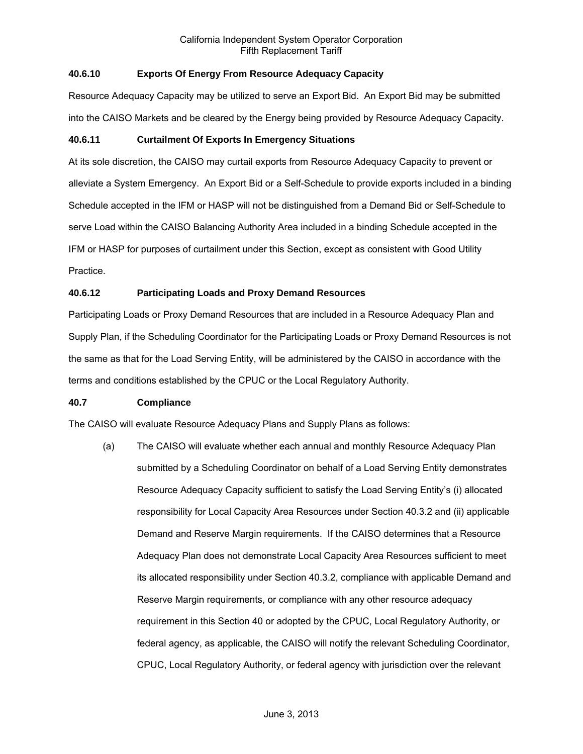# **40.6.10 Exports Of Energy From Resource Adequacy Capacity**

Resource Adequacy Capacity may be utilized to serve an Export Bid. An Export Bid may be submitted into the CAISO Markets and be cleared by the Energy being provided by Resource Adequacy Capacity.

# **40.6.11 Curtailment Of Exports In Emergency Situations**

At its sole discretion, the CAISO may curtail exports from Resource Adequacy Capacity to prevent or alleviate a System Emergency. An Export Bid or a Self-Schedule to provide exports included in a binding Schedule accepted in the IFM or HASP will not be distinguished from a Demand Bid or Self-Schedule to serve Load within the CAISO Balancing Authority Area included in a binding Schedule accepted in the IFM or HASP for purposes of curtailment under this Section, except as consistent with Good Utility Practice.

# **40.6.12 Participating Loads and Proxy Demand Resources**

Participating Loads or Proxy Demand Resources that are included in a Resource Adequacy Plan and Supply Plan, if the Scheduling Coordinator for the Participating Loads or Proxy Demand Resources is not the same as that for the Load Serving Entity, will be administered by the CAISO in accordance with the terms and conditions established by the CPUC or the Local Regulatory Authority.

# **40.7 Compliance**

The CAISO will evaluate Resource Adequacy Plans and Supply Plans as follows:

(a) The CAISO will evaluate whether each annual and monthly Resource Adequacy Plan submitted by a Scheduling Coordinator on behalf of a Load Serving Entity demonstrates Resource Adequacy Capacity sufficient to satisfy the Load Serving Entity's (i) allocated responsibility for Local Capacity Area Resources under Section 40.3.2 and (ii) applicable Demand and Reserve Margin requirements. If the CAISO determines that a Resource Adequacy Plan does not demonstrate Local Capacity Area Resources sufficient to meet its allocated responsibility under Section 40.3.2, compliance with applicable Demand and Reserve Margin requirements, or compliance with any other resource adequacy requirement in this Section 40 or adopted by the CPUC, Local Regulatory Authority, or federal agency, as applicable, the CAISO will notify the relevant Scheduling Coordinator, CPUC, Local Regulatory Authority, or federal agency with jurisdiction over the relevant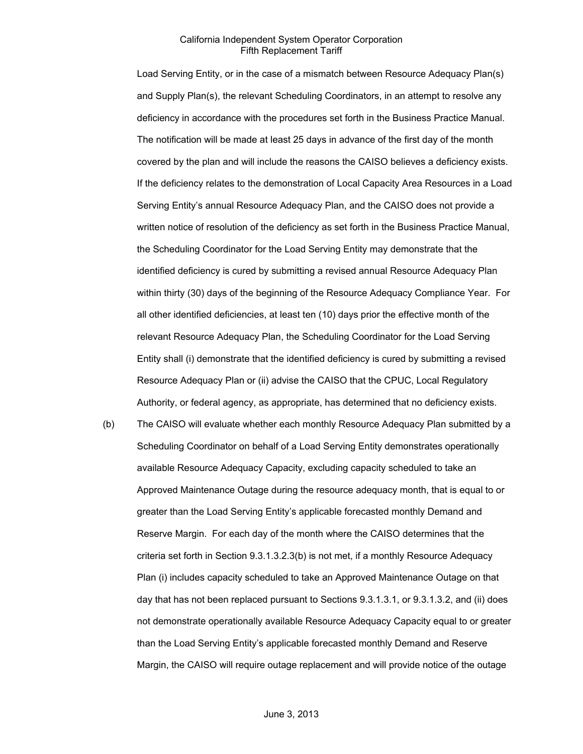Load Serving Entity, or in the case of a mismatch between Resource Adequacy Plan(s) and Supply Plan(s), the relevant Scheduling Coordinators, in an attempt to resolve any deficiency in accordance with the procedures set forth in the Business Practice Manual. The notification will be made at least 25 days in advance of the first day of the month covered by the plan and will include the reasons the CAISO believes a deficiency exists. If the deficiency relates to the demonstration of Local Capacity Area Resources in a Load Serving Entity's annual Resource Adequacy Plan, and the CAISO does not provide a written notice of resolution of the deficiency as set forth in the Business Practice Manual, the Scheduling Coordinator for the Load Serving Entity may demonstrate that the identified deficiency is cured by submitting a revised annual Resource Adequacy Plan within thirty (30) days of the beginning of the Resource Adequacy Compliance Year. For all other identified deficiencies, at least ten (10) days prior the effective month of the relevant Resource Adequacy Plan, the Scheduling Coordinator for the Load Serving Entity shall (i) demonstrate that the identified deficiency is cured by submitting a revised Resource Adequacy Plan or (ii) advise the CAISO that the CPUC, Local Regulatory Authority, or federal agency, as appropriate, has determined that no deficiency exists.

(b) The CAISO will evaluate whether each monthly Resource Adequacy Plan submitted by a Scheduling Coordinator on behalf of a Load Serving Entity demonstrates operationally available Resource Adequacy Capacity, excluding capacity scheduled to take an Approved Maintenance Outage during the resource adequacy month, that is equal to or greater than the Load Serving Entity's applicable forecasted monthly Demand and Reserve Margin. For each day of the month where the CAISO determines that the criteria set forth in Section 9.3.1.3.2.3(b) is not met, if a monthly Resource Adequacy Plan (i) includes capacity scheduled to take an Approved Maintenance Outage on that day that has not been replaced pursuant to Sections 9.3.1.3.1, or 9.3.1.3.2, and (ii) does not demonstrate operationally available Resource Adequacy Capacity equal to or greater than the Load Serving Entity's applicable forecasted monthly Demand and Reserve Margin, the CAISO will require outage replacement and will provide notice of the outage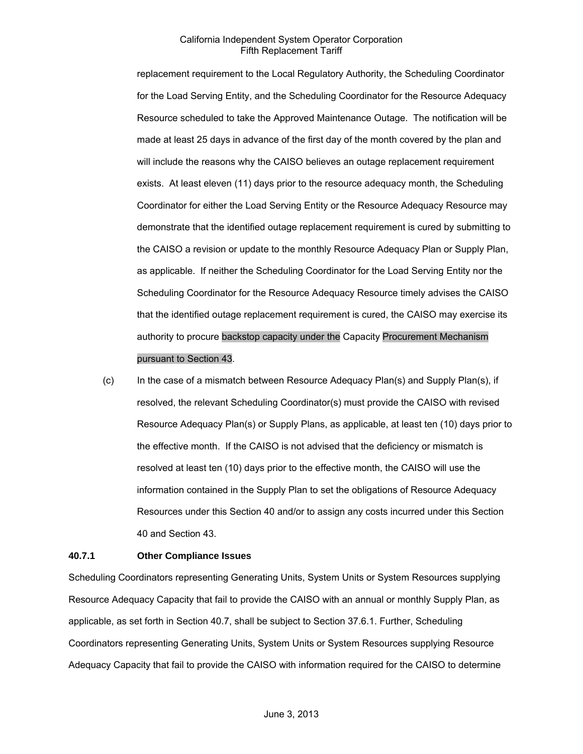replacement requirement to the Local Regulatory Authority, the Scheduling Coordinator for the Load Serving Entity, and the Scheduling Coordinator for the Resource Adequacy Resource scheduled to take the Approved Maintenance Outage. The notification will be made at least 25 days in advance of the first day of the month covered by the plan and will include the reasons why the CAISO believes an outage replacement requirement exists. At least eleven (11) days prior to the resource adequacy month, the Scheduling Coordinator for either the Load Serving Entity or the Resource Adequacy Resource may demonstrate that the identified outage replacement requirement is cured by submitting to the CAISO a revision or update to the monthly Resource Adequacy Plan or Supply Plan, as applicable. If neither the Scheduling Coordinator for the Load Serving Entity nor the Scheduling Coordinator for the Resource Adequacy Resource timely advises the CAISO that the identified outage replacement requirement is cured, the CAISO may exercise its authority to procure backstop capacity under the Capacity Procurement Mechanism pursuant to Section 43.

(c) In the case of a mismatch between Resource Adequacy Plan(s) and Supply Plan(s), if resolved, the relevant Scheduling Coordinator(s) must provide the CAISO with revised Resource Adequacy Plan(s) or Supply Plans, as applicable, at least ten (10) days prior to the effective month. If the CAISO is not advised that the deficiency or mismatch is resolved at least ten (10) days prior to the effective month, the CAISO will use the information contained in the Supply Plan to set the obligations of Resource Adequacy Resources under this Section 40 and/or to assign any costs incurred under this Section 40 and Section 43.

#### **40.7.1 Other Compliance Issues**

Scheduling Coordinators representing Generating Units, System Units or System Resources supplying Resource Adequacy Capacity that fail to provide the CAISO with an annual or monthly Supply Plan, as applicable, as set forth in Section 40.7, shall be subject to Section 37.6.1. Further, Scheduling Coordinators representing Generating Units, System Units or System Resources supplying Resource Adequacy Capacity that fail to provide the CAISO with information required for the CAISO to determine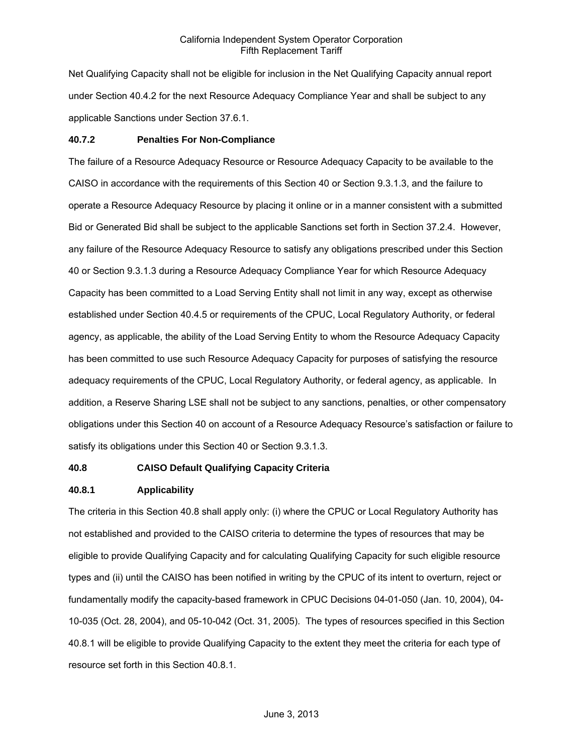Net Qualifying Capacity shall not be eligible for inclusion in the Net Qualifying Capacity annual report under Section 40.4.2 for the next Resource Adequacy Compliance Year and shall be subject to any applicable Sanctions under Section 37.6.1.

#### **40.7.2 Penalties For Non-Compliance**

The failure of a Resource Adequacy Resource or Resource Adequacy Capacity to be available to the CAISO in accordance with the requirements of this Section 40 or Section 9.3.1.3, and the failure to operate a Resource Adequacy Resource by placing it online or in a manner consistent with a submitted Bid or Generated Bid shall be subject to the applicable Sanctions set forth in Section 37.2.4. However, any failure of the Resource Adequacy Resource to satisfy any obligations prescribed under this Section 40 or Section 9.3.1.3 during a Resource Adequacy Compliance Year for which Resource Adequacy Capacity has been committed to a Load Serving Entity shall not limit in any way, except as otherwise established under Section 40.4.5 or requirements of the CPUC, Local Regulatory Authority, or federal agency, as applicable, the ability of the Load Serving Entity to whom the Resource Adequacy Capacity has been committed to use such Resource Adequacy Capacity for purposes of satisfying the resource adequacy requirements of the CPUC, Local Regulatory Authority, or federal agency, as applicable. In addition, a Reserve Sharing LSE shall not be subject to any sanctions, penalties, or other compensatory obligations under this Section 40 on account of a Resource Adequacy Resource's satisfaction or failure to satisfy its obligations under this Section 40 or Section 9.3.1.3.

#### **40.8 CAISO Default Qualifying Capacity Criteria**

#### **40.8.1 Applicability**

The criteria in this Section 40.8 shall apply only: (i) where the CPUC or Local Regulatory Authority has not established and provided to the CAISO criteria to determine the types of resources that may be eligible to provide Qualifying Capacity and for calculating Qualifying Capacity for such eligible resource types and (ii) until the CAISO has been notified in writing by the CPUC of its intent to overturn, reject or fundamentally modify the capacity-based framework in CPUC Decisions 04-01-050 (Jan. 10, 2004), 04- 10-035 (Oct. 28, 2004), and 05-10-042 (Oct. 31, 2005). The types of resources specified in this Section 40.8.1 will be eligible to provide Qualifying Capacity to the extent they meet the criteria for each type of resource set forth in this Section 40.8.1.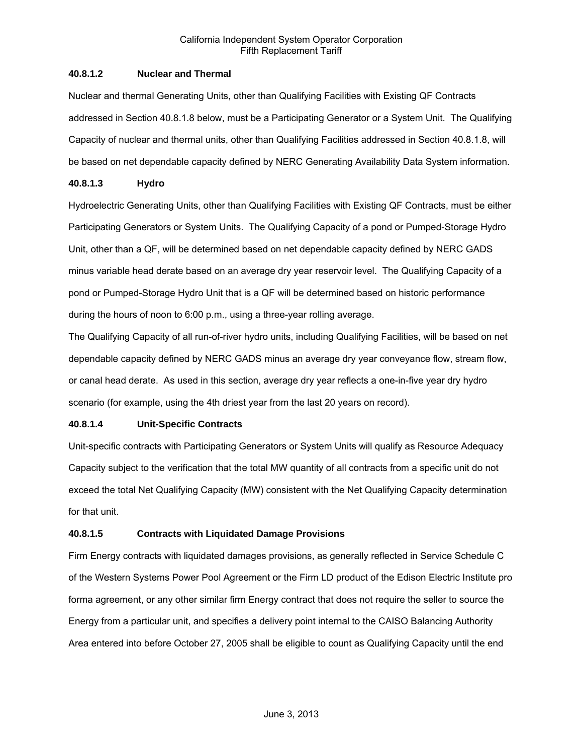# **40.8.1.2 Nuclear and Thermal**

Nuclear and thermal Generating Units, other than Qualifying Facilities with Existing QF Contracts addressed in Section 40.8.1.8 below, must be a Participating Generator or a System Unit. The Qualifying Capacity of nuclear and thermal units, other than Qualifying Facilities addressed in Section 40.8.1.8, will be based on net dependable capacity defined by NERC Generating Availability Data System information.

# **40.8.1.3 Hydro**

Hydroelectric Generating Units, other than Qualifying Facilities with Existing QF Contracts, must be either Participating Generators or System Units. The Qualifying Capacity of a pond or Pumped-Storage Hydro Unit, other than a QF, will be determined based on net dependable capacity defined by NERC GADS minus variable head derate based on an average dry year reservoir level. The Qualifying Capacity of a pond or Pumped-Storage Hydro Unit that is a QF will be determined based on historic performance during the hours of noon to 6:00 p.m., using a three-year rolling average.

The Qualifying Capacity of all run-of-river hydro units, including Qualifying Facilities, will be based on net dependable capacity defined by NERC GADS minus an average dry year conveyance flow, stream flow, or canal head derate. As used in this section, average dry year reflects a one-in-five year dry hydro scenario (for example, using the 4th driest year from the last 20 years on record).

# **40.8.1.4 Unit-Specific Contracts**

Unit-specific contracts with Participating Generators or System Units will qualify as Resource Adequacy Capacity subject to the verification that the total MW quantity of all contracts from a specific unit do not exceed the total Net Qualifying Capacity (MW) consistent with the Net Qualifying Capacity determination for that unit.

# **40.8.1.5 Contracts with Liquidated Damage Provisions**

Firm Energy contracts with liquidated damages provisions, as generally reflected in Service Schedule C of the Western Systems Power Pool Agreement or the Firm LD product of the Edison Electric Institute pro forma agreement, or any other similar firm Energy contract that does not require the seller to source the Energy from a particular unit, and specifies a delivery point internal to the CAISO Balancing Authority Area entered into before October 27, 2005 shall be eligible to count as Qualifying Capacity until the end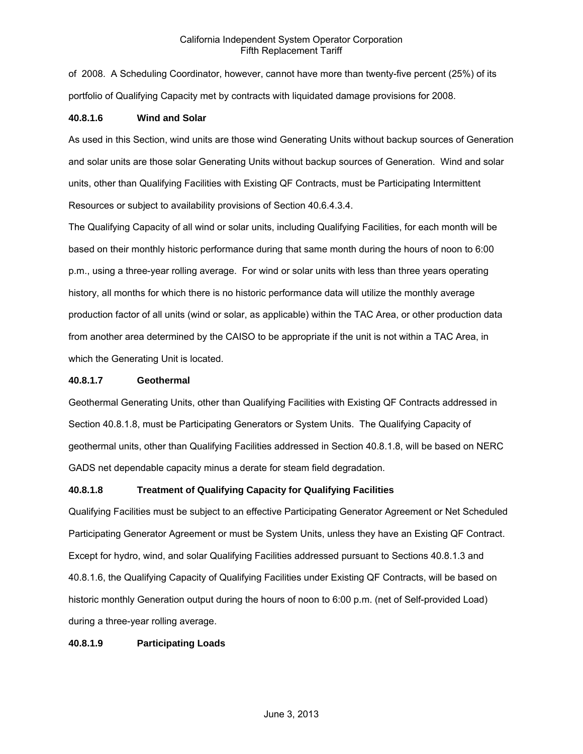of 2008. A Scheduling Coordinator, however, cannot have more than twenty-five percent (25%) of its portfolio of Qualifying Capacity met by contracts with liquidated damage provisions for 2008.

# **40.8.1.6 Wind and Solar**

As used in this Section, wind units are those wind Generating Units without backup sources of Generation and solar units are those solar Generating Units without backup sources of Generation. Wind and solar units, other than Qualifying Facilities with Existing QF Contracts, must be Participating Intermittent Resources or subject to availability provisions of Section 40.6.4.3.4.

The Qualifying Capacity of all wind or solar units, including Qualifying Facilities, for each month will be based on their monthly historic performance during that same month during the hours of noon to 6:00 p.m., using a three-year rolling average. For wind or solar units with less than three years operating history, all months for which there is no historic performance data will utilize the monthly average production factor of all units (wind or solar, as applicable) within the TAC Area, or other production data from another area determined by the CAISO to be appropriate if the unit is not within a TAC Area, in which the Generating Unit is located.

### **40.8.1.7 Geothermal**

Geothermal Generating Units, other than Qualifying Facilities with Existing QF Contracts addressed in Section 40.8.1.8, must be Participating Generators or System Units. The Qualifying Capacity of geothermal units, other than Qualifying Facilities addressed in Section 40.8.1.8, will be based on NERC GADS net dependable capacity minus a derate for steam field degradation.

# **40.8.1.8 Treatment of Qualifying Capacity for Qualifying Facilities**

Qualifying Facilities must be subject to an effective Participating Generator Agreement or Net Scheduled Participating Generator Agreement or must be System Units, unless they have an Existing QF Contract. Except for hydro, wind, and solar Qualifying Facilities addressed pursuant to Sections 40.8.1.3 and 40.8.1.6, the Qualifying Capacity of Qualifying Facilities under Existing QF Contracts, will be based on historic monthly Generation output during the hours of noon to 6:00 p.m. (net of Self-provided Load) during a three-year rolling average.

# **40.8.1.9 Participating Loads**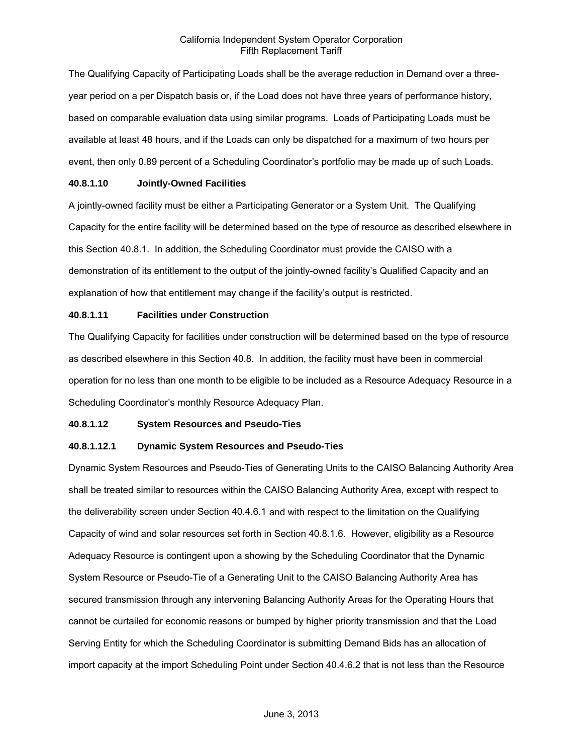The Qualifying Capacity of Participating Loads shall be the average reduction in Demand over a threeyear period on a per Dispatch basis or, if the Load does not have three years of performance history, based on comparable evaluation data using similar programs. Loads of Participating Loads must be available at least 48 hours, and if the Loads can only be dispatched for a maximum of two hours per event, then only 0.89 percent of a Scheduling Coordinator's portfolio may be made up of such Loads.

### **40.8.1.10 Jointly-Owned Facilities**

A jointly-owned facility must be either a Participating Generator or a System Unit. The Qualifying Capacity for the entire facility will be determined based on the type of resource as described elsewhere in this Section 40.8.1. In addition, the Scheduling Coordinator must provide the CAISO with a demonstration of its entitlement to the output of the jointly-owned facility's Qualified Capacity and an explanation of how that entitlement may change if the facility's output is restricted.

# **40.8.1.11 Facilities under Construction**

The Qualifying Capacity for facilities under construction will be determined based on the type of resource as described elsewhere in this Section 40.8. In addition, the facility must have been in commercial operation for no less than one month to be eligible to be included as a Resource Adequacy Resource in a Scheduling Coordinator's monthly Resource Adequacy Plan.

# **40.8.1.12 System Resources and Pseudo-Ties**

# **40.8.1.12.1 Dynamic System Resources and Pseudo-Ties**

Dynamic System Resources and Pseudo-Ties of Generating Units to the CAISO Balancing Authority Area shall be treated similar to resources within the CAISO Balancing Authority Area, except with respect to the deliverability screen under Section 40.4.6.1 and with respect to the limitation on the Qualifying Capacity of wind and solar resources set forth in Section 40.8.1.6. However, eligibility as a Resource Adequacy Resource is contingent upon a showing by the Scheduling Coordinator that the Dynamic System Resource or Pseudo-Tie of a Generating Unit to the CAISO Balancing Authority Area has secured transmission through any intervening Balancing Authority Areas for the Operating Hours that cannot be curtailed for economic reasons or bumped by higher priority transmission and that the Load Serving Entity for which the Scheduling Coordinator is submitting Demand Bids has an allocation of import capacity at the import Scheduling Point under Section 40.4.6.2 that is not less than the Resource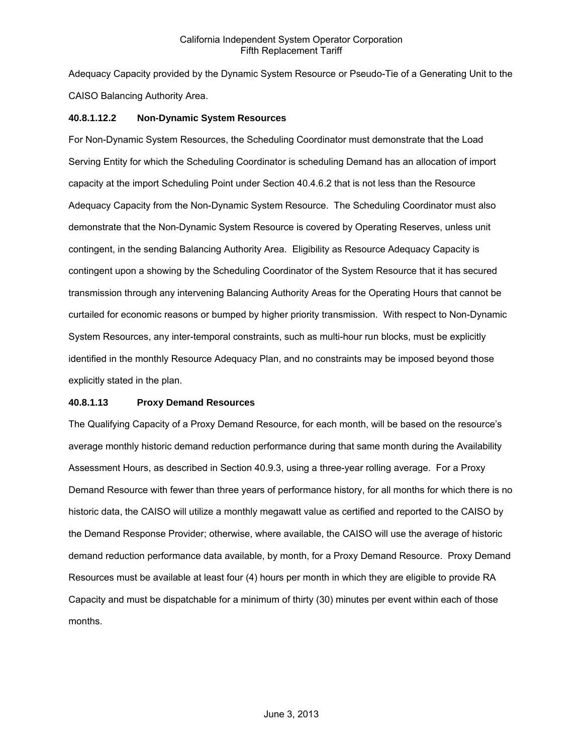Adequacy Capacity provided by the Dynamic System Resource or Pseudo-Tie of a Generating Unit to the CAISO Balancing Authority Area.

# **40.8.1.12.2 Non-Dynamic System Resources**

For Non-Dynamic System Resources, the Scheduling Coordinator must demonstrate that the Load Serving Entity for which the Scheduling Coordinator is scheduling Demand has an allocation of import capacity at the import Scheduling Point under Section 40.4.6.2 that is not less than the Resource Adequacy Capacity from the Non-Dynamic System Resource. The Scheduling Coordinator must also demonstrate that the Non-Dynamic System Resource is covered by Operating Reserves, unless unit contingent, in the sending Balancing Authority Area. Eligibility as Resource Adequacy Capacity is contingent upon a showing by the Scheduling Coordinator of the System Resource that it has secured transmission through any intervening Balancing Authority Areas for the Operating Hours that cannot be curtailed for economic reasons or bumped by higher priority transmission. With respect to Non-Dynamic System Resources, any inter-temporal constraints, such as multi-hour run blocks, must be explicitly identified in the monthly Resource Adequacy Plan, and no constraints may be imposed beyond those explicitly stated in the plan.

### **40.8.1.13 Proxy Demand Resources**

The Qualifying Capacity of a Proxy Demand Resource, for each month, will be based on the resource's average monthly historic demand reduction performance during that same month during the Availability Assessment Hours, as described in Section 40.9.3, using a three-year rolling average. For a Proxy Demand Resource with fewer than three years of performance history, for all months for which there is no historic data, the CAISO will utilize a monthly megawatt value as certified and reported to the CAISO by the Demand Response Provider; otherwise, where available, the CAISO will use the average of historic demand reduction performance data available, by month, for a Proxy Demand Resource. Proxy Demand Resources must be available at least four (4) hours per month in which they are eligible to provide RA Capacity and must be dispatchable for a minimum of thirty (30) minutes per event within each of those months.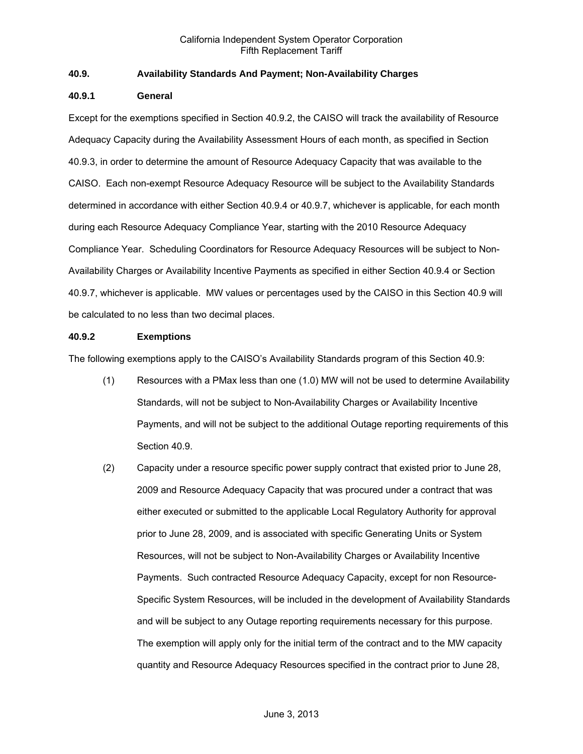# **40.9. Availability Standards And Payment; Non-Availability Charges**

### **40.9.1 General**

Except for the exemptions specified in Section 40.9.2, the CAISO will track the availability of Resource Adequacy Capacity during the Availability Assessment Hours of each month, as specified in Section 40.9.3, in order to determine the amount of Resource Adequacy Capacity that was available to the CAISO. Each non-exempt Resource Adequacy Resource will be subject to the Availability Standards determined in accordance with either Section 40.9.4 or 40.9.7, whichever is applicable, for each month during each Resource Adequacy Compliance Year, starting with the 2010 Resource Adequacy Compliance Year. Scheduling Coordinators for Resource Adequacy Resources will be subject to Non-Availability Charges or Availability Incentive Payments as specified in either Section 40.9.4 or Section 40.9.7, whichever is applicable. MW values or percentages used by the CAISO in this Section 40.9 will be calculated to no less than two decimal places.

### **40.9.2 Exemptions**

The following exemptions apply to the CAISO's Availability Standards program of this Section 40.9:

- (1) Resources with a PMax less than one (1.0) MW will not be used to determine Availability Standards, will not be subject to Non-Availability Charges or Availability Incentive Payments, and will not be subject to the additional Outage reporting requirements of this Section 40.9.
- (2) Capacity under a resource specific power supply contract that existed prior to June 28, 2009 and Resource Adequacy Capacity that was procured under a contract that was either executed or submitted to the applicable Local Regulatory Authority for approval prior to June 28, 2009, and is associated with specific Generating Units or System Resources, will not be subject to Non-Availability Charges or Availability Incentive Payments. Such contracted Resource Adequacy Capacity, except for non Resource-Specific System Resources, will be included in the development of Availability Standards and will be subject to any Outage reporting requirements necessary for this purpose. The exemption will apply only for the initial term of the contract and to the MW capacity quantity and Resource Adequacy Resources specified in the contract prior to June 28,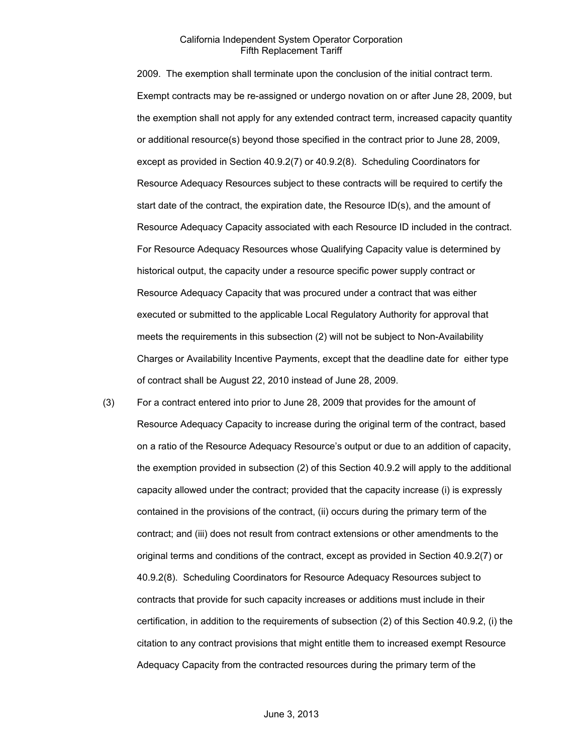2009. The exemption shall terminate upon the conclusion of the initial contract term. Exempt contracts may be re-assigned or undergo novation on or after June 28, 2009, but the exemption shall not apply for any extended contract term, increased capacity quantity or additional resource(s) beyond those specified in the contract prior to June 28, 2009, except as provided in Section 40.9.2(7) or 40.9.2(8). Scheduling Coordinators for Resource Adequacy Resources subject to these contracts will be required to certify the start date of the contract, the expiration date, the Resource ID(s), and the amount of Resource Adequacy Capacity associated with each Resource ID included in the contract. For Resource Adequacy Resources whose Qualifying Capacity value is determined by historical output, the capacity under a resource specific power supply contract or Resource Adequacy Capacity that was procured under a contract that was either executed or submitted to the applicable Local Regulatory Authority for approval that meets the requirements in this subsection (2) will not be subject to Non-Availability Charges or Availability Incentive Payments, except that the deadline date for either type of contract shall be August 22, 2010 instead of June 28, 2009.

(3) For a contract entered into prior to June 28, 2009 that provides for the amount of Resource Adequacy Capacity to increase during the original term of the contract, based on a ratio of the Resource Adequacy Resource's output or due to an addition of capacity, the exemption provided in subsection (2) of this Section 40.9.2 will apply to the additional capacity allowed under the contract; provided that the capacity increase (i) is expressly contained in the provisions of the contract, (ii) occurs during the primary term of the contract; and (iii) does not result from contract extensions or other amendments to the original terms and conditions of the contract, except as provided in Section 40.9.2(7) or 40.9.2(8). Scheduling Coordinators for Resource Adequacy Resources subject to contracts that provide for such capacity increases or additions must include in their certification, in addition to the requirements of subsection (2) of this Section 40.9.2, (i) the citation to any contract provisions that might entitle them to increased exempt Resource Adequacy Capacity from the contracted resources during the primary term of the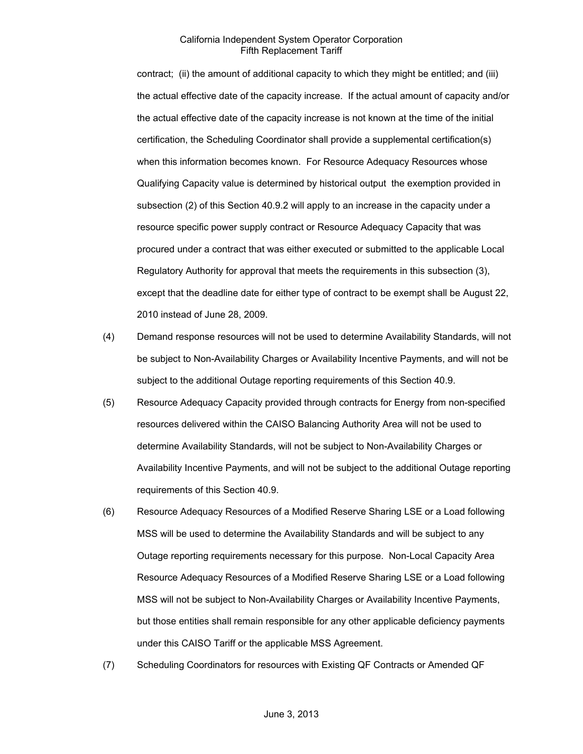contract; (ii) the amount of additional capacity to which they might be entitled; and (iii) the actual effective date of the capacity increase. If the actual amount of capacity and/or the actual effective date of the capacity increase is not known at the time of the initial certification, the Scheduling Coordinator shall provide a supplemental certification(s) when this information becomes known. For Resource Adequacy Resources whose Qualifying Capacity value is determined by historical output the exemption provided in subsection (2) of this Section 40.9.2 will apply to an increase in the capacity under a resource specific power supply contract or Resource Adequacy Capacity that was procured under a contract that was either executed or submitted to the applicable Local Regulatory Authority for approval that meets the requirements in this subsection (3), except that the deadline date for either type of contract to be exempt shall be August 22, 2010 instead of June 28, 2009.

- (4) Demand response resources will not be used to determine Availability Standards, will not be subject to Non-Availability Charges or Availability Incentive Payments, and will not be subject to the additional Outage reporting requirements of this Section 40.9.
- (5) Resource Adequacy Capacity provided through contracts for Energy from non-specified resources delivered within the CAISO Balancing Authority Area will not be used to determine Availability Standards, will not be subject to Non-Availability Charges or Availability Incentive Payments, and will not be subject to the additional Outage reporting requirements of this Section 40.9.
- (6) Resource Adequacy Resources of a Modified Reserve Sharing LSE or a Load following MSS will be used to determine the Availability Standards and will be subject to any Outage reporting requirements necessary for this purpose. Non-Local Capacity Area Resource Adequacy Resources of a Modified Reserve Sharing LSE or a Load following MSS will not be subject to Non-Availability Charges or Availability Incentive Payments, but those entities shall remain responsible for any other applicable deficiency payments under this CAISO Tariff or the applicable MSS Agreement.
- (7) Scheduling Coordinators for resources with Existing QF Contracts or Amended QF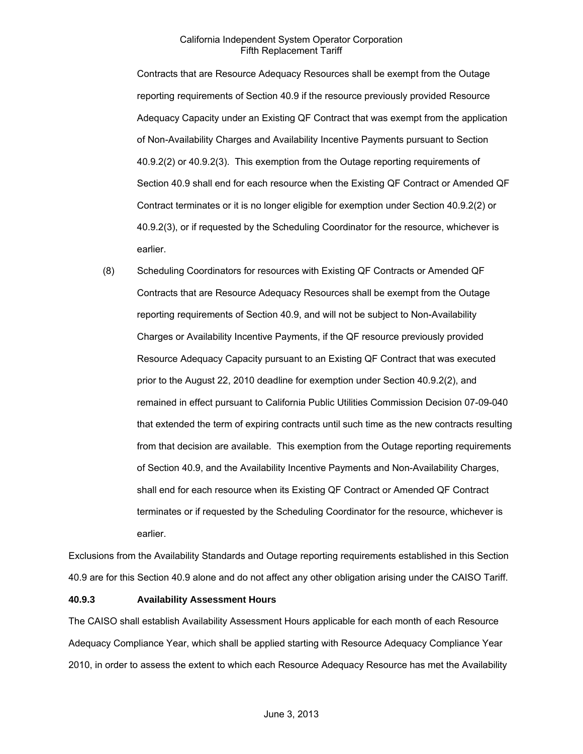Contracts that are Resource Adequacy Resources shall be exempt from the Outage reporting requirements of Section 40.9 if the resource previously provided Resource Adequacy Capacity under an Existing QF Contract that was exempt from the application of Non-Availability Charges and Availability Incentive Payments pursuant to Section 40.9.2(2) or 40.9.2(3). This exemption from the Outage reporting requirements of Section 40.9 shall end for each resource when the Existing QF Contract or Amended QF Contract terminates or it is no longer eligible for exemption under Section 40.9.2(2) or 40.9.2(3), or if requested by the Scheduling Coordinator for the resource, whichever is earlier.

(8) Scheduling Coordinators for resources with Existing QF Contracts or Amended QF Contracts that are Resource Adequacy Resources shall be exempt from the Outage reporting requirements of Section 40.9, and will not be subject to Non-Availability Charges or Availability Incentive Payments, if the QF resource previously provided Resource Adequacy Capacity pursuant to an Existing QF Contract that was executed prior to the August 22, 2010 deadline for exemption under Section 40.9.2(2), and remained in effect pursuant to California Public Utilities Commission Decision 07-09-040 that extended the term of expiring contracts until such time as the new contracts resulting from that decision are available. This exemption from the Outage reporting requirements of Section 40.9, and the Availability Incentive Payments and Non-Availability Charges, shall end for each resource when its Existing QF Contract or Amended QF Contract terminates or if requested by the Scheduling Coordinator for the resource, whichever is earlier.

Exclusions from the Availability Standards and Outage reporting requirements established in this Section 40.9 are for this Section 40.9 alone and do not affect any other obligation arising under the CAISO Tariff.

### **40.9.3 Availability Assessment Hours**

The CAISO shall establish Availability Assessment Hours applicable for each month of each Resource Adequacy Compliance Year, which shall be applied starting with Resource Adequacy Compliance Year 2010, in order to assess the extent to which each Resource Adequacy Resource has met the Availability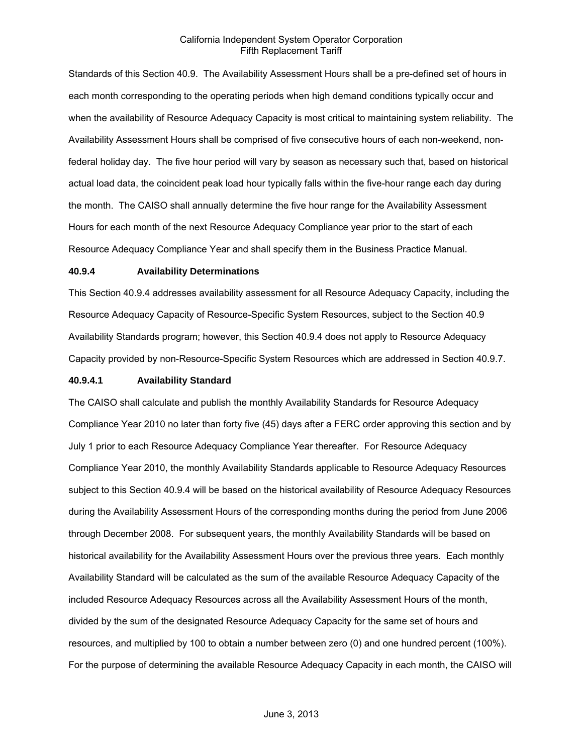Standards of this Section 40.9. The Availability Assessment Hours shall be a pre-defined set of hours in each month corresponding to the operating periods when high demand conditions typically occur and when the availability of Resource Adequacy Capacity is most critical to maintaining system reliability. The Availability Assessment Hours shall be comprised of five consecutive hours of each non-weekend, nonfederal holiday day. The five hour period will vary by season as necessary such that, based on historical actual load data, the coincident peak load hour typically falls within the five-hour range each day during the month. The CAISO shall annually determine the five hour range for the Availability Assessment Hours for each month of the next Resource Adequacy Compliance year prior to the start of each Resource Adequacy Compliance Year and shall specify them in the Business Practice Manual.

#### **40.9.4 Availability Determinations**

This Section 40.9.4 addresses availability assessment for all Resource Adequacy Capacity, including the Resource Adequacy Capacity of Resource-Specific System Resources, subject to the Section 40.9 Availability Standards program; however, this Section 40.9.4 does not apply to Resource Adequacy Capacity provided by non-Resource-Specific System Resources which are addressed in Section 40.9.7.

### **40.9.4.1 Availability Standard**

The CAISO shall calculate and publish the monthly Availability Standards for Resource Adequacy Compliance Year 2010 no later than forty five (45) days after a FERC order approving this section and by July 1 prior to each Resource Adequacy Compliance Year thereafter. For Resource Adequacy Compliance Year 2010, the monthly Availability Standards applicable to Resource Adequacy Resources subject to this Section 40.9.4 will be based on the historical availability of Resource Adequacy Resources during the Availability Assessment Hours of the corresponding months during the period from June 2006 through December 2008. For subsequent years, the monthly Availability Standards will be based on historical availability for the Availability Assessment Hours over the previous three years. Each monthly Availability Standard will be calculated as the sum of the available Resource Adequacy Capacity of the included Resource Adequacy Resources across all the Availability Assessment Hours of the month, divided by the sum of the designated Resource Adequacy Capacity for the same set of hours and resources, and multiplied by 100 to obtain a number between zero (0) and one hundred percent (100%). For the purpose of determining the available Resource Adequacy Capacity in each month, the CAISO will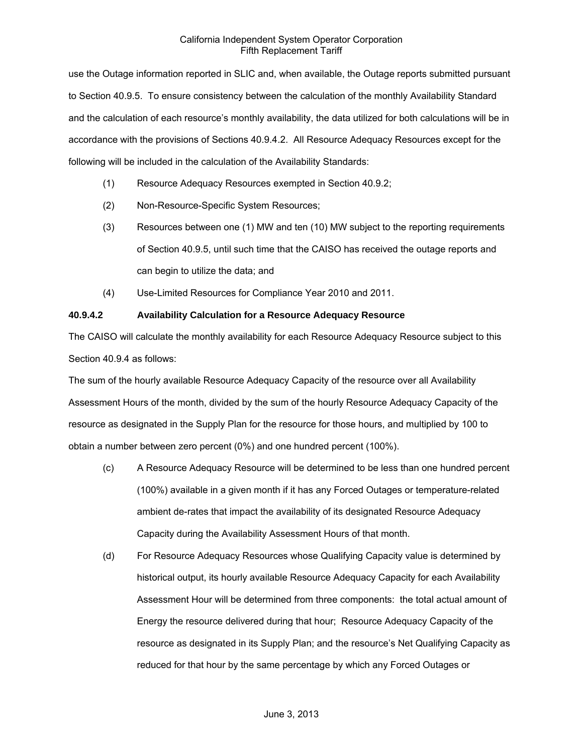use the Outage information reported in SLIC and, when available, the Outage reports submitted pursuant to Section 40.9.5. To ensure consistency between the calculation of the monthly Availability Standard and the calculation of each resource's monthly availability, the data utilized for both calculations will be in accordance with the provisions of Sections 40.9.4.2. All Resource Adequacy Resources except for the following will be included in the calculation of the Availability Standards:

- (1) Resource Adequacy Resources exempted in Section 40.9.2;
- (2) Non-Resource-Specific System Resources;
- (3) Resources between one (1) MW and ten (10) MW subject to the reporting requirements of Section 40.9.5, until such time that the CAISO has received the outage reports and can begin to utilize the data; and
- (4) Use-Limited Resources for Compliance Year 2010 and 2011.

# **40.9.4.2 Availability Calculation for a Resource Adequacy Resource**

The CAISO will calculate the monthly availability for each Resource Adequacy Resource subject to this Section 40.9.4 as follows:

The sum of the hourly available Resource Adequacy Capacity of the resource over all Availability Assessment Hours of the month, divided by the sum of the hourly Resource Adequacy Capacity of the resource as designated in the Supply Plan for the resource for those hours, and multiplied by 100 to obtain a number between zero percent (0%) and one hundred percent (100%).

- (c) A Resource Adequacy Resource will be determined to be less than one hundred percent (100%) available in a given month if it has any Forced Outages or temperature-related ambient de-rates that impact the availability of its designated Resource Adequacy Capacity during the Availability Assessment Hours of that month.
- (d) For Resource Adequacy Resources whose Qualifying Capacity value is determined by historical output, its hourly available Resource Adequacy Capacity for each Availability Assessment Hour will be determined from three components: the total actual amount of Energy the resource delivered during that hour; Resource Adequacy Capacity of the resource as designated in its Supply Plan; and the resource's Net Qualifying Capacity as reduced for that hour by the same percentage by which any Forced Outages or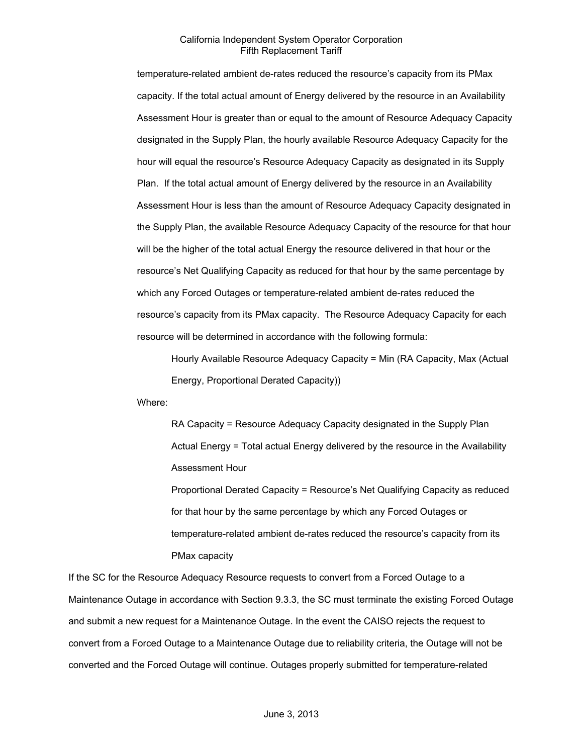temperature-related ambient de-rates reduced the resource's capacity from its PMax capacity. If the total actual amount of Energy delivered by the resource in an Availability Assessment Hour is greater than or equal to the amount of Resource Adequacy Capacity designated in the Supply Plan, the hourly available Resource Adequacy Capacity for the hour will equal the resource's Resource Adequacy Capacity as designated in its Supply Plan. If the total actual amount of Energy delivered by the resource in an Availability Assessment Hour is less than the amount of Resource Adequacy Capacity designated in the Supply Plan, the available Resource Adequacy Capacity of the resource for that hour will be the higher of the total actual Energy the resource delivered in that hour or the resource's Net Qualifying Capacity as reduced for that hour by the same percentage by which any Forced Outages or temperature-related ambient de-rates reduced the resource's capacity from its PMax capacity. The Resource Adequacy Capacity for each resource will be determined in accordance with the following formula:

Hourly Available Resource Adequacy Capacity = Min (RA Capacity, Max (Actual Energy, Proportional Derated Capacity))

Where:

RA Capacity = Resource Adequacy Capacity designated in the Supply Plan Actual Energy = Total actual Energy delivered by the resource in the Availability Assessment Hour

Proportional Derated Capacity = Resource's Net Qualifying Capacity as reduced for that hour by the same percentage by which any Forced Outages or temperature-related ambient de-rates reduced the resource's capacity from its PMax capacity

If the SC for the Resource Adequacy Resource requests to convert from a Forced Outage to a Maintenance Outage in accordance with Section 9.3.3, the SC must terminate the existing Forced Outage and submit a new request for a Maintenance Outage. In the event the CAISO rejects the request to convert from a Forced Outage to a Maintenance Outage due to reliability criteria, the Outage will not be converted and the Forced Outage will continue. Outages properly submitted for temperature-related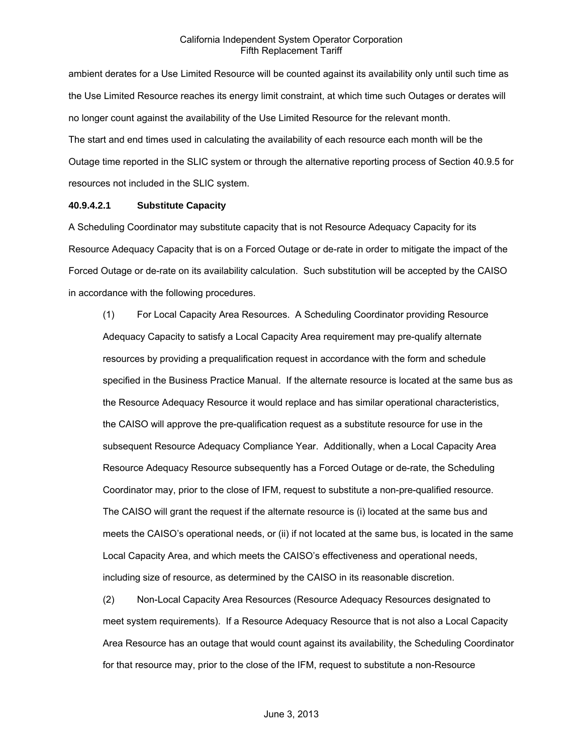ambient derates for a Use Limited Resource will be counted against its availability only until such time as the Use Limited Resource reaches its energy limit constraint, at which time such Outages or derates will no longer count against the availability of the Use Limited Resource for the relevant month. The start and end times used in calculating the availability of each resource each month will be the Outage time reported in the SLIC system or through the alternative reporting process of Section 40.9.5 for resources not included in the SLIC system.

### **40.9.4.2.1 Substitute Capacity**

A Scheduling Coordinator may substitute capacity that is not Resource Adequacy Capacity for its Resource Adequacy Capacity that is on a Forced Outage or de-rate in order to mitigate the impact of the Forced Outage or de-rate on its availability calculation. Such substitution will be accepted by the CAISO in accordance with the following procedures.

(1) For Local Capacity Area Resources. A Scheduling Coordinator providing Resource Adequacy Capacity to satisfy a Local Capacity Area requirement may pre-qualify alternate resources by providing a prequalification request in accordance with the form and schedule specified in the Business Practice Manual. If the alternate resource is located at the same bus as the Resource Adequacy Resource it would replace and has similar operational characteristics, the CAISO will approve the pre-qualification request as a substitute resource for use in the subsequent Resource Adequacy Compliance Year. Additionally, when a Local Capacity Area Resource Adequacy Resource subsequently has a Forced Outage or de-rate, the Scheduling Coordinator may, prior to the close of IFM, request to substitute a non-pre-qualified resource. The CAISO will grant the request if the alternate resource is (i) located at the same bus and meets the CAISO's operational needs, or (ii) if not located at the same bus, is located in the same Local Capacity Area, and which meets the CAISO's effectiveness and operational needs, including size of resource, as determined by the CAISO in its reasonable discretion.

(2) Non-Local Capacity Area Resources (Resource Adequacy Resources designated to meet system requirements). If a Resource Adequacy Resource that is not also a Local Capacity Area Resource has an outage that would count against its availability, the Scheduling Coordinator for that resource may, prior to the close of the IFM, request to substitute a non-Resource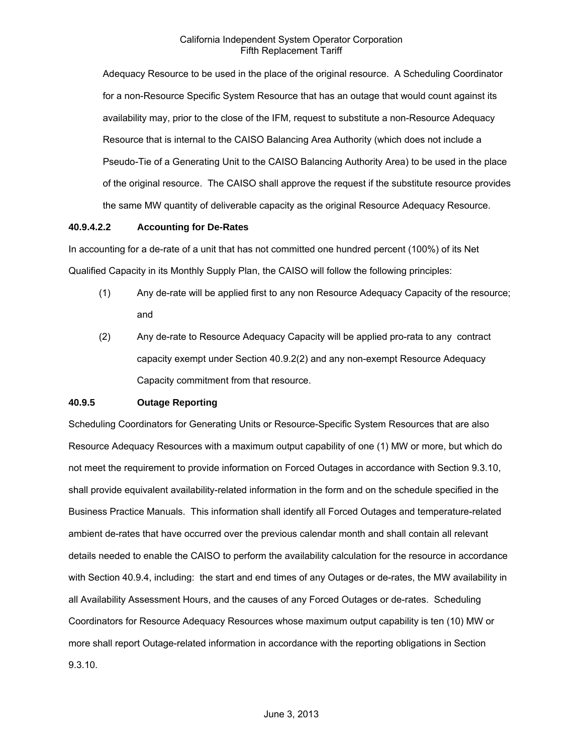Adequacy Resource to be used in the place of the original resource. A Scheduling Coordinator for a non-Resource Specific System Resource that has an outage that would count against its availability may, prior to the close of the IFM, request to substitute a non-Resource Adequacy Resource that is internal to the CAISO Balancing Area Authority (which does not include a Pseudo-Tie of a Generating Unit to the CAISO Balancing Authority Area) to be used in the place of the original resource. The CAISO shall approve the request if the substitute resource provides the same MW quantity of deliverable capacity as the original Resource Adequacy Resource.

### **40.9.4.2.2 Accounting for De-Rates**

In accounting for a de-rate of a unit that has not committed one hundred percent (100%) of its Net Qualified Capacity in its Monthly Supply Plan, the CAISO will follow the following principles:

- (1) Any de-rate will be applied first to any non Resource Adequacy Capacity of the resource; and
- (2) Any de-rate to Resource Adequacy Capacity will be applied pro-rata to any contract capacity exempt under Section 40.9.2(2) and any non-exempt Resource Adequacy Capacity commitment from that resource.

### **40.9.5 Outage Reporting**

Scheduling Coordinators for Generating Units or Resource-Specific System Resources that are also Resource Adequacy Resources with a maximum output capability of one (1) MW or more, but which do not meet the requirement to provide information on Forced Outages in accordance with Section 9.3.10, shall provide equivalent availability-related information in the form and on the schedule specified in the Business Practice Manuals. This information shall identify all Forced Outages and temperature-related ambient de-rates that have occurred over the previous calendar month and shall contain all relevant details needed to enable the CAISO to perform the availability calculation for the resource in accordance with Section 40.9.4, including: the start and end times of any Outages or de-rates, the MW availability in all Availability Assessment Hours, and the causes of any Forced Outages or de-rates. Scheduling Coordinators for Resource Adequacy Resources whose maximum output capability is ten (10) MW or more shall report Outage-related information in accordance with the reporting obligations in Section 9.3.10.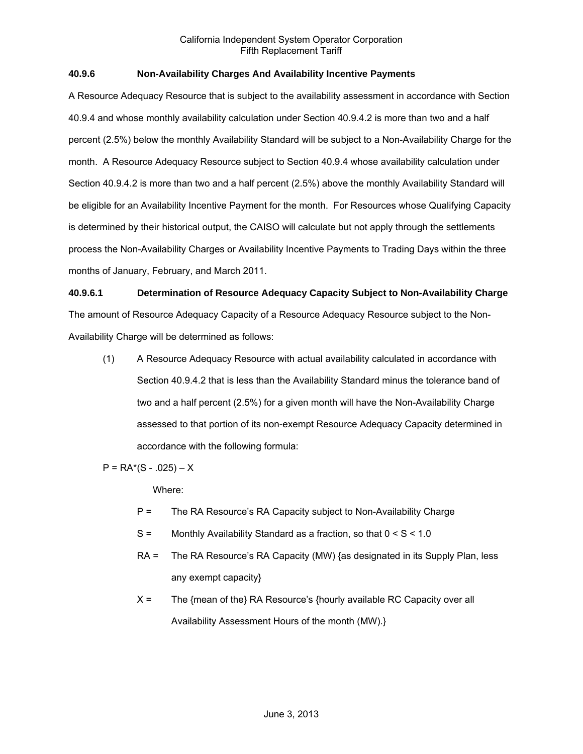# **40.9.6 Non-Availability Charges And Availability Incentive Payments**

A Resource Adequacy Resource that is subject to the availability assessment in accordance with Section 40.9.4 and whose monthly availability calculation under Section 40.9.4.2 is more than two and a half percent (2.5%) below the monthly Availability Standard will be subject to a Non-Availability Charge for the month. A Resource Adequacy Resource subject to Section 40.9.4 whose availability calculation under Section 40.9.4.2 is more than two and a half percent (2.5%) above the monthly Availability Standard will be eligible for an Availability Incentive Payment for the month. For Resources whose Qualifying Capacity is determined by their historical output, the CAISO will calculate but not apply through the settlements process the Non-Availability Charges or Availability Incentive Payments to Trading Days within the three months of January, February, and March 2011.

### **40.9.6.1 Determination of Resource Adequacy Capacity Subject to Non-Availability Charge**

The amount of Resource Adequacy Capacity of a Resource Adequacy Resource subject to the Non-Availability Charge will be determined as follows:

(1) A Resource Adequacy Resource with actual availability calculated in accordance with Section 40.9.4.2 that is less than the Availability Standard minus the tolerance band of two and a half percent (2.5%) for a given month will have the Non-Availability Charge assessed to that portion of its non-exempt Resource Adequacy Capacity determined in accordance with the following formula:

 $P = RA<sup>*</sup>(S - .025) - X$ 

Where:

- P = The RA Resource's RA Capacity subject to Non-Availability Charge
- S = Monthly Availability Standard as a fraction, so that 0 < S < 1.0
- RA = The RA Resource's RA Capacity (MW) {as designated in its Supply Plan, less any exempt capacity}
- X = The {mean of the} RA Resource's {hourly available RC Capacity over all Availability Assessment Hours of the month (MW).}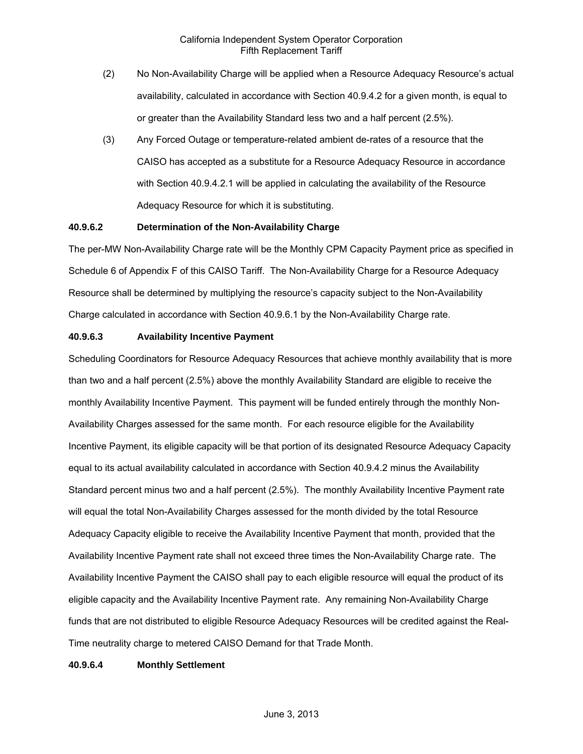- (2) No Non-Availability Charge will be applied when a Resource Adequacy Resource's actual availability, calculated in accordance with Section 40.9.4.2 for a given month, is equal to or greater than the Availability Standard less two and a half percent (2.5%).
- (3) Any Forced Outage or temperature-related ambient de-rates of a resource that the CAISO has accepted as a substitute for a Resource Adequacy Resource in accordance with Section 40.9.4.2.1 will be applied in calculating the availability of the Resource Adequacy Resource for which it is substituting.

# **40.9.6.2 Determination of the Non-Availability Charge**

The per-MW Non-Availability Charge rate will be the Monthly CPM Capacity Payment price as specified in Schedule 6 of Appendix F of this CAISO Tariff. The Non-Availability Charge for a Resource Adequacy Resource shall be determined by multiplying the resource's capacity subject to the Non-Availability Charge calculated in accordance with Section 40.9.6.1 by the Non-Availability Charge rate.

### **40.9.6.3 Availability Incentive Payment**

Scheduling Coordinators for Resource Adequacy Resources that achieve monthly availability that is more than two and a half percent (2.5%) above the monthly Availability Standard are eligible to receive the monthly Availability Incentive Payment. This payment will be funded entirely through the monthly Non-Availability Charges assessed for the same month. For each resource eligible for the Availability Incentive Payment, its eligible capacity will be that portion of its designated Resource Adequacy Capacity equal to its actual availability calculated in accordance with Section 40.9.4.2 minus the Availability Standard percent minus two and a half percent (2.5%). The monthly Availability Incentive Payment rate will equal the total Non-Availability Charges assessed for the month divided by the total Resource Adequacy Capacity eligible to receive the Availability Incentive Payment that month, provided that the Availability Incentive Payment rate shall not exceed three times the Non-Availability Charge rate. The Availability Incentive Payment the CAISO shall pay to each eligible resource will equal the product of its eligible capacity and the Availability Incentive Payment rate. Any remaining Non-Availability Charge funds that are not distributed to eligible Resource Adequacy Resources will be credited against the Real-Time neutrality charge to metered CAISO Demand for that Trade Month.

### **40.9.6.4 Monthly Settlement**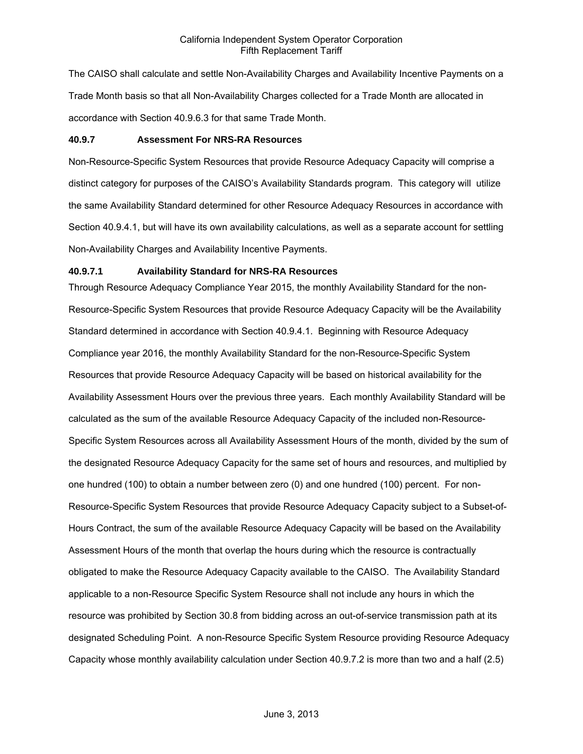The CAISO shall calculate and settle Non-Availability Charges and Availability Incentive Payments on a Trade Month basis so that all Non-Availability Charges collected for a Trade Month are allocated in accordance with Section 40.9.6.3 for that same Trade Month.

### **40.9.7 Assessment For NRS-RA Resources**

Non-Resource-Specific System Resources that provide Resource Adequacy Capacity will comprise a distinct category for purposes of the CAISO's Availability Standards program. This category will utilize the same Availability Standard determined for other Resource Adequacy Resources in accordance with Section 40.9.4.1, but will have its own availability calculations, as well as a separate account for settling Non-Availability Charges and Availability Incentive Payments.

### **40.9.7.1 Availability Standard for NRS-RA Resources**

Through Resource Adequacy Compliance Year 2015, the monthly Availability Standard for the non-Resource-Specific System Resources that provide Resource Adequacy Capacity will be the Availability Standard determined in accordance with Section 40.9.4.1. Beginning with Resource Adequacy Compliance year 2016, the monthly Availability Standard for the non-Resource-Specific System Resources that provide Resource Adequacy Capacity will be based on historical availability for the Availability Assessment Hours over the previous three years. Each monthly Availability Standard will be calculated as the sum of the available Resource Adequacy Capacity of the included non-Resource-Specific System Resources across all Availability Assessment Hours of the month, divided by the sum of the designated Resource Adequacy Capacity for the same set of hours and resources, and multiplied by one hundred (100) to obtain a number between zero (0) and one hundred (100) percent. For non-Resource-Specific System Resources that provide Resource Adequacy Capacity subject to a Subset-of-Hours Contract, the sum of the available Resource Adequacy Capacity will be based on the Availability Assessment Hours of the month that overlap the hours during which the resource is contractually obligated to make the Resource Adequacy Capacity available to the CAISO. The Availability Standard applicable to a non-Resource Specific System Resource shall not include any hours in which the resource was prohibited by Section 30.8 from bidding across an out-of-service transmission path at its designated Scheduling Point. A non-Resource Specific System Resource providing Resource Adequacy Capacity whose monthly availability calculation under Section 40.9.7.2 is more than two and a half (2.5)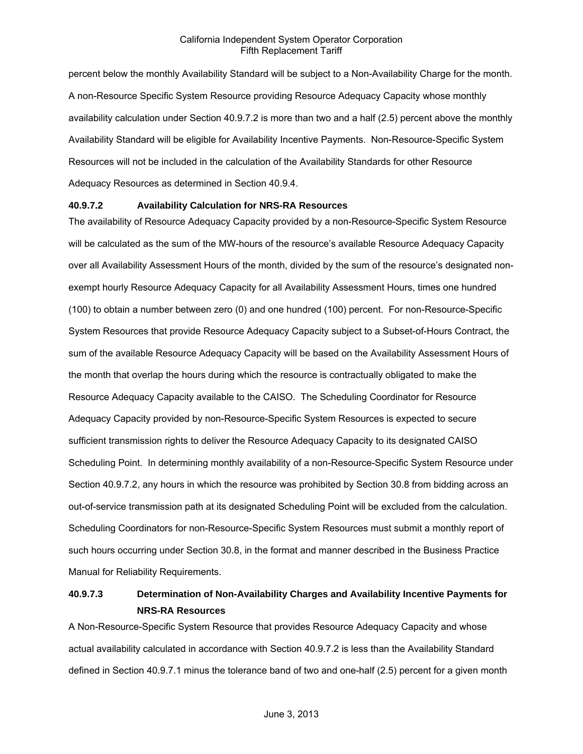percent below the monthly Availability Standard will be subject to a Non-Availability Charge for the month. A non-Resource Specific System Resource providing Resource Adequacy Capacity whose monthly availability calculation under Section 40.9.7.2 is more than two and a half (2.5) percent above the monthly Availability Standard will be eligible for Availability Incentive Payments. Non-Resource-Specific System Resources will not be included in the calculation of the Availability Standards for other Resource Adequacy Resources as determined in Section 40.9.4.

### **40.9.7.2 Availability Calculation for NRS-RA Resources**

The availability of Resource Adequacy Capacity provided by a non-Resource-Specific System Resource will be calculated as the sum of the MW-hours of the resource's available Resource Adequacy Capacity over all Availability Assessment Hours of the month, divided by the sum of the resource's designated nonexempt hourly Resource Adequacy Capacity for all Availability Assessment Hours, times one hundred (100) to obtain a number between zero (0) and one hundred (100) percent. For non-Resource-Specific System Resources that provide Resource Adequacy Capacity subject to a Subset-of-Hours Contract, the sum of the available Resource Adequacy Capacity will be based on the Availability Assessment Hours of the month that overlap the hours during which the resource is contractually obligated to make the Resource Adequacy Capacity available to the CAISO. The Scheduling Coordinator for Resource Adequacy Capacity provided by non-Resource-Specific System Resources is expected to secure sufficient transmission rights to deliver the Resource Adequacy Capacity to its designated CAISO Scheduling Point. In determining monthly availability of a non-Resource-Specific System Resource under Section 40.9.7.2, any hours in which the resource was prohibited by Section 30.8 from bidding across an out-of-service transmission path at its designated Scheduling Point will be excluded from the calculation. Scheduling Coordinators for non-Resource-Specific System Resources must submit a monthly report of such hours occurring under Section 30.8, in the format and manner described in the Business Practice Manual for Reliability Requirements.

# **40.9.7.3 Determination of Non-Availability Charges and Availability Incentive Payments for NRS-RA Resources**

A Non-Resource-Specific System Resource that provides Resource Adequacy Capacity and whose actual availability calculated in accordance with Section 40.9.7.2 is less than the Availability Standard defined in Section 40.9.7.1 minus the tolerance band of two and one-half (2.5) percent for a given month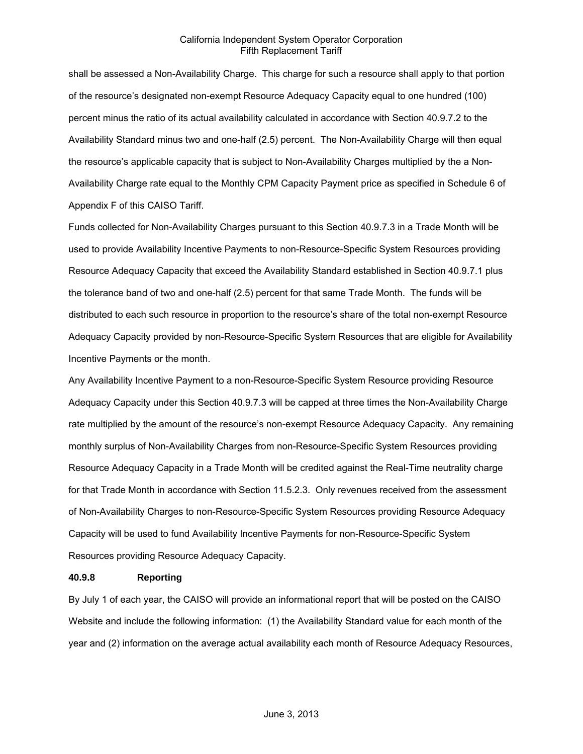shall be assessed a Non-Availability Charge. This charge for such a resource shall apply to that portion of the resource's designated non-exempt Resource Adequacy Capacity equal to one hundred (100) percent minus the ratio of its actual availability calculated in accordance with Section 40.9.7.2 to the Availability Standard minus two and one-half (2.5) percent. The Non-Availability Charge will then equal the resource's applicable capacity that is subject to Non-Availability Charges multiplied by the a Non-Availability Charge rate equal to the Monthly CPM Capacity Payment price as specified in Schedule 6 of Appendix F of this CAISO Tariff.

Funds collected for Non-Availability Charges pursuant to this Section 40.9.7.3 in a Trade Month will be used to provide Availability Incentive Payments to non-Resource-Specific System Resources providing Resource Adequacy Capacity that exceed the Availability Standard established in Section 40.9.7.1 plus the tolerance band of two and one-half (2.5) percent for that same Trade Month. The funds will be distributed to each such resource in proportion to the resource's share of the total non-exempt Resource Adequacy Capacity provided by non-Resource-Specific System Resources that are eligible for Availability Incentive Payments or the month.

Any Availability Incentive Payment to a non-Resource-Specific System Resource providing Resource Adequacy Capacity under this Section 40.9.7.3 will be capped at three times the Non-Availability Charge rate multiplied by the amount of the resource's non-exempt Resource Adequacy Capacity. Any remaining monthly surplus of Non-Availability Charges from non-Resource-Specific System Resources providing Resource Adequacy Capacity in a Trade Month will be credited against the Real-Time neutrality charge for that Trade Month in accordance with Section 11.5.2.3. Only revenues received from the assessment of Non-Availability Charges to non-Resource-Specific System Resources providing Resource Adequacy Capacity will be used to fund Availability Incentive Payments for non-Resource-Specific System Resources providing Resource Adequacy Capacity.

#### **40.9.8 Reporting**

By July 1 of each year, the CAISO will provide an informational report that will be posted on the CAISO Website and include the following information: (1) the Availability Standard value for each month of the year and (2) information on the average actual availability each month of Resource Adequacy Resources,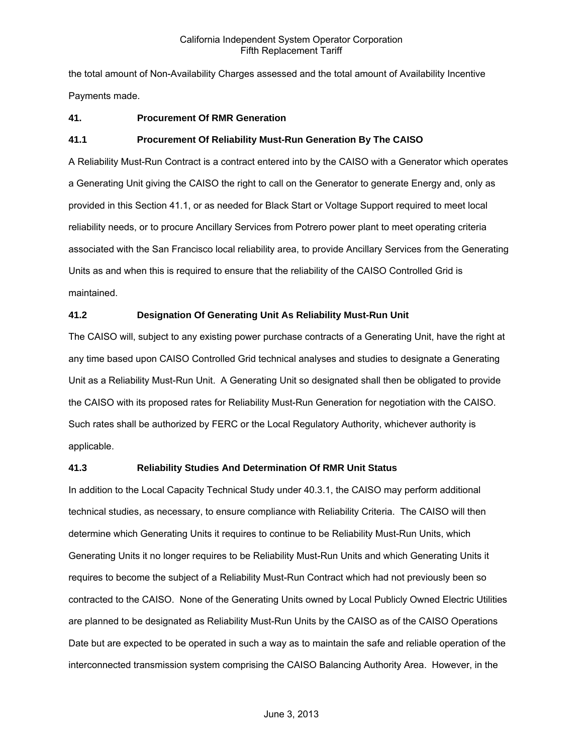the total amount of Non-Availability Charges assessed and the total amount of Availability Incentive Payments made.

# **41. Procurement Of RMR Generation**

### **41.1 Procurement Of Reliability Must-Run Generation By The CAISO**

A Reliability Must-Run Contract is a contract entered into by the CAISO with a Generator which operates a Generating Unit giving the CAISO the right to call on the Generator to generate Energy and, only as provided in this Section 41.1, or as needed for Black Start or Voltage Support required to meet local reliability needs, or to procure Ancillary Services from Potrero power plant to meet operating criteria associated with the San Francisco local reliability area, to provide Ancillary Services from the Generating Units as and when this is required to ensure that the reliability of the CAISO Controlled Grid is maintained.

# **41.2 Designation Of Generating Unit As Reliability Must-Run Unit**

The CAISO will, subject to any existing power purchase contracts of a Generating Unit, have the right at any time based upon CAISO Controlled Grid technical analyses and studies to designate a Generating Unit as a Reliability Must-Run Unit. A Generating Unit so designated shall then be obligated to provide the CAISO with its proposed rates for Reliability Must-Run Generation for negotiation with the CAISO. Such rates shall be authorized by FERC or the Local Regulatory Authority, whichever authority is applicable.

### **41.3 Reliability Studies And Determination Of RMR Unit Status**

In addition to the Local Capacity Technical Study under 40.3.1, the CAISO may perform additional technical studies, as necessary, to ensure compliance with Reliability Criteria. The CAISO will then determine which Generating Units it requires to continue to be Reliability Must-Run Units, which Generating Units it no longer requires to be Reliability Must-Run Units and which Generating Units it requires to become the subject of a Reliability Must-Run Contract which had not previously been so contracted to the CAISO. None of the Generating Units owned by Local Publicly Owned Electric Utilities are planned to be designated as Reliability Must-Run Units by the CAISO as of the CAISO Operations Date but are expected to be operated in such a way as to maintain the safe and reliable operation of the interconnected transmission system comprising the CAISO Balancing Authority Area. However, in the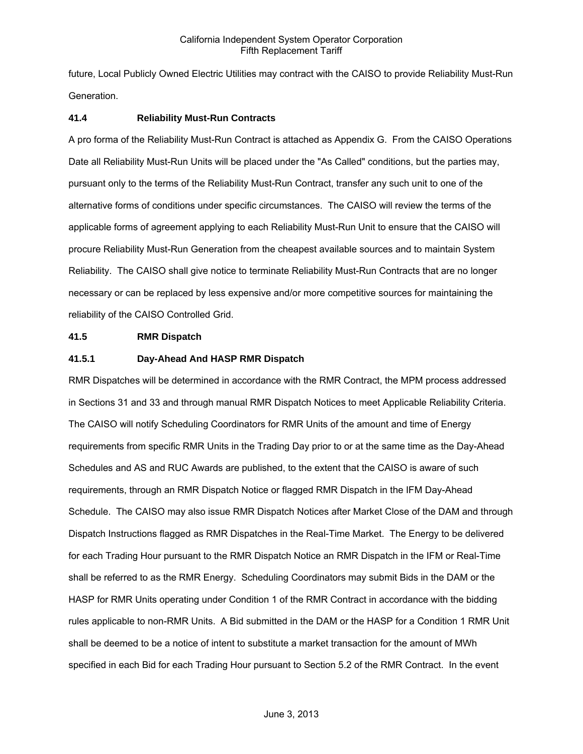future, Local Publicly Owned Electric Utilities may contract with the CAISO to provide Reliability Must-Run Generation.

### **41.4 Reliability Must-Run Contracts**

A pro forma of the Reliability Must-Run Contract is attached as Appendix G. From the CAISO Operations Date all Reliability Must-Run Units will be placed under the "As Called" conditions, but the parties may, pursuant only to the terms of the Reliability Must-Run Contract, transfer any such unit to one of the alternative forms of conditions under specific circumstances. The CAISO will review the terms of the applicable forms of agreement applying to each Reliability Must-Run Unit to ensure that the CAISO will procure Reliability Must-Run Generation from the cheapest available sources and to maintain System Reliability. The CAISO shall give notice to terminate Reliability Must-Run Contracts that are no longer necessary or can be replaced by less expensive and/or more competitive sources for maintaining the reliability of the CAISO Controlled Grid.

### **41.5 RMR Dispatch**

### **41.5.1 Day-Ahead And HASP RMR Dispatch**

RMR Dispatches will be determined in accordance with the RMR Contract, the MPM process addressed in Sections 31 and 33 and through manual RMR Dispatch Notices to meet Applicable Reliability Criteria. The CAISO will notify Scheduling Coordinators for RMR Units of the amount and time of Energy requirements from specific RMR Units in the Trading Day prior to or at the same time as the Day-Ahead Schedules and AS and RUC Awards are published, to the extent that the CAISO is aware of such requirements, through an RMR Dispatch Notice or flagged RMR Dispatch in the IFM Day-Ahead Schedule. The CAISO may also issue RMR Dispatch Notices after Market Close of the DAM and through Dispatch Instructions flagged as RMR Dispatches in the Real-Time Market. The Energy to be delivered for each Trading Hour pursuant to the RMR Dispatch Notice an RMR Dispatch in the IFM or Real-Time shall be referred to as the RMR Energy. Scheduling Coordinators may submit Bids in the DAM or the HASP for RMR Units operating under Condition 1 of the RMR Contract in accordance with the bidding rules applicable to non-RMR Units. A Bid submitted in the DAM or the HASP for a Condition 1 RMR Unit shall be deemed to be a notice of intent to substitute a market transaction for the amount of MWh specified in each Bid for each Trading Hour pursuant to Section 5.2 of the RMR Contract. In the event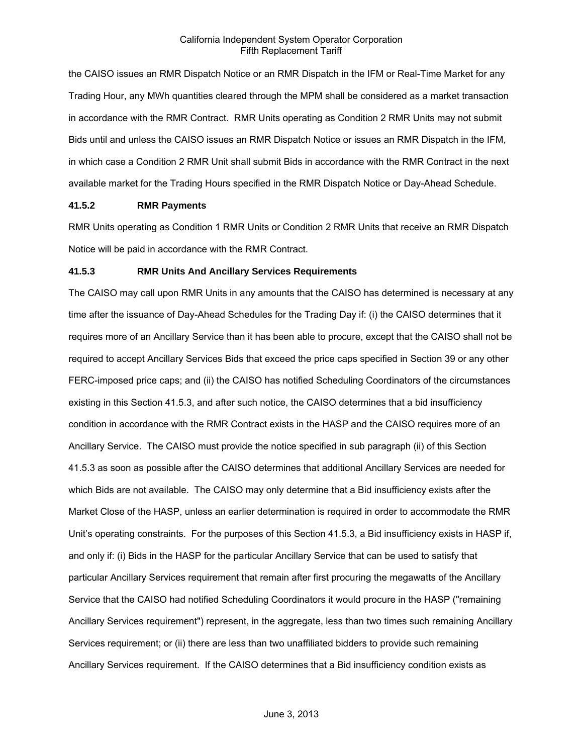the CAISO issues an RMR Dispatch Notice or an RMR Dispatch in the IFM or Real-Time Market for any Trading Hour, any MWh quantities cleared through the MPM shall be considered as a market transaction in accordance with the RMR Contract. RMR Units operating as Condition 2 RMR Units may not submit Bids until and unless the CAISO issues an RMR Dispatch Notice or issues an RMR Dispatch in the IFM, in which case a Condition 2 RMR Unit shall submit Bids in accordance with the RMR Contract in the next available market for the Trading Hours specified in the RMR Dispatch Notice or Day-Ahead Schedule.

### **41.5.2 RMR Payments**

RMR Units operating as Condition 1 RMR Units or Condition 2 RMR Units that receive an RMR Dispatch Notice will be paid in accordance with the RMR Contract.

### **41.5.3 RMR Units And Ancillary Services Requirements**

The CAISO may call upon RMR Units in any amounts that the CAISO has determined is necessary at any time after the issuance of Day-Ahead Schedules for the Trading Day if: (i) the CAISO determines that it requires more of an Ancillary Service than it has been able to procure, except that the CAISO shall not be required to accept Ancillary Services Bids that exceed the price caps specified in Section 39 or any other FERC-imposed price caps; and (ii) the CAISO has notified Scheduling Coordinators of the circumstances existing in this Section 41.5.3, and after such notice, the CAISO determines that a bid insufficiency condition in accordance with the RMR Contract exists in the HASP and the CAISO requires more of an Ancillary Service. The CAISO must provide the notice specified in sub paragraph (ii) of this Section 41.5.3 as soon as possible after the CAISO determines that additional Ancillary Services are needed for which Bids are not available. The CAISO may only determine that a Bid insufficiency exists after the Market Close of the HASP, unless an earlier determination is required in order to accommodate the RMR Unit's operating constraints. For the purposes of this Section 41.5.3, a Bid insufficiency exists in HASP if, and only if: (i) Bids in the HASP for the particular Ancillary Service that can be used to satisfy that particular Ancillary Services requirement that remain after first procuring the megawatts of the Ancillary Service that the CAISO had notified Scheduling Coordinators it would procure in the HASP ("remaining Ancillary Services requirement") represent, in the aggregate, less than two times such remaining Ancillary Services requirement; or (ii) there are less than two unaffiliated bidders to provide such remaining Ancillary Services requirement. If the CAISO determines that a Bid insufficiency condition exists as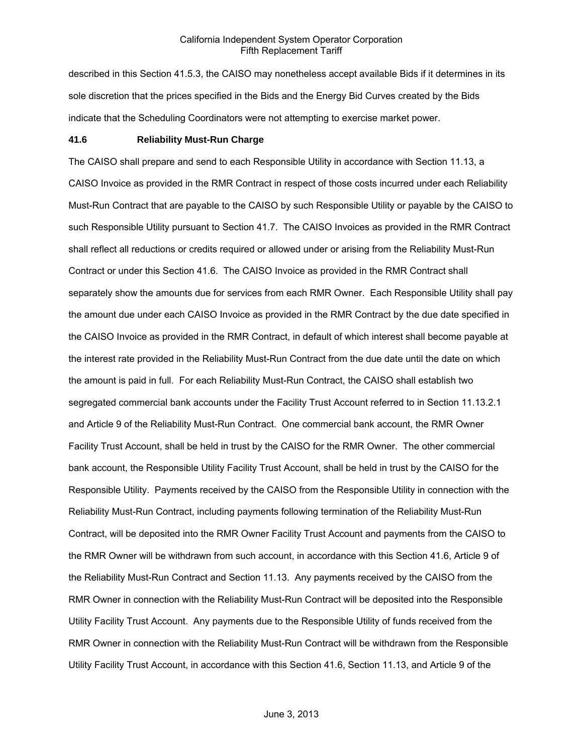described in this Section 41.5.3, the CAISO may nonetheless accept available Bids if it determines in its sole discretion that the prices specified in the Bids and the Energy Bid Curves created by the Bids indicate that the Scheduling Coordinators were not attempting to exercise market power.

### **41.6 Reliability Must-Run Charge**

The CAISO shall prepare and send to each Responsible Utility in accordance with Section 11.13, a CAISO Invoice as provided in the RMR Contract in respect of those costs incurred under each Reliability Must-Run Contract that are payable to the CAISO by such Responsible Utility or payable by the CAISO to such Responsible Utility pursuant to Section 41.7. The CAISO Invoices as provided in the RMR Contract shall reflect all reductions or credits required or allowed under or arising from the Reliability Must-Run Contract or under this Section 41.6. The CAISO Invoice as provided in the RMR Contract shall separately show the amounts due for services from each RMR Owner. Each Responsible Utility shall pay the amount due under each CAISO Invoice as provided in the RMR Contract by the due date specified in the CAISO Invoice as provided in the RMR Contract, in default of which interest shall become payable at the interest rate provided in the Reliability Must-Run Contract from the due date until the date on which the amount is paid in full. For each Reliability Must-Run Contract, the CAISO shall establish two segregated commercial bank accounts under the Facility Trust Account referred to in Section 11.13.2.1 and Article 9 of the Reliability Must-Run Contract. One commercial bank account, the RMR Owner Facility Trust Account, shall be held in trust by the CAISO for the RMR Owner. The other commercial bank account, the Responsible Utility Facility Trust Account, shall be held in trust by the CAISO for the Responsible Utility. Payments received by the CAISO from the Responsible Utility in connection with the Reliability Must-Run Contract, including payments following termination of the Reliability Must-Run Contract, will be deposited into the RMR Owner Facility Trust Account and payments from the CAISO to the RMR Owner will be withdrawn from such account, in accordance with this Section 41.6, Article 9 of the Reliability Must-Run Contract and Section 11.13. Any payments received by the CAISO from the RMR Owner in connection with the Reliability Must-Run Contract will be deposited into the Responsible Utility Facility Trust Account. Any payments due to the Responsible Utility of funds received from the RMR Owner in connection with the Reliability Must-Run Contract will be withdrawn from the Responsible Utility Facility Trust Account, in accordance with this Section 41.6, Section 11.13, and Article 9 of the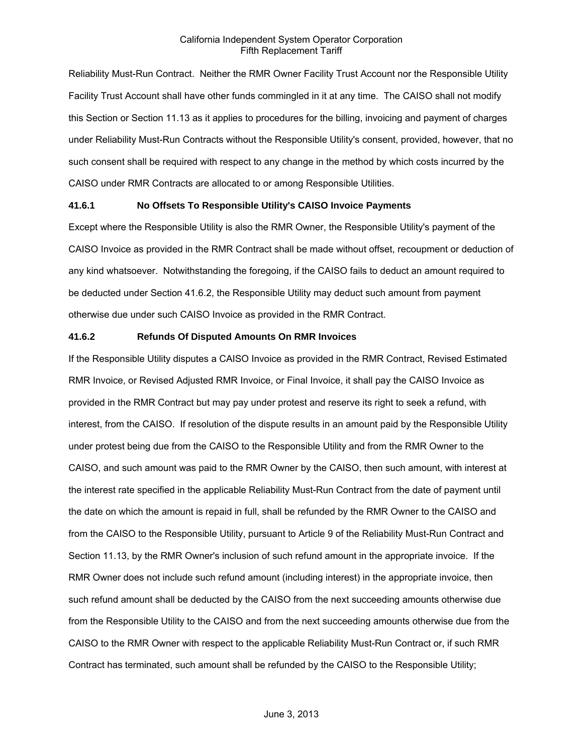Reliability Must-Run Contract. Neither the RMR Owner Facility Trust Account nor the Responsible Utility Facility Trust Account shall have other funds commingled in it at any time. The CAISO shall not modify this Section or Section 11.13 as it applies to procedures for the billing, invoicing and payment of charges under Reliability Must-Run Contracts without the Responsible Utility's consent, provided, however, that no such consent shall be required with respect to any change in the method by which costs incurred by the CAISO under RMR Contracts are allocated to or among Responsible Utilities.

### **41.6.1 No Offsets To Responsible Utility's CAISO Invoice Payments**

Except where the Responsible Utility is also the RMR Owner, the Responsible Utility's payment of the CAISO Invoice as provided in the RMR Contract shall be made without offset, recoupment or deduction of any kind whatsoever. Notwithstanding the foregoing, if the CAISO fails to deduct an amount required to be deducted under Section 41.6.2, the Responsible Utility may deduct such amount from payment otherwise due under such CAISO Invoice as provided in the RMR Contract.

### **41.6.2 Refunds Of Disputed Amounts On RMR Invoices**

If the Responsible Utility disputes a CAISO Invoice as provided in the RMR Contract, Revised Estimated RMR Invoice, or Revised Adjusted RMR Invoice, or Final Invoice, it shall pay the CAISO Invoice as provided in the RMR Contract but may pay under protest and reserve its right to seek a refund, with interest, from the CAISO. If resolution of the dispute results in an amount paid by the Responsible Utility under protest being due from the CAISO to the Responsible Utility and from the RMR Owner to the CAISO, and such amount was paid to the RMR Owner by the CAISO, then such amount, with interest at the interest rate specified in the applicable Reliability Must-Run Contract from the date of payment until the date on which the amount is repaid in full, shall be refunded by the RMR Owner to the CAISO and from the CAISO to the Responsible Utility, pursuant to Article 9 of the Reliability Must-Run Contract and Section 11.13, by the RMR Owner's inclusion of such refund amount in the appropriate invoice. If the RMR Owner does not include such refund amount (including interest) in the appropriate invoice, then such refund amount shall be deducted by the CAISO from the next succeeding amounts otherwise due from the Responsible Utility to the CAISO and from the next succeeding amounts otherwise due from the CAISO to the RMR Owner with respect to the applicable Reliability Must-Run Contract or, if such RMR Contract has terminated, such amount shall be refunded by the CAISO to the Responsible Utility;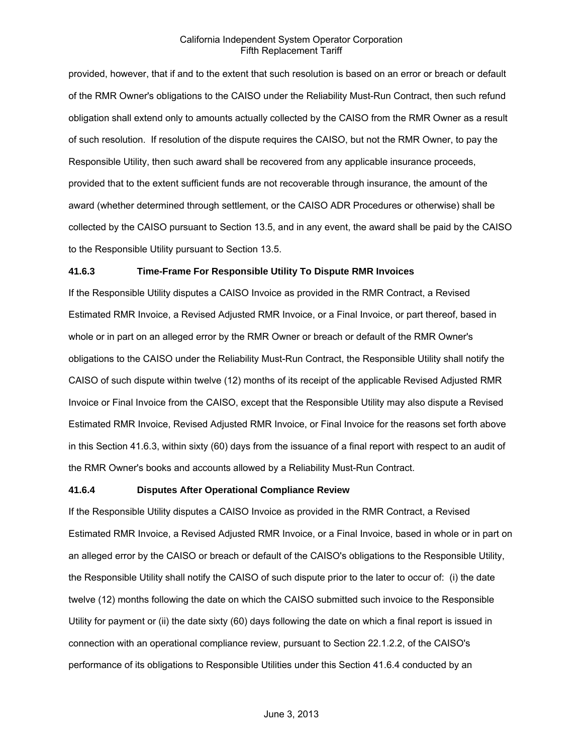provided, however, that if and to the extent that such resolution is based on an error or breach or default of the RMR Owner's obligations to the CAISO under the Reliability Must-Run Contract, then such refund obligation shall extend only to amounts actually collected by the CAISO from the RMR Owner as a result of such resolution. If resolution of the dispute requires the CAISO, but not the RMR Owner, to pay the Responsible Utility, then such award shall be recovered from any applicable insurance proceeds, provided that to the extent sufficient funds are not recoverable through insurance, the amount of the award (whether determined through settlement, or the CAISO ADR Procedures or otherwise) shall be collected by the CAISO pursuant to Section 13.5, and in any event, the award shall be paid by the CAISO to the Responsible Utility pursuant to Section 13.5.

### **41.6.3 Time-Frame For Responsible Utility To Dispute RMR Invoices**

If the Responsible Utility disputes a CAISO Invoice as provided in the RMR Contract, a Revised Estimated RMR Invoice, a Revised Adjusted RMR Invoice, or a Final Invoice, or part thereof, based in whole or in part on an alleged error by the RMR Owner or breach or default of the RMR Owner's obligations to the CAISO under the Reliability Must-Run Contract, the Responsible Utility shall notify the CAISO of such dispute within twelve (12) months of its receipt of the applicable Revised Adjusted RMR Invoice or Final Invoice from the CAISO, except that the Responsible Utility may also dispute a Revised Estimated RMR Invoice, Revised Adjusted RMR Invoice, or Final Invoice for the reasons set forth above in this Section 41.6.3, within sixty (60) days from the issuance of a final report with respect to an audit of the RMR Owner's books and accounts allowed by a Reliability Must-Run Contract.

### **41.6.4 Disputes After Operational Compliance Review**

If the Responsible Utility disputes a CAISO Invoice as provided in the RMR Contract, a Revised Estimated RMR Invoice, a Revised Adjusted RMR Invoice, or a Final Invoice, based in whole or in part on an alleged error by the CAISO or breach or default of the CAISO's obligations to the Responsible Utility, the Responsible Utility shall notify the CAISO of such dispute prior to the later to occur of: (i) the date twelve (12) months following the date on which the CAISO submitted such invoice to the Responsible Utility for payment or (ii) the date sixty (60) days following the date on which a final report is issued in connection with an operational compliance review, pursuant to Section 22.1.2.2, of the CAISO's performance of its obligations to Responsible Utilities under this Section 41.6.4 conducted by an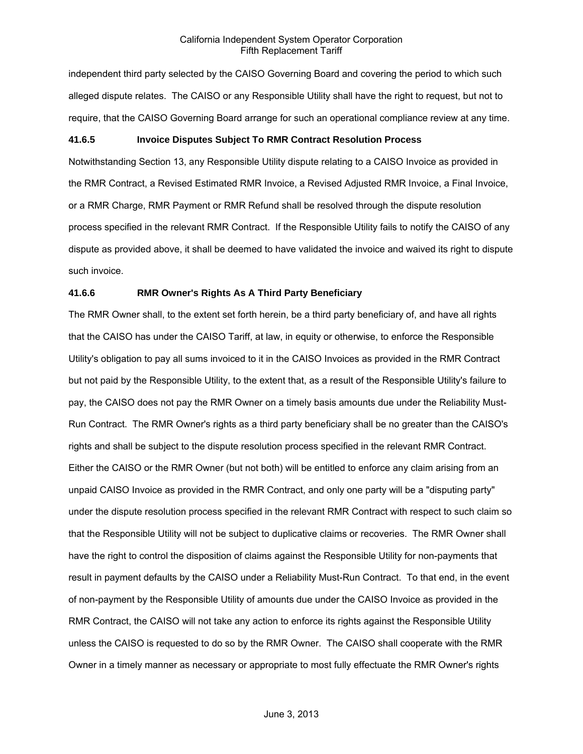independent third party selected by the CAISO Governing Board and covering the period to which such alleged dispute relates. The CAISO or any Responsible Utility shall have the right to request, but not to require, that the CAISO Governing Board arrange for such an operational compliance review at any time.

### **41.6.5 Invoice Disputes Subject To RMR Contract Resolution Process**

Notwithstanding Section 13, any Responsible Utility dispute relating to a CAISO Invoice as provided in the RMR Contract, a Revised Estimated RMR Invoice, a Revised Adjusted RMR Invoice, a Final Invoice, or a RMR Charge, RMR Payment or RMR Refund shall be resolved through the dispute resolution process specified in the relevant RMR Contract. If the Responsible Utility fails to notify the CAISO of any dispute as provided above, it shall be deemed to have validated the invoice and waived its right to dispute such invoice.

### **41.6.6 RMR Owner's Rights As A Third Party Beneficiary**

The RMR Owner shall, to the extent set forth herein, be a third party beneficiary of, and have all rights that the CAISO has under the CAISO Tariff, at law, in equity or otherwise, to enforce the Responsible Utility's obligation to pay all sums invoiced to it in the CAISO Invoices as provided in the RMR Contract but not paid by the Responsible Utility, to the extent that, as a result of the Responsible Utility's failure to pay, the CAISO does not pay the RMR Owner on a timely basis amounts due under the Reliability Must-Run Contract. The RMR Owner's rights as a third party beneficiary shall be no greater than the CAISO's rights and shall be subject to the dispute resolution process specified in the relevant RMR Contract. Either the CAISO or the RMR Owner (but not both) will be entitled to enforce any claim arising from an unpaid CAISO Invoice as provided in the RMR Contract, and only one party will be a "disputing party" under the dispute resolution process specified in the relevant RMR Contract with respect to such claim so that the Responsible Utility will not be subject to duplicative claims or recoveries. The RMR Owner shall have the right to control the disposition of claims against the Responsible Utility for non-payments that result in payment defaults by the CAISO under a Reliability Must-Run Contract. To that end, in the event of non-payment by the Responsible Utility of amounts due under the CAISO Invoice as provided in the RMR Contract, the CAISO will not take any action to enforce its rights against the Responsible Utility unless the CAISO is requested to do so by the RMR Owner. The CAISO shall cooperate with the RMR Owner in a timely manner as necessary or appropriate to most fully effectuate the RMR Owner's rights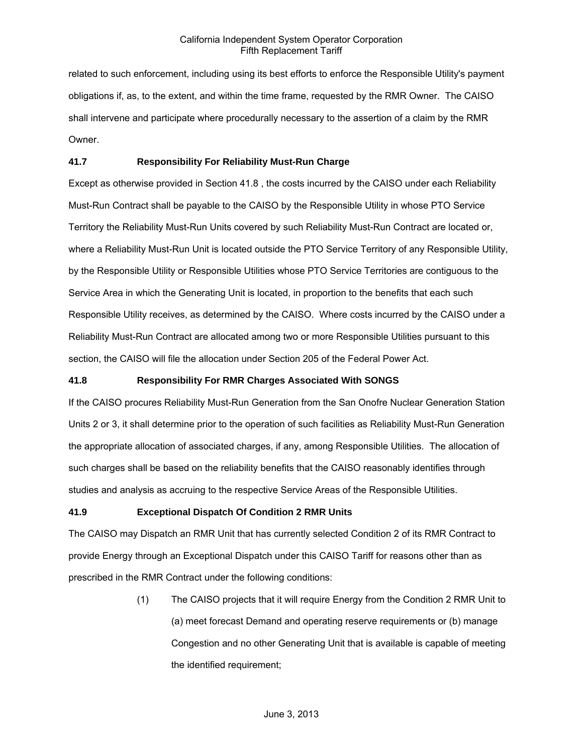related to such enforcement, including using its best efforts to enforce the Responsible Utility's payment obligations if, as, to the extent, and within the time frame, requested by the RMR Owner. The CAISO shall intervene and participate where procedurally necessary to the assertion of a claim by the RMR Owner.

# **41.7 Responsibility For Reliability Must-Run Charge**

Except as otherwise provided in Section 41.8 , the costs incurred by the CAISO under each Reliability Must-Run Contract shall be payable to the CAISO by the Responsible Utility in whose PTO Service Territory the Reliability Must-Run Units covered by such Reliability Must-Run Contract are located or, where a Reliability Must-Run Unit is located outside the PTO Service Territory of any Responsible Utility, by the Responsible Utility or Responsible Utilities whose PTO Service Territories are contiguous to the Service Area in which the Generating Unit is located, in proportion to the benefits that each such Responsible Utility receives, as determined by the CAISO. Where costs incurred by the CAISO under a Reliability Must-Run Contract are allocated among two or more Responsible Utilities pursuant to this section, the CAISO will file the allocation under Section 205 of the Federal Power Act.

# **41.8 Responsibility For RMR Charges Associated With SONGS**

If the CAISO procures Reliability Must-Run Generation from the San Onofre Nuclear Generation Station Units 2 or 3, it shall determine prior to the operation of such facilities as Reliability Must-Run Generation the appropriate allocation of associated charges, if any, among Responsible Utilities. The allocation of such charges shall be based on the reliability benefits that the CAISO reasonably identifies through studies and analysis as accruing to the respective Service Areas of the Responsible Utilities.

# **41.9 Exceptional Dispatch Of Condition 2 RMR Units**

The CAISO may Dispatch an RMR Unit that has currently selected Condition 2 of its RMR Contract to provide Energy through an Exceptional Dispatch under this CAISO Tariff for reasons other than as prescribed in the RMR Contract under the following conditions:

> (1) The CAISO projects that it will require Energy from the Condition 2 RMR Unit to (a) meet forecast Demand and operating reserve requirements or (b) manage Congestion and no other Generating Unit that is available is capable of meeting the identified requirement;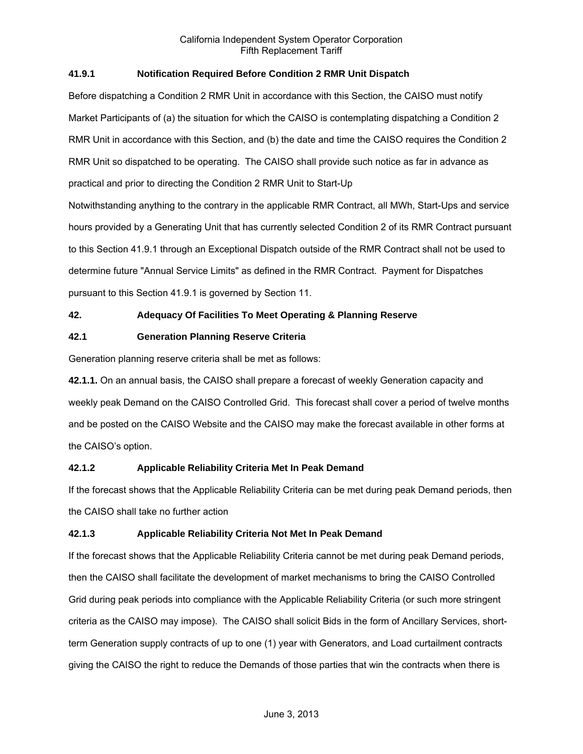# **41.9.1 Notification Required Before Condition 2 RMR Unit Dispatch**

Before dispatching a Condition 2 RMR Unit in accordance with this Section, the CAISO must notify Market Participants of (a) the situation for which the CAISO is contemplating dispatching a Condition 2 RMR Unit in accordance with this Section, and (b) the date and time the CAISO requires the Condition 2 RMR Unit so dispatched to be operating. The CAISO shall provide such notice as far in advance as practical and prior to directing the Condition 2 RMR Unit to Start-Up Notwithstanding anything to the contrary in the applicable RMR Contract, all MWh, Start-Ups and service hours provided by a Generating Unit that has currently selected Condition 2 of its RMR Contract pursuant to this Section 41.9.1 through an Exceptional Dispatch outside of the RMR Contract shall not be used to determine future "Annual Service Limits" as defined in the RMR Contract. Payment for Dispatches

pursuant to this Section 41.9.1 is governed by Section 11.

# **42. Adequacy Of Facilities To Meet Operating & Planning Reserve**

# **42.1 Generation Planning Reserve Criteria**

Generation planning reserve criteria shall be met as follows:

**42.1.1.** On an annual basis, the CAISO shall prepare a forecast of weekly Generation capacity and weekly peak Demand on the CAISO Controlled Grid. This forecast shall cover a period of twelve months and be posted on the CAISO Website and the CAISO may make the forecast available in other forms at the CAISO's option.

# **42.1.2 Applicable Reliability Criteria Met In Peak Demand**

If the forecast shows that the Applicable Reliability Criteria can be met during peak Demand periods, then the CAISO shall take no further action

# **42.1.3 Applicable Reliability Criteria Not Met In Peak Demand**

If the forecast shows that the Applicable Reliability Criteria cannot be met during peak Demand periods, then the CAISO shall facilitate the development of market mechanisms to bring the CAISO Controlled Grid during peak periods into compliance with the Applicable Reliability Criteria (or such more stringent criteria as the CAISO may impose). The CAISO shall solicit Bids in the form of Ancillary Services, shortterm Generation supply contracts of up to one (1) year with Generators, and Load curtailment contracts giving the CAISO the right to reduce the Demands of those parties that win the contracts when there is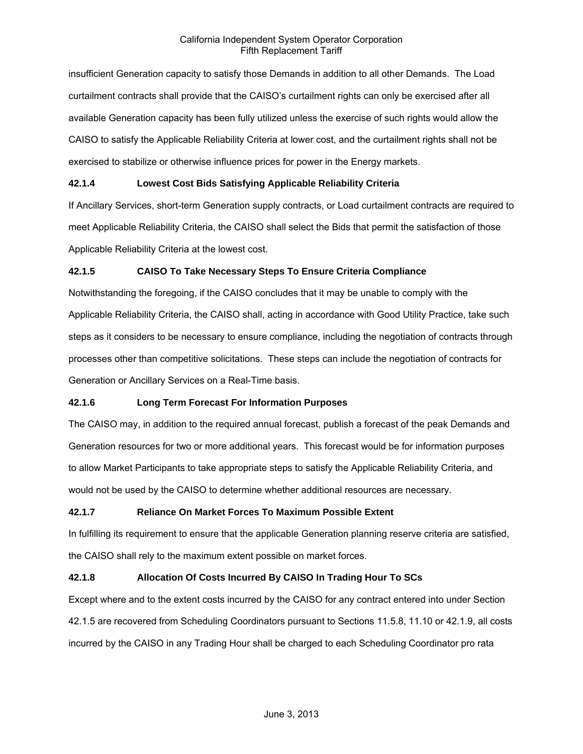insufficient Generation capacity to satisfy those Demands in addition to all other Demands. The Load curtailment contracts shall provide that the CAISO's curtailment rights can only be exercised after all available Generation capacity has been fully utilized unless the exercise of such rights would allow the CAISO to satisfy the Applicable Reliability Criteria at lower cost, and the curtailment rights shall not be exercised to stabilize or otherwise influence prices for power in the Energy markets.

# **42.1.4 Lowest Cost Bids Satisfying Applicable Reliability Criteria**

If Ancillary Services, short-term Generation supply contracts, or Load curtailment contracts are required to meet Applicable Reliability Criteria, the CAISO shall select the Bids that permit the satisfaction of those Applicable Reliability Criteria at the lowest cost.

# **42.1.5 CAISO To Take Necessary Steps To Ensure Criteria Compliance**

Notwithstanding the foregoing, if the CAISO concludes that it may be unable to comply with the Applicable Reliability Criteria, the CAISO shall, acting in accordance with Good Utility Practice, take such steps as it considers to be necessary to ensure compliance, including the negotiation of contracts through processes other than competitive solicitations. These steps can include the negotiation of contracts for Generation or Ancillary Services on a Real-Time basis.

# **42.1.6 Long Term Forecast For Information Purposes**

The CAISO may, in addition to the required annual forecast, publish a forecast of the peak Demands and Generation resources for two or more additional years. This forecast would be for information purposes to allow Market Participants to take appropriate steps to satisfy the Applicable Reliability Criteria, and would not be used by the CAISO to determine whether additional resources are necessary.

# **42.1.7 Reliance On Market Forces To Maximum Possible Extent**

In fulfilling its requirement to ensure that the applicable Generation planning reserve criteria are satisfied, the CAISO shall rely to the maximum extent possible on market forces.

# **42.1.8 Allocation Of Costs Incurred By CAISO In Trading Hour To SCs**

Except where and to the extent costs incurred by the CAISO for any contract entered into under Section 42.1.5 are recovered from Scheduling Coordinators pursuant to Sections 11.5.8, 11.10 or 42.1.9, all costs incurred by the CAISO in any Trading Hour shall be charged to each Scheduling Coordinator pro rata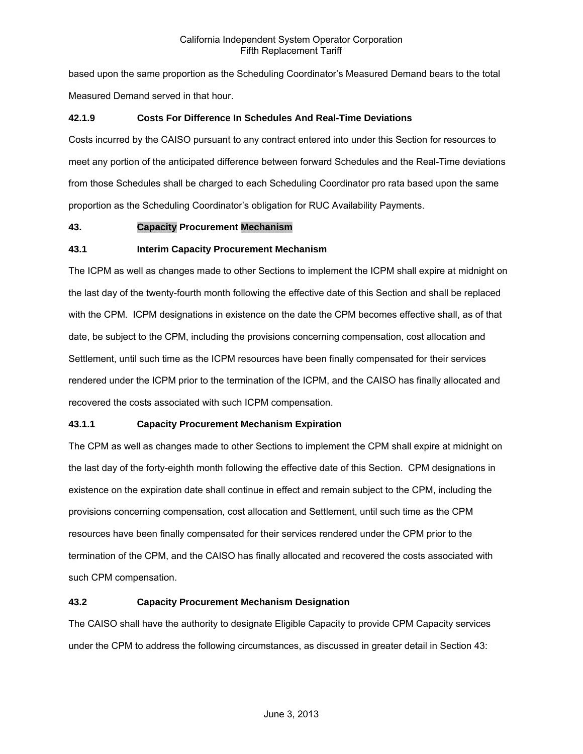based upon the same proportion as the Scheduling Coordinator's Measured Demand bears to the total Measured Demand served in that hour.

# **42.1.9 Costs For Difference In Schedules And Real-Time Deviations**

Costs incurred by the CAISO pursuant to any contract entered into under this Section for resources to meet any portion of the anticipated difference between forward Schedules and the Real-Time deviations from those Schedules shall be charged to each Scheduling Coordinator pro rata based upon the same proportion as the Scheduling Coordinator's obligation for RUC Availability Payments.

# **43. Capacity Procurement Mechanism**

# **43.1 Interim Capacity Procurement Mechanism**

The ICPM as well as changes made to other Sections to implement the ICPM shall expire at midnight on the last day of the twenty-fourth month following the effective date of this Section and shall be replaced with the CPM. ICPM designations in existence on the date the CPM becomes effective shall, as of that date, be subject to the CPM, including the provisions concerning compensation, cost allocation and Settlement, until such time as the ICPM resources have been finally compensated for their services rendered under the ICPM prior to the termination of the ICPM, and the CAISO has finally allocated and recovered the costs associated with such ICPM compensation.

# **43.1.1 Capacity Procurement Mechanism Expiration**

The CPM as well as changes made to other Sections to implement the CPM shall expire at midnight on the last day of the forty-eighth month following the effective date of this Section. CPM designations in existence on the expiration date shall continue in effect and remain subject to the CPM, including the provisions concerning compensation, cost allocation and Settlement, until such time as the CPM resources have been finally compensated for their services rendered under the CPM prior to the termination of the CPM, and the CAISO has finally allocated and recovered the costs associated with such CPM compensation.

# **43.2 Capacity Procurement Mechanism Designation**

The CAISO shall have the authority to designate Eligible Capacity to provide CPM Capacity services under the CPM to address the following circumstances, as discussed in greater detail in Section 43: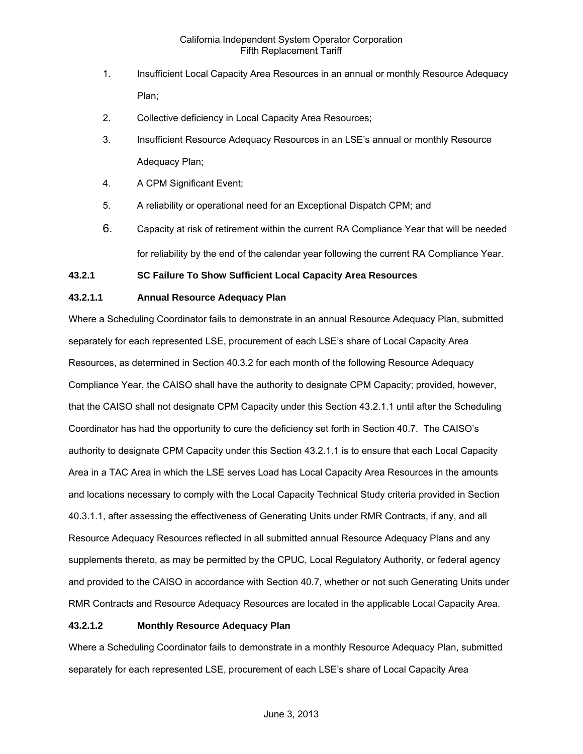- 1. Insufficient Local Capacity Area Resources in an annual or monthly Resource Adequacy Plan;
- 2. Collective deficiency in Local Capacity Area Resources;
- 3. Insufficient Resource Adequacy Resources in an LSE's annual or monthly Resource Adequacy Plan;
- 4. A CPM Significant Event;
- 5. A reliability or operational need for an Exceptional Dispatch CPM; and
- 6. Capacity at risk of retirement within the current RA Compliance Year that will be needed for reliability by the end of the calendar year following the current RA Compliance Year.

# **43.2.1 SC Failure To Show Sufficient Local Capacity Area Resources**

# **43.2.1.1 Annual Resource Adequacy Plan**

Where a Scheduling Coordinator fails to demonstrate in an annual Resource Adequacy Plan, submitted separately for each represented LSE, procurement of each LSE's share of Local Capacity Area Resources, as determined in Section 40.3.2 for each month of the following Resource Adequacy Compliance Year, the CAISO shall have the authority to designate CPM Capacity; provided, however, that the CAISO shall not designate CPM Capacity under this Section 43.2.1.1 until after the Scheduling Coordinator has had the opportunity to cure the deficiency set forth in Section 40.7. The CAISO's authority to designate CPM Capacity under this Section 43.2.1.1 is to ensure that each Local Capacity Area in a TAC Area in which the LSE serves Load has Local Capacity Area Resources in the amounts and locations necessary to comply with the Local Capacity Technical Study criteria provided in Section 40.3.1.1, after assessing the effectiveness of Generating Units under RMR Contracts, if any, and all Resource Adequacy Resources reflected in all submitted annual Resource Adequacy Plans and any supplements thereto, as may be permitted by the CPUC, Local Regulatory Authority, or federal agency and provided to the CAISO in accordance with Section 40.7, whether or not such Generating Units under RMR Contracts and Resource Adequacy Resources are located in the applicable Local Capacity Area.

# **43.2.1.2 Monthly Resource Adequacy Plan**

Where a Scheduling Coordinator fails to demonstrate in a monthly Resource Adequacy Plan, submitted separately for each represented LSE, procurement of each LSE's share of Local Capacity Area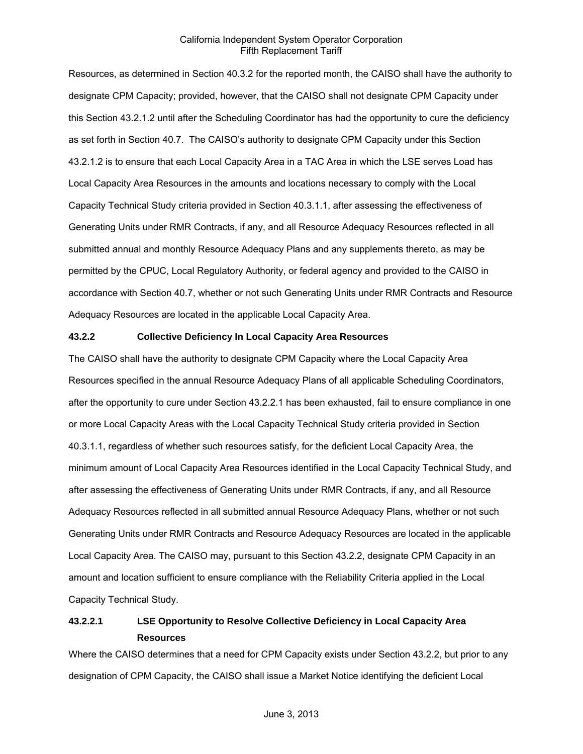Resources, as determined in Section 40.3.2 for the reported month, the CAISO shall have the authority to designate CPM Capacity; provided, however, that the CAISO shall not designate CPM Capacity under this Section 43.2.1.2 until after the Scheduling Coordinator has had the opportunity to cure the deficiency as set forth in Section 40.7. The CAISO's authority to designate CPM Capacity under this Section 43.2.1.2 is to ensure that each Local Capacity Area in a TAC Area in which the LSE serves Load has Local Capacity Area Resources in the amounts and locations necessary to comply with the Local Capacity Technical Study criteria provided in Section 40.3.1.1, after assessing the effectiveness of Generating Units under RMR Contracts, if any, and all Resource Adequacy Resources reflected in all submitted annual and monthly Resource Adequacy Plans and any supplements thereto, as may be permitted by the CPUC, Local Regulatory Authority, or federal agency and provided to the CAISO in accordance with Section 40.7, whether or not such Generating Units under RMR Contracts and Resource Adequacy Resources are located in the applicable Local Capacity Area.

### **43.2.2 Collective Deficiency In Local Capacity Area Resources**

The CAISO shall have the authority to designate CPM Capacity where the Local Capacity Area Resources specified in the annual Resource Adequacy Plans of all applicable Scheduling Coordinators, after the opportunity to cure under Section 43.2.2.1 has been exhausted, fail to ensure compliance in one or more Local Capacity Areas with the Local Capacity Technical Study criteria provided in Section 40.3.1.1, regardless of whether such resources satisfy, for the deficient Local Capacity Area, the minimum amount of Local Capacity Area Resources identified in the Local Capacity Technical Study, and after assessing the effectiveness of Generating Units under RMR Contracts, if any, and all Resource Adequacy Resources reflected in all submitted annual Resource Adequacy Plans, whether or not such Generating Units under RMR Contracts and Resource Adequacy Resources are located in the applicable Local Capacity Area. The CAISO may, pursuant to this Section 43.2.2, designate CPM Capacity in an amount and location sufficient to ensure compliance with the Reliability Criteria applied in the Local Capacity Technical Study.

# **43.2.2.1 LSE Opportunity to Resolve Collective Deficiency in Local Capacity Area Resources**

Where the CAISO determines that a need for CPM Capacity exists under Section 43.2.2, but prior to any designation of CPM Capacity, the CAISO shall issue a Market Notice identifying the deficient Local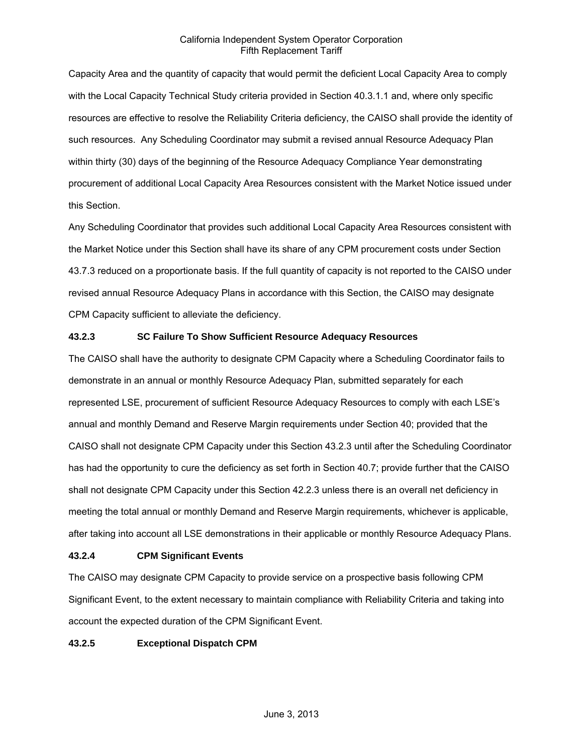Capacity Area and the quantity of capacity that would permit the deficient Local Capacity Area to comply with the Local Capacity Technical Study criteria provided in Section 40.3.1.1 and, where only specific resources are effective to resolve the Reliability Criteria deficiency, the CAISO shall provide the identity of such resources. Any Scheduling Coordinator may submit a revised annual Resource Adequacy Plan within thirty (30) days of the beginning of the Resource Adequacy Compliance Year demonstrating procurement of additional Local Capacity Area Resources consistent with the Market Notice issued under this Section.

Any Scheduling Coordinator that provides such additional Local Capacity Area Resources consistent with the Market Notice under this Section shall have its share of any CPM procurement costs under Section 43.7.3 reduced on a proportionate basis. If the full quantity of capacity is not reported to the CAISO under revised annual Resource Adequacy Plans in accordance with this Section, the CAISO may designate CPM Capacity sufficient to alleviate the deficiency.

# **43.2.3 SC Failure To Show Sufficient Resource Adequacy Resources**

The CAISO shall have the authority to designate CPM Capacity where a Scheduling Coordinator fails to demonstrate in an annual or monthly Resource Adequacy Plan, submitted separately for each represented LSE, procurement of sufficient Resource Adequacy Resources to comply with each LSE's annual and monthly Demand and Reserve Margin requirements under Section 40; provided that the CAISO shall not designate CPM Capacity under this Section 43.2.3 until after the Scheduling Coordinator has had the opportunity to cure the deficiency as set forth in Section 40.7; provide further that the CAISO shall not designate CPM Capacity under this Section 42.2.3 unless there is an overall net deficiency in meeting the total annual or monthly Demand and Reserve Margin requirements, whichever is applicable, after taking into account all LSE demonstrations in their applicable or monthly Resource Adequacy Plans.

# **43.2.4 CPM Significant Events**

The CAISO may designate CPM Capacity to provide service on a prospective basis following CPM Significant Event, to the extent necessary to maintain compliance with Reliability Criteria and taking into account the expected duration of the CPM Significant Event.

### **43.2.5 Exceptional Dispatch CPM**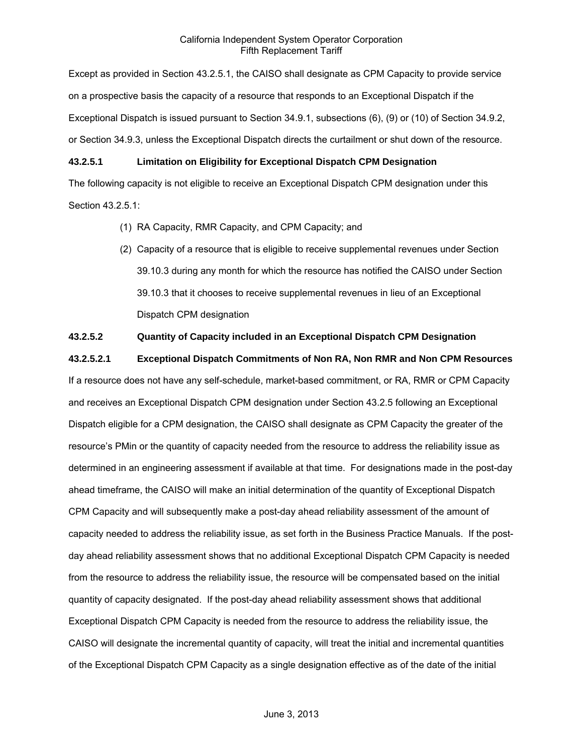Except as provided in Section 43.2.5.1, the CAISO shall designate as CPM Capacity to provide service on a prospective basis the capacity of a resource that responds to an Exceptional Dispatch if the Exceptional Dispatch is issued pursuant to Section 34.9.1, subsections (6), (9) or (10) of Section 34.9.2, or Section 34.9.3, unless the Exceptional Dispatch directs the curtailment or shut down of the resource.

# **43.2.5.1 Limitation on Eligibility for Exceptional Dispatch CPM Designation**

The following capacity is not eligible to receive an Exceptional Dispatch CPM designation under this Section 43.2.5.1:

- (1) RA Capacity, RMR Capacity, and CPM Capacity; and
- (2) Capacity of a resource that is eligible to receive supplemental revenues under Section 39.10.3 during any month for which the resource has notified the CAISO under Section 39.10.3 that it chooses to receive supplemental revenues in lieu of an Exceptional Dispatch CPM designation

# **43.2.5.2 Quantity of Capacity included in an Exceptional Dispatch CPM Designation**

**43.2.5.2.1 Exceptional Dispatch Commitments of Non RA, Non RMR and Non CPM Resources** 

If a resource does not have any self-schedule, market-based commitment, or RA, RMR or CPM Capacity and receives an Exceptional Dispatch CPM designation under Section 43.2.5 following an Exceptional Dispatch eligible for a CPM designation, the CAISO shall designate as CPM Capacity the greater of the resource's PMin or the quantity of capacity needed from the resource to address the reliability issue as determined in an engineering assessment if available at that time. For designations made in the post-day ahead timeframe, the CAISO will make an initial determination of the quantity of Exceptional Dispatch CPM Capacity and will subsequently make a post-day ahead reliability assessment of the amount of capacity needed to address the reliability issue, as set forth in the Business Practice Manuals. If the postday ahead reliability assessment shows that no additional Exceptional Dispatch CPM Capacity is needed from the resource to address the reliability issue, the resource will be compensated based on the initial quantity of capacity designated. If the post-day ahead reliability assessment shows that additional Exceptional Dispatch CPM Capacity is needed from the resource to address the reliability issue, the CAISO will designate the incremental quantity of capacity, will treat the initial and incremental quantities of the Exceptional Dispatch CPM Capacity as a single designation effective as of the date of the initial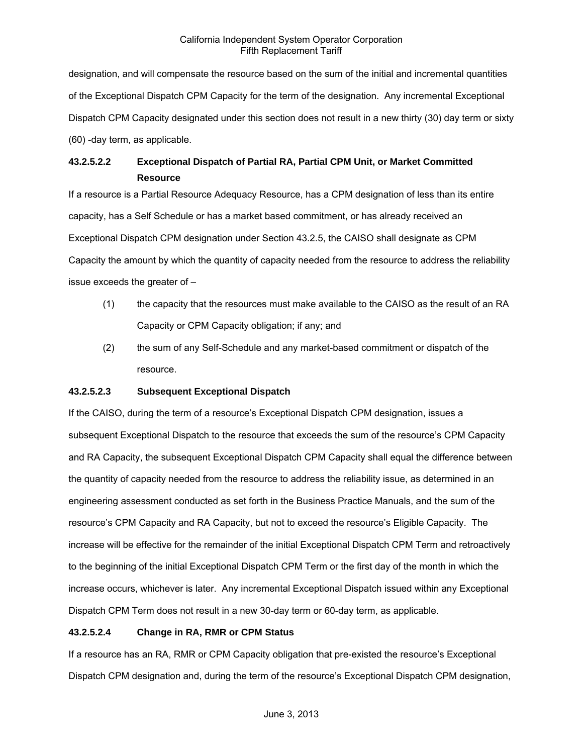designation, and will compensate the resource based on the sum of the initial and incremental quantities of the Exceptional Dispatch CPM Capacity for the term of the designation. Any incremental Exceptional Dispatch CPM Capacity designated under this section does not result in a new thirty (30) day term or sixty (60) -day term, as applicable.

# **43.2.5.2.2 Exceptional Dispatch of Partial RA, Partial CPM Unit, or Market Committed Resource**

If a resource is a Partial Resource Adequacy Resource, has a CPM designation of less than its entire capacity, has a Self Schedule or has a market based commitment, or has already received an Exceptional Dispatch CPM designation under Section 43.2.5, the CAISO shall designate as CPM Capacity the amount by which the quantity of capacity needed from the resource to address the reliability issue exceeds the greater of –

- (1) the capacity that the resources must make available to the CAISO as the result of an RA Capacity or CPM Capacity obligation; if any; and
- (2) the sum of any Self-Schedule and any market-based commitment or dispatch of the resource.

# **43.2.5.2.3 Subsequent Exceptional Dispatch**

If the CAISO, during the term of a resource's Exceptional Dispatch CPM designation, issues a subsequent Exceptional Dispatch to the resource that exceeds the sum of the resource's CPM Capacity and RA Capacity, the subsequent Exceptional Dispatch CPM Capacity shall equal the difference between the quantity of capacity needed from the resource to address the reliability issue, as determined in an engineering assessment conducted as set forth in the Business Practice Manuals, and the sum of the resource's CPM Capacity and RA Capacity, but not to exceed the resource's Eligible Capacity. The increase will be effective for the remainder of the initial Exceptional Dispatch CPM Term and retroactively to the beginning of the initial Exceptional Dispatch CPM Term or the first day of the month in which the increase occurs, whichever is later. Any incremental Exceptional Dispatch issued within any Exceptional Dispatch CPM Term does not result in a new 30-day term or 60-day term, as applicable.

# **43.2.5.2.4 Change in RA, RMR or CPM Status**

If a resource has an RA, RMR or CPM Capacity obligation that pre-existed the resource's Exceptional Dispatch CPM designation and, during the term of the resource's Exceptional Dispatch CPM designation,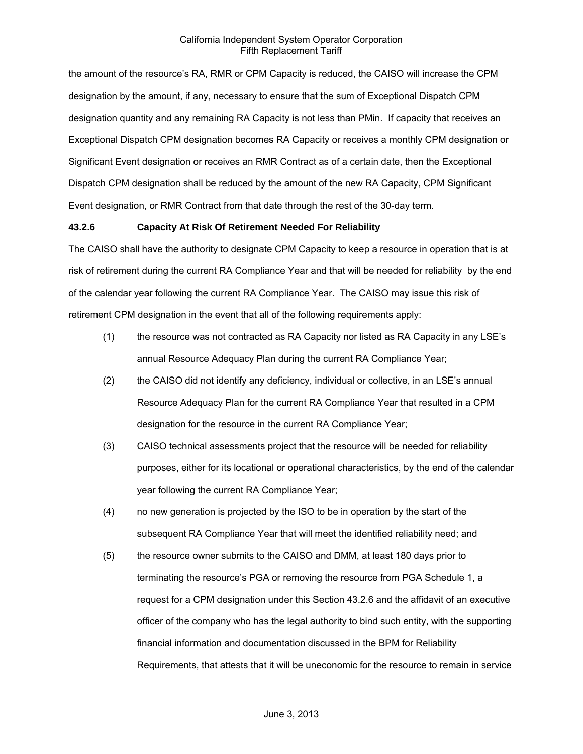the amount of the resource's RA, RMR or CPM Capacity is reduced, the CAISO will increase the CPM designation by the amount, if any, necessary to ensure that the sum of Exceptional Dispatch CPM designation quantity and any remaining RA Capacity is not less than PMin. If capacity that receives an Exceptional Dispatch CPM designation becomes RA Capacity or receives a monthly CPM designation or Significant Event designation or receives an RMR Contract as of a certain date, then the Exceptional Dispatch CPM designation shall be reduced by the amount of the new RA Capacity, CPM Significant Event designation, or RMR Contract from that date through the rest of the 30-day term.

### **43.2.6 Capacity At Risk Of Retirement Needed For Reliability**

The CAISO shall have the authority to designate CPM Capacity to keep a resource in operation that is at risk of retirement during the current RA Compliance Year and that will be needed for reliability by the end of the calendar year following the current RA Compliance Year. The CAISO may issue this risk of retirement CPM designation in the event that all of the following requirements apply:

- (1) the resource was not contracted as RA Capacity nor listed as RA Capacity in any LSE's annual Resource Adequacy Plan during the current RA Compliance Year;
- (2) the CAISO did not identify any deficiency, individual or collective, in an LSE's annual Resource Adequacy Plan for the current RA Compliance Year that resulted in a CPM designation for the resource in the current RA Compliance Year;
- (3) CAISO technical assessments project that the resource will be needed for reliability purposes, either for its locational or operational characteristics, by the end of the calendar year following the current RA Compliance Year;
- (4) no new generation is projected by the ISO to be in operation by the start of the subsequent RA Compliance Year that will meet the identified reliability need; and
- (5) the resource owner submits to the CAISO and DMM, at least 180 days prior to terminating the resource's PGA or removing the resource from PGA Schedule 1, a request for a CPM designation under this Section 43.2.6 and the affidavit of an executive officer of the company who has the legal authority to bind such entity, with the supporting financial information and documentation discussed in the BPM for Reliability Requirements, that attests that it will be uneconomic for the resource to remain in service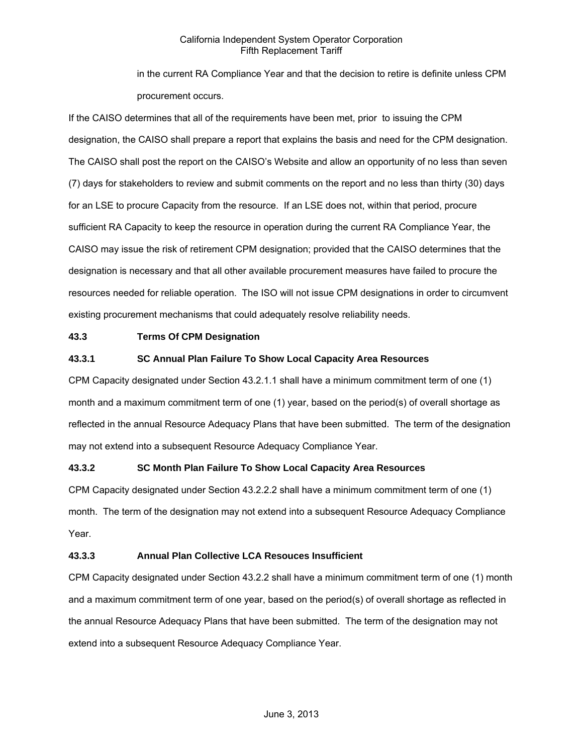in the current RA Compliance Year and that the decision to retire is definite unless CPM procurement occurs.

If the CAISO determines that all of the requirements have been met, prior to issuing the CPM designation, the CAISO shall prepare a report that explains the basis and need for the CPM designation. The CAISO shall post the report on the CAISO's Website and allow an opportunity of no less than seven (7) days for stakeholders to review and submit comments on the report and no less than thirty (30) days for an LSE to procure Capacity from the resource. If an LSE does not, within that period, procure sufficient RA Capacity to keep the resource in operation during the current RA Compliance Year, the CAISO may issue the risk of retirement CPM designation; provided that the CAISO determines that the designation is necessary and that all other available procurement measures have failed to procure the resources needed for reliable operation. The ISO will not issue CPM designations in order to circumvent existing procurement mechanisms that could adequately resolve reliability needs.

# **43.3 Terms Of CPM Designation**

# **43.3.1 SC Annual Plan Failure To Show Local Capacity Area Resources**

CPM Capacity designated under Section 43.2.1.1 shall have a minimum commitment term of one (1) month and a maximum commitment term of one (1) year, based on the period(s) of overall shortage as reflected in the annual Resource Adequacy Plans that have been submitted. The term of the designation may not extend into a subsequent Resource Adequacy Compliance Year.

### **43.3.2 SC Month Plan Failure To Show Local Capacity Area Resources**

CPM Capacity designated under Section 43.2.2.2 shall have a minimum commitment term of one (1) month. The term of the designation may not extend into a subsequent Resource Adequacy Compliance Year.

### **43.3.3 Annual Plan Collective LCA Resouces Insufficient**

CPM Capacity designated under Section 43.2.2 shall have a minimum commitment term of one (1) month and a maximum commitment term of one year, based on the period(s) of overall shortage as reflected in the annual Resource Adequacy Plans that have been submitted. The term of the designation may not extend into a subsequent Resource Adequacy Compliance Year.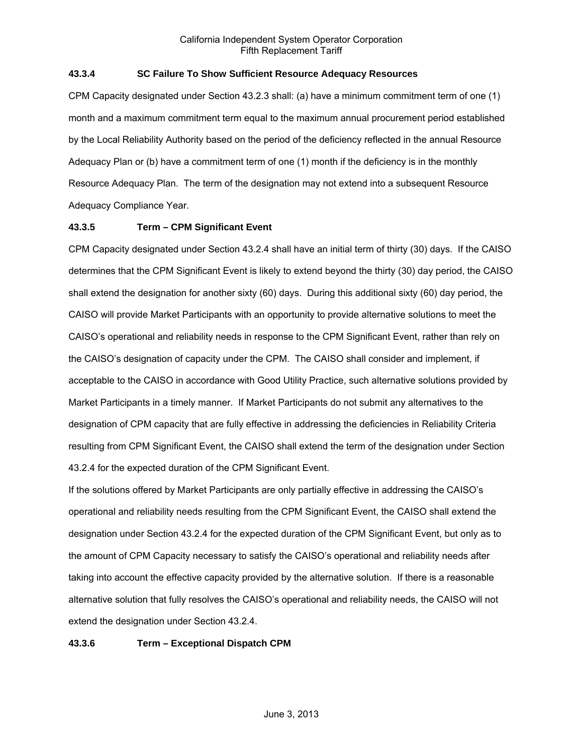# **43.3.4 SC Failure To Show Sufficient Resource Adequacy Resources**

CPM Capacity designated under Section 43.2.3 shall: (a) have a minimum commitment term of one (1) month and a maximum commitment term equal to the maximum annual procurement period established by the Local Reliability Authority based on the period of the deficiency reflected in the annual Resource Adequacy Plan or (b) have a commitment term of one (1) month if the deficiency is in the monthly Resource Adequacy Plan. The term of the designation may not extend into a subsequent Resource Adequacy Compliance Year.

# **43.3.5 Term – CPM Significant Event**

CPM Capacity designated under Section 43.2.4 shall have an initial term of thirty (30) days. If the CAISO determines that the CPM Significant Event is likely to extend beyond the thirty (30) day period, the CAISO shall extend the designation for another sixty (60) days. During this additional sixty (60) day period, the CAISO will provide Market Participants with an opportunity to provide alternative solutions to meet the CAISO's operational and reliability needs in response to the CPM Significant Event, rather than rely on the CAISO's designation of capacity under the CPM. The CAISO shall consider and implement, if acceptable to the CAISO in accordance with Good Utility Practice, such alternative solutions provided by Market Participants in a timely manner. If Market Participants do not submit any alternatives to the designation of CPM capacity that are fully effective in addressing the deficiencies in Reliability Criteria resulting from CPM Significant Event, the CAISO shall extend the term of the designation under Section 43.2.4 for the expected duration of the CPM Significant Event.

If the solutions offered by Market Participants are only partially effective in addressing the CAISO's operational and reliability needs resulting from the CPM Significant Event, the CAISO shall extend the designation under Section 43.2.4 for the expected duration of the CPM Significant Event, but only as to the amount of CPM Capacity necessary to satisfy the CAISO's operational and reliability needs after taking into account the effective capacity provided by the alternative solution. If there is a reasonable alternative solution that fully resolves the CAISO's operational and reliability needs, the CAISO will not extend the designation under Section 43.2.4.

### **43.3.6 Term – Exceptional Dispatch CPM**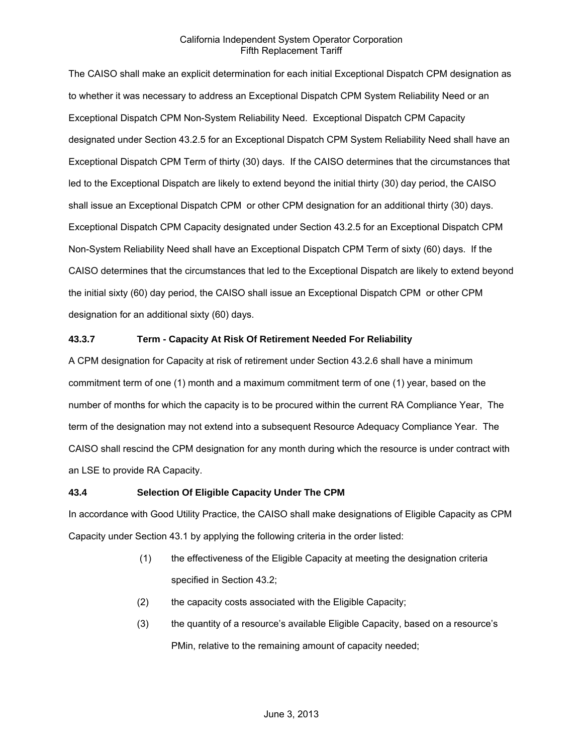The CAISO shall make an explicit determination for each initial Exceptional Dispatch CPM designation as to whether it was necessary to address an Exceptional Dispatch CPM System Reliability Need or an Exceptional Dispatch CPM Non-System Reliability Need. Exceptional Dispatch CPM Capacity designated under Section 43.2.5 for an Exceptional Dispatch CPM System Reliability Need shall have an Exceptional Dispatch CPM Term of thirty (30) days. If the CAISO determines that the circumstances that led to the Exceptional Dispatch are likely to extend beyond the initial thirty (30) day period, the CAISO shall issue an Exceptional Dispatch CPM or other CPM designation for an additional thirty (30) days. Exceptional Dispatch CPM Capacity designated under Section 43.2.5 for an Exceptional Dispatch CPM Non-System Reliability Need shall have an Exceptional Dispatch CPM Term of sixty (60) days. If the CAISO determines that the circumstances that led to the Exceptional Dispatch are likely to extend beyond the initial sixty (60) day period, the CAISO shall issue an Exceptional Dispatch CPM or other CPM designation for an additional sixty (60) days.

# **43.3.7 Term - Capacity At Risk Of Retirement Needed For Reliability**

A CPM designation for Capacity at risk of retirement under Section 43.2.6 shall have a minimum commitment term of one (1) month and a maximum commitment term of one (1) year, based on the number of months for which the capacity is to be procured within the current RA Compliance Year, The term of the designation may not extend into a subsequent Resource Adequacy Compliance Year. The CAISO shall rescind the CPM designation for any month during which the resource is under contract with an LSE to provide RA Capacity.

### **43.4 Selection Of Eligible Capacity Under The CPM**

In accordance with Good Utility Practice, the CAISO shall make designations of Eligible Capacity as CPM Capacity under Section 43.1 by applying the following criteria in the order listed:

- (1) the effectiveness of the Eligible Capacity at meeting the designation criteria specified in Section 43.2;
- (2) the capacity costs associated with the Eligible Capacity;
- (3) the quantity of a resource's available Eligible Capacity, based on a resource's PMin, relative to the remaining amount of capacity needed;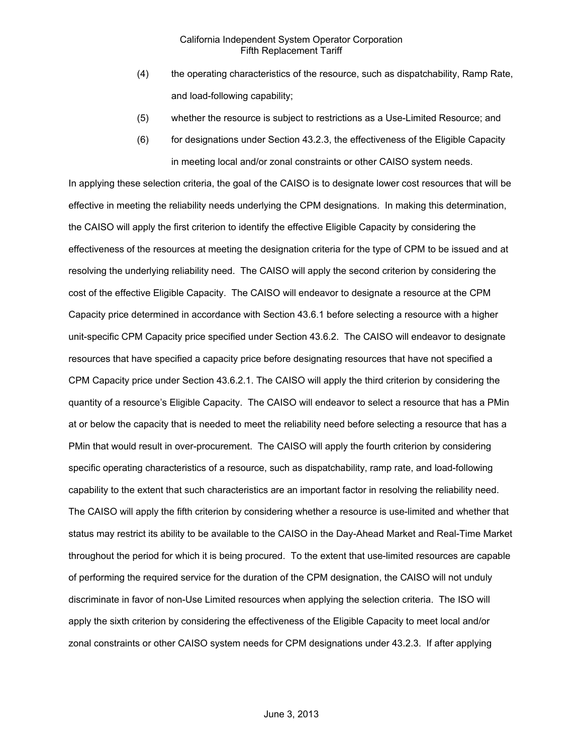- (4) the operating characteristics of the resource, such as dispatchability, Ramp Rate, and load-following capability;
- (5) whether the resource is subject to restrictions as a Use-Limited Resource; and
- (6) for designations under Section 43.2.3, the effectiveness of the Eligible Capacity in meeting local and/or zonal constraints or other CAISO system needs.

In applying these selection criteria, the goal of the CAISO is to designate lower cost resources that will be effective in meeting the reliability needs underlying the CPM designations. In making this determination, the CAISO will apply the first criterion to identify the effective Eligible Capacity by considering the effectiveness of the resources at meeting the designation criteria for the type of CPM to be issued and at resolving the underlying reliability need. The CAISO will apply the second criterion by considering the cost of the effective Eligible Capacity. The CAISO will endeavor to designate a resource at the CPM Capacity price determined in accordance with Section 43.6.1 before selecting a resource with a higher unit-specific CPM Capacity price specified under Section 43.6.2. The CAISO will endeavor to designate resources that have specified a capacity price before designating resources that have not specified a CPM Capacity price under Section 43.6.2.1. The CAISO will apply the third criterion by considering the quantity of a resource's Eligible Capacity. The CAISO will endeavor to select a resource that has a PMin at or below the capacity that is needed to meet the reliability need before selecting a resource that has a PMin that would result in over-procurement. The CAISO will apply the fourth criterion by considering specific operating characteristics of a resource, such as dispatchability, ramp rate, and load-following capability to the extent that such characteristics are an important factor in resolving the reliability need. The CAISO will apply the fifth criterion by considering whether a resource is use-limited and whether that status may restrict its ability to be available to the CAISO in the Day-Ahead Market and Real-Time Market throughout the period for which it is being procured. To the extent that use-limited resources are capable of performing the required service for the duration of the CPM designation, the CAISO will not unduly discriminate in favor of non-Use Limited resources when applying the selection criteria. The ISO will apply the sixth criterion by considering the effectiveness of the Eligible Capacity to meet local and/or zonal constraints or other CAISO system needs for CPM designations under 43.2.3. If after applying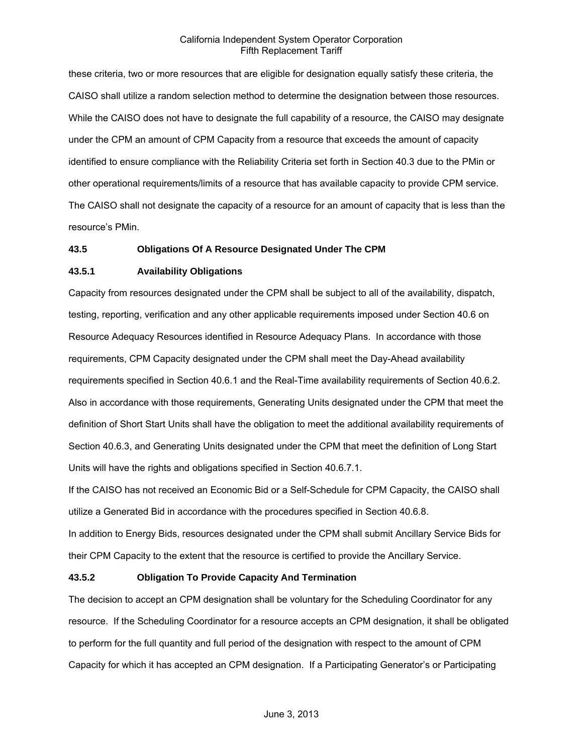these criteria, two or more resources that are eligible for designation equally satisfy these criteria, the CAISO shall utilize a random selection method to determine the designation between those resources. While the CAISO does not have to designate the full capability of a resource, the CAISO may designate under the CPM an amount of CPM Capacity from a resource that exceeds the amount of capacity identified to ensure compliance with the Reliability Criteria set forth in Section 40.3 due to the PMin or other operational requirements/limits of a resource that has available capacity to provide CPM service. The CAISO shall not designate the capacity of a resource for an amount of capacity that is less than the resource's PMin.

### **43.5 Obligations Of A Resource Designated Under The CPM**

### **43.5.1 Availability Obligations**

Capacity from resources designated under the CPM shall be subject to all of the availability, dispatch, testing, reporting, verification and any other applicable requirements imposed under Section 40.6 on Resource Adequacy Resources identified in Resource Adequacy Plans. In accordance with those requirements, CPM Capacity designated under the CPM shall meet the Day-Ahead availability requirements specified in Section 40.6.1 and the Real-Time availability requirements of Section 40.6.2. Also in accordance with those requirements, Generating Units designated under the CPM that meet the definition of Short Start Units shall have the obligation to meet the additional availability requirements of Section 40.6.3, and Generating Units designated under the CPM that meet the definition of Long Start Units will have the rights and obligations specified in Section 40.6.7.1.

If the CAISO has not received an Economic Bid or a Self-Schedule for CPM Capacity, the CAISO shall utilize a Generated Bid in accordance with the procedures specified in Section 40.6.8.

In addition to Energy Bids, resources designated under the CPM shall submit Ancillary Service Bids for their CPM Capacity to the extent that the resource is certified to provide the Ancillary Service.

### **43.5.2 Obligation To Provide Capacity And Termination**

The decision to accept an CPM designation shall be voluntary for the Scheduling Coordinator for any resource. If the Scheduling Coordinator for a resource accepts an CPM designation, it shall be obligated to perform for the full quantity and full period of the designation with respect to the amount of CPM Capacity for which it has accepted an CPM designation. If a Participating Generator's or Participating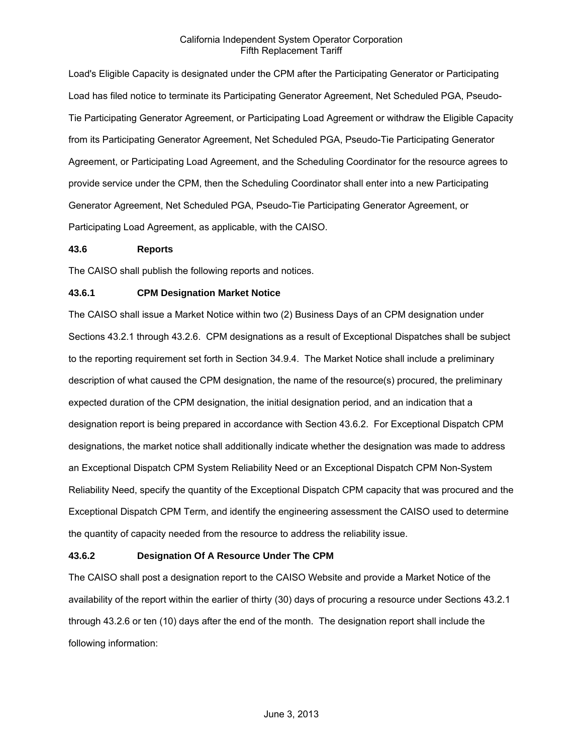Load's Eligible Capacity is designated under the CPM after the Participating Generator or Participating Load has filed notice to terminate its Participating Generator Agreement, Net Scheduled PGA, Pseudo-Tie Participating Generator Agreement, or Participating Load Agreement or withdraw the Eligible Capacity from its Participating Generator Agreement, Net Scheduled PGA, Pseudo-Tie Participating Generator Agreement, or Participating Load Agreement, and the Scheduling Coordinator for the resource agrees to provide service under the CPM, then the Scheduling Coordinator shall enter into a new Participating Generator Agreement, Net Scheduled PGA, Pseudo-Tie Participating Generator Agreement, or Participating Load Agreement, as applicable, with the CAISO.

### **43.6 Reports**

The CAISO shall publish the following reports and notices.

# **43.6.1 CPM Designation Market Notice**

The CAISO shall issue a Market Notice within two (2) Business Days of an CPM designation under Sections 43.2.1 through 43.2.6. CPM designations as a result of Exceptional Dispatches shall be subject to the reporting requirement set forth in Section 34.9.4. The Market Notice shall include a preliminary description of what caused the CPM designation, the name of the resource(s) procured, the preliminary expected duration of the CPM designation, the initial designation period, and an indication that a designation report is being prepared in accordance with Section 43.6.2. For Exceptional Dispatch CPM designations, the market notice shall additionally indicate whether the designation was made to address an Exceptional Dispatch CPM System Reliability Need or an Exceptional Dispatch CPM Non-System Reliability Need, specify the quantity of the Exceptional Dispatch CPM capacity that was procured and the Exceptional Dispatch CPM Term, and identify the engineering assessment the CAISO used to determine the quantity of capacity needed from the resource to address the reliability issue.

### **43.6.2 Designation Of A Resource Under The CPM**

The CAISO shall post a designation report to the CAISO Website and provide a Market Notice of the availability of the report within the earlier of thirty (30) days of procuring a resource under Sections 43.2.1 through 43.2.6 or ten (10) days after the end of the month. The designation report shall include the following information: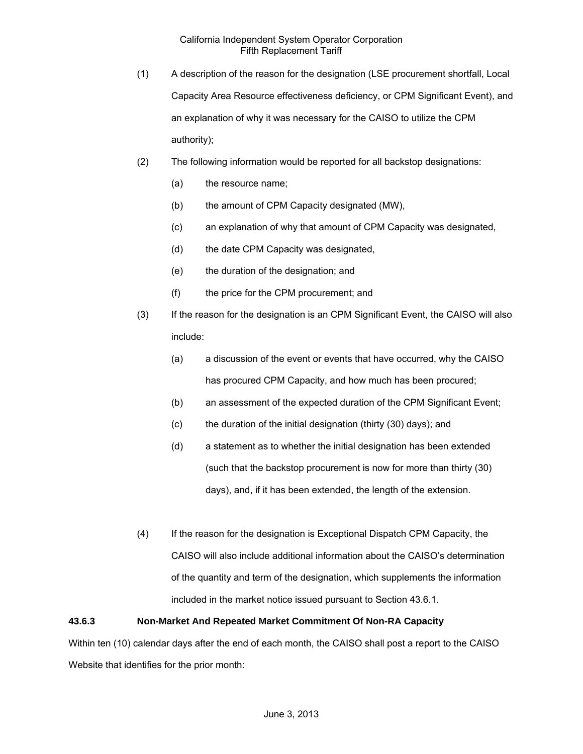- (1) A description of the reason for the designation (LSE procurement shortfall, Local Capacity Area Resource effectiveness deficiency, or CPM Significant Event), and an explanation of why it was necessary for the CAISO to utilize the CPM authority);
- (2) The following information would be reported for all backstop designations:
	- (a) the resource name;
	- (b) the amount of CPM Capacity designated (MW),
	- (c) an explanation of why that amount of CPM Capacity was designated,
	- (d) the date CPM Capacity was designated,
	- (e) the duration of the designation; and
	- (f) the price for the CPM procurement; and
- (3) If the reason for the designation is an CPM Significant Event, the CAISO will also include:
	- (a) a discussion of the event or events that have occurred, why the CAISO has procured CPM Capacity, and how much has been procured;
	- (b) an assessment of the expected duration of the CPM Significant Event;
	- (c) the duration of the initial designation (thirty (30) days); and
	- (d) a statement as to whether the initial designation has been extended (such that the backstop procurement is now for more than thirty (30) days), and, if it has been extended, the length of the extension.
- (4) If the reason for the designation is Exceptional Dispatch CPM Capacity, the CAISO will also include additional information about the CAISO's determination of the quantity and term of the designation, which supplements the information included in the market notice issued pursuant to Section 43.6.1.

# **43.6.3 Non-Market And Repeated Market Commitment Of Non-RA Capacity**

Within ten (10) calendar days after the end of each month, the CAISO shall post a report to the CAISO Website that identifies for the prior month: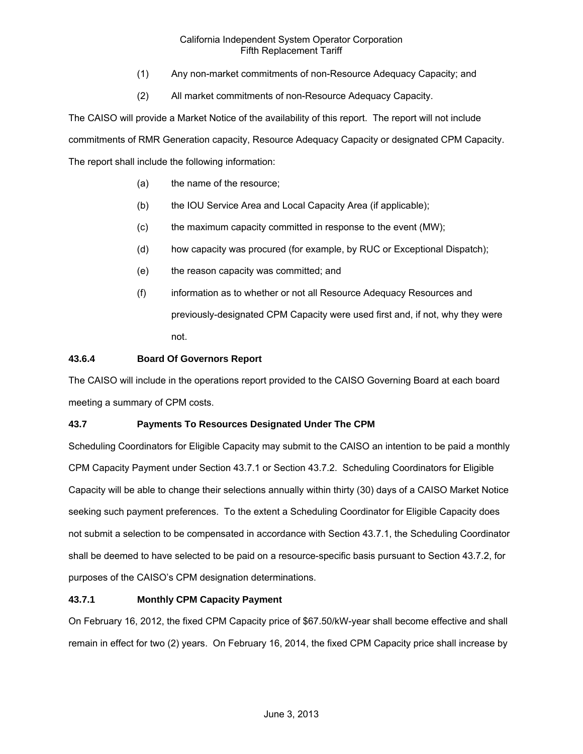- (1) Any non-market commitments of non-Resource Adequacy Capacity; and
- (2) All market commitments of non-Resource Adequacy Capacity.

The CAISO will provide a Market Notice of the availability of this report. The report will not include commitments of RMR Generation capacity, Resource Adequacy Capacity or designated CPM Capacity. The report shall include the following information:

- (a) the name of the resource;
- (b) the IOU Service Area and Local Capacity Area (if applicable);
- (c) the maximum capacity committed in response to the event (MW);
- (d) how capacity was procured (for example, by RUC or Exceptional Dispatch);
- (e) the reason capacity was committed; and
- (f) information as to whether or not all Resource Adequacy Resources and previously-designated CPM Capacity were used first and, if not, why they were not.

# **43.6.4 Board Of Governors Report**

The CAISO will include in the operations report provided to the CAISO Governing Board at each board meeting a summary of CPM costs.

# **43.7 Payments To Resources Designated Under The CPM**

Scheduling Coordinators for Eligible Capacity may submit to the CAISO an intention to be paid a monthly CPM Capacity Payment under Section 43.7.1 or Section 43.7.2. Scheduling Coordinators for Eligible Capacity will be able to change their selections annually within thirty (30) days of a CAISO Market Notice seeking such payment preferences. To the extent a Scheduling Coordinator for Eligible Capacity does not submit a selection to be compensated in accordance with Section 43.7.1, the Scheduling Coordinator shall be deemed to have selected to be paid on a resource-specific basis pursuant to Section 43.7.2, for purposes of the CAISO's CPM designation determinations.

# **43.7.1 Monthly CPM Capacity Payment**

On February 16, 2012, the fixed CPM Capacity price of \$67.50/kW-year shall become effective and shall remain in effect for two (2) years. On February 16, 2014, the fixed CPM Capacity price shall increase by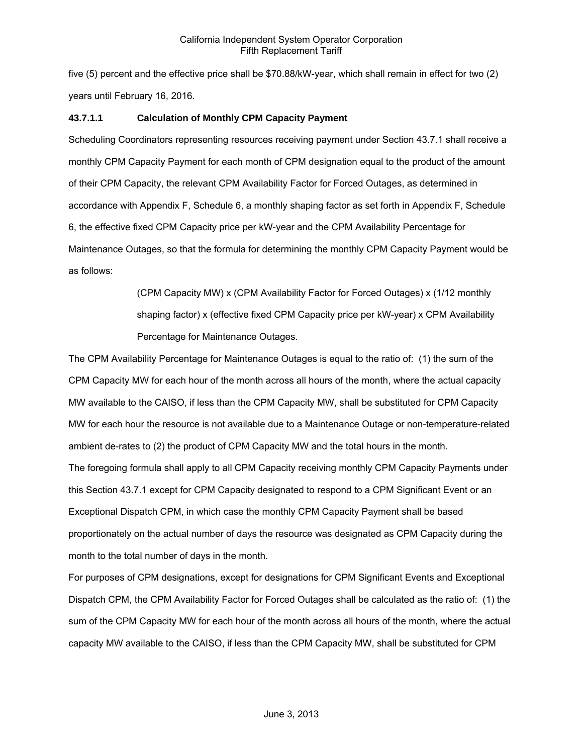five (5) percent and the effective price shall be \$70.88/kW-year, which shall remain in effect for two (2) years until February 16, 2016.

# **43.7.1.1 Calculation of Monthly CPM Capacity Payment**

Scheduling Coordinators representing resources receiving payment under Section 43.7.1 shall receive a monthly CPM Capacity Payment for each month of CPM designation equal to the product of the amount of their CPM Capacity, the relevant CPM Availability Factor for Forced Outages, as determined in accordance with Appendix F, Schedule 6, a monthly shaping factor as set forth in Appendix F, Schedule 6, the effective fixed CPM Capacity price per kW-year and the CPM Availability Percentage for Maintenance Outages, so that the formula for determining the monthly CPM Capacity Payment would be as follows:

> (CPM Capacity MW) x (CPM Availability Factor for Forced Outages) x (1/12 monthly shaping factor) x (effective fixed CPM Capacity price per kW-year) x CPM Availability Percentage for Maintenance Outages.

The CPM Availability Percentage for Maintenance Outages is equal to the ratio of: (1) the sum of the CPM Capacity MW for each hour of the month across all hours of the month, where the actual capacity MW available to the CAISO, if less than the CPM Capacity MW, shall be substituted for CPM Capacity MW for each hour the resource is not available due to a Maintenance Outage or non-temperature-related ambient de-rates to (2) the product of CPM Capacity MW and the total hours in the month. The foregoing formula shall apply to all CPM Capacity receiving monthly CPM Capacity Payments under this Section 43.7.1 except for CPM Capacity designated to respond to a CPM Significant Event or an Exceptional Dispatch CPM, in which case the monthly CPM Capacity Payment shall be based proportionately on the actual number of days the resource was designated as CPM Capacity during the month to the total number of days in the month.

For purposes of CPM designations, except for designations for CPM Significant Events and Exceptional Dispatch CPM, the CPM Availability Factor for Forced Outages shall be calculated as the ratio of: (1) the sum of the CPM Capacity MW for each hour of the month across all hours of the month, where the actual capacity MW available to the CAISO, if less than the CPM Capacity MW, shall be substituted for CPM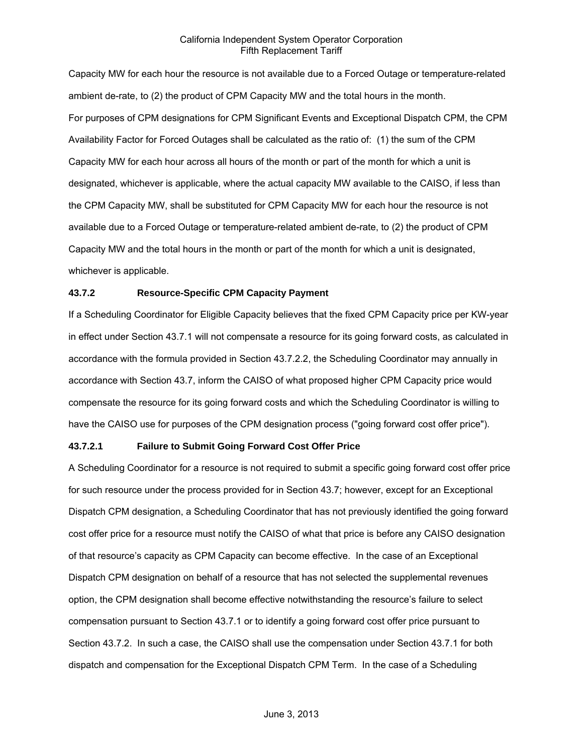Capacity MW for each hour the resource is not available due to a Forced Outage or temperature-related ambient de-rate, to (2) the product of CPM Capacity MW and the total hours in the month. For purposes of CPM designations for CPM Significant Events and Exceptional Dispatch CPM, the CPM Availability Factor for Forced Outages shall be calculated as the ratio of: (1) the sum of the CPM Capacity MW for each hour across all hours of the month or part of the month for which a unit is designated, whichever is applicable, where the actual capacity MW available to the CAISO, if less than the CPM Capacity MW, shall be substituted for CPM Capacity MW for each hour the resource is not available due to a Forced Outage or temperature-related ambient de-rate, to (2) the product of CPM Capacity MW and the total hours in the month or part of the month for which a unit is designated, whichever is applicable.

# **43.7.2 Resource-Specific CPM Capacity Payment**

If a Scheduling Coordinator for Eligible Capacity believes that the fixed CPM Capacity price per KW-year in effect under Section 43.7.1 will not compensate a resource for its going forward costs, as calculated in accordance with the formula provided in Section 43.7.2.2, the Scheduling Coordinator may annually in accordance with Section 43.7, inform the CAISO of what proposed higher CPM Capacity price would compensate the resource for its going forward costs and which the Scheduling Coordinator is willing to have the CAISO use for purposes of the CPM designation process ("going forward cost offer price").

### **43.7.2.1 Failure to Submit Going Forward Cost Offer Price**

A Scheduling Coordinator for a resource is not required to submit a specific going forward cost offer price for such resource under the process provided for in Section 43.7; however, except for an Exceptional Dispatch CPM designation, a Scheduling Coordinator that has not previously identified the going forward cost offer price for a resource must notify the CAISO of what that price is before any CAISO designation of that resource's capacity as CPM Capacity can become effective. In the case of an Exceptional Dispatch CPM designation on behalf of a resource that has not selected the supplemental revenues option, the CPM designation shall become effective notwithstanding the resource's failure to select compensation pursuant to Section 43.7.1 or to identify a going forward cost offer price pursuant to Section 43.7.2. In such a case, the CAISO shall use the compensation under Section 43.7.1 for both dispatch and compensation for the Exceptional Dispatch CPM Term. In the case of a Scheduling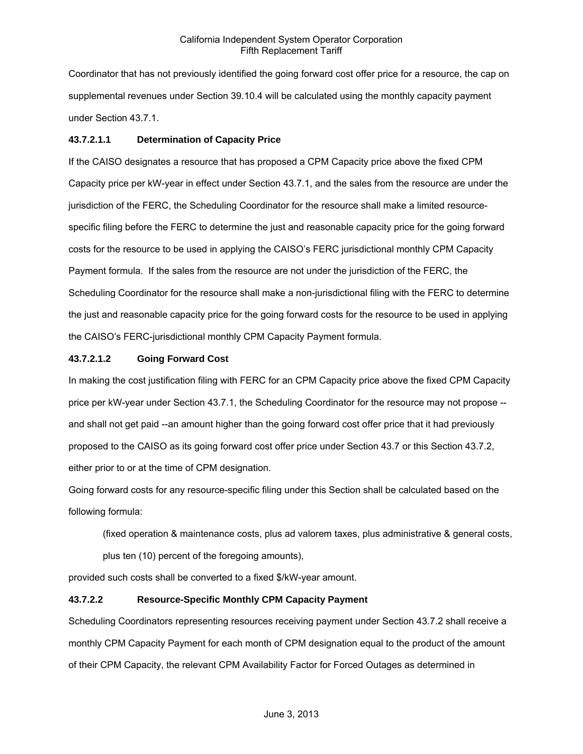Coordinator that has not previously identified the going forward cost offer price for a resource, the cap on supplemental revenues under Section 39.10.4 will be calculated using the monthly capacity payment under Section 43.7.1.

# **43.7.2.1.1 Determination of Capacity Price**

If the CAISO designates a resource that has proposed a CPM Capacity price above the fixed CPM Capacity price per kW-year in effect under Section 43.7.1, and the sales from the resource are under the jurisdiction of the FERC, the Scheduling Coordinator for the resource shall make a limited resourcespecific filing before the FERC to determine the just and reasonable capacity price for the going forward costs for the resource to be used in applying the CAISO's FERC jurisdictional monthly CPM Capacity Payment formula. If the sales from the resource are not under the jurisdiction of the FERC, the Scheduling Coordinator for the resource shall make a non-jurisdictional filing with the FERC to determine the just and reasonable capacity price for the going forward costs for the resource to be used in applying the CAISO's FERC-jurisdictional monthly CPM Capacity Payment formula.

# **43.7.2.1.2 Going Forward Cost**

In making the cost justification filing with FERC for an CPM Capacity price above the fixed CPM Capacity price per kW-year under Section 43.7.1, the Scheduling Coordinator for the resource may not propose - and shall not get paid --an amount higher than the going forward cost offer price that it had previously proposed to the CAISO as its going forward cost offer price under Section 43.7 or this Section 43.7.2, either prior to or at the time of CPM designation.

Going forward costs for any resource-specific filing under this Section shall be calculated based on the following formula:

(fixed operation & maintenance costs, plus ad valorem taxes, plus administrative & general costs,

plus ten (10) percent of the foregoing amounts),

provided such costs shall be converted to a fixed \$/kW-year amount.

# **43.7.2.2 Resource-Specific Monthly CPM Capacity Payment**

Scheduling Coordinators representing resources receiving payment under Section 43.7.2 shall receive a monthly CPM Capacity Payment for each month of CPM designation equal to the product of the amount of their CPM Capacity, the relevant CPM Availability Factor for Forced Outages as determined in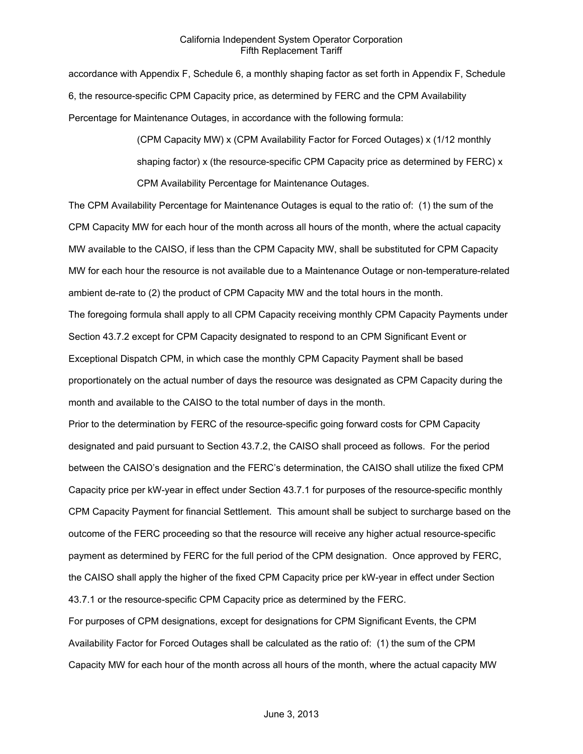accordance with Appendix F, Schedule 6, a monthly shaping factor as set forth in Appendix F, Schedule 6, the resource-specific CPM Capacity price, as determined by FERC and the CPM Availability Percentage for Maintenance Outages, in accordance with the following formula:

> (CPM Capacity MW) x (CPM Availability Factor for Forced Outages) x (1/12 monthly shaping factor) x (the resource-specific CPM Capacity price as determined by FERC) x CPM Availability Percentage for Maintenance Outages.

The CPM Availability Percentage for Maintenance Outages is equal to the ratio of: (1) the sum of the CPM Capacity MW for each hour of the month across all hours of the month, where the actual capacity MW available to the CAISO, if less than the CPM Capacity MW, shall be substituted for CPM Capacity MW for each hour the resource is not available due to a Maintenance Outage or non-temperature-related ambient de-rate to (2) the product of CPM Capacity MW and the total hours in the month.

The foregoing formula shall apply to all CPM Capacity receiving monthly CPM Capacity Payments under Section 43.7.2 except for CPM Capacity designated to respond to an CPM Significant Event or Exceptional Dispatch CPM, in which case the monthly CPM Capacity Payment shall be based proportionately on the actual number of days the resource was designated as CPM Capacity during the month and available to the CAISO to the total number of days in the month.

Prior to the determination by FERC of the resource-specific going forward costs for CPM Capacity designated and paid pursuant to Section 43.7.2, the CAISO shall proceed as follows. For the period between the CAISO's designation and the FERC's determination, the CAISO shall utilize the fixed CPM Capacity price per kW-year in effect under Section 43.7.1 for purposes of the resource-specific monthly CPM Capacity Payment for financial Settlement. This amount shall be subject to surcharge based on the outcome of the FERC proceeding so that the resource will receive any higher actual resource-specific payment as determined by FERC for the full period of the CPM designation. Once approved by FERC, the CAISO shall apply the higher of the fixed CPM Capacity price per kW-year in effect under Section 43.7.1 or the resource-specific CPM Capacity price as determined by the FERC.

For purposes of CPM designations, except for designations for CPM Significant Events, the CPM Availability Factor for Forced Outages shall be calculated as the ratio of: (1) the sum of the CPM Capacity MW for each hour of the month across all hours of the month, where the actual capacity MW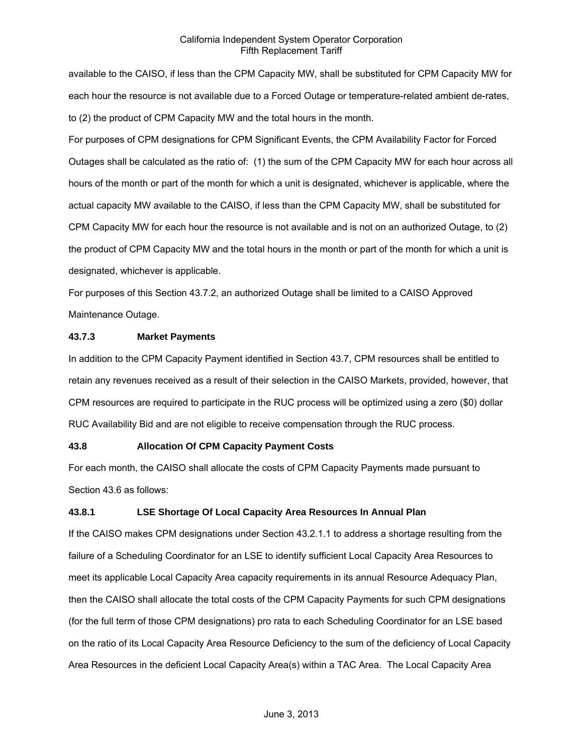available to the CAISO, if less than the CPM Capacity MW, shall be substituted for CPM Capacity MW for each hour the resource is not available due to a Forced Outage or temperature-related ambient de-rates, to (2) the product of CPM Capacity MW and the total hours in the month.

For purposes of CPM designations for CPM Significant Events, the CPM Availability Factor for Forced Outages shall be calculated as the ratio of: (1) the sum of the CPM Capacity MW for each hour across all hours of the month or part of the month for which a unit is designated, whichever is applicable, where the actual capacity MW available to the CAISO, if less than the CPM Capacity MW, shall be substituted for CPM Capacity MW for each hour the resource is not available and is not on an authorized Outage, to (2) the product of CPM Capacity MW and the total hours in the month or part of the month for which a unit is designated, whichever is applicable.

For purposes of this Section 43.7.2, an authorized Outage shall be limited to a CAISO Approved Maintenance Outage.

### **43.7.3 Market Payments**

In addition to the CPM Capacity Payment identified in Section 43.7, CPM resources shall be entitled to retain any revenues received as a result of their selection in the CAISO Markets, provided, however, that CPM resources are required to participate in the RUC process will be optimized using a zero (\$0) dollar RUC Availability Bid and are not eligible to receive compensation through the RUC process.

#### **43.8 Allocation Of CPM Capacity Payment Costs**

For each month, the CAISO shall allocate the costs of CPM Capacity Payments made pursuant to Section 43.6 as follows:

# **43.8.1 LSE Shortage Of Local Capacity Area Resources In Annual Plan**

If the CAISO makes CPM designations under Section 43.2.1.1 to address a shortage resulting from the failure of a Scheduling Coordinator for an LSE to identify sufficient Local Capacity Area Resources to meet its applicable Local Capacity Area capacity requirements in its annual Resource Adequacy Plan, then the CAISO shall allocate the total costs of the CPM Capacity Payments for such CPM designations (for the full term of those CPM designations) pro rata to each Scheduling Coordinator for an LSE based on the ratio of its Local Capacity Area Resource Deficiency to the sum of the deficiency of Local Capacity Area Resources in the deficient Local Capacity Area(s) within a TAC Area. The Local Capacity Area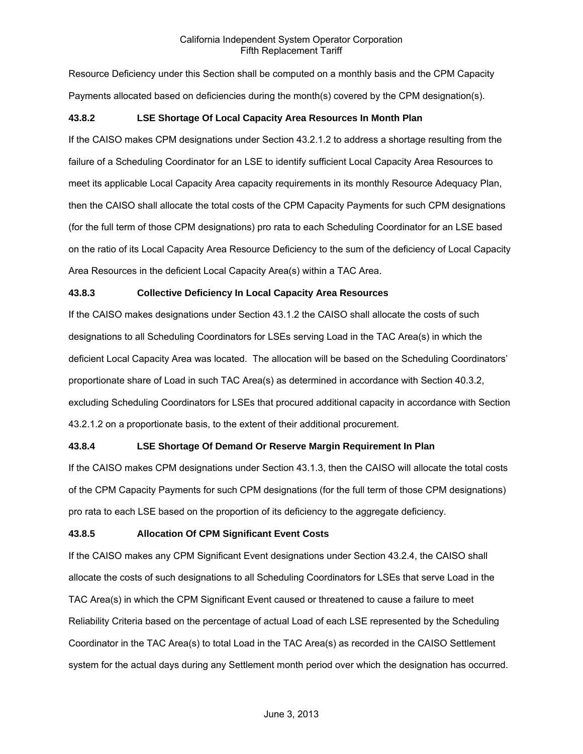Resource Deficiency under this Section shall be computed on a monthly basis and the CPM Capacity Payments allocated based on deficiencies during the month(s) covered by the CPM designation(s).

### **43.8.2 LSE Shortage Of Local Capacity Area Resources In Month Plan**

If the CAISO makes CPM designations under Section 43.2.1.2 to address a shortage resulting from the failure of a Scheduling Coordinator for an LSE to identify sufficient Local Capacity Area Resources to meet its applicable Local Capacity Area capacity requirements in its monthly Resource Adequacy Plan, then the CAISO shall allocate the total costs of the CPM Capacity Payments for such CPM designations (for the full term of those CPM designations) pro rata to each Scheduling Coordinator for an LSE based on the ratio of its Local Capacity Area Resource Deficiency to the sum of the deficiency of Local Capacity Area Resources in the deficient Local Capacity Area(s) within a TAC Area.

### **43.8.3 Collective Deficiency In Local Capacity Area Resources**

If the CAISO makes designations under Section 43.1.2 the CAISO shall allocate the costs of such designations to all Scheduling Coordinators for LSEs serving Load in the TAC Area(s) in which the deficient Local Capacity Area was located. The allocation will be based on the Scheduling Coordinators' proportionate share of Load in such TAC Area(s) as determined in accordance with Section 40.3.2, excluding Scheduling Coordinators for LSEs that procured additional capacity in accordance with Section 43.2.1.2 on a proportionate basis, to the extent of their additional procurement.

#### **43.8.4 LSE Shortage Of Demand Or Reserve Margin Requirement In Plan**

If the CAISO makes CPM designations under Section 43.1.3, then the CAISO will allocate the total costs of the CPM Capacity Payments for such CPM designations (for the full term of those CPM designations) pro rata to each LSE based on the proportion of its deficiency to the aggregate deficiency.

#### **43.8.5 Allocation Of CPM Significant Event Costs**

If the CAISO makes any CPM Significant Event designations under Section 43.2.4, the CAISO shall allocate the costs of such designations to all Scheduling Coordinators for LSEs that serve Load in the TAC Area(s) in which the CPM Significant Event caused or threatened to cause a failure to meet Reliability Criteria based on the percentage of actual Load of each LSE represented by the Scheduling Coordinator in the TAC Area(s) to total Load in the TAC Area(s) as recorded in the CAISO Settlement system for the actual days during any Settlement month period over which the designation has occurred.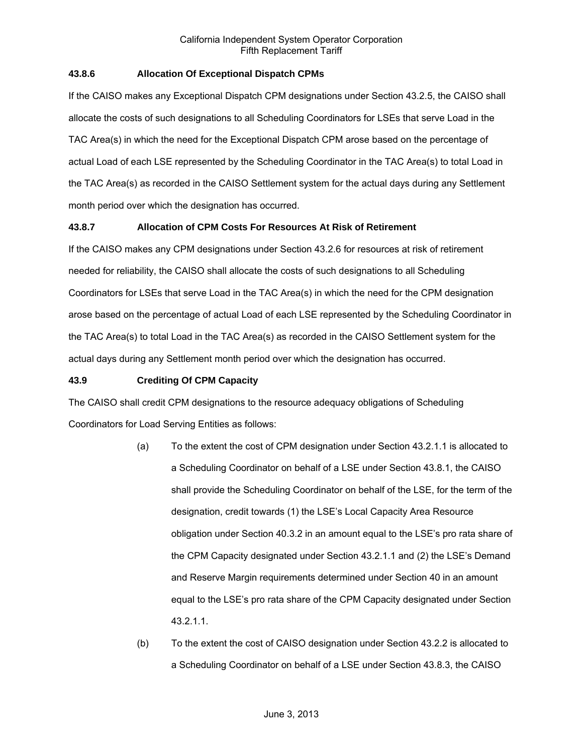### **43.8.6 Allocation Of Exceptional Dispatch CPMs**

If the CAISO makes any Exceptional Dispatch CPM designations under Section 43.2.5, the CAISO shall allocate the costs of such designations to all Scheduling Coordinators for LSEs that serve Load in the TAC Area(s) in which the need for the Exceptional Dispatch CPM arose based on the percentage of actual Load of each LSE represented by the Scheduling Coordinator in the TAC Area(s) to total Load in the TAC Area(s) as recorded in the CAISO Settlement system for the actual days during any Settlement month period over which the designation has occurred.

# **43.8.7 Allocation of CPM Costs For Resources At Risk of Retirement**

If the CAISO makes any CPM designations under Section 43.2.6 for resources at risk of retirement needed for reliability, the CAISO shall allocate the costs of such designations to all Scheduling Coordinators for LSEs that serve Load in the TAC Area(s) in which the need for the CPM designation arose based on the percentage of actual Load of each LSE represented by the Scheduling Coordinator in the TAC Area(s) to total Load in the TAC Area(s) as recorded in the CAISO Settlement system for the actual days during any Settlement month period over which the designation has occurred.

#### **43.9 Crediting Of CPM Capacity**

The CAISO shall credit CPM designations to the resource adequacy obligations of Scheduling Coordinators for Load Serving Entities as follows:

- (a) To the extent the cost of CPM designation under Section 43.2.1.1 is allocated to a Scheduling Coordinator on behalf of a LSE under Section 43.8.1, the CAISO shall provide the Scheduling Coordinator on behalf of the LSE, for the term of the designation, credit towards (1) the LSE's Local Capacity Area Resource obligation under Section 40.3.2 in an amount equal to the LSE's pro rata share of the CPM Capacity designated under Section 43.2.1.1 and (2) the LSE's Demand and Reserve Margin requirements determined under Section 40 in an amount equal to the LSE's pro rata share of the CPM Capacity designated under Section 43.2.1.1.
- (b) To the extent the cost of CAISO designation under Section 43.2.2 is allocated to a Scheduling Coordinator on behalf of a LSE under Section 43.8.3, the CAISO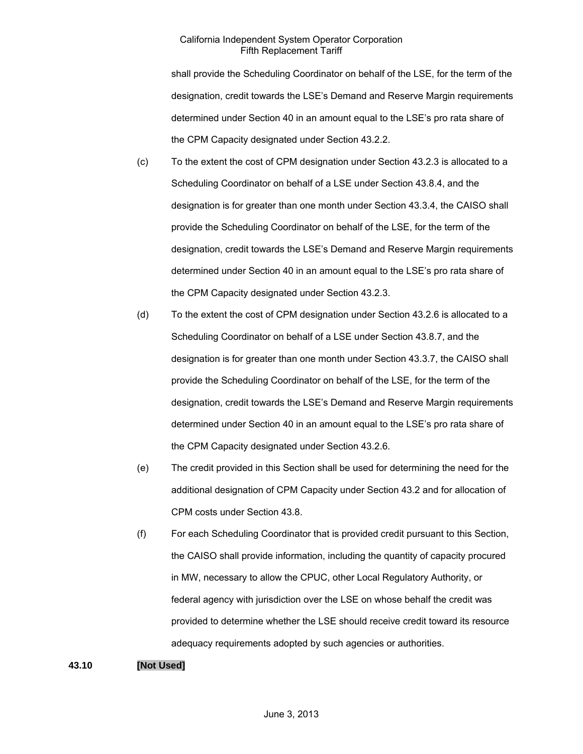shall provide the Scheduling Coordinator on behalf of the LSE, for the term of the designation, credit towards the LSE's Demand and Reserve Margin requirements determined under Section 40 in an amount equal to the LSE's pro rata share of the CPM Capacity designated under Section 43.2.2.

- (c) To the extent the cost of CPM designation under Section 43.2.3 is allocated to a Scheduling Coordinator on behalf of a LSE under Section 43.8.4, and the designation is for greater than one month under Section 43.3.4, the CAISO shall provide the Scheduling Coordinator on behalf of the LSE, for the term of the designation, credit towards the LSE's Demand and Reserve Margin requirements determined under Section 40 in an amount equal to the LSE's pro rata share of the CPM Capacity designated under Section 43.2.3.
- (d) To the extent the cost of CPM designation under Section 43.2.6 is allocated to a Scheduling Coordinator on behalf of a LSE under Section 43.8.7, and the designation is for greater than one month under Section 43.3.7, the CAISO shall provide the Scheduling Coordinator on behalf of the LSE, for the term of the designation, credit towards the LSE's Demand and Reserve Margin requirements determined under Section 40 in an amount equal to the LSE's pro rata share of the CPM Capacity designated under Section 43.2.6.
- (e) The credit provided in this Section shall be used for determining the need for the additional designation of CPM Capacity under Section 43.2 and for allocation of CPM costs under Section 43.8.
- (f) For each Scheduling Coordinator that is provided credit pursuant to this Section, the CAISO shall provide information, including the quantity of capacity procured in MW, necessary to allow the CPUC, other Local Regulatory Authority, or federal agency with jurisdiction over the LSE on whose behalf the credit was provided to determine whether the LSE should receive credit toward its resource adequacy requirements adopted by such agencies or authorities.

# **43.10 [Not Used]**